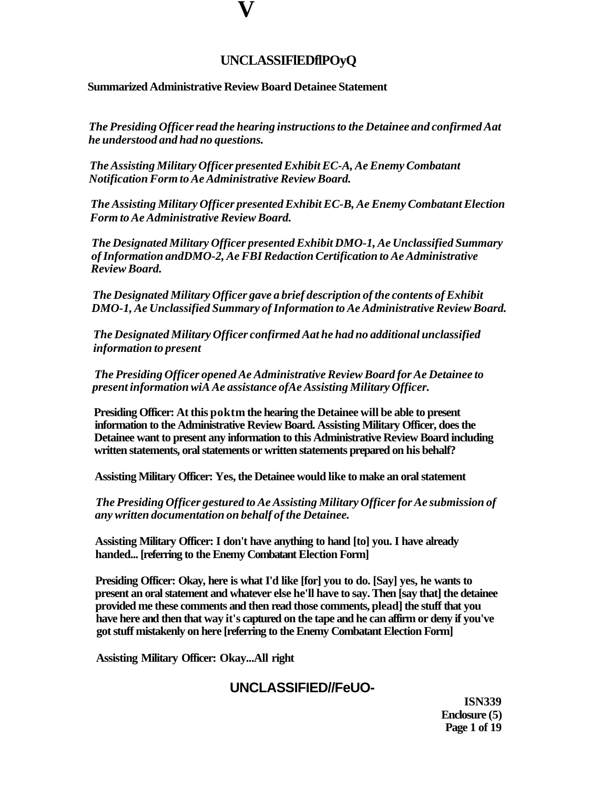## **UNCLASSIFlEDflPOyQ**

### **Summarized Administrative Review Board Detainee Statement**

**V** 

*The Presiding Officer read the hearing instructions to the Detainee and confirmed Aat he understood and had no questions.* 

*The Assisting Military Officer presented Exhibit EC-A, Ae Enemy Combatant Notification Form to Ae Administrative Review Board.* 

*The Assisting Military Officer presented Exhibit EC-B, Ae Enemy Combatant Election Form to Ae Administrative Review Board.* 

*The Designated Military Officer presented Exhibit DMO-1, Ae Unclassified Summary of Information andDMO-2, Ae FBI Redaction Certification to Ae Administrative Review Board.* 

*The Designated Military Officer gave a brief description of the contents of Exhibit DMO-1, Ae Unclassified Summary of Information to Ae Administrative Review Board.* 

*The Designated Military Officer confirmed Aat he had no additional unclassified information to present* 

*The Presiding Officer opened Ae Administrative Review Board for Ae Detainee to present information wiA Ae assistance ofAe Assisting Military Officer.* 

**Presiding Officer: At this poktm the hearing the Detainee will be able to present information to the Administrative Review Board. Assisting Military Officer, does the Detainee want to present any information to this Administrative Review Board including written statements, oral statements or written statements prepared on his behalf?** 

**Assisting Military Officer: Yes, the Detainee would like to make an oral statement** 

*The Presiding Officer gestured to Ae Assisting Military Officer for Ae submission of any written documentation on behalf of the Detainee.* 

**Assisting Military Officer: I don't have anything to hand [to] you. I have already handed... [referring to the Enemy Combatant Election Form]** 

**Presiding Officer: Okay, here is what I'd like [for] you to do. [Say] yes, he wants to present an oral statement and whatever else he'll have to say. Then [say that] the detainee provided me these comments and then read those comments, plead] the stuff that you have here and then that way it's captured on the tape and he can affirm or deny if you've got stuff mistakenly on here [referring to the Enemy Combatant Election Form]** 

**Assisting Military Officer: Okay...All right** 

## **UNCLASSIFIED//FeUO-**

**ISN339 Enclosure (5) Page 1 of 19**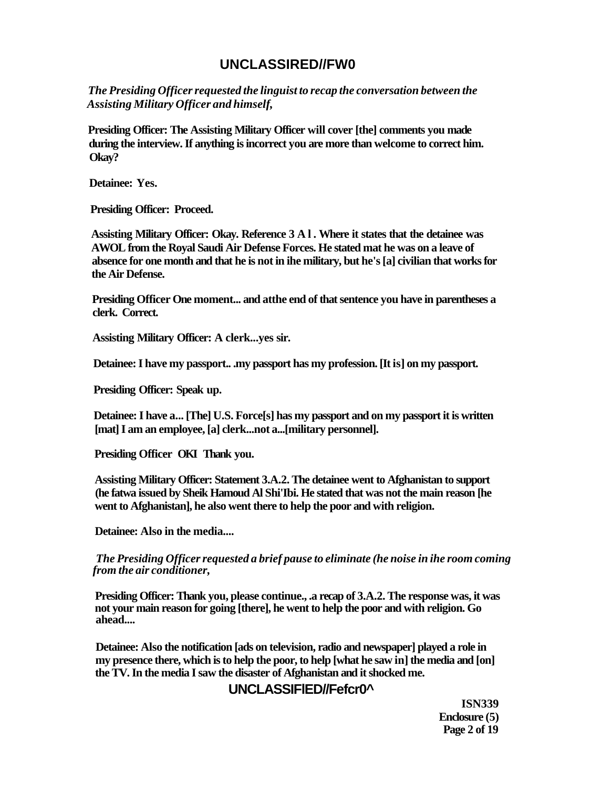## **UNCLASSIRED//FW0**

*The Presiding Officer requested the linguist to recap the conversation between the Assisting Military Officer and himself,* 

**Presiding Officer: The Assisting Military Officer will cover [the] comments you made during the interview. If anything is incorrect you are more than welcome to correct him. Okay?** 

**Detainee: Yes.** 

**Presiding Officer: Proceed.** 

**Assisting Military Officer: Okay. Reference 3 Al . Where it states that the detainee was AWOL from the Royal Saudi Air Defense Forces. He stated mat he was on a leave of absence for one month and that he is not in ihe military, but he's [a] civilian that works for the Air Defense.** 

**Presiding Officer One moment... and atthe end of that sentence you have in parentheses a clerk. Correct.** 

**Assisting Military Officer: A clerk...yes sir.** 

**Detainee: I have my passport.. .my passport has my profession. [It is] on my passport.** 

**Presiding Officer: Speak up.** 

**Detainee: I have a... [The] U.S. Force[s] has my passport and on my passport it is written [mat] I am an employee, [a] clerk...not a...[military personnel].** 

**Presiding Officer OKI Thank you.** 

**Assisting Military Officer: Statement 3.A.2. The detainee went to Afghanistan to support (he fatwa issued by Sheik Hamoud Al Shi'Ibi. He stated that was not the main reason [he went to Afghanistan], he also went there to help the poor and with religion.** 

**Detainee: Also in the media....** 

*The Presiding Officer requested a brief pause to eliminate (he noise in ihe room coming from the air conditioner,* 

**Presiding Officer: Thank you, please continue., .a recap of 3.A.2. The response was, it was not your main reason for going [there], he went to help the poor and with religion. Go ahead....** 

**Detainee: Also the notification [ads on television, radio and newspaper] played a role in my presence there, which is to help the poor, to help [what he saw in] the media and [on] the TV. In the media I saw the disaster of Afghanistan and it shocked me.** 

## **UNCLASSIFlED//Fefcr0^**

**ISN339 Enclosure (5) Page 2 of 19**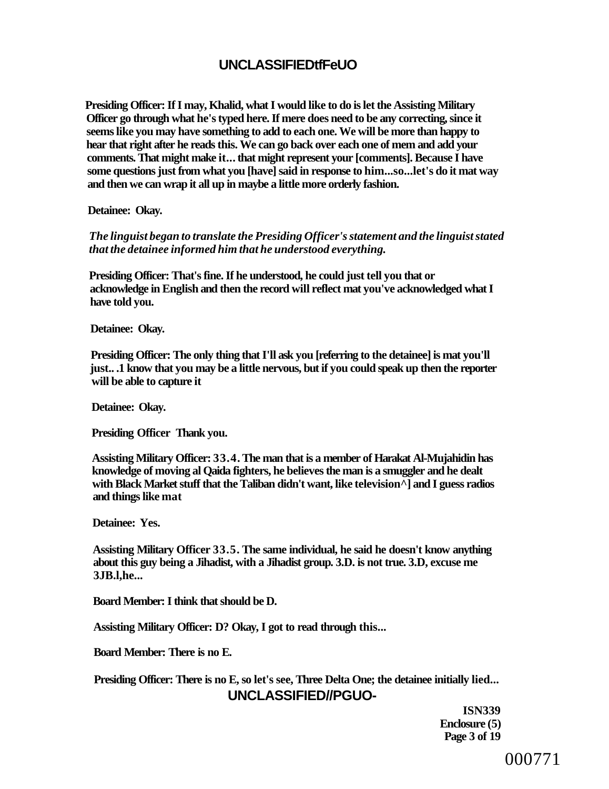# **UNCLASSIFIEDtfFeUO**

**Presiding Officer: If I may, Khalid, what I would like to do is let the Assisting Military Officer go through what he's typed here. If mere does need to be any correcting, since it seems like you may have something to add to each one. We will be more than happy to hear that right after he reads this. We can go back over each one of mem and add your comments. That might make it... that might represent your [comments]. Because I have some questions just from what you [have] said in response to him...so...let's do it mat way and then we can wrap it all up in maybe a little more orderly fashion.** 

**Detainee: Okay.** 

*The linguist began to translate the Presiding Officer's statement and the linguist stated that the detainee informed him that he understood everything.* 

**Presiding Officer: That's fine. If he understood, he could just tell you that or acknowledge in English and then the record will reflect mat you've acknowledged what I have told you.** 

**Detainee: Okay.** 

**Presiding Officer: The only thing that I'll ask you [referring to the detainee] is mat you'll just.. .1 know that you may be a little nervous, but if you could speak up then the reporter will be able to capture it** 

**Detainee: Okay.** 

**Presiding Officer Thank you.** 

**Assisting Military Officer: 33.4. The man that is a member of Harakat Al-Mujahidin has knowledge of moving al Qaida fighters, he believes the man is a smuggler and he dealt with Black Market stuff that the Taliban didn't want, like television^] and I guess radios and things like mat** 

**Detainee: Yes.** 

**Assisting Military Officer 33.5. The same individual, he said he doesn't know anything about this guy being a Jihadist, with a Jihadist group. 3.D. is not true. 3.D, excuse me 3JB.l,he...** 

**Board Member: I think that should be D.** 

**Assisting Military Officer: D? Okay, I got to read through this...** 

**Board Member: There is no E.** 

**Presiding Officer: There is no E, so let's see, Three Delta One; the detainee initially lied... UNCLASSIFIED//PGUO-**

> **ISN339 Enclosure (5) Page 3 of 19**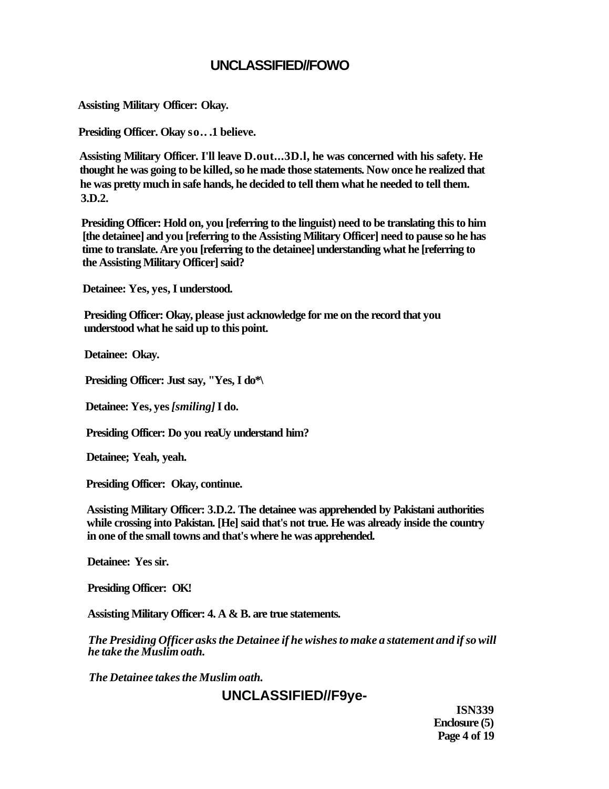## **UNCLASSIFIED//FOWO**

**Assisting Military Officer: Okay.** 

**Presiding Officer. Okay so.. .1 believe.** 

**Assisting Military Officer. I'll leave D.out...3D.l, he was concerned with his safety. He thought he was going to be killed, so he made those statements. Now once he realized that he was pretty much in safe hands, he decided to tell them what he needed to tell them. 3.D.2.** 

**Presiding Officer: Hold on, you [referring to the linguist) need to be translating this to him [the detainee] and you [referring to the Assisting Military Officer] need to pause so he has time to translate. Are you [referring to the detainee] understanding what he [referring to the Assisting Military Officer] said?** 

**Detainee: Yes, yes, I understood.** 

**Presiding Officer: Okay, please just acknowledge for me on the record that you understood what he said up to this point.** 

**Detainee: Okay.** 

**Presiding Officer: Just say, "Yes, I do\*\** 

**Detainee: Yes, yes** *[smiling]* **I do.** 

**Presiding Officer: Do you reaUy understand him?** 

**Detainee; Yeah, yeah.** 

**Presiding Officer: Okay, continue.** 

**Assisting Military Officer: 3.D.2. The detainee was apprehended by Pakistani authorities while crossing into Pakistan. [He] said that's not true. He was already inside the country in one of the small towns and that's where he was apprehended.** 

**Detainee: Yes sir.** 

**Presiding Officer: OK!** 

**Assisting Military Officer: 4. A & B. are true statements.** 

*The Presiding Officer asks the Detainee if he wishes to make a statement and if so will he take the Muslim oath.* 

*The Detainee takes the Muslim oath.* 

# **UNCLASSIFIED//F9ye-**

**ISN339 Enclosure (5) Page 4 of 19**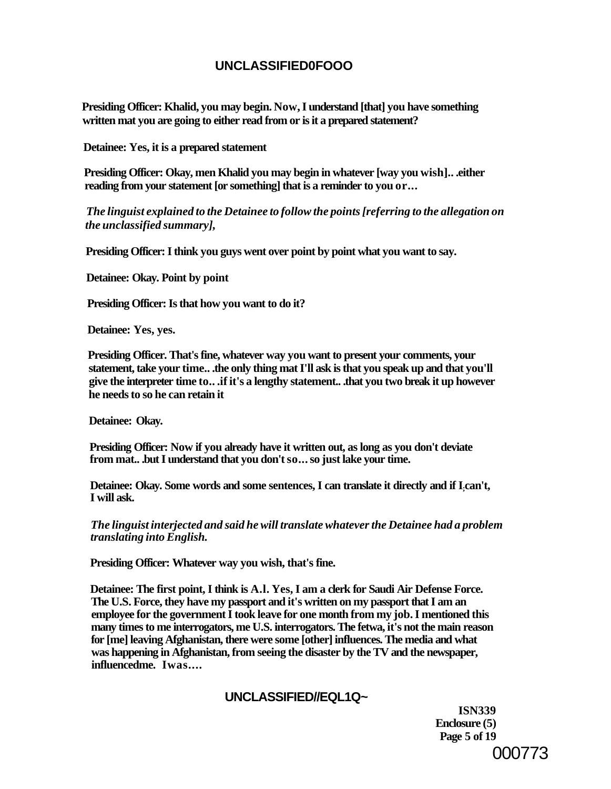## **UNCLASSIFIED0FOOO**

**Presiding Officer: Khalid, you may begin. Now, I understand [that] you have something written mat you are going to either read from or is it a prepared statement?** 

**Detainee: Yes, it is a prepared statement** 

**Presiding Officer: Okay, men Khalid you may begin in whatever [way you wish].. .either reading from your statement [or something] that is a reminder to you or...** 

*The linguist explained to the Detainee to follow the points [referring to the allegation on the unclassified summary],* 

**Presiding Officer: I think you guys went over point by point what you want to say.** 

**Detainee: Okay. Point by point** 

**Presiding Officer: Is that how you want to do it?** 

**Detainee: Yes, yes.** 

**Presiding Officer. That's fine, whatever way you want to present your comments, your statement, take your time.. .the only thing mat I'll ask is that you speak up and that you'll give the interpreter time to.. .if it's a lengthy statement.. .that you two break it up however he needs to so he can retain it** 

**Detainee: Okay.** 

**Presiding Officer: Now if you already have it written out, as long as you don't deviate from mat.. .but I understand that you don't so... so just lake your time.** 

**Detainee: Okay. Some words and some sentences, I can translate it directly and if I;can't, I will ask.** 

*The linguist interjected and said he will translate whatever the Detainee had a problem translating into English.* 

**Presiding Officer: Whatever way you wish, that's fine.** 

**Detainee: The first point, I think is A.l. Yes, I am a clerk for Saudi Air Defense Force. The U.S. Force, they have my passport and it's written on my passport that I am an employee for the government I took leave for one month from my job. I mentioned this many times to me interrogators, me U.S. interrogators. The fetwa, it's not the main reason for [me] leaving Afghanistan, there were some [other] influences. The media and what was happening in Afghanistan, from seeing the disaster by the TV and the newspaper, influencedme. Iwas....** 

## **UNCLASSIFIED//EQL1Q~**

**ISN339 Enclosure (5) Page 5 of 19**  000773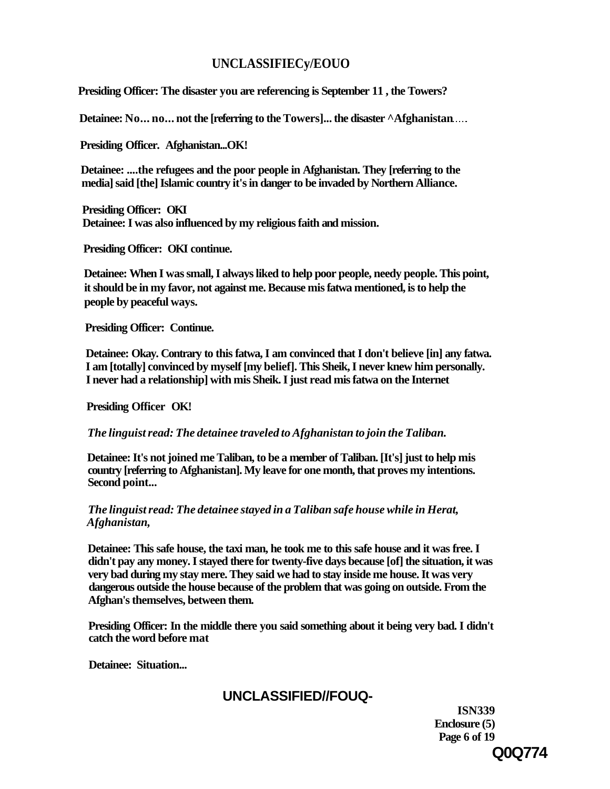## **UNCLASSIFIECy/EOUO**

**Presiding Officer: The disaster you are referencing is September 11 , the Towers?** 

**Detainee: No... no... not the [referring to the Towers]... the disaster**  $\Delta$ **Afghanistan....** 

**Presiding Officer. Afghanistan...OK!** 

**Detainee: ....the refugees and the poor people in Afghanistan. They [referring to the media] said [the] Islamic country it's in danger to be invaded by Northern Alliance.** 

**Presiding Officer: OKI Detainee: I was also influenced by my religious faith and mission.** 

**Presiding Officer: OKI continue.** 

**Detainee: When I was small, I always liked to help poor people, needy people. This point, it should be in my favor, not against me. Because mis fatwa mentioned, is to help the people by peaceful ways.** 

**Presiding Officer: Continue.** 

**Detainee: Okay. Contrary to this fatwa, I am convinced that I don't believe [in] any fatwa. I am [totally] convinced by myself [my belief]. This Sheik, I never knew him personally. I never had a relationship] with mis Sheik. I just read mis fatwa on the Internet** 

**Presiding Officer OK!** 

*The linguist read: The detainee traveled to Afghanistan to join the Taliban.* 

**Detainee: It's not joined me Taliban, to be a member of Taliban. [It's] just to help mis country [referring to Afghanistan]. My leave for one month, that proves my intentions. Second point...** 

*The linguist read: The detainee stayed in a Taliban safe house while in Herat, Afghanistan,* 

**Detainee: This safe house, the taxi man, he took me to this safe house and it was free. I didn't pay any money. I stayed there for twenty-five days because [of] the situation, it was very bad during my stay mere. They said we had to stay inside me house. It was very dangerous outside the house because of the problem that was going on outside. From the Afghan's themselves, between them.** 

**Presiding Officer: In the middle there you said something about it being very bad. I didn't catch the word before mat** 

**Detainee: Situation...** 

# **UNCLASSIFIED//FOUQ-**

**ISN339 Enclosure (5) Page 6 of 19 Q0Q774**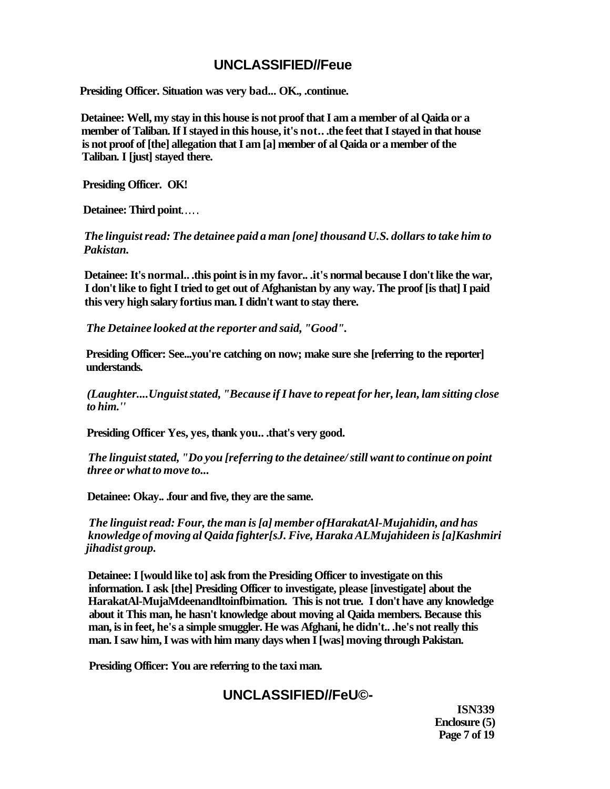## **UNCLASSIFIED//Feue**

**Presiding Officer. Situation was very bad... OK., .continue.** 

**Detainee: Well, my stay in this house is not proof that I am a member of al Qaida or a member of Taliban. If I stayed in this house, it's not.. .the feet that I stayed in that house is not proof of [the] allegation that I am [a] member of al Qaida or a member of the Taliban. I [just] stayed there.** 

**Presiding Officer. OK!** 

**Detainee: Third point** 

*The linguist read: The detainee paid a man [one] thousand U.S. dollars to take him to Pakistan.* 

**Detainee: It's normal.. .this point is in my favor.. .it's normal because I don't like the war, I don't like to fight I tried to get out of Afghanistan by any way. The proof [is that] I paid this very high salary fortius man. I didn't want to stay there.** 

*The Detainee looked at the reporter and said, "Good".* 

**Presiding Officer: See...you're catching on now; make sure she [referring to the reporter] understands.** 

*(Laughter....Unguist stated, "Because if I have to repeat for her, lean, lam sitting close to him.''* 

**Presiding Officer Yes, yes, thank you.. .that's very good.** 

*The linguist stated, "Do you [referring to the detainee/ still want to continue on point three or what to move to...* 

**Detainee: Okay.. .four and five, they are the same.** 

*The linguist read: Four, the man is [a] member ofHarakatAl-Mujahidin, and has knowledge of moving al Qaida fighter[sJ. Five, Haraka ALMujahideen is [a]Kashmiri jihadist group.* 

**Detainee: I [would like to] ask from the Presiding Officer to investigate on this information. I ask [the] Presiding Officer to investigate, please [investigate] about the HarakatAl-MujaMdeenandltoinfbimation. This is not true. I don't have any knowledge about it This man, he hasn't knowledge about moving al Qaida members. Because this man, is in feet, he's a simple smuggler. He was Afghani, he didn't.. .he's not really this man. I saw him, I was with him many days when I [was] moving through Pakistan.** 

**Presiding Officer: You are referring to the taxi man.** 

# **UNCLASSIFIED//FeU©-**

**ISN339 Enclosure (5) Page 7 of 19**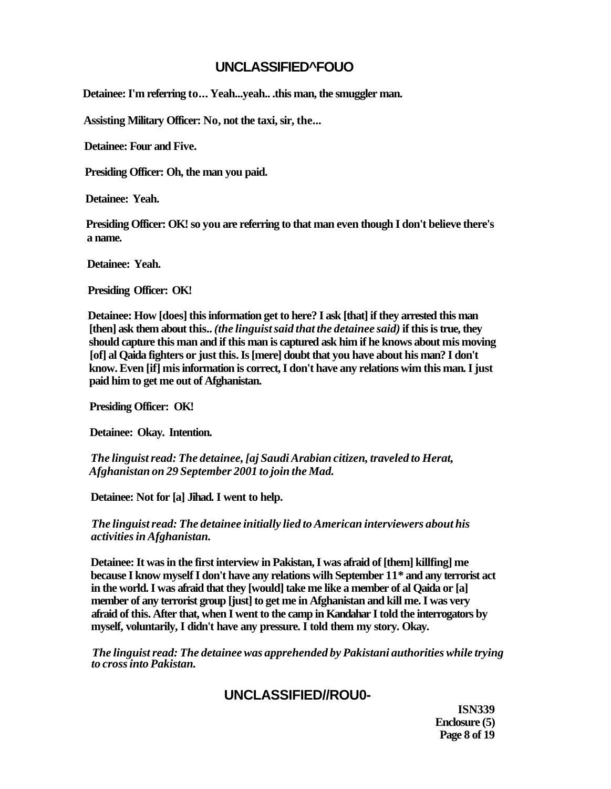## **UNCLASSIFIED^FOUO**

**Detainee: I'm referring to... Yeah...yeah.. .this man, the smuggler man.** 

**Assisting Military Officer: No, not the taxi, sir, the...** 

**Detainee: Four and Five.** 

**Presiding Officer: Oh, the man you paid.** 

**Detainee: Yeah.** 

**Presiding Officer: OK! so you are referring to that man even though I don't believe there's a name.** 

**Detainee: Yeah.** 

**Presiding Officer: OK!** 

**Detainee: How [does] this information get to here? I ask [that] if they arrested this man [then] ask them about this..** *(the linguist said that the detainee said)* **if this is true, they should capture this man and if this man is captured ask him if he knows about mis moving [of] al Qaida fighters or just this. Is [mere] doubt that you have about his man? I don't know. Even [if] mis information is correct, I don't have any relations wim this man. I just paid him to get me out of Afghanistan.** 

**Presiding Officer: OK!** 

**Detainee: Okay. Intention.** 

*The linguist read: The detainee, [aj Saudi Arabian citizen, traveled to Herat, Afghanistan on 29 September 2001 to join the Mad.* 

**Detainee: Not for [a] Jihad. I went to help.** 

*The linguist read: The detainee initially lied to American interviewers about his activities in Afghanistan.* 

**Detainee: It was in the first interview in Pakistan, I was afraid of [them] killfing] me because I know myself I don't have any relations wilh September 11\* and any terrorist act in the world. I was afraid that they [would] take me like a member of al Qaida or [a] member of any terrorist group [just] to get me in Afghanistan and kill me. I was very afraid of this. After that, when I went to the camp in Kandahar I told the interrogators by myself, voluntarily, I didn't have any pressure. I told them my story. Okay.** 

*The linguist read: The detainee was apprehended by Pakistani authorities while trying to cross into Pakistan.* 

# **UNCLASSIFIED//ROU0-**

**ISN339 Enclosure (5) Page 8 of 19**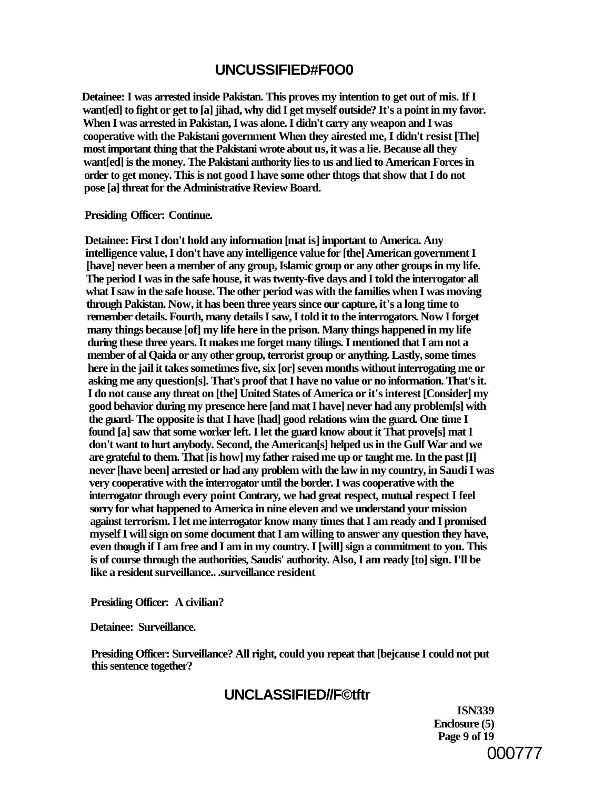# **UNCUSSIFIED#F0O0**

**Detainee: I was arrested inside Pakistan. This proves my intention to get out of mis. If I want[ed] to fight or get to [a] jihad, why did I get myself outside? It's a point in my favor. When I was arrested in Pakistan, I was alone. I didn't carry any weapon and I was cooperative with the Pakistani government When they airested me, I didn't resist [The] most important thing that the Pakistani wrote about us, it was a lie. Because all they want[ed] is the money. The Pakistani authority lies to us and lied to American Forces in order to get money. This is not good I have some other thtogs that show that I do not pose [a] threat for the Administrative Review Board.** 

### **Presiding Officer: Continue.**

**Detainee: First I don't hold any information [mat is] important to America. Any intelligence value, I don't have any intelligence value for [the] American government I [have] never been a member of any group, Islamic group or any other groups in my life. The period I was in the safe house, it was twenty-five days and I told the interrogator all what I saw in the safe house. The other period was with the families when I was moving through Pakistan. Now, it has been three years since our capture, it's a long time to remember details. Fourth, many details I saw, I told it to the interrogators. Now I forget many things because [of] my life here in the prison. Many things happened in my life during these three years. It makes me forget many tilings. I mentioned that I am not a member of al Qaida or any other group, terrorist group or anything. Lastly, some times here in the jail it takes sometimes five, six [or] seven months without interrogating me or asking me any question[s]. That's proof that I have no value or no information. That's it. I do not cause any threat on [the] United States of America or it's interest [Consider] my good behavior during my presence here [and mat I have] never had any problem[s] with the guard- The opposite is that I have [had] good relations wim the guard. One time I found [a] saw that some worker left. I let the guard know about it That prove[s] mat I don't want to hurt anybody. Second, the American[s] helped us in the Gulf War and we are grateful to them. That [is how] my father raised me up or taught me. In the past [I] never [have been] arrested or had any problem with the law in my country, in Saudi I was very cooperative with the interrogator until the border. I was cooperative with the interrogator through every point Contrary, we had great respect, mutual respect I feel sorry for what happened to America in nine eleven and we understand your mission against terrorism. I let me interrogator know many times that I am ready and I promised myself I will sign on some document that I am willing to answer any question they have, even though if I am free and I am in my country. I [will] sign a commitment to you. This is of course through the authorities, Saudis' authority. Also, I am ready [to] sign. I'll be like a resident surveillance.. .surveillance resident** 

**Presiding Officer: A civilian?** 

**Detainee: Surveillance.** 

**Presiding Officer: Surveillance? All right, could you repeat that [bejcause I could not put this sentence together?** 

# **UNCLASSIFIED//F©tftr**

**ISN339 Enclosure (5) Page 9 of 19**  000777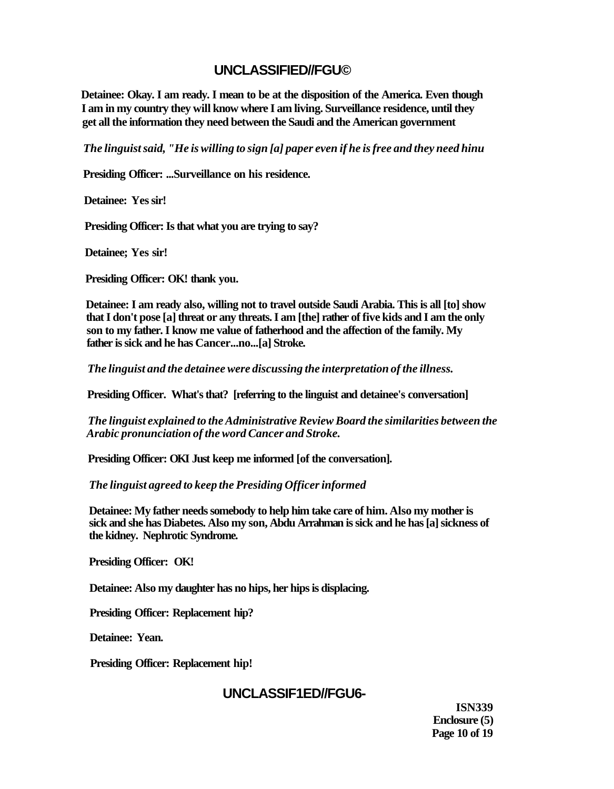# **UNCLASSIFIED//FGU©**

**Detainee: Okay. I am ready. I mean to be at the disposition of the America. Even though I am in my country they will know where I am living. Surveillance residence, until they get all the information they need between the Saudi and the American government** 

*The linguist said, "He is willing to sign [a] paper even if he is free and they need hinu* 

**Presiding Officer: ...Surveillance on his residence.** 

**Detainee: Yes sir!** 

**Presiding Officer: Is that what you are trying to say?** 

**Detainee; Yes sir!** 

**Presiding Officer: OK! thank you.** 

**Detainee: I am ready also, willing not to travel outside Saudi Arabia. This is all [to] show that I don't pose [a] threat or any threats. I am [the] rather of five kids and I am the only son to my father. I know me value of fatherhood and the affection of the family. My father is sick and he has Cancer...no...[a] Stroke.** 

*The linguist and the detainee were discussing the interpretation of the illness.* 

**Presiding Officer. What's that? [referring to the linguist and detainee's conversation]** 

*The linguist explained to the Administrative Review Board the similarities between the Arabic pronunciation of the word Cancer and Stroke.* 

**Presiding Officer: OKI Just keep me informed [of the conversation].** 

*The linguist agreed to keep the Presiding Officer informed* 

**Detainee: My father needs somebody to help him take care of him. Also my mother is sick and she has Diabetes. Also my son, Abdu Arrahman is sick and he has [a] sickness of the kidney. Nephrotic Syndrome.** 

**Presiding Officer: OK!** 

**Detainee: Also my daughter has no hips, her hips is displacing.** 

**Presiding Officer: Replacement hip?** 

**Detainee: Yean.** 

**Presiding Officer: Replacement hip!** 

## **UNCLASSIF1ED//FGU6-**

**ISN339 Enclosure (5) Page 10 of 19**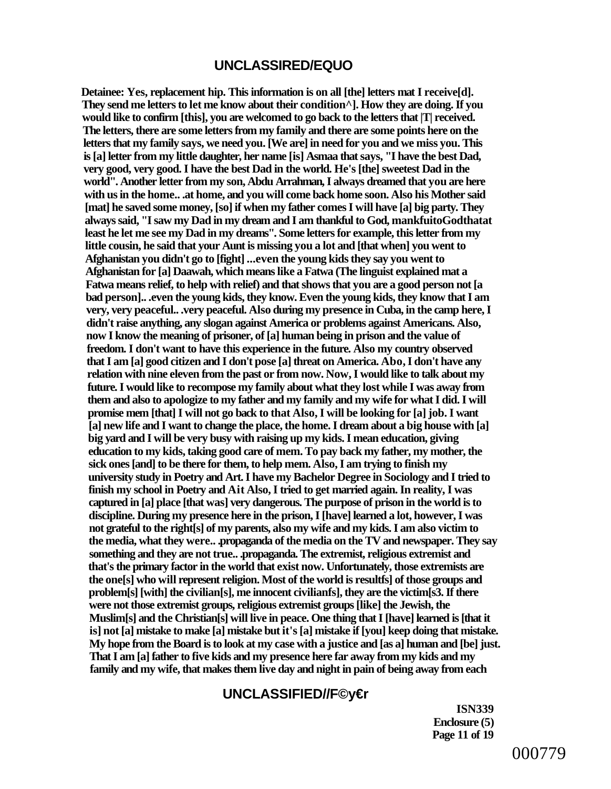## **UNCLASSIRED/EQUO**

**Detainee: Yes, replacement hip. This information is on all [the] letters mat I receive[d]. They send me letters to let me know about their condition^]. How they are doing. If you would like to confirm [this], you are welcomed to go back to the letters that |T| received. The letters, there are some letters from my family and there are some points here on the letters that my family says, we need you. [We are] in need for you and we miss you. This is [a] letter from my little daughter, her name [is] Asmaa that says, "I have the best Dad, very good, very good. I have the best Dad in the world. He's [the] sweetest Dad in the world". Another letter from my son, Abdu Arrahman, I always dreamed that you are here with us in the home.. .at home, and you will come back home soon. Also his Mother said [mat] he saved some money, [so] if when my father comes I will have [a] big party. They always said, "I saw my Dad in my dream and I am thankful to God, mankfuitoGodthatat least he let me see my Dad in my dreams". Some letters for example, this letter from my little cousin, he said that your Aunt is missing you a lot and [that when] you went to Afghanistan you didn't go to [fight] ...even the young kids they say you went to Afghanistan for [a] Daawah, which means like a Fatwa (The linguist explained mat a Fatwa means relief, to help with relief) and that shows that you are a good person not [a bad person].. .even the young kids, they know. Even the young kids, they know that I am very, very peaceful.. .very peaceful. Also during my presence in Cuba, in the camp here, I didn't raise anything, any slogan against America or problems against Americans. Also, now I know the meaning of prisoner, of [a] human being in prison and the value of freedom. I don't want to have this experience in the future. Also my country observed that I am [a] good citizen and I don't pose [a] threat on America. Abo, I don't have any relation with nine eleven from the past or from now. Now, I would like to talk about my future. I would like to recompose my family about what they lost while I was away from them and also to apologize to my father and my family and my wife for what I did. I will promise mem [that] I will not go back to that Also, I will be looking for [a] job. I want [a] new life and I want to change the place, the home. I dream about a big house with [a] big yard and I will be very busy with raising up my kids. I mean education, giving education to my kids, taking good care of mem. To pay back my father, my mother, the sick ones [and] to be there for them, to help mem. Also, I am trying to finish my university study in Poetry and Art. I have my Bachelor Degree in Sociology and I tried to finish my school in Poetry and Ait Also, I tried to get married again. In reality, I was captured in [a] place [that was] very dangerous. The purpose of prison in the world is to discipline. During my presence here in the prison, I [have] learned a lot, however, I was not grateful to the right[s] of my parents, also my wife and my kids. I am also victim to the media, what they were.. .propaganda of the media on the TV and newspaper. They say something and they are not true.. .propaganda. The extremist, religious extremist and that's the primary factor in the world that exist now. Unfortunately, those extremists are the one[s] who will represent religion. Most of the world is resultfs] of those groups and problem[s] [with] the civilian[s], me innocent civilianfs], they are the victim[s3. If there were not those extremist groups, religious extremist groups [like] the Jewish, the Muslim[s] and the Christian[s] will live in peace. One thing that I [have] learned is [that it is] not [a] mistake to make [a] mistake but it's [a] mistake if [you] keep doing that mistake. My hope from the Board is to look at my case with a justice and [as a] human and [be] just. That I am [a] father to five kids and my presence here far away from my kids and my family and my wife, that makes them live day and night in pain of being away from each** 

## **UNCLASSIFIED//F©y€r**

**ISN339 Enclosure (5) Page 11 of 19**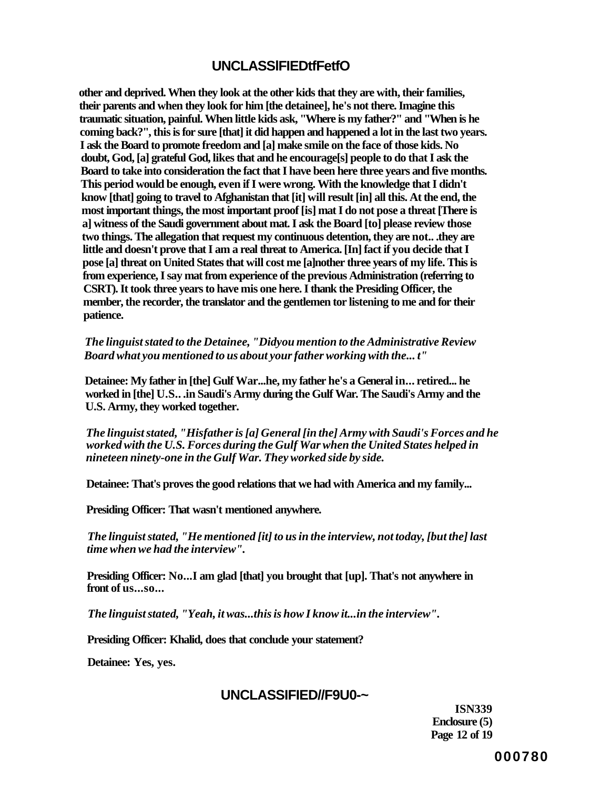## **UNCLASSlFIEDtfFetfO**

**other and deprived. When they look at the other kids that they are with, their families, their parents and when they look for him [the detainee], he's not there. Imagine this traumatic situation, painful. When little kids ask, "Where is my father?" and "When is he coming back?", this is for sure [that] it did happen and happened a lot in the last two years. I ask the Board to promote freedom and [a] make smile on the face of those kids. No doubt, God, [a] grateful God, likes that and he encourage[s] people to do that I ask the Board to take into consideration the fact that I have been here three years and five months. This period would be enough, even if I were wrong. With the knowledge that I didn't know [that] going to travel to Afghanistan that [it] will result [in] all this. At the end, the most important things, the most important proof [is] mat I do not pose a threat [There is a] witness of the Saudi government about mat. I ask the Board [to] please review those two things. The allegation that request my continuous detention, they are not.. .they are little and doesn't prove that I am a real threat to America. [In] fact if you decide that I pose [a] threat on United States that will cost me [a]nother three years of my life. This is from experience, I say mat from experience of the previous Administration (referring to CSRT). It took three years to have mis one here. I thank the Presiding Officer, the member, the recorder, the translator and the gentlemen tor listening to me and for their patience.** 

*The linguist stated to the Detainee, "Didyou mention to the Administrative Review Board what you mentioned to us about your father working with the... t"* 

**Detainee: My father in [the] Gulf War...he, my father he's a General in... retired... he worked in [the] U.S.. .in Saudi's Army during the Gulf War. The Saudi's Army and the U.S. Army, they worked together.** 

*The linguist stated, "Hisfather is [a] General [in the] Army with Saudi's Forces and he worked with the U.S. Forces during the Gulf War when the United States helped in nineteen ninety-one in the Gulf War. They worked side by side.* 

**Detainee: That's proves the good relations that we had with America and my family...** 

**Presiding Officer: That wasn't mentioned anywhere.** 

*The linguist stated, "He mentioned [it] to us in the interview, not today, [but the] last time when we had the interview".* 

**Presiding Officer: No...I am glad [that] you brought that [up]. That's not anywhere in front of us...so...** 

*The linguist stated, "Yeah, it was...this is how I know it...in the interview".* 

**Presiding Officer: Khalid, does that conclude your statement?** 

**Detainee: Yes, yes.** 

## **UNCLASSIFIED//F9U0-~**

**ISN339 Enclosure (5) Page 12 of 19** 

**000780**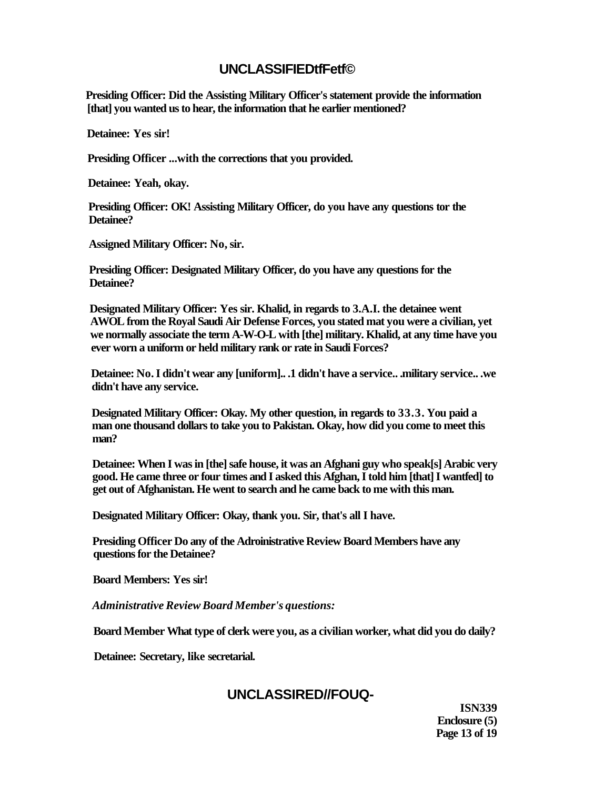## **UNCLASSIFIEDtfFetf©**

**Presiding Officer: Did the Assisting Military Officer's statement provide the information [that] you wanted us to hear, the information that he earlier mentioned?** 

**Detainee: Yes sir!** 

**Presiding Officer ...with the corrections that you provided.** 

**Detainee: Yeah, okay.** 

**Presiding Officer: OK! Assisting Military Officer, do you have any questions tor the Detainee?** 

**Assigned Military Officer: No, sir.** 

**Presiding Officer: Designated Military Officer, do you have any questions for the Detainee?** 

**Designated Military Officer: Yes sir. Khalid, in regards to 3.A.I. the detainee went AWOL from the Royal Saudi Air Defense Forces, you stated mat you were a civilian, yet we normally associate the term A-W-O-L with [the] military. Khalid, at any time have you ever worn a uniform or held military rank or rate in Saudi Forces?** 

**Detainee: No. I didn't wear any [uniform].. .1 didn't have a service.. .military service.. .we didn't have any service.** 

**Designated Military Officer: Okay. My other question, in regards to 33.3. You paid a man one thousand dollars to take you to Pakistan. Okay, how did you come to meet this man?** 

**Detainee: When I was in [the] safe house, it was an Afghani guy who speak[s] Arabic very good. He came three or four times and I asked this Afghan, I told him [that] I wantfed] to get out of Afghanistan. He went to search and he came back to me with this man.** 

**Designated Military Officer: Okay, thank you. Sir, that's all I have.** 

**Presiding Officer Do any of the Adroinistrative Review Board Members have any questions for the Detainee?** 

**Board Members: Yes sir!** 

*Administrative Review Board Member's questions:* 

**Board Member What type of clerk were you, as a civilian worker, what did you do daily?** 

**Detainee: Secretary, like secretarial.** 

## **UNCLASSIRED//FOUQ-**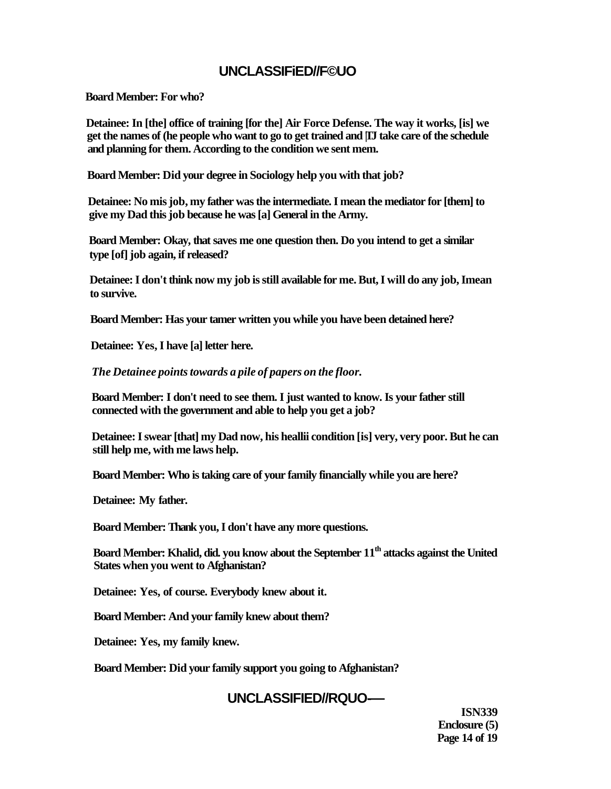## **UNCLASSIFiED//F©UO**

**Board Member: For who?** 

**Detainee: In [the] office of training [for the] Air Force Defense. The way it works, [is] we get the names of (he people who want to go to get trained and |TJ take care of the schedule and planning for them. According to the condition we sent mem.** 

**Board Member: Did your degree in Sociology help you with that job?** 

**Detainee: No mis job, my father was the intermediate. I mean the mediator for [them] to give my Dad this job because he was [a] General in the Army.** 

**Board Member: Okay, that saves me one question then. Do you intend to get a similar type [of] job again, if released?** 

**Detainee: I don't think now my job is still available for me. But, I will do any job, Imean to survive.** 

**Board Member: Has your tamer written you while you have been detained here?** 

**Detainee: Yes, I have [a] letter here.** 

*The Detainee points towards a pile of papers on the floor.* 

**Board Member: I don't need to see them. I just wanted to know. Is your father still connected with the government and able to help you get a job?** 

**Detainee: I swear [that] my Dad now, his heallii condition [is] very, very poor. But he can still help me, with me laws help.** 

**Board Member: Who is taking care of your family financially while you are here?** 

**Detainee: My father.** 

**Board Member: Thank you, I don't have any more questions.** 

**Board Member: Khalid, did. you know about the September 11th attacks against the United States when you went to Afghanistan?** 

**Detainee: Yes, of course. Everybody knew about it.** 

**Board Member: And your family knew about them?** 

**Detainee: Yes, my family knew.** 

**Board Member: Did your family support you going to Afghanistan?** 

# **UNCLASSIFIED//RQUO-—**

**ISN339 Enclosure (5) Page 14 of 19**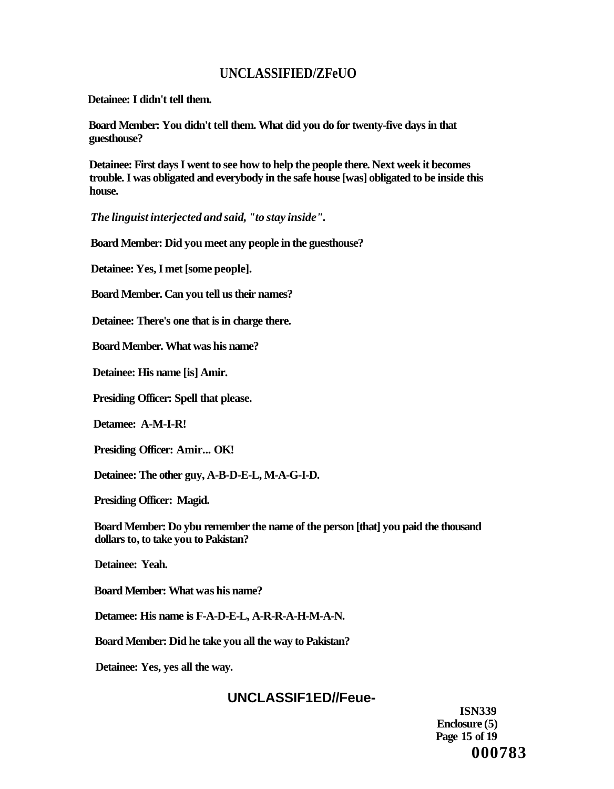# **UNCLASSIFIED/ZFeUO**

**Detainee: I didn't tell them.** 

**Board Member: You didn't tell them. What did you do for twenty-five days in that guesthouse?** 

**Detainee: First days I went to see how to help the people there. Next week it becomes trouble. I was obligated and everybody in the safe house [was] obligated to be inside this house.** 

*The linguist interjected and said, "to stay inside".* 

**Board Member: Did you meet any people in the guesthouse?** 

**Detainee: Yes, I met [some people].** 

**Board Member. Can you tell us their names?** 

**Detainee: There's one that is in charge there.** 

**Board Member. What was his name?** 

**Detainee: His name [is] Amir.** 

**Presiding Officer: Spell that please.** 

**Detamee: A-M-I-R!** 

**Presiding Officer: Amir... OK!** 

**Detainee: The other guy, A-B-D-E-L, M-A-G-I-D.** 

**Presiding Officer: Magid.** 

**Board Member: Do ybu remember the name of the person [that] you paid the thousand dollars to, to take you to Pakistan?** 

**Detainee: Yeah.** 

**Board Member: What was his name?** 

**Detamee: His name is F-A-D-E-L, A-R-R-A-H-M-A-N.** 

**Board Member: Did he take you all the way to Pakistan?** 

**Detainee: Yes, yes all the way.** 

# **UNCLASSIF1ED//Feue-**

**ISN339 Enclosure (5) Page 15 of 19 000783**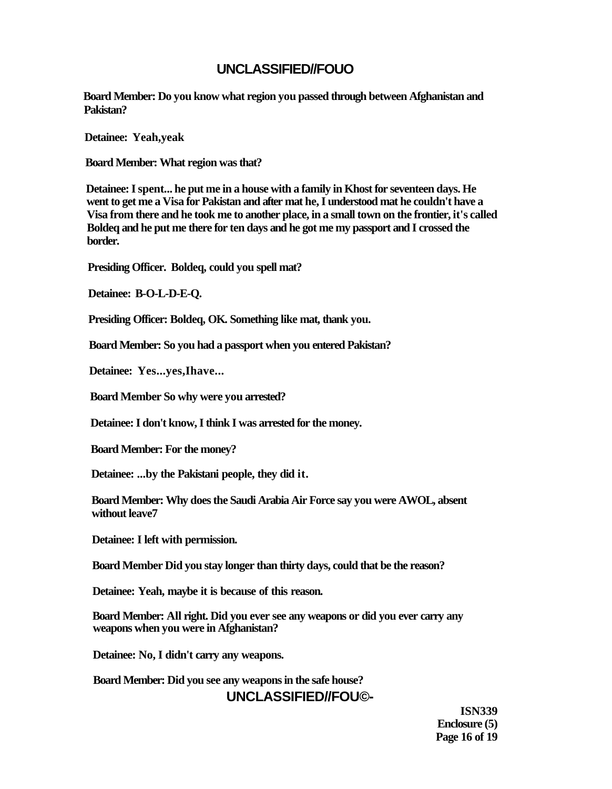# **UNCLASSIFIED//FOUO**

**Board Member: Do you know what region you passed through between Afghanistan and Pakistan?** 

**Detainee: Yeah,yeak** 

**Board Member: What region was that?** 

**Detainee: I spent... he put me in a house with a family in Khost for seventeen days. He went to get me a Visa for Pakistan and after mat he, I understood mat he couldn't have a Visa from there and he took me to another place, in a small town on the frontier, it's called Boldeq and he put me there for ten days and he got me my passport and I crossed the border.** 

**Presiding Officer. Boldeq, could you spell mat?** 

**Detainee: B-O-L-D-E-Q.** 

**Presiding Officer: Boldeq, OK. Something like mat, thank you.** 

**Board Member: So you had a passport when you entered Pakistan?** 

**Detainee: Yes...yes,Ihave...** 

**Board Member So why were you arrested?** 

**Detainee: I don't know, I think I was arrested for the money.** 

**Board Member: For the money?** 

**Detainee: ...by the Pakistani people, they did it.** 

**Board Member: Why does the Saudi Arabia Air Force say you were AWOL, absent without leave7** 

**Detainee: I left with permission.** 

**Board Member Did you stay longer than thirty days, could that be the reason?** 

**Detainee: Yeah, maybe it is because of this reason.** 

**Board Member: All right. Did you ever see any weapons or did you ever carry any weapons when you were in Afghanistan?** 

**Detainee: No, I didn't carry any weapons.** 

**Board Member: Did you see any weapons in the safe house?** 

**UNCLASSIFIED//FOU©-**

**ISN339 Enclosure (5) Page 16 of 19**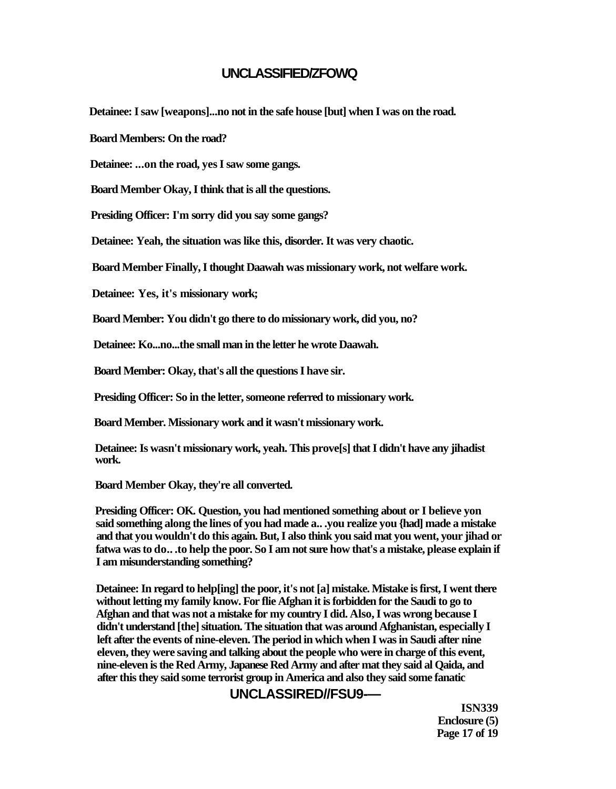## **UNCLASSIFIED/ZFOWQ**

**Detainee: I saw [weapons]...no not in the safe house [but] when I was on the road.** 

**Board Members: On the road?** 

**Detainee: ...on the road, yes I saw some gangs.** 

**Board Member Okay, I think that is all the questions.** 

**Presiding Officer: I'm sorry did you say some gangs?** 

**Detainee: Yeah, the situation was like this, disorder. It was very chaotic.** 

**Board Member Finally, I thought Daawah was missionary work, not welfare work.** 

**Detainee: Yes, it's missionary work;** 

**Board Member: You didn't go there to do missionary work, did you, no?** 

**Detainee: Ko...no...the small man in the letter he wrote Daawah.** 

**Board Member: Okay, that's all the questions I have sir.** 

**Presiding Officer: So in the letter, someone referred to missionary work.** 

**Board Member. Missionary work and it wasn't missionary work.** 

**Detainee: Is wasn't missionary work, yeah. This prove[s] that I didn't have any jihadist work.** 

**Board Member Okay, they're all converted.** 

**Presiding Officer: OK. Question, you had mentioned something about or I believe yon said something along the lines of you had made a.. .you realize you {had] made a mistake and that you wouldn't do this again. But, I also think you said mat you went, your jihad or fatwa was to do.. .to help the poor. So I am not sure how that's a mistake, please explain if I am misunderstanding something?** 

**Detainee: In regard to help[ing] the poor, it's not [a] mistake. Mistake is first, I went there without letting my family know. For flie Afghan it is forbidden for the Saudi to go to Afghan and that was not a mistake for my country I did. Also, I was wrong because I didn't understand [the] situation. The situation that was around Afghanistan, especially I left after the events of nine-eleven. The period in which when I was in Saudi after nine eleven, they were saving and talking about the people who were in charge of this event, nine-eleven is the Red Army, Japanese Red Army and after mat they said al Qaida, and after this they said some terrorist group in America and also they said some fanatic** 

## **UNCLASSIRED//FSU9-—**

**ISN339 Enclosure (5) Page 17 of 19**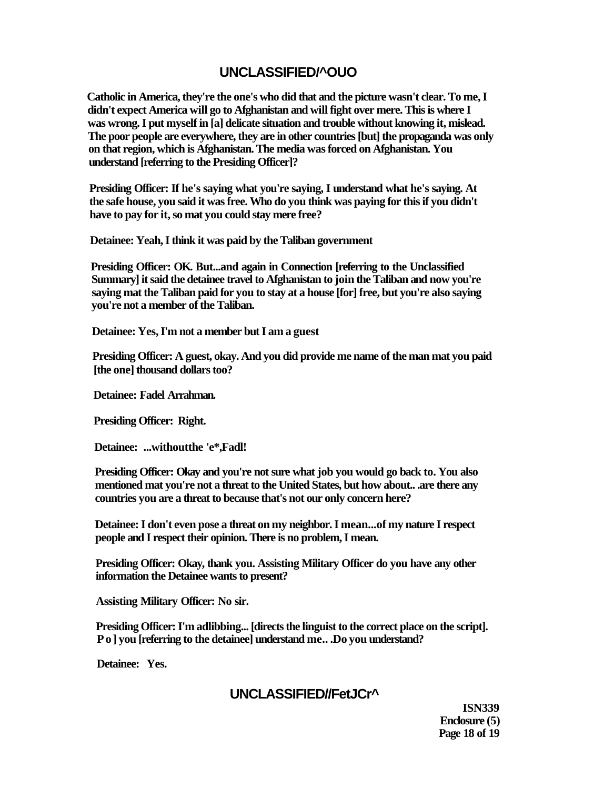# **UNCLASSIFIED/^OUO**

**Catholic in America, they're the one's who did that and the picture wasn't clear. To me, I didn't expect America will go to Afghanistan and will fight over mere. This is where I was wrong. I put myself in [a] delicate situation and trouble without knowing it, mislead. The poor people are everywhere, they are in other countries [but] the propaganda was only on that region, which is Afghanistan. The media was forced on Afghanistan. You understand [referring to the Presiding Officer]?** 

**Presiding Officer: If he's saying what you're saying, I understand what he's saying. At the safe house, you said it was free. Who do you think was paying for this if you didn't have to pay for it, so mat you could stay mere free?** 

**Detainee: Yeah, I think it was paid by the Taliban government** 

**Presiding Officer: OK. But...and again in Connection [referring to the Unclassified Summary] it said the detainee travel to Afghanistan to join the Taliban and now you're saying mat the Taliban paid for you to stay at a house [for] free, but you're also saying you're not a member of the Taliban.** 

**Detainee: Yes, I'm not a member but I am a guest** 

**Presiding Officer: A guest, okay. And you did provide me name of the man mat you paid [the one] thousand dollars too?** 

**Detainee: Fadel Arrahman.** 

**Presiding Officer: Right.** 

**Detainee: ...withoutthe 'e\*,Fadl!** 

**Presiding Officer: Okay and you're not sure what job you would go back to. You also mentioned mat you're not a threat to the United States, but how about.. .are there any countries you are a threat to because that's not our only concern here?** 

**Detainee: I don't even pose a threat on my neighbor. I mean...of my nature I respect people and I respect their opinion. There is no problem, I mean.** 

**Presiding Officer: Okay, thank you. Assisting Military Officer do you have any other information the Detainee wants to present?** 

**Assisting Military Officer: No sir.** 

**Presiding Officer: I'm adlibbing... [directs the linguist to the correct place on the script]. Po] you [referring to the detainee] understand me.. .Do you understand?** 

**Detainee: Yes.** 

# **UNCLASSIFIED//FetJCr^**

**ISN339 Enclosure (5) Page 18 of 19**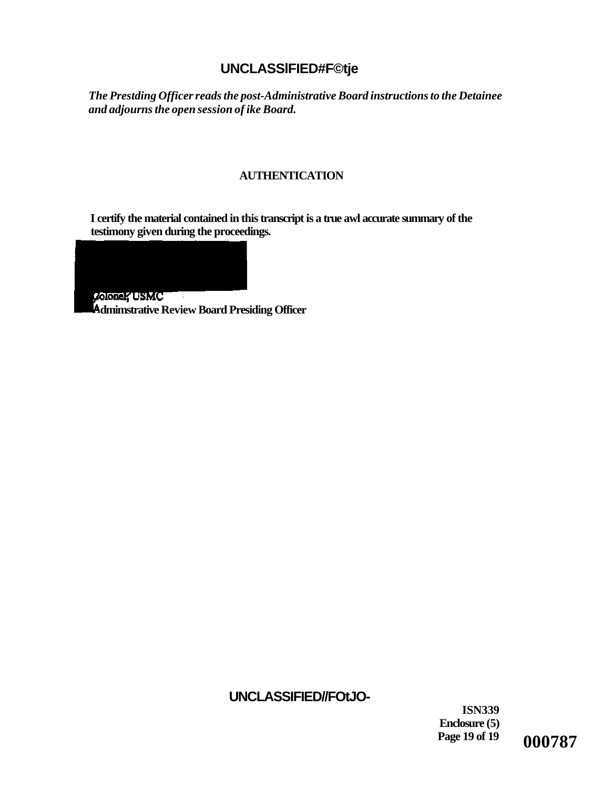# **UNCLASSlFIED#F©tje**

*The Prestding Officer reads the post-Administrative Board instructions to the Detainee and adjourns the open session of ike Board.* 

## **AUTHENTICATION**

**I certify the material contained in this transcript is a true awl accurate summary of the testimony given during the proceedings.** 

Coloner USMC  $\sim 100$ **dmimstrative Review Board Presiding Officer** 

# **UNCLASSIFIED//FOtJO-**

**ISN339 Enclosure (5)** 

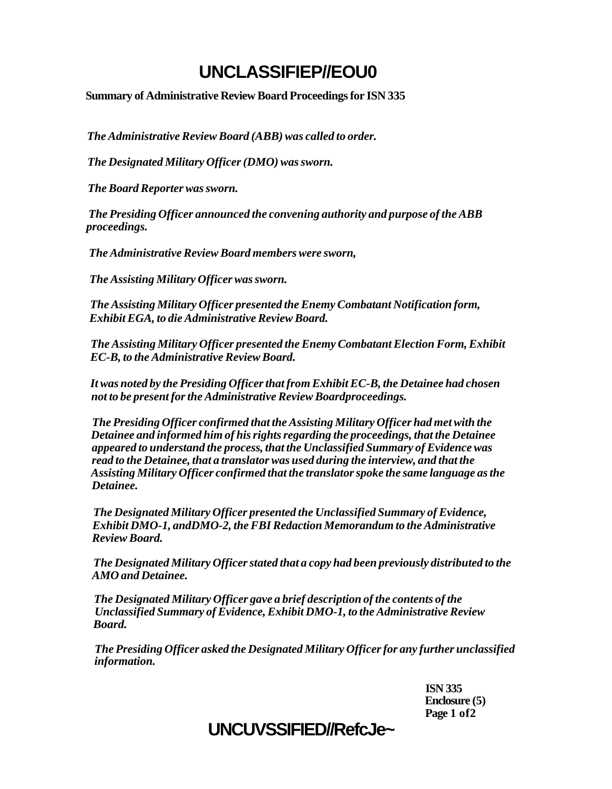# **UNCLASSIFIEP//EOU0**

**Summary of Administrative Review Board Proceedings for ISN 335** 

*The Administrative Review Board (ABB) was called to order.* 

*The Designated Military Officer (DMO) was sworn.* 

*The Board Reporter was sworn.* 

*The Presiding Officer announced the convening authority and purpose of the ABB proceedings.* 

*The Administrative Review Board members were sworn,* 

*The Assisting Military Officer was sworn.* 

*The Assisting Military Officer presented the Enemy Combatant Notification form, Exhibit EGA, to die Administrative Review Board.* 

*The Assisting Military Officer presented the Enemy Combatant Election Form, Exhibit EC-B, to the Administrative Review Board.* 

*It was noted by the Presiding Officer that from Exhibit EC-B, the Detainee had chosen not to be present for the Administrative Review Boardproceedings.* 

*The Presiding Officer confirmed that the Assisting Military Officer had met with the Detainee and informed him of his rights regarding the proceedings, that the Detainee appeared to understand the process, that the Unclassified Summary of Evidence was read to the Detainee, that a translator was used during the interview, and that the Assisting Military Officer confirmed that the translator spoke the same language as the Detainee.* 

*The Designated Military Officer presented the Unclassified Summary of Evidence, Exhibit DMO-1, andDMO-2, the FBI Redaction Memorandum to the Administrative Review Board.* 

*The Designated Military Officer stated that a copy had been previously distributed to the AMO and Detainee.* 

*The Designated Military Officer gave a brief description of the contents of the Unclassified Summary of Evidence, Exhibit DMO-1, to the Administrative Review Board.* 

*The Presiding Officer asked the Designated Military Officer for any further unclassified information.* 

> **ISN 335 Enclosure (5) Page 1 of2**

# **UNCUVSSIFIED//RefcJe~**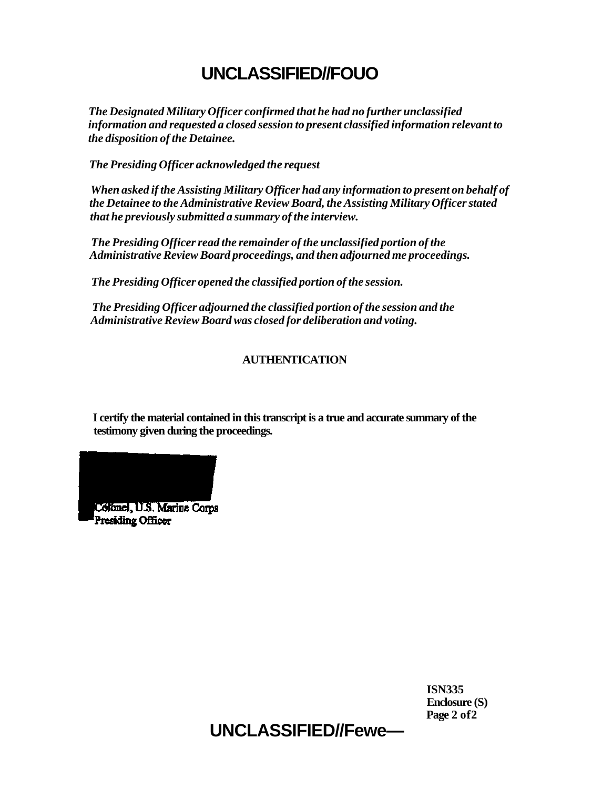# **UNCLASSIFIED//FOUO**

*The Designated Military Officer confirmed that he had no further unclassified information and requested a closed session to present classified information relevant to the disposition of the Detainee.* 

*The Presiding Officer acknowledged the request* 

*When asked if the Assisting Military Officer had any information to present on behalf of the Detainee to the Administrative Review Board, the Assisting Military Officer stated that he previously submitted a summary of the interview.* 

*The Presiding Officer read the remainder of the unclassified portion of the Administrative Review Board proceedings, and then adjourned me proceedings.* 

*The Presiding Officer opened the classified portion of the session.* 

*The Presiding Officer adjourned the classified portion of the session and the Administrative Review Board was closed for deliberation and voting.* 

## **AUTHENTICATION**

**I certify the material contained in this transcript is a true and accurate summary of the testimony given during the proceedings.** 



**ISN335 Enclosure (S) Page 2 of2** 

**UNCLASSIFIED//Fewe—**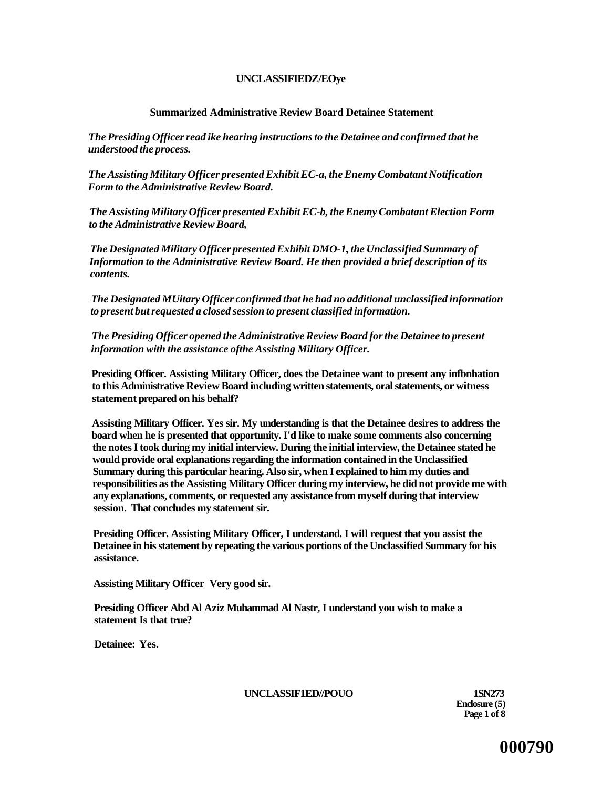### **UNCLASSIFIEDZ/EOye**

### **Summarized Administrative Review Board Detainee Statement**

*The Presiding Officer read ike hearing instructions to the Detainee and confirmed that he understood the process.* 

*The Assisting Military Officer presented Exhibit EC-a, the Enemy Combatant Notification Form to the Administrative Review Board.* 

*The Assisting Military Officer presented Exhibit EC-b, the Enemy Combatant Election Form to the Administrative Review Board,* 

*The Designated Military Officer presented Exhibit DMO-1, the Unclassified Summary of Information to the Administrative Review Board. He then provided a brief description of its contents.* 

*The Designated MUitary Officer confirmed that he had no additional unclassified information to present but requested a closed session to present classified information.* 

*The Presiding Officer opened the Administrative Review Board for the Detainee to present information with the assistance ofthe Assisting Military Officer.* 

**Presiding Officer. Assisting Military Officer, does tbe Detainee want to present any infbnhation to this Administrative Review Board including written statements, oral statements, or witness statement prepared on his behalf?** 

**Assisting Military Officer. Yes sir. My understanding is that the Detainee desires to address the board when he is presented that opportunity. I'd like to make some comments also concerning the notes I took during my initial interview. During the initial interview, the Detainee stated he would provide oral explanations regarding the information contained in the Unclassified Summary during this particular hearing. Also sir, when I explained to him my duties and responsibilities as the Assisting Military Officer during my interview, he did not provide me with any explanations, comments, or requested any assistance from myself during that interview session. That concludes my statement sir.** 

**Presiding Officer. Assisting Military Officer, I understand. I will request that you assist the Detainee in his statement by repeating the various portions of the Unclassified Summary for his assistance.** 

**Assisting Military Officer Very good sir.** 

**Presiding Officer Abd Al Aziz Muhammad Al Nastr, I understand you wish to make a statement Is that true?** 

**Detainee: Yes.** 

**UNCLASSIF1ED//POUO 1SN273** 

**Enclosure (5) Page 1 of 8** 

**000790**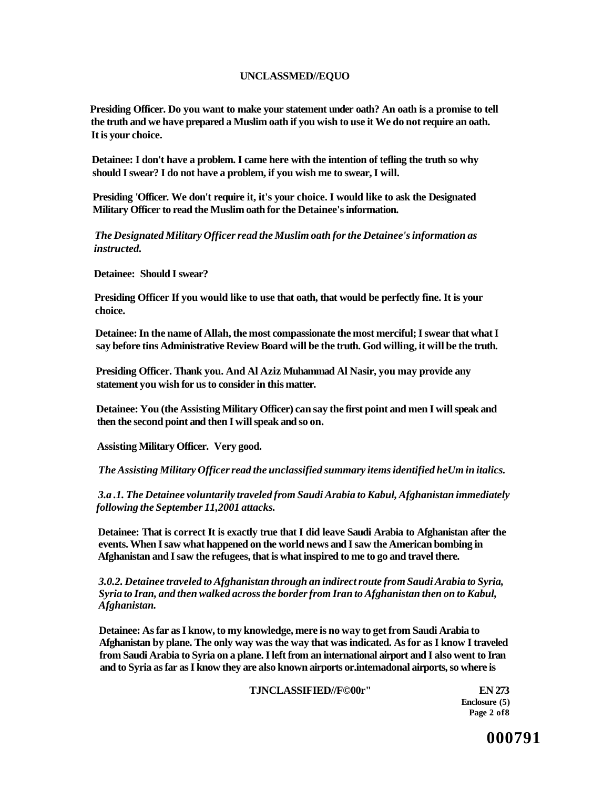### **UNCLASSMED//EQUO**

**Presiding Officer. Do you want to make your statement under oath? An oath is a promise to tell the truth and we have prepared a Muslim oath if you wish to use it We do not require an oath. It is your choice.** 

**Detainee: I don't have a problem. I came here with the intention of tefling the truth so why should I swear? I do not have a problem, if you wish me to swear, I will.** 

**Presiding 'Officer. We don't require it, it's your choice. I would like to ask the Designated Military Officer to read the Muslim oath for the Detainee's information.** 

*The Designated Military Officer read the Muslim oath for the Detainee's information as instructed.* 

**Detainee: Should I swear?** 

**Presiding Officer If you would like to use that oath, that would be perfectly fine. It is your choice.** 

**Detainee: In the name of Allah, the most compassionate the most merciful; I swear that what I say before tins Administrative Review Board will be the truth. God willing, it will be the truth.** 

**Presiding Officer. Thank you. And Al Aziz Muhammad Al Nasir, you may provide any statement you wish for us to consider in this matter.** 

**Detainee: You (the Assisting Military Officer) can say the first point and men I will speak and then the second point and then I will speak and so on.** 

**Assisting Military Officer. Very good.** 

*The Assisting Military Officer read the unclassified summary items identified heUm in italics.* 

*3.a .1. The Detainee voluntarily traveled from Saudi Arabia to Kabul, Afghanistan immediately following the September 11,2001 attacks.* 

**Detainee: That is correct It is exactly true that I did leave Saudi Arabia to Afghanistan after the events. When I saw what happened on the world news and I saw the American bombing in Afghanistan and I saw the refugees, that is what inspired to me to go and travel there.** 

*3.0.2. Detainee traveled to Afghanistan through an indirect route from Saudi Arabia to Syria, Syria to Iran, and then walked across the border from Iran to Afghanistan then on to Kabul, Afghanistan.* 

**Detainee: As far as I know, to my knowledge, mere is no way to get from Saudi Arabia to Afghanistan by plane. The only way was the way that was indicated. As for as I know I traveled from Saudi Arabia to Syria on a plane. I left from an international airport and I also went to Iran and to Syria as far as I know they are also known airports or.intemadonal airports, so where is** 

**TJNCLASSIFIED//F©00r" EN 273** 

**Enclosure (5) Page 2 of8** 

**000791**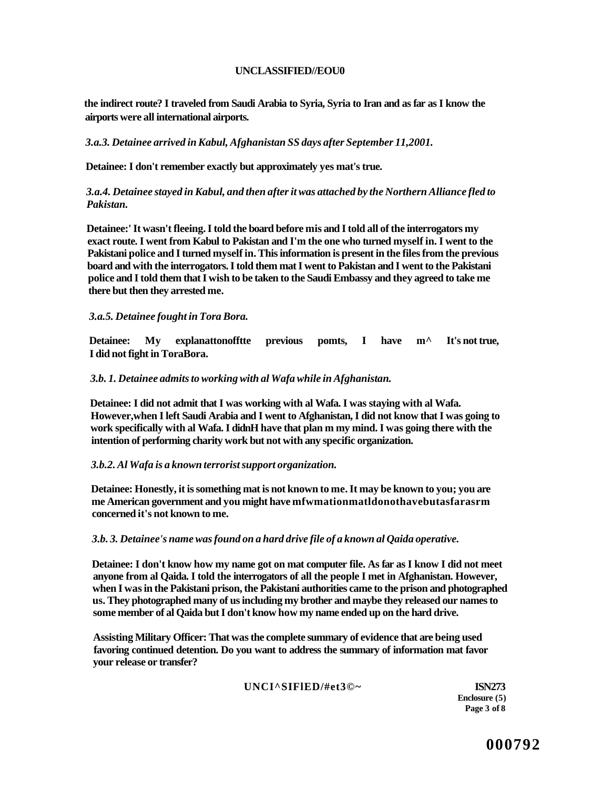### **UNCLASSIFIED//EOU0**

**the indirect route? I traveled from Saudi Arabia to Syria, Syria to Iran and as far as I know the airports were all international airports.** 

*3.a.3. Detainee arrived in Kabul, Afghanistan SS days after September 11,2001.* 

**Detainee: I don't remember exactly but approximately yes mat's true.** 

### *3.a.4. Detainee stayed in Kabul, and then after it was attached by the Northern Alliance fled to Pakistan.*

**Detainee:' It wasn't fleeing. I told the board before mis and I told all of the interrogators my exact route. I went from Kabul to Pakistan and I'm the one who turned myself in. I went to the Pakistani police and I turned myself in. This information is present in the files from the previous board and with the interrogators. I told them mat I went to Pakistan and I went to the Pakistani police and I told them that I wish to be taken to the Saudi Embassy and they agreed to take me there but then they arrested me.** 

### *3.a.5. Detainee fought in Tora Bora.*

**Detainee: My explanattonofftte previous pomts, I have m^ It's not true, I did not fight in ToraBora.** 

### *3.b. 1. Detainee admits to working with al Wafa while in Afghanistan.*

**Detainee: I did not admit that I was working with al Wafa. I was staying with al Wafa. However,when I left Saudi Arabia and I went to Afghanistan, I did not know that I was going to work specifically with al Wafa. I didnH have that plan m my mind. I was going there with the intention of performing charity work but not with any specific organization.** 

### *3.b.2. Al Wafa is a known terrorist support organization.*

**Detainee: Honestly, it is something mat is not known to me. It may be known to you; you are me American government and you might have mfwmationmatldonothavebutasfarasrm concerned it's not known to me.** 

### *3.b. 3. Detainee's name was found on a hard drive file of a known al Qaida operative.*

**Detainee: I don't know how my name got on mat computer file. As far as I know I did not meet anyone from al Qaida. I told the interrogators of all the people I met in Afghanistan. However, when I was in the Pakistani prison, the Pakistani authorities came to the prison and photographed us. They photographed many of us including my brother and maybe they released our names to some member of al Qaida but I don't know how my name ended up on the hard drive.** 

**Assisting Military Officer: That was the complete summary of evidence that are being used favoring continued detention. Do you want to address the summary of information mat favor your release or transfer?** 

**UNCI^SIFlED/#et3©~ ISN273** 

**Enclosure (5) Page 3 of 8**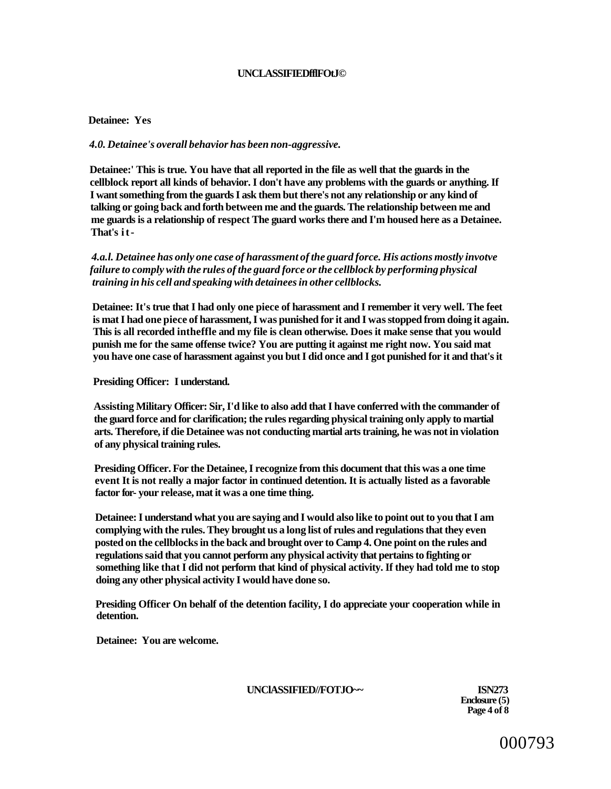#### **UNCLASSIFIEDfflFOtJ©**

### **Detainee: Yes**

### *4.0. Detainee's overall behavior has been non-aggressive.*

**Detainee:' This is true. You have that all reported in the file as well that the guards in the cellblock report all kinds of behavior. I don't have any problems with the guards or anything. If I want something from the guards I ask them but there's not any relationship or any kind of talking or going back and forth between me and the guards. The relationship between me and me guards is a relationship of respect The guard works there and I'm housed here as a Detainee. That's it-**

*4.a.l. Detainee has only one case of harassment of the guard force. His actions mostly invotve failure to comply with the rules of the guard force or the cellblock by performing physical training in his cell and speaking with detainees in other cellblocks.* 

**Detainee: It's true that I had only one piece of harassment and I remember it very well. The feet is mat I had one piece of harassment, I was punished for it and I was stopped from doing it again. This is all recorded intheffle and my file is clean otherwise. Does it make sense that you would punish me for the same offense twice? You are putting it against me right now. You said mat you have one case of harassment against you but I did once and I got punished for it and that's it** 

**Presiding Officer: I understand.** 

**Assisting Military Officer: Sir, I'd like to also add that I have conferred with the commander of the guard force and for clarification; the rules regarding physical training only apply to martial arts. Therefore, if die Detainee was not conducting martial arts training, he was not in violation of any physical training rules.** 

**Presiding Officer. For the Detainee, I recognize from this document that this was a one time event It is not really a major factor in continued detention. It is actually listed as a favorable factor for- your release, mat it was a one time thing.** 

**Detainee: I understand what you are saying and I would also like to point out to you that I am complying with the rules. They brought us a long list of rules and regulations that they even posted on the cellblocks in the back and brought over to Camp 4. One point on the rules and regulations said that you cannot perform any physical activity that pertains to fighting or something like that I did not perform that kind of physical activity. If they had told me to stop doing any other physical activity I would have done so.** 

**Presiding Officer On behalf of the detention facility, I do appreciate your cooperation while in detention.** 

**Detainee: You are welcome.** 

**UNClASSIFIED//FOTJO~~ ISN273** 

**Enclosure (5) Page 4 of 8**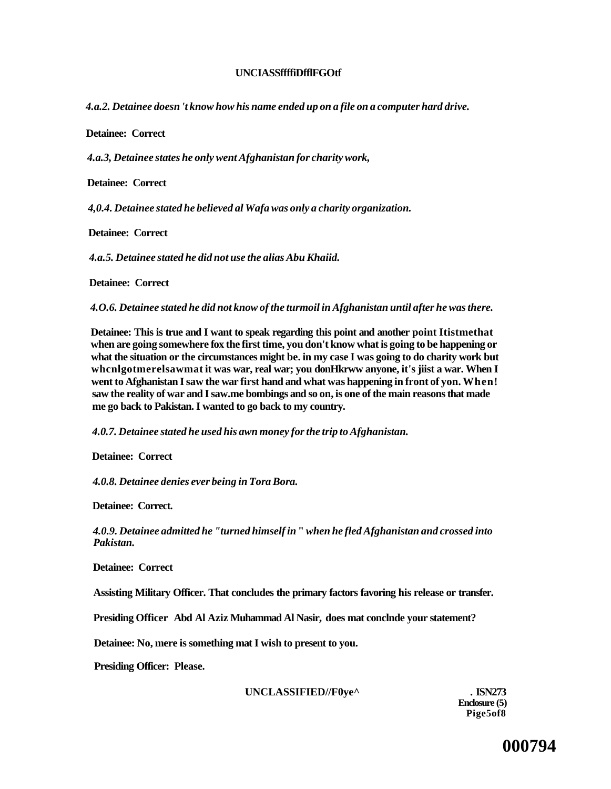### **UNCIASSffffiDfflFGOtf**

*4.a.2. Detainee doesn 't know how his name ended up on a file on a computer hard drive.* 

**Detainee: Correct** 

*4.a.3, Detainee states he only went Afghanistan for charity work,* 

**Detainee: Correct** 

*4,0.4. Detainee stated he believed al Wafa was only a charity organization.* 

**Detainee: Correct** 

*4.a.5. Detainee stated he did not use the alias Abu Khaiid.* 

**Detainee: Correct** 

*4.O.6. Detainee stated he did not know of the turmoil in Afghanistan until after he was there.* 

**Detainee: This is true and I want to speak regarding this point and another point Itistmethat when are going somewhere fox the first time, you don't know what is going to be happening or what the situation or the circumstances might be. in my case I was going to do charity work but whcnlgotmerelsawmat it was war, real war; you donHkrww anyone, it's jiist a war. When I went to Afghanistan I saw the war first hand and what was happening in front of yon. When! saw the reality of war and I saw.me bombings and so on, is one of the main reasons that made me go back to Pakistan. I wanted to go back to my country.** 

*4.0.7. Detainee stated he used his awn money for the trip to Afghanistan.* 

**Detainee: Correct** 

*4.0.8. Detainee denies ever being in Tora Bora.* 

**Detainee: Correct.** 

*4.0.9. Detainee admitted he "turned himself in* **"** *when he fled Afghanistan and crossed into Pakistan.* 

**Detainee: Correct** 

**Assisting Military Officer. That concludes the primary factors favoring his release or transfer.** 

**Presiding Officer Abd Al Aziz Muhammad Al Nasir, does mat conclnde your statement?** 

**Detainee: No, mere is something mat I wish to present to you.** 

**Presiding Officer: Please.** 

UNCLASSIFIED//F0ye^ . ISN273

**Enclosure (5) Pige5of8**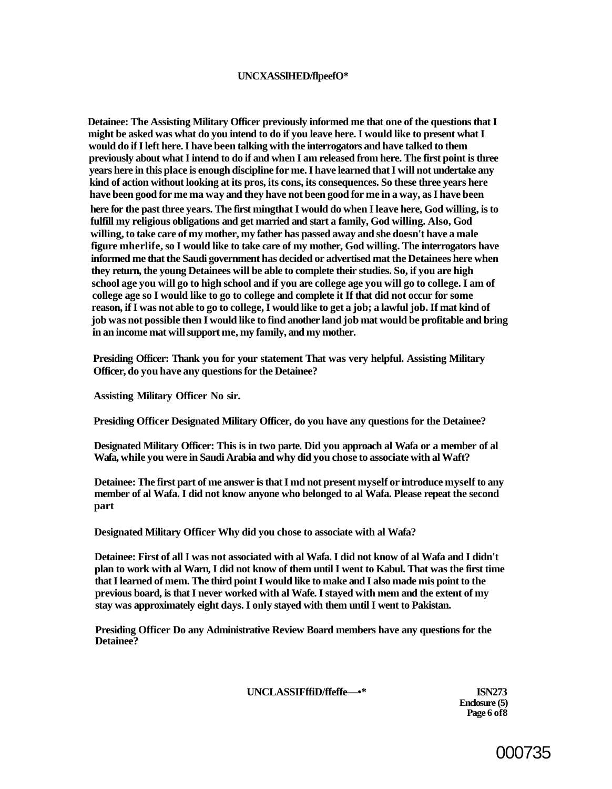### **UNCXASSlHED/flpeefO\***

**Detainee: The Assisting Military Officer previously informed me that one of the questions that I might be asked was what do you intend to do if you leave here. I would like to present what I would do if I left here. I have been talking with the interrogators and have talked to them previously about what I intend to do if and when I am released from here. The first point is three years here in this place is enough discipline for me. I have learned that I will not undertake any kind of action without looking at its pros, its cons, its consequences. So these three years here have been good for me ma way and they have not been good for me in a way, as I have been here for the past three years. The first mingthat I would do when I leave here, God willing, is to fulfill my religious obligations and get married and start a family, God willing. Also, God willing, to take care of my mother, my father has passed away and she doesn't have a male figure mherlife, so I would like to take care of my mother, God willing. The interrogators have informed me that the Saudi government has decided or advertised mat the Detainees here when they return, the young Detainees will be able to complete their studies. So, if you are high school age you will go to high school and if you are college age you will go to college. I am of college age so I would like to go to college and complete it If that did not occur for some reason, if I was not able to go to college, I would like to get a job; a lawful job. If mat kind of job was not possible then I would like to find another land job mat would be profitable and bring in an income mat will support me, my family, and my mother.** 

**Presiding Officer: Thank you for your statement That was very helpful. Assisting Military Officer, do you have any questions for the Detainee?** 

**Assisting Military Officer No sir.** 

**Presiding Officer Designated Military Officer, do you have any questions for the Detainee?** 

**Designated Military Officer: This is in two parte. Did you approach al Wafa or a member of al Wafa, while you were in Saudi Arabia and why did you chose to associate with al Waft?** 

**Detainee: The first part of me answer is that I md not present myself or introduce myself to any member of al Wafa. I did not know anyone who belonged to al Wafa. Please repeat the second part** 

**Designated Military Officer Why did you chose to associate with al Wafa?** 

**Detainee: First of all I was not associated with al Wafa. I did not know of al Wafa and I didn't plan to work with al Warn, I did not know of them until I went to Kabul. That was the first time that I learned of mem. The third point I would like to make and I also made mis point to the previous board, is that I never worked with al Wafe. I stayed with mem and the extent of my stay was approximately eight days. I only stayed with them until I went to Pakistan.** 

**Presiding Officer Do any Administrative Review Board members have any questions for the Detainee?** 

**UNCLASSIFffiD/ffeffe—•\* ISN273** 

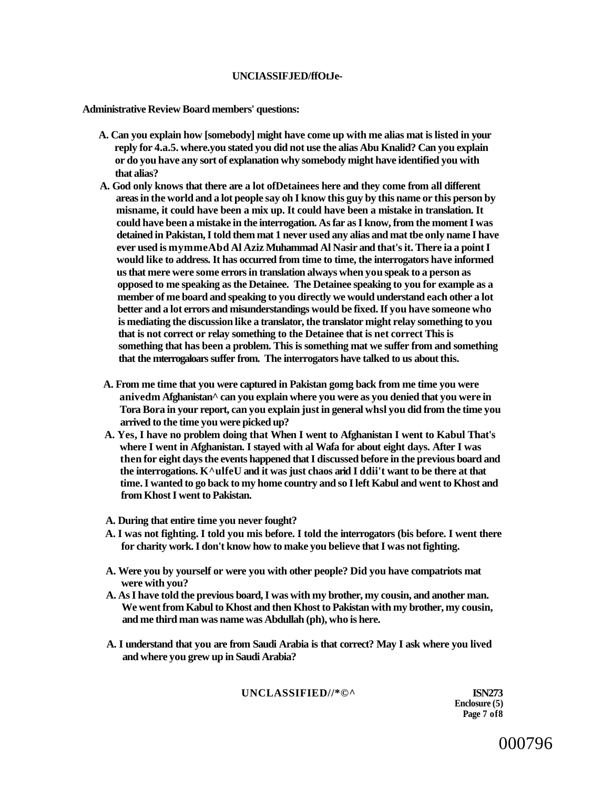#### **UNCIASSIFJED/ffOtJe-**

**Administrative Review Board members' questions:** 

- **A. Can you explain how [somebody] might have come up with me alias mat is listed in your reply for 4.a.5. where.you stated you did not use the alias Abu Knalid? Can you explain or do you have any sort of explanation why somebody might have identified you with that alias?**
- **A. God only knows that there are a lot ofDetainees here and they come from all different areas in the world and a lot people say oh I know this guy by this name or this person by misname, it could have been a mix up. It could have been a mistake in translation. It could have been a mistake in the interrogation. As far as I know, from the moment I was detained in Pakistan, I told them mat 1 never used any alias and mat tbe only name I have ever used is mymmeAbd Al Aziz Muhammad Al Nasir and that's it. There ia a point I would like to address. It has occurred from time to time, the interrogators have informed us that mere were some errors in translation always when you speak to a person as opposed to me speaking as the Detainee. The Detainee speaking to you for example as a member of me board and speaking to you directly we would understand each other a lot better and a lot errors and misunderstandings would be fixed. If you have someone who is mediating the discussion like a translator, the translator might relay something to you that is not correct or relay something to the Detainee that is net correct This is something that has been a problem. This is something mat we suffer from and something that the mterrogaloars suffer from. The interrogators have talked to us about this.**
- **A. From me time that you were captured in Pakistan gomg back from me time you were anivedm Afghanistan^ can you explain where you were as you denied that you were in Tora Bora in your report, can you explain just in general whsl you did from the time you arrived to the time you were picked up?**
- **A. Yes, I have no problem doing that When I went to Afghanistan I went to Kabul That's where I went in Afghanistan. I stayed with al Wafa for about eight days. After I was then for eight days the events happened that I discussed before in the previous board and the interrogations. K^ulfeU and it was just chaos arid I ddii't want to be there at that time. I wanted to go back to my home country and so I left Kabul and went to Khost and from Khost I went to Pakistan.**
- **A. During that entire time you never fought?**
- **A. I was not fighting. I told you mis before. I told the interrogators (bis before. I went there for charity work. I don't know how to make you believe that I was not fighting.**
- **A. Were you by yourself or were you with other people? Did you have compatriots mat were with you?**
- **A. As I have told the previous board, I was with my brother, my cousin, and another man. We went from Kabul to Khost and then Khost to Pakistan with my brother, my cousin, and me third man was name was Abdullah (ph), who is here.**
- **A. I understand that you are from Saudi Arabia is that correct? May I ask where you lived and where you grew up in Saudi Arabia?**

UNCLASSIFIED//\*©^ ISN273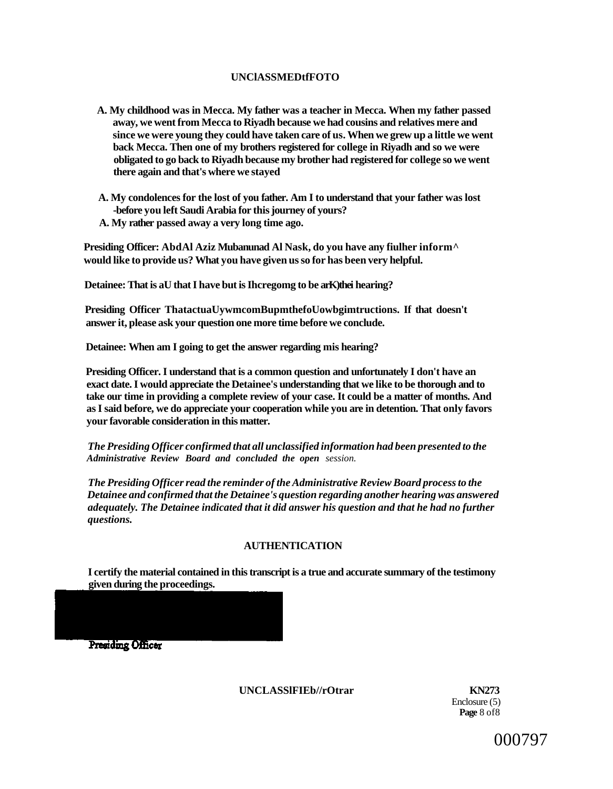### **UNClASSMEDtfFOTO**

- **A. My childhood was in Mecca. My father was a teacher in Mecca. When my father passed away, we went from Mecca to Riyadh because we had cousins and relatives mere and since we were young they could have taken care of us. When we grew up a little we went back Mecca. Then one of my brothers registered for college in Riyadh and so we were obligated to go back to Riyadh because my brother had registered for college so we went there again and that's where we stayed**
- **A. My condolences for the lost of you father. Am I to understand that your father was lost -before you left Saudi Arabia for this journey of yours? A. My rather passed away a very long time ago.**

**Presiding Officer: AbdAl Aziz Mubanunad Al Nask, do you have any fiulher inform^ would like to provide us? What you have given us so for has been very helpful.** 

**Detainee: That is aU that I have but is Ihcregomg to be arK)thei hearing?** 

**Presiding Officer ThatactuaUywmcomBupmthefoUowbgimtructions. If that doesn't answer it, please ask your question one more time before we conclude.** 

**Detainee: When am I going to get the answer regarding mis hearing?** 

**Presiding Officer. I understand that is a common question and unfortunately I don't have an exact date. I would appreciate the Detainee's understanding that we like to be thorough and to take our time in providing a complete review of your case. It could be a matter of months. And as I said before, we do appreciate your cooperation while you are in detention. That only favors your favorable consideration in this matter.** 

*The Presiding Officer confirmed that all unclassified information had been presented to the Administrative Review Board and concluded the open session.* 

*The Presiding Officer read the reminder of the Administrative Review Board process to the Detainee and confirmed that the Detainee's question regarding another hearing was answered adequately. The Detainee indicated that it did answer his question and that he had no further questions.* 

### **AUTHENTICATION**

**I certify the material contained in this transcript is a true and accurate summary of the testimony given during the proceedings.** 

Presiding Officer

### **UNCLASSlFIEb//rOtrar KN273**

Enclosure (5) **Page** 8 of8

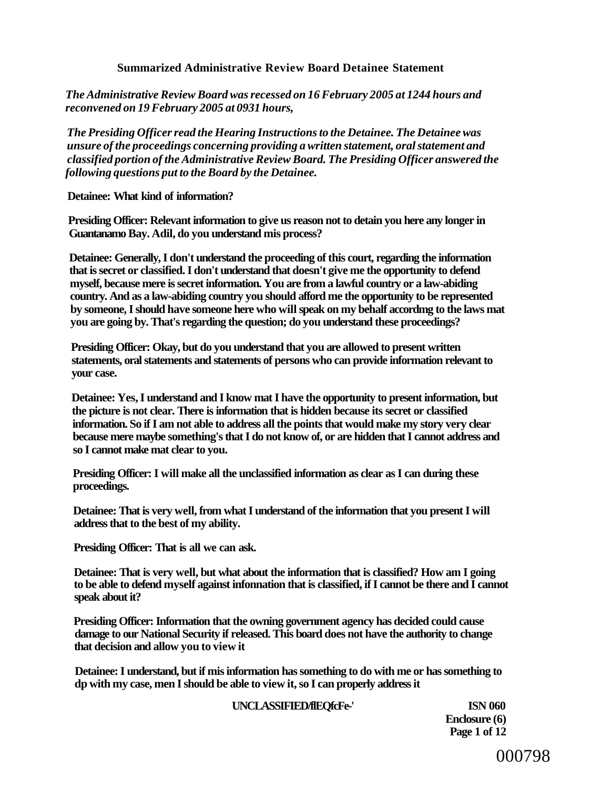### **Summarized Administrative Review Board Detainee Statement**

*The Administrative Review Board was recessed on 16 February 2005 at 1244 hours and reconvened on 19 February 2005 at 0931 hours,* 

*The Presiding Officer read the Hearing Instructions to the Detainee. The Detainee was unsure of the proceedings concerning providing a written statement, oral statement and classified portion of the Administrative Review Board. The Presiding Officer answered the following questions put to the Board by the Detainee.* 

**Detainee: What kind of information?** 

**Presiding Officer: Relevant information to give us reason not to detain you here any longer in Guantanamo Bay. Adil, do you understand mis process?** 

**Detainee: Generally, I don't understand the proceeding of this court, regarding the information that is secret or classified. I don't understand that doesn't give me the opportunity to defend myself, because mere is secret information. You are from a lawful country or a law-abiding country. And as a law-abiding country you should afford me the opportunity to be represented by someone, I should have someone here who will speak on my behalf accordmg to the laws mat you are going by. That's regarding the question; do you understand these proceedings?** 

**Presiding Officer: Okay, but do you understand that you are allowed to present written statements, oral statements and statements of persons who can provide information relevant to your case.** 

**Detainee: Yes, I understand and I know mat I have the opportunity to present information, but the picture is not clear. There is information that is hidden because its secret or classified information. So if I am not able to address all the points that would make my story very clear because mere maybe something's that I do not know of, or are hidden that I cannot address and so I cannot make mat clear to you.** 

**Presiding Officer: I will make all the unclassified information as clear as I can during these proceedings.** 

**Detainee: That is very well, from what I understand of the information that you present I will address that to the best of my ability.** 

**Presiding Officer: That is all we can ask.** 

**Detainee: That is very well, but what about the information that is classified? How am I going to be able to defend myself against infonnation that is classified, if I cannot be there and I cannot speak about it?** 

**Presiding Officer: Information that the owning government agency has decided could cause damage to our National Security if released. This board does not have the authority to change that decision and allow you to view it** 

**Detainee: I understand, but if mis information has something to do with me or has something to dp with my case, men I should be able to view it, so I can properly address it** 

### **UNCLASSIFIED/flEQfcFe-' ISN 060**

**Enclosure (6) Page 1 of 12**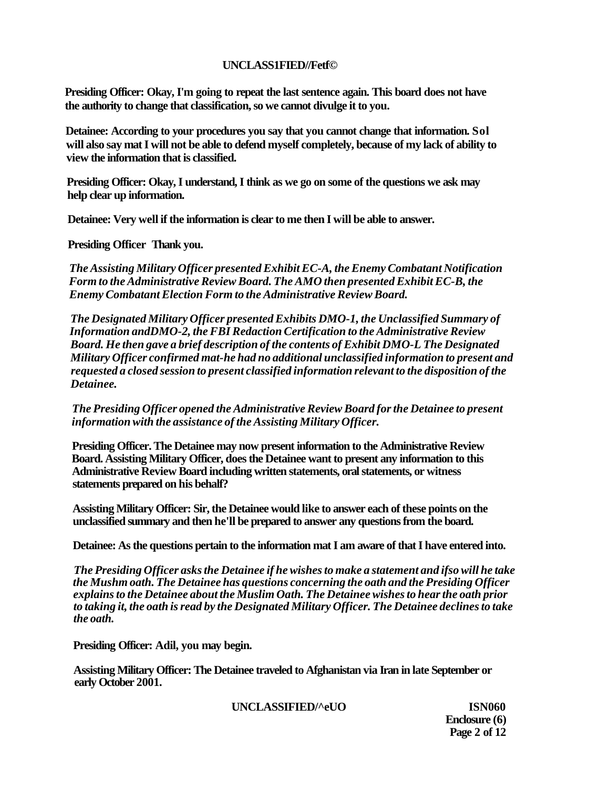### **UNCLASS1FIED//Fetf©**

**Presiding Officer: Okay, I'm going to repeat the last sentence again. This board does not have the authority to change that classification, so we cannot divulge it to you.** 

**Detainee: According to your procedures you say that you cannot change that information. Sol will also say mat I will not be able to defend myself completely, because of my lack of ability to view the information that is classified.** 

**Presiding Officer: Okay, I understand, I think as we go on some of the questions we ask may help clear up information.** 

**Detainee: Very well if the information is clear to me then I will be able to answer.** 

**Presiding Officer Thank you.** 

*The Assisting Military Officer presented Exhibit EC-A, the Enemy Combatant Notification Form to the Administrative Review Board. The AMO then presented Exhibit EC-B, the Enemy Combatant Election Form to the Administrative Review Board.* 

*The Designated Military Officer presented Exhibits DMO-1, the Unclassified Summary of Information andDMO-2, the FBI Redaction Certification to the Administrative Review Board. He then gave a brief description of the contents of Exhibit DMO-L The Designated Military Officer confirmed mat-he had no additional unclassified information to present and requested a closed session to present classified information relevant to the disposition of the Detainee.* 

*The Presiding Officer opened the Administrative Review Board for the Detainee to present information with the assistance of the Assisting Military Officer.* 

**Presiding Officer. The Detainee may now present information to the Administrative Review Board. Assisting Military Officer, does the Detainee want to present any information to this Administrative Review Board including written statements, oral statements, or witness statements prepared on his behalf?** 

**Assisting Military Officer: Sir, the Detainee would like to answer each of these points on the unclassified summary and then he'll be prepared to answer any questions from the board.** 

**Detainee: As the questions pertain to the information mat I am aware of that I have entered into.** 

*The Presiding Officer asks the Detainee if he wishes to make a statement and ifso will he take the Mushm oath. The Detainee has questions concerning the oath and the Presiding Officer explains to the Detainee about the Muslim Oath. The Detainee wishes to hear the oath prior to taking it, the oath is read by the Designated Military Officer. The Detainee declines to take the oath.* 

**Presiding Officer: Adil, you may begin.** 

**Assisting Military Officer: The Detainee traveled to Afghanistan via Iran in late September or early October 2001.** 

**UNCLASSIFIED/^eUO ISN060** 

**Enclosure (6) Page 2 of 12**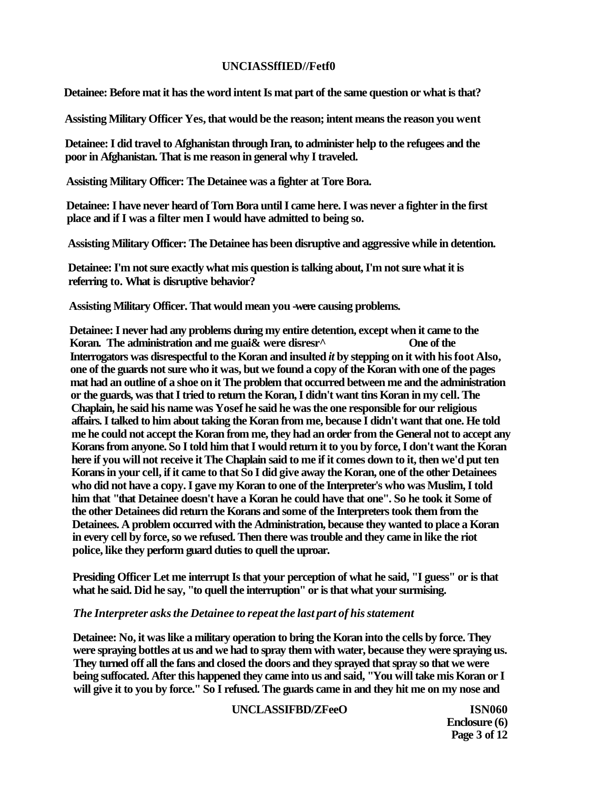### **UNCIASSffIED//Fetf0**

**Detainee: Before mat it has the word intent Is mat part of the same question or what is that?** 

**Assisting Military Officer Yes, that would be the reason; intent means the reason you went** 

**Detainee: I did travel to Afghanistan through Iran, to administer help to the refugees and the poor in Afghanistan. That is me reason in general why I traveled.** 

**Assisting Military Officer: The Detainee was a fighter at Tore Bora.** 

**Detainee: I have never heard of Torn Bora until I came here. I was never a fighter in the first place and if I was a filter men I would have admitted to being so.** 

**Assisting Military Officer: The Detainee has been disruptive and aggressive while in detention.** 

**Detainee: I'm not sure exactly what mis question is talking about, I'm not sure what it is referring to. What is disruptive behavior?** 

**Assisting Military Officer. That would mean you -were causing problems.** 

**Detainee: I never had any problems during my entire detention, except when it came to the**  Koran. The administration and me guai& were disresr<sup>^</sup> One of the **Interrogators was disrespectful to the Koran and insulted** *it* **by stepping on it with his foot Also, one of the guards not sure who it was, but we found a copy of the Koran with one of the pages mat had an outline of a shoe on it The problem that occurred between me and the administration or the guards, was that I tried to return the Koran, I didn't want tins Koran in my cell. The Chaplain, he said his name was Yosef he said he was the one responsible for our religious affairs. I talked to him about taking the Koran from me, because I didn't want that one. He told me he could not accept the Koran from me, they had an order from the General not to accept any Korans from anyone. So I told him that I would return it to you by force, I don't want the Koran here if you will not receive it The Chaplain said to me if it comes down to it, then we'd put ten Korans in your cell, if it came to that So I did give away the Koran, one of the other Detainees who did not have a copy. I gave my Koran to one of the Interpreter's who was Muslim, I told him that "that Detainee doesn't have a Koran he could have that one". So he took it Some of the other Detainees did return the Korans and some of the Interpreters took them from the Detainees. A problem occurred with the Administration, because they wanted to place a Koran in every cell by force, so we refused. Then there was trouble and they came in like the riot police, like they perform guard duties to quell the uproar.** 

**Presiding Officer Let me interrupt Is that your perception of what he said, "I guess" or is that what he said. Did he say, "to quell the interruption" or is that what your surmising.** 

### *The Interpreter asks the Detainee to repeat the last part of his statement*

**Detainee: No, it was like a military operation to bring the Koran into the cells by force. They were spraying bottles at us and we had to spray them with water, because they were spraying us. They turned off all the fans and closed the doors and they sprayed that spray so that we were being suffocated. After this happened they came into us and said, "You will take mis Koran or I will give it to you by force." So I refused. The guards came in and they hit me on my nose and** 

**UNCLASSIFBD/ZFeeO ISN060** 

**Enclosure (6) Page 3 of 12**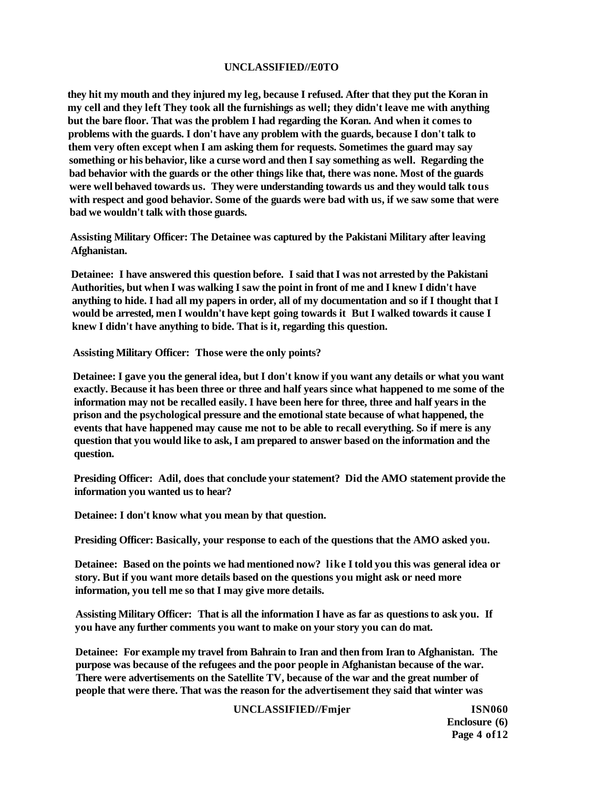### **UNCLASSIFIED//E0TO**

**they hit my mouth and they injured my leg, because I refused. After that they put the Koran in my cell and they left They took all the furnishings as well; they didn't leave me with anything but the bare floor. That was the problem I had regarding the Koran. And when it comes to problems with the guards. I don't have any problem with the guards, because I don't talk to them very often except when I am asking them for requests. Sometimes the guard may say something or his behavior, like a curse word and then I say something as well. Regarding the bad behavior with the guards or the other things like that, there was none. Most of the guards were well behaved towards us. They were understanding towards us and they would talk tous with respect and good behavior. Some of the guards were bad with us, if we saw some that were bad we wouldn't talk with those guards.** 

**Assisting Military Officer: The Detainee was captured by the Pakistani Military after leaving Afghanistan.** 

**Detainee: I have answered this question before. I said that I was not arrested by the Pakistani Authorities, but when I was walking I saw the point in front of me and I knew I didn't have anything to hide. I had all my papers in order, all of my documentation and so if I thought that I would be arrested, men I wouldn't have kept going towards it But I walked towards it cause I knew I didn't have anything to bide. That is it, regarding this question.** 

**Assisting Military Officer: Those were the only points?** 

**Detainee: I gave you the general idea, but I don't know if you want any details or what you want exactly. Because it has been three or three and half years since what happened to me some of the information may not be recalled easily. I have been here for three, three and half years in the prison and the psychological pressure and the emotional state because of what happened, the events that have happened may cause me not to be able to recall everything. So if mere is any question that you would like to ask, I am prepared to answer based on the information and the question.** 

**Presiding Officer: Adil, does that conclude your statement? Did the AMO statement provide the information you wanted us to hear?** 

**Detainee: I don't know what you mean by that question.** 

**Presiding Officer: Basically, your response to each of the questions that the AMO asked you.** 

**Detainee: Based on the points we had mentioned now? like I told you this was general idea or story. But if you want more details based on the questions you might ask or need more information, you tell me so that I may give more details.** 

**Assisting Military Officer: That is all the information I have as far as questions to ask you. If you have any further comments you want to make on your story you can do mat.** 

**Detainee: For example my travel from Bahrain to Iran and then from Iran to Afghanistan. The purpose was because of the refugees and the poor people in Afghanistan because of the war. There were advertisements on the Satellite TV, because of the war and the great number of people that were there. That was the reason for the advertisement they said that winter was** 

#### **UNCLASSIFIED//Fmjer ISN060**

**Enclosure (6) Page 4 of12**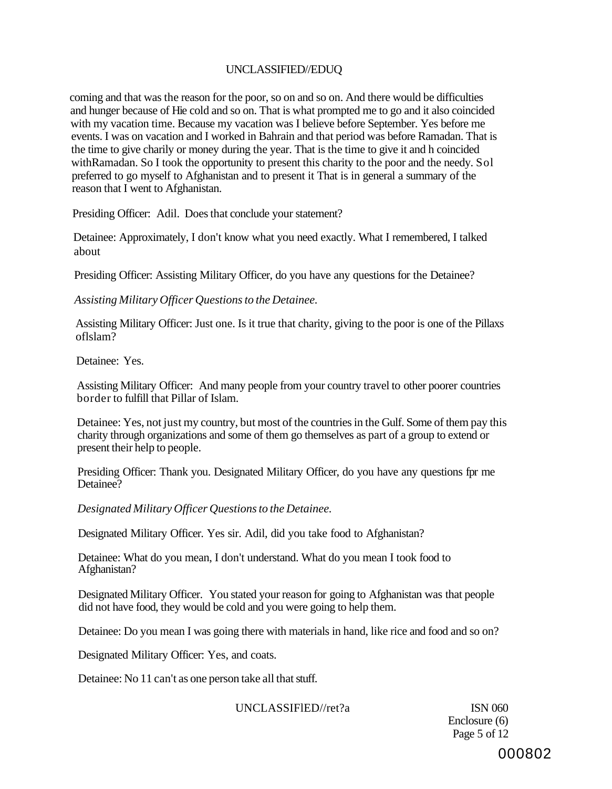## UNCLASSIFIED//EDUQ

coming and that was the reason for the poor, so on and so on. And there would be difficulties and hunger because of Hie cold and so on. That is what prompted me to go and it also coincided with my vacation time. Because my vacation was I believe before September. Yes before me events. I was on vacation and I worked in Bahrain and that period was before Ramadan. That is the time to give charily or money during the year. That is the time to give it and h coincided withRamadan. So I took the opportunity to present this charity to the poor and the needy. Sol preferred to go myself to Afghanistan and to present it That is in general a summary of the reason that I went to Afghanistan.

Presiding Officer: Adil. Does that conclude your statement?

Detainee: Approximately, I don't know what you need exactly. What I remembered, I talked about

Presiding Officer: Assisting Military Officer, do you have any questions for the Detainee?

*Assisting Military Officer Questions to the Detainee.* 

Assisting Military Officer: Just one. Is it true that charity, giving to the poor is one of the Pillaxs oflslam?

Detainee: Yes.

Assisting Military Officer: And many people from your country travel to other poorer countries border to fulfill that Pillar of Islam.

Detainee: Yes, not just my country, but most of the countries in the Gulf. Some of them pay this charity through organizations and some of them go themselves as part of a group to extend or present their help to people.

Presiding Officer: Thank you. Designated Military Officer, do you have any questions fpr me Detainee?

*Designated Military Officer Questions to the Detainee.* 

Designated Military Officer. Yes sir. Adil, did you take food to Afghanistan?

Detainee: What do you mean, I don't understand. What do you mean I took food to Afghanistan?

Designated Military Officer. You stated your reason for going to Afghanistan was that people did not have food, they would be cold and you were going to help them.

Detainee: Do you mean I was going there with materials in hand, like rice and food and so on?

Designated Military Officer: Yes, and coats.

Detainee: No 11 can't as one person take all that stuff.

UNCLASSIFIED//ret?a ISN 060

Enclosure (6) Page 5 of 12

000802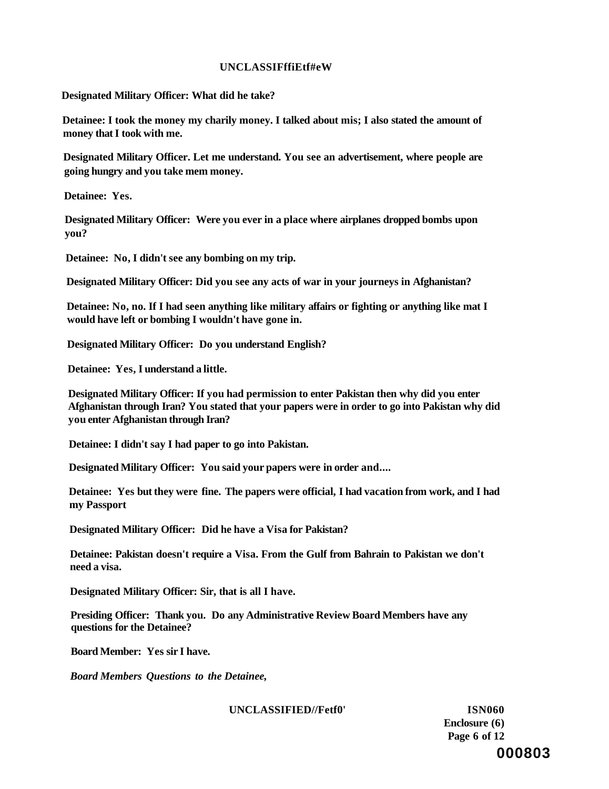### **UNCLASSIFffiEtf#eW**

**Designated Military Officer: What did he take?** 

**Detainee: I took the money my charily money. I talked about mis; I also stated the amount of money that I took with me.** 

**Designated Military Officer. Let me understand. You see an advertisement, where people are going hungry and you take mem money.** 

**Detainee: Yes.** 

**Designated Military Officer: Were you ever in a place where airplanes dropped bombs upon you?** 

**Detainee: No, I didn't see any bombing on my trip.** 

**Designated Military Officer: Did you see any acts of war in your journeys in Afghanistan?** 

**Detainee: No, no. If I had seen anything like military affairs or fighting or anything like mat I would have left or bombing I wouldn't have gone in.** 

**Designated Military Officer: Do you understand English?** 

**Detainee: Yes, I understand a little.** 

**Designated Military Officer: If you had permission to enter Pakistan then why did you enter Afghanistan through Iran? You stated that your papers were in order to go into Pakistan why did you enter Afghanistan through Iran?** 

**Detainee: I didn't say I had paper to go into Pakistan.** 

**Designated Military Officer: You said your papers were in order and....** 

**Detainee: Yes but they were fine. The papers were official, I had vacation from work, and I had my Passport** 

**Designated Military Officer: Did he have a Visa for Pakistan?** 

**Detainee: Pakistan doesn't require a Visa. From the Gulf from Bahrain to Pakistan we don't need a visa.** 

**Designated Military Officer: Sir, that is all I have.** 

**Presiding Officer: Thank you. Do any Administrative Review Board Members have any questions for the Detainee?** 

**Board Member: Yes sir I have.** 

*Board Members Questions to the Detainee,* 

**UNCLASSIFIED//Fetf0' ISN060** 

**Enclosure (6) Page 6 of 12 000803**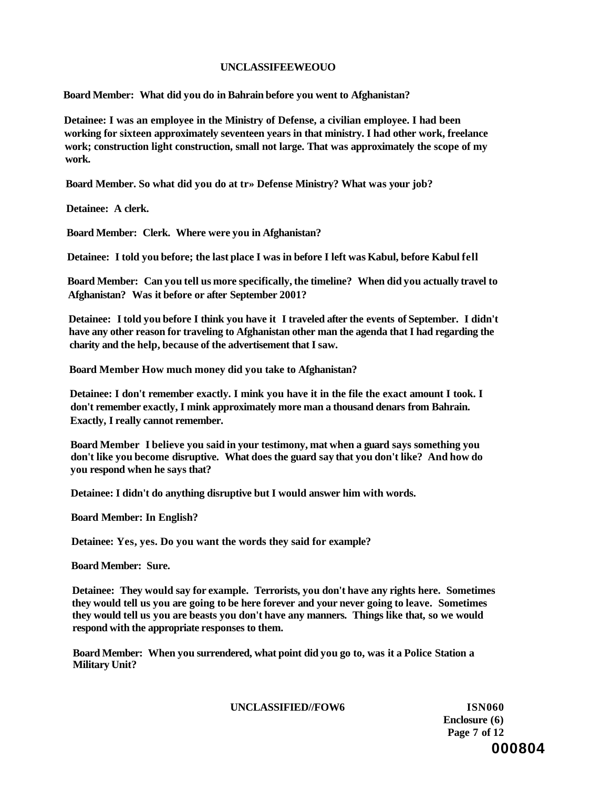### **UNCLASSIFEEWEOUO**

**Board Member: What did you do in Bahrain before you went to Afghanistan?** 

**Detainee: I was an employee in the Ministry of Defense, a civilian employee. I had been working for sixteen approximately seventeen years in that ministry. I had other work, freelance work; construction light construction, small not large. That was approximately the scope of my work.** 

**Board Member. So what did you do at tr» Defense Ministry? What was your job?** 

**Detainee: A clerk.** 

**Board Member: Clerk. Where were you in Afghanistan?** 

**Detainee: I told you before; the last place I was in before I left was Kabul, before Kabul fell** 

**Board Member: Can you tell us more specifically, the timeline? When did you actually travel to Afghanistan? Was it before or after September 2001?** 

**Detainee: I told you before I think you have it I traveled after the events of September. I didn't have any other reason for traveling to Afghanistan other man the agenda that I had regarding the charity and the help, because of the advertisement that I saw.** 

**Board Member How much money did you take to Afghanistan?** 

**Detainee: I don't remember exactly. I mink you have it in the file the exact amount I took. I don't remember exactly, I mink approximately more man a thousand denars from Bahrain. Exactly, I really cannot remember.** 

**Board Member I believe you said in your testimony, mat when a guard says something you don't like you become disruptive. What does the guard say that you don't like? And how do you respond when he says that?** 

**Detainee: I didn't do anything disruptive but I would answer him with words.** 

**Board Member: In English?** 

**Detainee: Yes, yes. Do you want the words they said for example?** 

**Board Member: Sure.** 

**Detainee: They would say for example. Terrorists, you don't have any rights here. Sometimes they would tell us you are going to be here forever and your never going to leave. Sometimes they would tell us you are beasts you don't have any manners. Things like that, so we would respond with the appropriate responses to them.** 

**Board Member: When you surrendered, what point did you go to, was it a Police Station a Military Unit?** 

### **UNCLASSIFIED//FOW6 ISN060**

**Enclosure (6) Page 7 of 12 000804**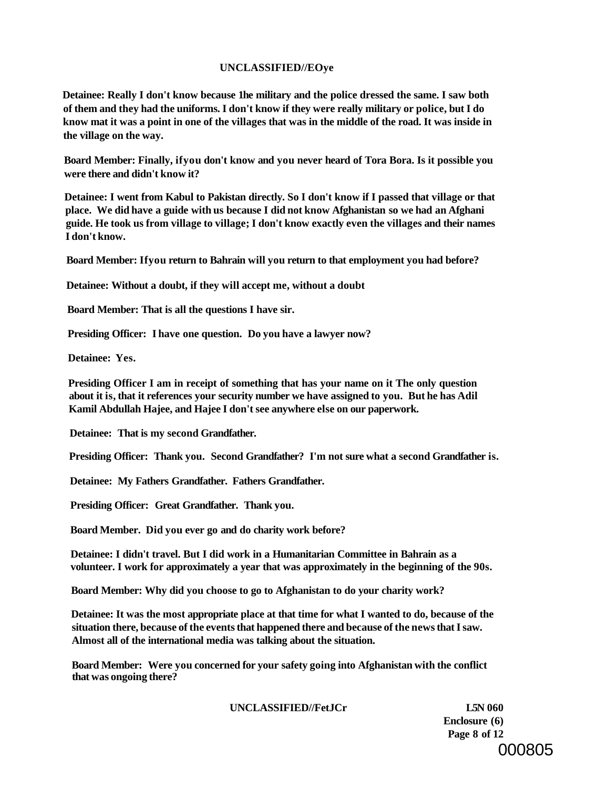#### **UNCLASSIFIED//EOye**

**Detainee: Really I don't know because 1he military and the police dressed the same. I saw both of them and they had the uniforms. I don't know if they were really military or police, but I do know mat it was a point in one of the villages that was in the middle of the road. It was inside in the village on the way.** 

**Board Member: Finally, ifyou don't know and you never heard of Tora Bora. Is it possible you were there and didn't know it?** 

**Detainee: I went from Kabul to Pakistan directly. So I don't know if I passed that village or that place. We did have a guide with us because I did not know Afghanistan so we had an Afghani guide. He took us from village to village; I don't know exactly even the villages and their names I don't know.** 

**Board Member: Ifyou return to Bahrain will you return to that employment you had before?** 

**Detainee: Without a doubt, if they will accept me, without a doubt** 

**Board Member: That is all the questions I have sir.** 

**Presiding Officer: I have one question. Do you have a lawyer now?** 

**Detainee: Yes.** 

**Presiding Officer I am in receipt of something that has your name on it The only question about it is, that it references your security number we have assigned to you. But he has Adil Kamil Abdullah Hajee, and Hajee I don't see anywhere else on our paperwork.** 

**Detainee: That is my second Grandfather.** 

**Presiding Officer: Thank you. Second Grandfather? I'm not sure what a second Grandfather is.** 

**Detainee: My Fathers Grandfather. Fathers Grandfather.** 

**Presiding Officer: Great Grandfather. Thank you.** 

**Board Member. Did you ever go and do charity work before?** 

**Detainee: I didn't travel. But I did work in a Humanitarian Committee in Bahrain as a volunteer. I work for approximately a year that was approximately in the beginning of the 90s.** 

**Board Member: Why did you choose to go to Afghanistan to do your charity work?** 

**Detainee: It was the most appropriate place at that time for what I wanted to do, because of the situation there, because of the events that happened there and because of the news that I saw. Almost all of the international media was talking about the situation.** 

**Board Member: Were you concerned for your safety going into Afghanistan with the conflict that was ongoing there?** 

**UNCLASSIFIED//FetJCr L5N 060** 

**Enclosure (6) Page 8 of 12**  000805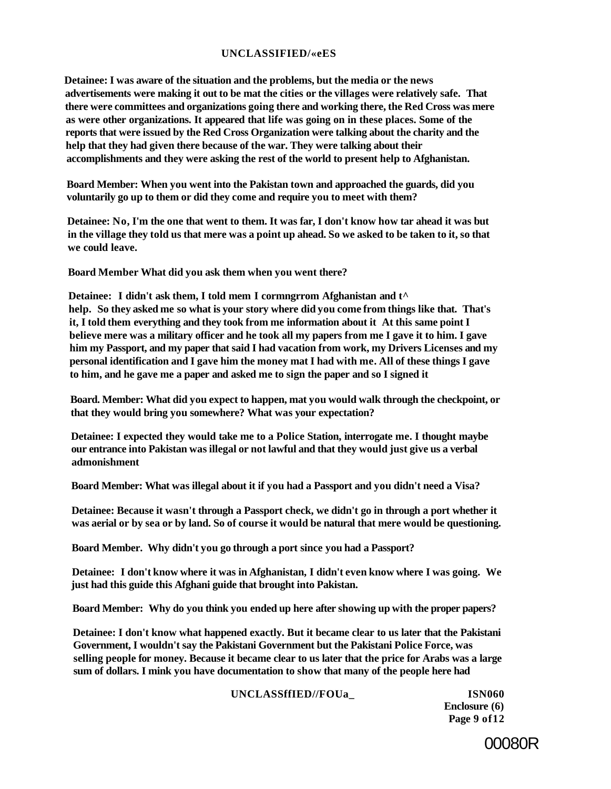### **UNCLASSIFIED/«eES**

**Detainee: I was aware of the situation and the problems, but the media or the news advertisements were making it out to be mat the cities or the villages were relatively safe. That there were committees and organizations going there and working there, the Red Cross was mere as were other organizations. It appeared that life was going on in these places. Some of the reports that were issued by the Red Cross Organization were talking about the charity and the help that they had given there because of the war. They were talking about their accomplishments and they were asking the rest of the world to present help to Afghanistan.** 

**Board Member: When you went into the Pakistan town and approached the guards, did you voluntarily go up to them or did they come and require you to meet with them?** 

**Detainee: No, I'm the one that went to them. It was far, I don't know how tar ahead it was but in the village they told us that mere was a point up ahead. So we asked to be taken to it, so that we could leave.** 

**Board Member What did you ask them when you went there?** 

**Detainee: I didn't ask them, I told mem I cormngrrom Afghanistan and t^ help. So they asked me so what is your story where did you come from things like that. That's it, I told them everything and they took from me information about it At this same point I believe mere was a military officer and he took all my papers from me I gave it to him. I gave him my Passport, and my paper that said I had vacation from work, my Drivers Licenses and my personal identification and I gave him the money mat I had with me. All of these things I gave to him, and he gave me a paper and asked me to sign the paper and so I signed it** 

**Board. Member: What did you expect to happen, mat you would walk through the checkpoint, or that they would bring you somewhere? What was your expectation?** 

**Detainee: I expected they would take me to a Police Station, interrogate me. I thought maybe our entrance into Pakistan was illegal or not lawful and that they would just give us a verbal admonishment** 

**Board Member: What was illegal about it if you had a Passport and you didn't need a Visa?** 

**Detainee: Because it wasn't through a Passport check, we didn't go in through a port whether it was aerial or by sea or by land. So of course it would be natural that mere would be questioning.** 

**Board Member. Why didn't you go through a port since you had a Passport?** 

**Detainee: I don't know where it was in Afghanistan, I didn't even know where I was going. We just had this guide this Afghani guide that brought into Pakistan.** 

**Board Member: Why do you think you ended up here after showing up with the proper papers?** 

**Detainee: I don't know what happened exactly. But it became clear to us later that the Pakistani Government, I wouldn't say the Pakistani Government but the Pakistani Police Force, was selling people for money. Because it became clear to us later that the price for Arabs was a large sum of dollars. I mink you have documentation to show that many of the people here had** 

#### **UNCLASSffIED//FOUa\_ ISN060**

**Enclosure (6) Page 9 of12** 

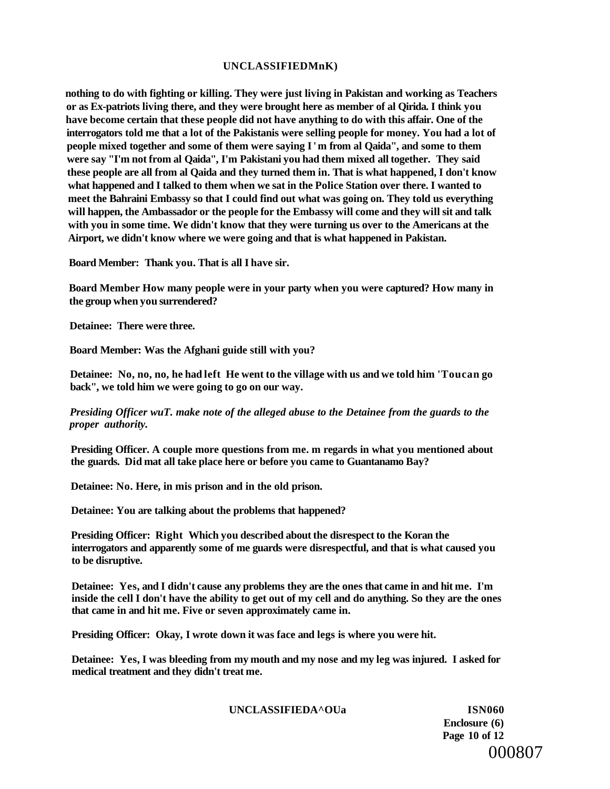#### **UNCLASSIFIEDMnK)**

**nothing to do with fighting or killing. They were just living in Pakistan and working as Teachers or as Ex-patriots living there, and they were brought here as member of al Qirida. I think you have become certain that these people did not have anything to do with this affair. One of the interrogators told me that a lot of the Pakistanis were selling people for money. You had a lot of people mixed together and some of them were saying I' m from al Qaida", and some to them were say "I'm not from al Qaida", I'm Pakistani you had them mixed all together. They said these people are all from al Qaida and they turned them in. That is what happened, I don't know what happened and I talked to them when we sat in the Police Station over there. I wanted to meet the Bahraini Embassy so that I could find out what was going on. They told us everything will happen, the Ambassador or the people for the Embassy will come and they will sit and talk with you in some time. We didn't know that they were turning us over to the Americans at the Airport, we didn't know where we were going and that is what happened in Pakistan.** 

**Board Member: Thank you. That is all I have sir.** 

**Board Member How many people were in your party when you were captured? How many in the group when you surrendered?** 

**Detainee: There were three.** 

**Board Member: Was the Afghani guide still with you?** 

**Detainee: No, no, no, he had left He went to the village with us and we told him 'Toucan go back", we told him we were going to go on our way.** 

*Presiding Officer wuT. make note of the alleged abuse to the Detainee from the guards to the proper authority.* 

**Presiding Officer. A couple more questions from me. m regards in what you mentioned about the guards. Did mat all take place here or before you came to Guantanamo Bay?** 

**Detainee: No. Here, in mis prison and in the old prison.** 

**Detainee: You are talking about the problems that happened?** 

**Presiding Officer: Right Which you described about the disrespect to the Koran the interrogators and apparently some of me guards were disrespectful, and that is what caused you to be disruptive.** 

**Detainee: Yes, and I didn't cause any problems they are the ones that came in and hit me. I'm inside the cell I don't have the ability to get out of my cell and do anything. So they are the ones that came in and hit me. Five or seven approximately came in.** 

**Presiding Officer: Okay, I wrote down it was face and legs is where you were hit.** 

**Detainee: Yes, I was bleeding from my mouth and my nose and my leg was injured. I asked for medical treatment and they didn't treat me.** 

#### **UNCLASSIFIEDA^OUa ISN060**

**Enclosure (6) Page 10 of 12**  000807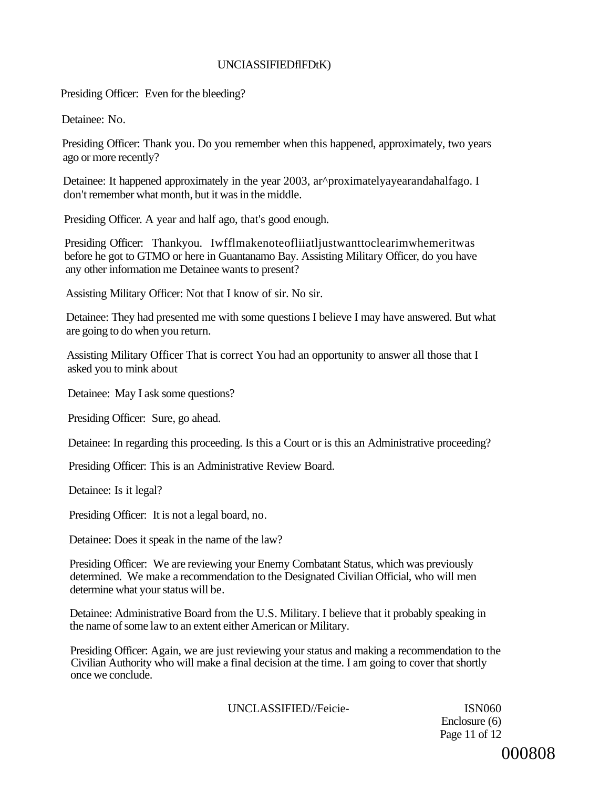# UNCIASSIFIEDflFDtK)

Presiding Officer: Even for the bleeding?

Detainee: No.

Presiding Officer: Thank you. Do you remember when this happened, approximately, two years ago or more recently?

Detainee: It happened approximately in the year 2003, ar^proximatelyayearandahalfago. I don't remember what month, but it was in the middle.

Presiding Officer. A year and half ago, that's good enough.

Presiding Officer: Thankyou. Iwfflmakenoteofliiatljustwanttoclearimwhemeritwas before he got to GTMO or here in Guantanamo Bay. Assisting Military Officer, do you have any other information me Detainee wants to present?

Assisting Military Officer: Not that I know of sir. No sir.

Detainee: They had presented me with some questions I believe I may have answered. But what are going to do when you return.

Assisting Military Officer That is correct You had an opportunity to answer all those that I asked you to mink about

Detainee: May I ask some questions?

Presiding Officer: Sure, go ahead.

Detainee: In regarding this proceeding. Is this a Court or is this an Administrative proceeding?

Presiding Officer: This is an Administrative Review Board.

Detainee: Is it legal?

Presiding Officer: It is not a legal board, no.

Detainee: Does it speak in the name of the law?

Presiding Officer: We are reviewing your Enemy Combatant Status, which was previously determined. We make a recommendation to the Designated Civilian Official, who will men determine what your status will be.

Detainee: Administrative Board from the U.S. Military. I believe that it probably speaking in the name of some law to an extent either American or Military.

Presiding Officer: Again, we are just reviewing your status and making a recommendation to the Civilian Authority who will make a final decision at the time. I am going to cover that shortly once we conclude.

UNCLASSIFIED//Feicie- ISN060

Enclosure (6) Page 11 of 12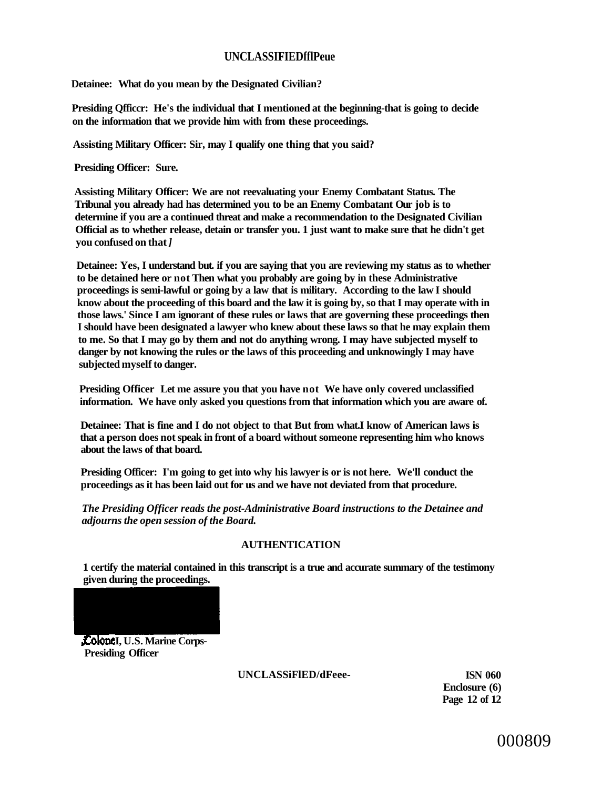#### **UNCLASSIFIEDfflPeue**

**Detainee: What do you mean by the Designated Civilian?** 

**Presiding Qfficcr: He's the individual that I mentioned at the beginning-that is going to decide on the information that we provide him with from these proceedings.** 

**Assisting Military Officer: Sir, may I qualify one thing that you said?** 

**Presiding Officer: Sure.** 

**Assisting Military Officer: We are not reevaluating your Enemy Combatant Status. The Tribunal you already had has determined you to be an Enemy Combatant Our job is to determine if you are a continued threat and make a recommendation to the Designated Civilian Official as to whether release, detain or transfer you. 1 just want to make sure that he didn't get you confused on that** *]* 

**Detainee: Yes, I understand but. if you are saying that you are reviewing my status as to whether to be detained here or not Then what you probably are going by in these Administrative proceedings is semi-lawful or going by a law that is military. According to the law I should know about the proceeding of this board and the law it is going by, so that I may operate with in those laws.' Since I am ignorant of these rules or laws that are governing these proceedings then I should have been designated a lawyer who knew about these laws so that he may explain them to me. So that I may go by them and not do anything wrong. I may have subjected myself to danger by not knowing the rules or the laws of this proceeding and unknowingly I may have subjected myself to danger.** 

**Presiding Officer Let me assure you that you have not We have only covered unclassified information. We have only asked you questions from that information which you are aware of.** 

**Detainee: That is fine and I do not object to that But from what.I know of American laws is that a person does not speak in front of a board without someone representing him who knows about the laws of that board.** 

**Presiding Officer: I'm going to get into why his lawyer is or is not here. We'll conduct the proceedings as it has been laid out for us and we have not deviated from that procedure.** 

*The Presiding Officer reads the post-Administrative Board instructions to the Detainee and adjourns the open session of the Board.* 

#### **AUTHENTICATION**

**1 certify the material contained in this transcript is a true and accurate summary of the testimony given during the proceedings.** 

*ColoneI, U.S. Marine Corps-***Presiding Officer** 

**UNCLASSiFlED/dFeee- ISN 060** 

**Enclosure (6) Page 12 of 12** 

000809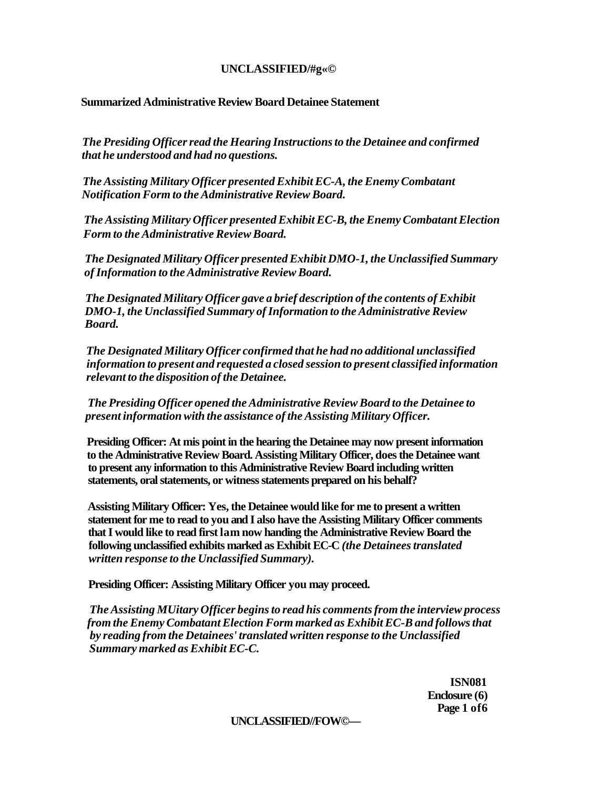# **UNCLASSIFIED/#g«©**

#### **Summarized Administrative Review Board Detainee Statement**

*The Presiding Officer read the Hearing Instructions to the Detainee and confirmed that he understood and had no questions.* 

*The Assisting Military Officer presented Exhibit EC-A, the Enemy Combatant Notification Form to the Administrative Review Board.* 

*The Assisting Military Officer presented Exhibit EC-B, the Enemy Combatant Election Form to the Administrative Review Board.* 

*The Designated Military Officer presented Exhibit DMO-1, the Unclassified Summary of Information to the Administrative Review Board.* 

*The Designated Military Officer gave a brief description of the contents of Exhibit DMO-1, the Unclassified Summary of Information to the Administrative Review Board.* 

*The Designated Military Officer confirmed that he had no additional unclassified information to present and requested a closed session to present classified information relevant to the disposition of the Detainee.* 

*The Presiding Officer opened the Administrative Review Board to the Detainee to present information with the assistance of the Assisting Military Officer.* 

**Presiding Officer: At mis point in the hearing the Detainee may now present information to the Administrative Review Board. Assisting Military Officer, does the Detainee want to present any information to this Administrative Review Board including written statements, oral statements, or witness statements prepared on his behalf?** 

**Assisting Military Officer: Yes, the Detainee would like for me to present a written statement for me to read to you and I also have the Assisting Military Officer comments that I would like to read first lam now handing the Administrative Review Board the following unclassified exhibits marked as Exhibit EC-C** *(the Detainees translated written response to the Unclassified Summary).* 

**Presiding Officer: Assisting Military Officer you may proceed.** 

*The Assisting MUitary Officer begins to read his comments from the interview process from the Enemy Combatant Election Form marked as Exhibit EC-B and follows that by reading from the Detainees' translated written response to the Unclassified Summary marked as Exhibit EC-C.* 

> **ISN081 Enclosure (6) Page 1 of6**

#### **UNCLASSIFIED//FOW©—**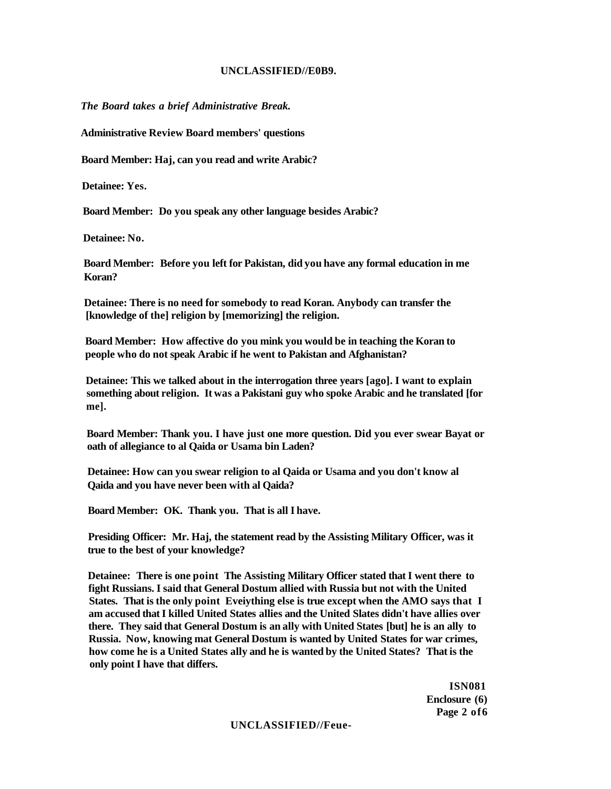#### **UNCLASSIFIED//E0B9.**

*The Board takes a brief Administrative Break.* 

**Administrative Review Board members' questions** 

**Board Member: Haj, can you read and write Arabic?** 

**Detainee: Yes.** 

**Board Member: Do you speak any other language besides Arabic?** 

**Detainee: No.** 

**Board Member: Before you left for Pakistan, did you have any formal education in me Koran?** 

**Detainee: There is no need for somebody to read Koran. Anybody can transfer the [knowledge of the] religion by [memorizing] the religion.** 

**Board Member: How affective do you mink you would be in teaching the Koran to people who do not speak Arabic if he went to Pakistan and Afghanistan?** 

**Detainee: This we talked about in the interrogation three years [ago]. I want to explain something about religion. It was a Pakistani guy who spoke Arabic and he translated [for me].** 

**Board Member: Thank you. I have just one more question. Did you ever swear Bayat or oath of allegiance to al Qaida or Usama bin Laden?** 

**Detainee: How can you swear religion to al Qaida or Usama and you don't know al Qaida and you have never been with al Qaida?** 

**Board Member: OK. Thank you. That is all I have.** 

**Presiding Officer: Mr. Haj, the statement read by the Assisting Military Officer, was it true to the best of your knowledge?** 

**Detainee: There is one point The Assisting Military Officer stated that I went there to fight Russians. I said that General Dostum allied with Russia but not with the United States. That is the only point Eveiything else is true except when the AMO says that I am accused that I killed United States allies and the United Slates didn't have allies over there. They said that General Dostum is an ally with United States [but] he is an ally to Russia. Now, knowing mat General Dostum is wanted by United States for war crimes, how come he is a United States ally and he is wanted by the United States? That is the only point I have that differs.** 

> **ISN081 Enclosure (6) Page 2 of6**

#### **UNCLASSIFIED//Feue-**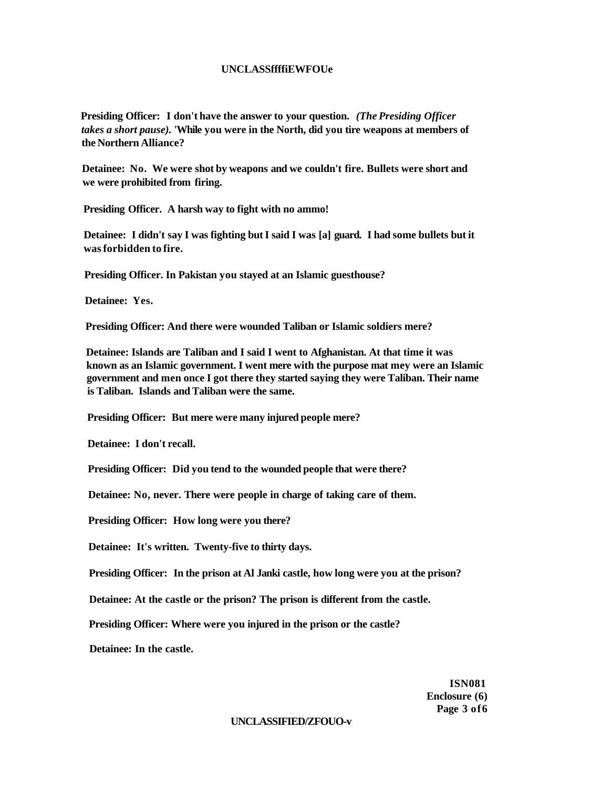#### **UNCLASSffffiEWFOUe**

**Presiding Officer: I don't have the answer to your question.** *(The Presiding Officer takes a short pause).* **'While you were in the North, did you tire weapons at members of the Northern Alliance?** 

**Detainee: No. We were shot by weapons and we couldn't fire. Bullets were short and we were prohibited from firing.** 

**Presiding Officer. A harsh way to fight with no ammo!** 

**Detainee: I didn't say I was fighting but I said I was [a] guard. I had some bullets but it was forbidden to fire.** 

**Presiding Officer. In Pakistan you stayed at an Islamic guesthouse?** 

**Detainee: Yes.** 

**Presiding Officer: And there were wounded Taliban or Islamic soldiers mere?** 

**Detainee: Islands are Taliban and I said I went to Afghanistan. At that time it was known as an Islamic government. I went mere with the purpose mat mey were an Islamic government and men once I got there they started saying they were Taliban. Their name is Taliban. Islands and Taliban were the same.** 

**Presiding Officer: But mere were many injured people mere?** 

**Detainee: I don't recall.** 

**Presiding Officer: Did you tend to the wounded people that were there?** 

**Detainee: No, never. There were people in charge of taking care of them.** 

**Presiding Officer: How long were you there?** 

**Detainee: It's written. Twenty-five to thirty days.** 

**Presiding Officer: In the prison at Al Janki castle, how long were you at the prison?** 

**Detainee: At the castle or the prison? The prison is different from the castle.** 

**Presiding Officer: Where were you injured in the prison or the castle?** 

**Detainee: In the castle.** 

**ISN081 Enclosure (6) Page 3 of6** 

#### **UNCLASSIFIED/ZFOUO-v**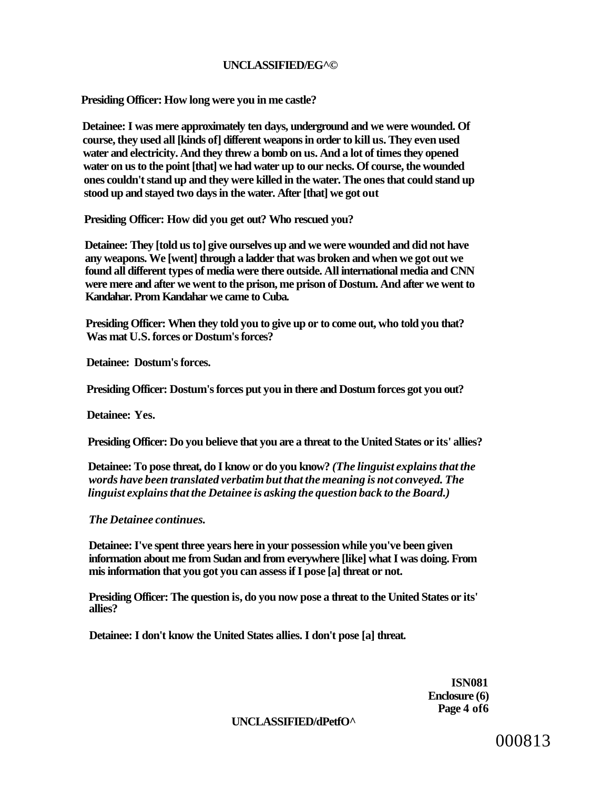### **UNCLASSIFIED/EG^©**

**Presiding Officer: How long were you in me castle?** 

**Detainee: I was mere approximately ten days, underground and we were wounded. Of course, they used all [kinds of] different weapons in order to kill us. They even used water and electricity. And they threw a bomb on us. And a lot of times they opened water on us to the point [that] we had water up to our necks. Of course, the wounded ones couldn't stand up and they were killed in the water. The ones that could stand up stood up and stayed two days in the water. After [that] we got out** 

**Presiding Officer: How did you get out? Who rescued you?** 

**Detainee: They [told us to] give ourselves up and we were wounded and did not have any weapons. We [went] through a ladder that was broken and when we got out we found all different types of media were there outside. All international media and CNN were mere and after we went to the prison, me prison of Dostum. And after we went to Kandahar. Prom Kandahar we came to Cuba.** 

**Presiding Officer: When they told you to give up or to come out, who told you that? Was mat U.S. forces or Dostum's forces?** 

**Detainee: Dostum's forces.** 

**Presiding Officer: Dostum's forces put you in there and Dostum forces got you out?** 

**Detainee: Yes.** 

**Presiding Officer: Do you believe that you are a threat to the United States or its' allies?** 

**Detainee: To pose threat, do I know or do you know?** *(The linguist explains that the words have been translated verbatim but that the meaning is not conveyed. The linguist explains that the Detainee is asking the question back to the Board.)* 

*The Detainee continues.* 

**Detainee: I've spent three years here in your possession while you've been given information about me from Sudan and from everywhere [like] what I was doing. From mis information that you got you can assess if I pose [a] threat or not.** 

**Presiding Officer: The question is, do you now pose a threat to the United States or its' allies?** 

**Detainee: I don't know the United States allies. I don't pose [a] threat.** 

**ISN081 Enclosure (6) Page 4 of6** 

**UNCLASSIFIED/dPetfO^** 

000813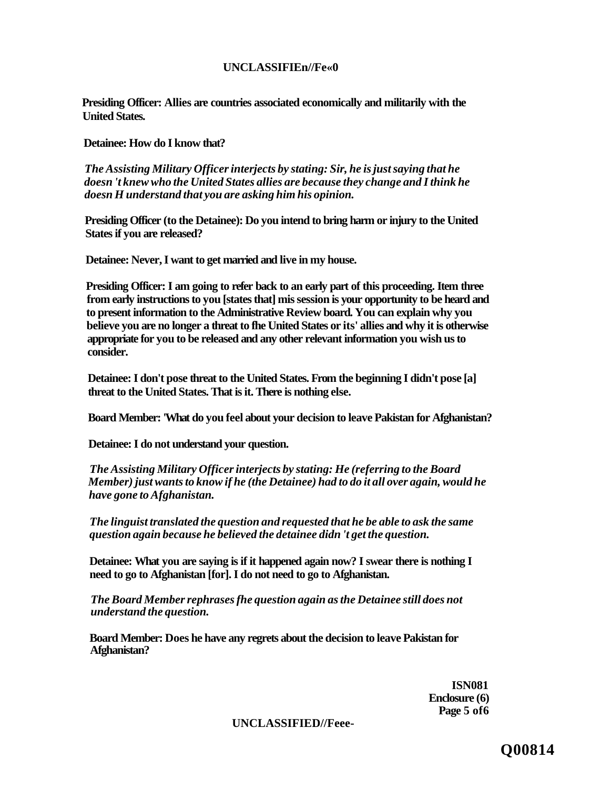# **UNCLASSIFIEn//Fe«0**

**Presiding Officer: Allies are countries associated economically and militarily with the United States.** 

**Detainee: How do I know that?** 

*The Assisting Military Officer interjects by stating: Sir, he is just saying that he doesn 't knew who the United States allies are because they change and I think he doesn H understand that you are asking him his opinion.* 

**Presiding Officer (to the Detainee): Do you intend to bring harm or injury to the United States if you are released?** 

**Detainee: Never, I want to get married and live in my house.** 

**Presiding Officer: I am going to refer back to an early part of this proceeding. Item three from early instructions to you [states that] mis session is your opportunity to be heard and to present information to the Administrative Review board. You can explain why you believe you are no longer a threat to fhe United States or its' allies and why it is otherwise appropriate for you to be released and any other relevant information you wish us to consider.** 

**Detainee: I don't pose threat to the United States. From the beginning I didn't pose [a] threat to the United States. That is it. There is nothing else.** 

**Board Member: 'What do you feel about your decision to leave Pakistan for Afghanistan?** 

**Detainee: I do not understand your question.** 

*The Assisting Military Officer interjects by stating: He (referring to the Board Member) just wants to know if he (the Detainee) had to do it all over again, would he have gone to Afghanistan.* 

*The linguist translated the question and requested that he be able to ask the same question again because he believed the detainee didn 't get the question.* 

**Detainee: What you are saying is if it happened again now? I swear there is nothing I need to go to Afghanistan [for]. I do not need to go to Afghanistan.** 

*The Board Member rephrases fhe question again as the Detainee still does not understand the question.* 

**Board Member: Does he have any regrets about the decision to leave Pakistan for Afghanistan?** 

> **ISN081 Enclosure (6) Page 5 of6**

**UNCLASSIFIED//Feee-**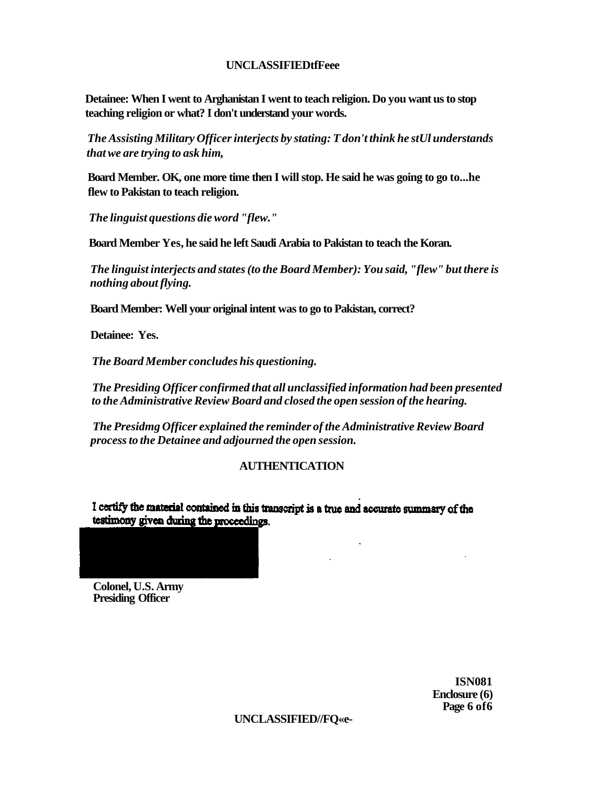# **UNCLASSIFIEDtfFeee**

**Detainee: When I went to Arghanistan I went to teach religion. Do you want us to stop teaching religion or what? I don't understand your words.** 

*The Assisting Military Officer interjects by stating: T don't think he stUl understands that we are trying to ask him,* 

**Board Member. OK, one more time then I will stop. He said he was going to go to...he flew to Pakistan to teach religion.** 

*The linguist questions die word "flew."* 

**Board Member Yes, he said he left Saudi Arabia to Pakistan to teach the Koran.** 

*The linguist interjects and states (to the Board Member): You said, "flew" but there is nothing about flying.* 

**Board Member: Well your original intent was to go to Pakistan, correct?** 

**Detainee: Yes.** 

*The Board Member concludes his questioning.* 

*The Presiding Officer confirmed that all unclassified information had been presented to the Administrative Review Board and closed the open session of the hearing.* 

*The Presidmg Officer explained the reminder of the Administrative Review Board process to the Detainee and adjourned the open session.* 

# **AUTHENTICATION**

I certify the material contained in this transcript is a true and accurate summary of the testimony given during the proceedings.

**Colonel, U.S. Army Presiding Officer** 

> **ISN081 Enclosure (6) Page 6 of6**

**UNCLASSIFIED//FQ«e-**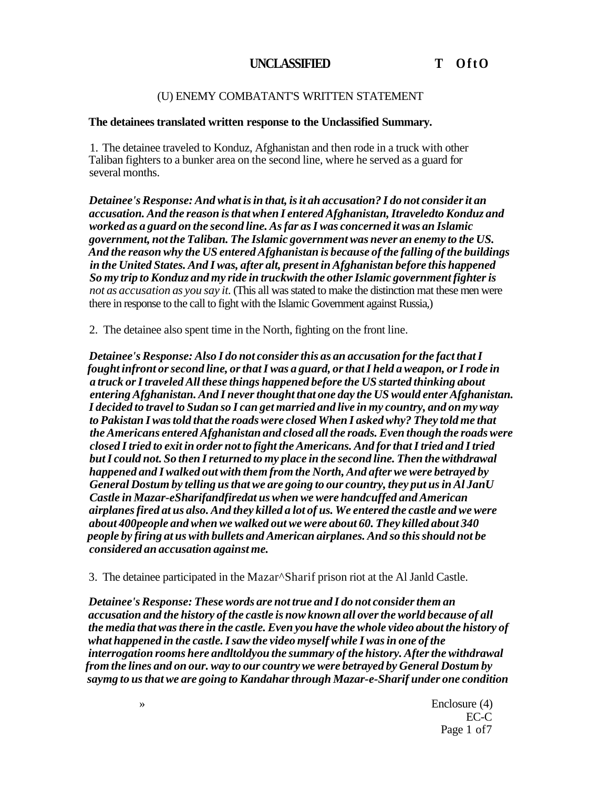# **UNCLASSIFIED T OftO**

# (U) ENEMY COMBATANT'S WRITTEN STATEMENT

# **The detainees translated written response to the Unclassified Summary.**

1. The detainee traveled to Konduz, Afghanistan and then rode in a truck with other Taliban fighters to a bunker area on the second line, where he served as a guard for several months.

*Detainee's Response: And what is in that, is it ah accusation? I do not consider it an accusation. And the reason is that when I entered Afghanistan, Itraveledto Konduz and worked as a guard on the second line. As far as I was concerned it was an Islamic government, not the Taliban. The Islamic government was never an enemy to the US. And the reason why the US entered Afghanistan is because of the falling of the buildings in the United States. And I was, after alt, present in Afghanistan before this happened So my trip to Konduz and my ride in truckwith the other Islamic government fighter is not as accusation as you say it.* (This all was stated to make the distinction mat these men were there in response to the call to fight with the Islamic Government against Russia,)

2. The detainee also spent time in the North, fighting on the front line.

*Detainee's Response: Also I do not consider this as an accusation for the fact that I fought infront or second line, or that I was a guard, or that I held a weapon, or I rode in a truck or I traveled All these things happened before the US started thinking about entering Afghanistan. And I never thought that one day the US would enter Afghanistan. I decided to travel to Sudan so I can get married and live in my country, and on my way to Pakistan I was told that the roads were closed When I asked why? They told me that the Americans entered Afghanistan and closed all the roads. Even though the roads were closed I tried to exit in order not to fight the Americans. And for that I tried and I tried but I could not. So then I returned to my place in the second line. Then the withdrawal happened and I walked out with them from the North, And after we were betrayed by General Dostum by telling us that we are going to our country, they put us in Al JanU Castle in Mazar-eSharifandfiredat us when we were handcuffed and American airplanes fired at us also. And they killed a lot of us. We entered the castle and we were about 400people and when we walked out we were about 60. They killed about 340 people by firing at us with bullets and American airplanes. And so this should not be considered an accusation against me.* 

3. The detainee participated in the Mazar^Sharif prison riot at the Al Janld Castle.

*Detainee's Response: These words are not true and I do not consider them an accusation and the history of the castle is now known all over the world because of all the media that was there in the castle. Even you have the whole video about the history of what happened in the castle. I saw the video myself while I was in one of the interrogation rooms here andltoldyou the summary of the history. After the withdrawal from the lines and on our. way to our country we were betrayed by General Dostum by saymg to us that we are going to Kandahar through Mazar-e-Sharif under one condition* 

> » Enclosure (4) EC-C Page 1 of7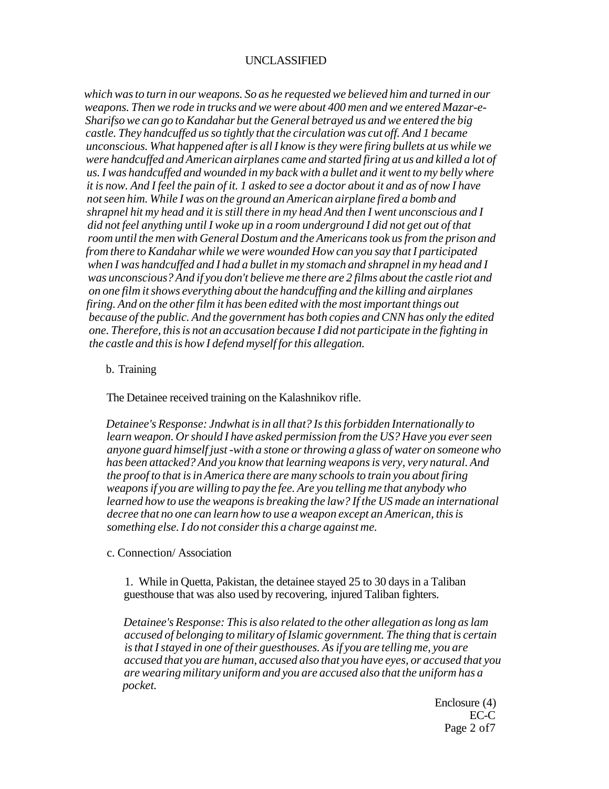# UNCLASSIFIED

*which was to turn in our weapons. So as he requested we believed him and turned in our weapons. Then we rode in trucks and we were about 400 men and we entered Mazar-e-Sharifso we can go to Kandahar but the General betrayed us and we entered the big castle. They handcuffed us so tightly that the circulation was cut off. And 1 became unconscious. What happened after is all I know is they were firing bullets at us while we were handcuffed and American airplanes came and started firing at us and killed a lot of us. I was handcuffed and wounded in my back with a bullet and it went to my belly where it is now. And I feel the pain of it. 1 asked to see a doctor about it and as of now I have not seen him. While I was on the ground an American airplane fired a bomb and shrapnel hit my head and it is still there in my head And then I went unconscious and I did not feel anything until I woke up in a room underground I did not get out of that room until the men with General Dostum and the Americans took us from the prison and from there to Kandahar while we were wounded How can you say that I participated when I was handcuffed and I had a bullet in my stomach and shrapnel in my head and I was unconscious? And if you don't believe me there are 2 films about the castle riot and on one film it shows everything about the handcuffing and the killing and airplanes firing. And on the other film it has been edited with the most important things out because of the public. And the government has both copies and CNN has only the edited one. Therefore, this is not an accusation because I did not participate in the fighting in the castle and this is how I defend myself for this allegation.* 

#### b. Training

The Detainee received training on the Kalashnikov rifle.

*Detainee's Response: Jndwhat is in all that? Is this forbidden Internationally to learn weapon. Or should I have asked permission from the US? Have you ever seen anyone guard himself just -with a stone or throwing a glass of water on someone who has been attacked? And you know that learning weapons is very, very natural. And the proof to that is in America there are many schools to train you about firing weapons if you are willing to pay the fee. Are you telling me that anybody who learned how to use the weapons is breaking the law? If the US made an international decree that no one can learn how to use a weapon except an American, this is something else. I do not consider this a charge against me.* 

c. Connection/ Association

1. While in Quetta, Pakistan, the detainee stayed 25 to 30 days in a Taliban guesthouse that was also used by recovering, injured Taliban fighters.

*Detainee's Response: This is also related to the other allegation as long as lam accused of belonging to military of Islamic government. The thing that is certain is that I stayed in one of their guesthouses. As if you are telling me, you are accused that you are human, accused also that you have eyes, or accused that you are wearing military uniform and you are accused also that the uniform has a pocket.* 

> Enclosure (4) EC-C Page 2 of7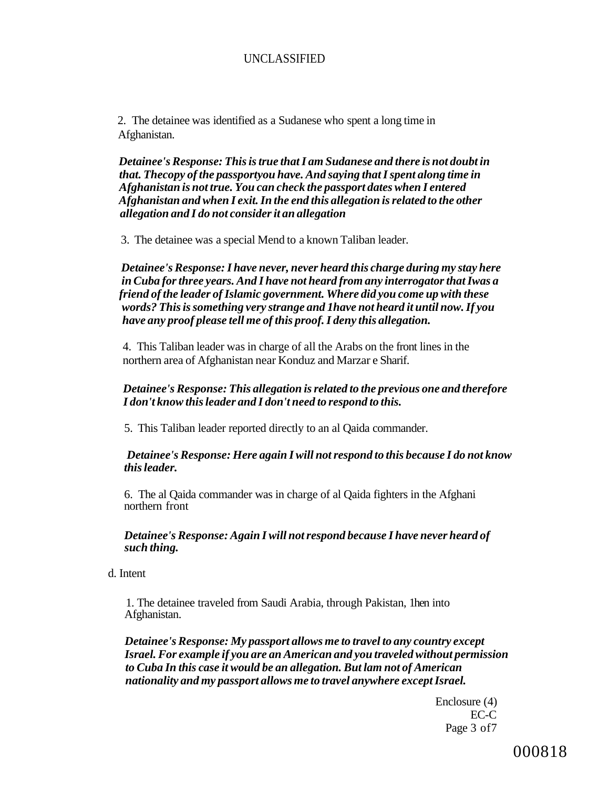# UNCLASSIFIED

2. The detainee was identified as a Sudanese who spent a long time in Afghanistan.

*Detainee's Response: This is true that I am Sudanese and there is not doubt in that. Thecopy of the passportyou have. And saying that I spent along time in Afghanistan is not true. You can check the passport dates when I entered Afghanistan and when I exit. In the end this allegation is related to the other allegation and I do not consider it an allegation* 

3. The detainee was a special Mend to a known Taliban leader.

*Detainee's Response: I have never, never heard this charge during my stay here in Cuba for three years. And I have not heard from any interrogator that Iwas a friend of the leader of Islamic government. Where did you come up with these words? This is something very strange and 1have not heard it until now. If you have any proof please tell me of this proof. I deny this allegation.* 

4. This Taliban leader was in charge of all the Arabs on the front lines in the northern area of Afghanistan near Konduz and Marzar e Sharif.

# *Detainee's Response: This allegation is related to the previous one and therefore I don't know this leader and I don't need to respond to this.*

5. This Taliban leader reported directly to an al Qaida commander.

#### *Detainee's Response: Here again I will not respond to this because I do not know this leader.*

6. The al Qaida commander was in charge of al Qaida fighters in the Afghani northern front

#### *Detainee's Response: Again I will not respond because I have never heard of such thing.*

d. Intent

1. The detainee traveled from Saudi Arabia, through Pakistan, 1hen into Afghanistan.

*Detainee's Response: My passport allows me to travel to any country except Israel. For example if you are an American and you traveled without permission to Cuba In this case it would be an allegation. But lam not of American nationality and my passport allows me to travel anywhere except Israel.* 

> Enclosure (4) EC-C Page 3 of7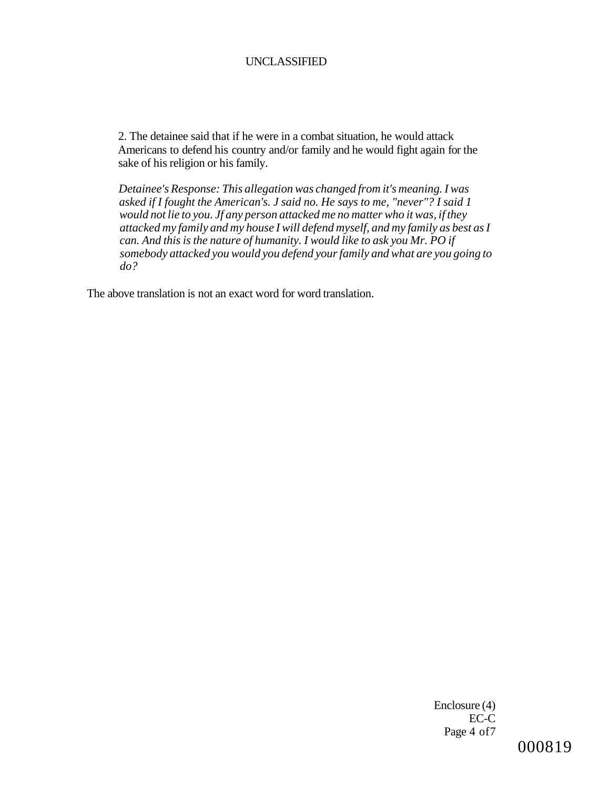#### UNCLASSIFIED

2. The detainee said that if he were in a combat situation, he would attack Americans to defend his country and/or family and he would fight again for the sake of his religion or his family.

*Detainee's Response: This allegation was changed from it's meaning. I was asked if I fought the American's. J said no. He says to me, "never"? I said 1 would not lie to you. Jf any person attacked me no matter who it was, if they attacked my family and my house I will defend myself, and my family as best as I can. And this is the nature of humanity. I would like to ask you Mr. PO if somebody attacked you would you defend your family and what are you going to do?* 

The above translation is not an exact word for word translation.

Enclosure (4) EC-C Page 4 of7

# 000819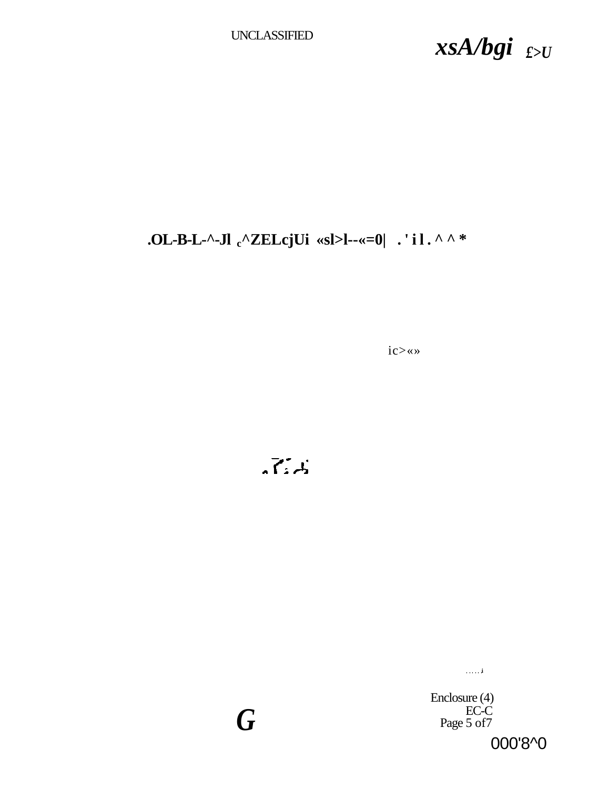UNCLASSIFIED *xsA/bgi £>U* 

# **.OL-B-L-^-Jl <sup>c</sup>^ZELcjUi «sl>l--«=0| .'il.^^ \***

ic>«»

 $\overline{X}$ 

*G* 

**i** 

Enclosure (4) EC-C Page 5 of7

000'8^0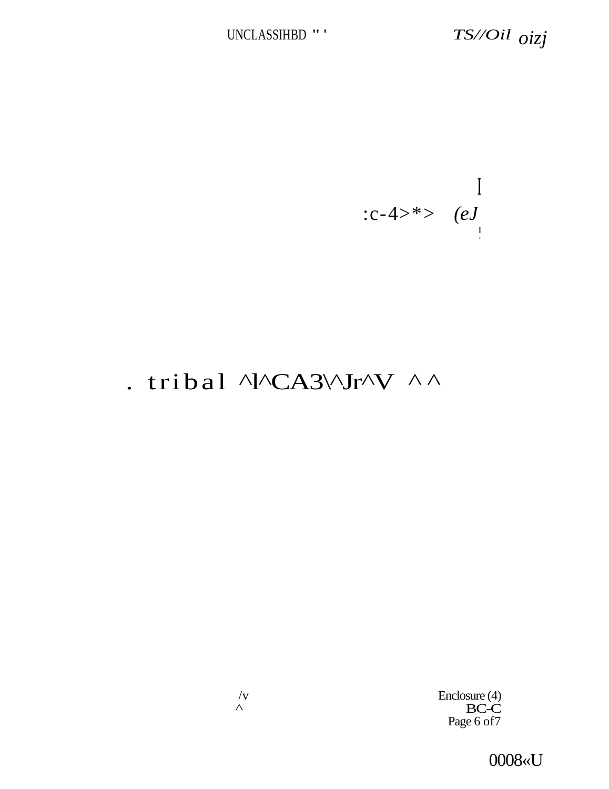**I**  :c-4>\*>  $(eJ)$ **I i** 

# . tribal ^l^CA3\^Jr^V ^ ^

 $/$ v Enclosure (4)<br>  $\triangle$  Enclosure (4) BC-C Page 6 of 7

0008«U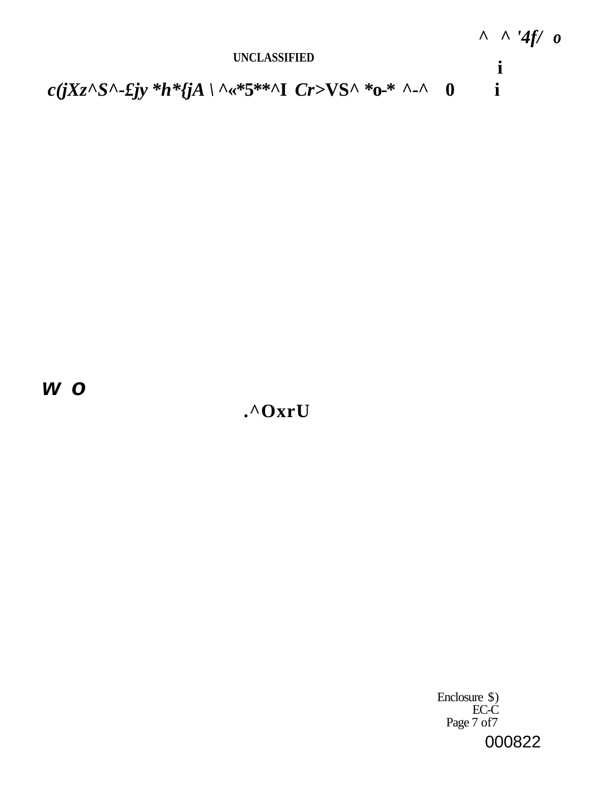

**w o** 

**.^OxrU** 

Enclosure \$) EC-C Page 7 of7 000822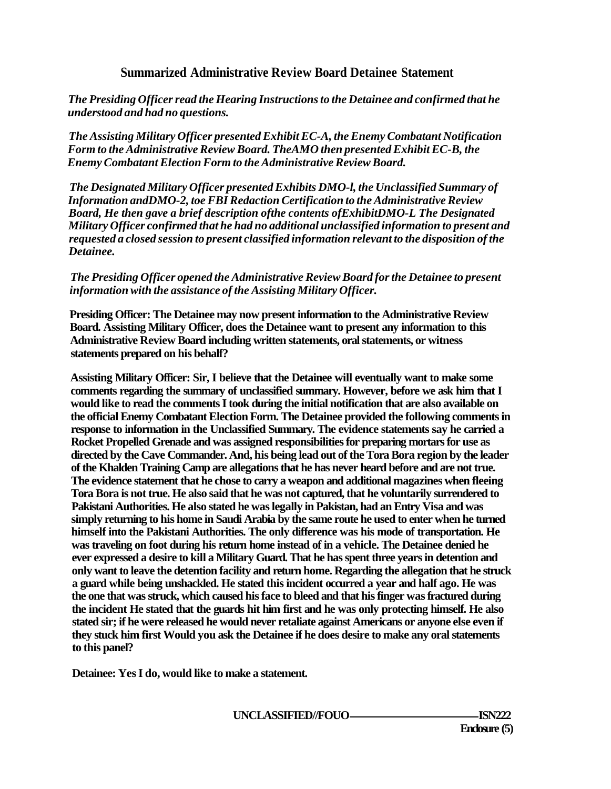# **Summarized Administrative Review Board Detainee Statement**

*The Presiding Officer read the Hearing Instructions to the Detainee and confirmed that he understood and had no questions.* 

*The Assisting Military Officer presented Exhibit EC-A, the Enemy Combatant Notification Form to the Administrative Review Board. TheAMO then presented Exhibit EC-B, the Enemy Combatant Election Form to the Administrative Review Board.* 

*The Designated Military Officer presented Exhibits DMO-l, the Unclassified Summary of Information andDMO-2, toe FBI Redaction Certification to the Administrative Review Board, He then gave a brief description ofthe contents ofExhibitDMO-L The Designated Military Officer confirmed that he had no additional unclassified information to present and requested a closed session to present classified information relevant to the disposition of the Detainee.* 

# *The Presiding Officer opened the Administrative Review Board for the Detainee to present information with the assistance of the Assisting Military Officer.*

**Presiding Officer: The Detainee may now present information to the Administrative Review Board. Assisting Military Officer, does the Detainee want to present any information to this Administrative Review Board including written statements, oral statements, or witness statements prepared on his behalf?** 

**Assisting Military Officer: Sir, I believe that the Detainee will eventually want to make some comments regarding the summary of unclassified summary. However, before we ask him that I would like to read the comments I took during the initial notification that are also available on the official Enemy Combatant Election Form. The Detainee provided the following comments in response to information in the Unclassified Summary. The evidence statements say he carried a Rocket Propelled Grenade and was assigned responsibilities for preparing mortars for use as directed by the Cave Commander. And, his being lead out of the Tora Bora region by the leader of the Khalden Training Camp are allegations that he has never heard before and are not true. The evidence statement that he chose to carry a weapon and additional magazines when fleeing Tora Bora is not true. He also said that he was not captured, that he voluntarily surrendered to Pakistani Authorities. He also stated he was legally in Pakistan, had an Entry Visa and was simply returning to his home in Saudi Arabia by the same route he used to enter when he turned himself into the Pakistani Authorities. The only difference was his mode of transportation. He was traveling on foot during his return home instead of in a vehicle. The Detainee denied he ever expressed a desire to kill a Military Guard. That he has spent three years in detention and only want to leave the detention facility and return home. Regarding the allegation that he struck a guard while being unshackled. He stated this incident occurred a year and half ago. He was the one that was struck, which caused his face to bleed and that his finger was fractured during the incident He stated that the guards hit him first and he was only protecting himself. He also stated sir; if he were released he would never retaliate against Americans or anyone else even if they stuck him first Would you ask the Detainee if he does desire to make any oral statements to this panel?** 

**Detainee: Yes I do, would like to make a statement.** 

**UNCLASSIFIED//FOUO ISN222**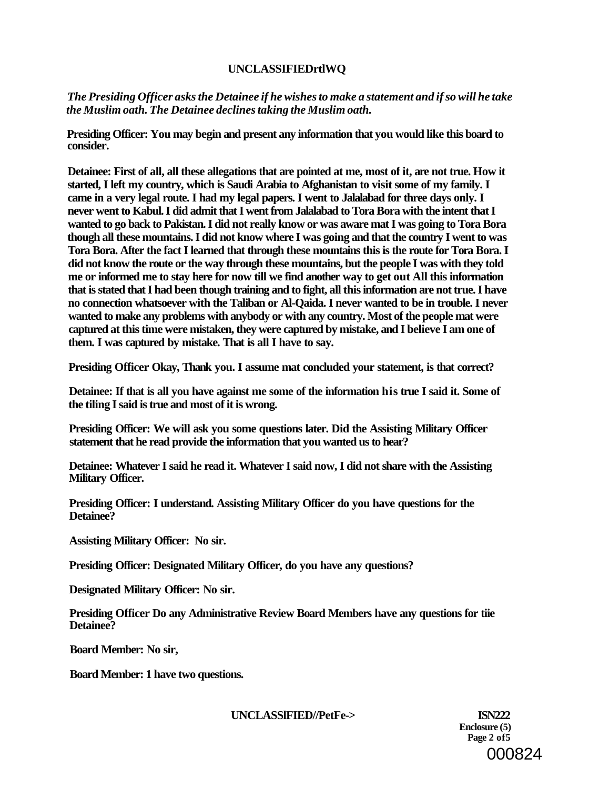# **UNCLASSIFIEDrtlWQ**

*The Presiding Officer asks the Detainee if he wishes to make a statement and if so will he take the Muslim oath. The Detainee declines taking the Muslim oath.* 

**Presiding Officer: You may begin and present any information that you would like this board to consider.** 

**Detainee: First of all, all these allegations that are pointed at me, most of it, are not true. How it started, I left my country, which is Saudi Arabia to Afghanistan to visit some of my family. I came in a very legal route. I had my legal papers. I went to Jalalabad for three days only. I never went to Kabul. I did admit that I went from Jalalabad to Tora Bora with the intent that I wanted to go back to Pakistan. I did not really know or was aware mat I was going to Tora Bora though all these mountains. I did not know where I was going and that the country I went to was Tora Bora. After the fact I learned that through these mountains this is the route for Tora Bora. I did not know the route or the way through these mountains, but the people I was with they told me or informed me to stay here for now till we find another way to get out All this information that is stated that I had been though training and to fight, all this information are not true. I have no connection whatsoever with the Taliban or Al-Qaida. I never wanted to be in trouble. I never wanted to make any problems with anybody or with any country. Most of the people mat were captured at this time were mistaken, they were captured by mistake, and I believe I am one of them. I was captured by mistake. That is all I have to say.** 

**Presiding Officer Okay, Thank you. I assume mat concluded your statement, is that correct?** 

**Detainee: If that is all you have against me some of the information his true I said it. Some of the tiling I said is true and most of it is wrong.** 

**Presiding Officer: We will ask you some questions later. Did the Assisting Military Officer statement that he read provide the information that you wanted us to hear?** 

**Detainee: Whatever I said he read it. Whatever I said now, I did not share with the Assisting Military Officer.** 

**Presiding Officer: I understand. Assisting Military Officer do you have questions for the Detainee?** 

**Assisting Military Officer: No sir.** 

**Presiding Officer: Designated Military Officer, do you have any questions?** 

**Designated Military Officer: No sir.** 

**Presiding Officer Do any Administrative Review Board Members have any questions for tiie Detainee?** 

**Board Member: No sir,** 

**Board Member: 1 have two questions.** 

**UNCLASSlFIED//PetFe-> ISN222** 

**Enclosure (5) Page 2 of5**  000824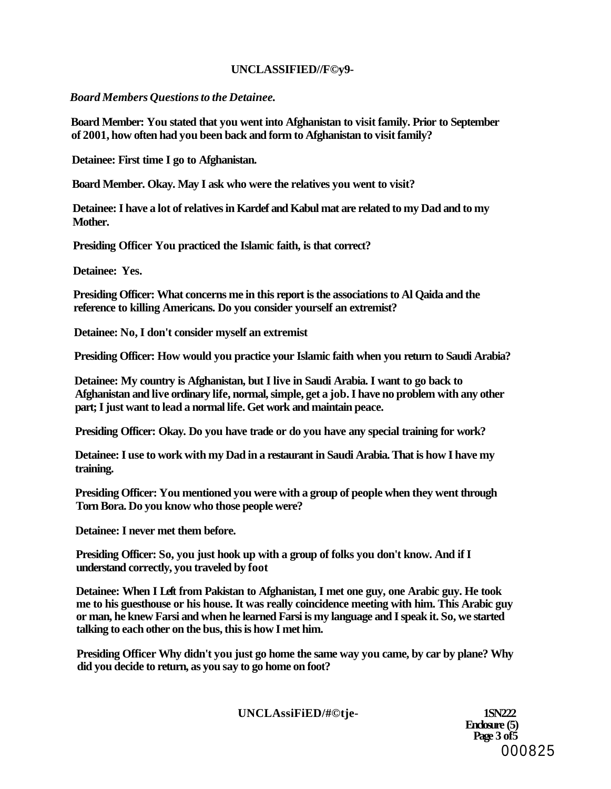# **UNCLASSIFIED//F©y9-**

*Board Members Questions to the Detainee.* 

**Board Member: You stated that you went into Afghanistan to visit family. Prior to September of 2001, how often had you been back and form to Afghanistan to visit family?** 

**Detainee: First time I go to Afghanistan.** 

**Board Member. Okay. May I ask who were the relatives you went to visit?** 

**Detainee: I have a lot of relatives in Kardef and Kabul mat are related to my Dad and to my Mother.** 

**Presiding Officer You practiced the Islamic faith, is that correct?** 

**Detainee: Yes.** 

**Presiding Officer: What concerns me in this report is the associations to Al Qaida and the reference to killing Americans. Do you consider yourself an extremist?** 

**Detainee: No, I don't consider myself an extremist** 

**Presiding Officer: How would you practice your Islamic faith when you return to Saudi Arabia?** 

**Detainee: My country is Afghanistan, but I live in Saudi Arabia. I want to go back to Afghanistan and live ordinary life, normal, simple, get a job. I have no problem with any other part; I just want to lead a normal life. Get work and maintain peace.** 

**Presiding Officer: Okay. Do you have trade or do you have any special training for work?** 

**Detainee: I use to work with my Dad in a restaurant in Saudi Arabia. That is how I have my training.** 

**Presiding Officer: You mentioned you were with a group of people when they went through Torn Bora. Do you know who those people were?** 

**Detainee: I never met them before.** 

**Presiding Officer: So, you just hook up with a group of folks you don't know. And if I understand correctly, you traveled by foot** 

**Detainee: When I Left from Pakistan to Afghanistan, I met one guy, one Arabic guy. He took me to his guesthouse or his house. It was really coincidence meeting with him. This Arabic guy or man, he knew Farsi and when he learned Farsi is my language and I speak it. So, we started talking to each other on the bus, this is how I met him.** 

**Presiding Officer Why didn't you just go home the same way you came, by car by plane? Why did you decide to return, as you say to go home on foot?** 

**UNCLAssiFiED/#©tje- 1SN222**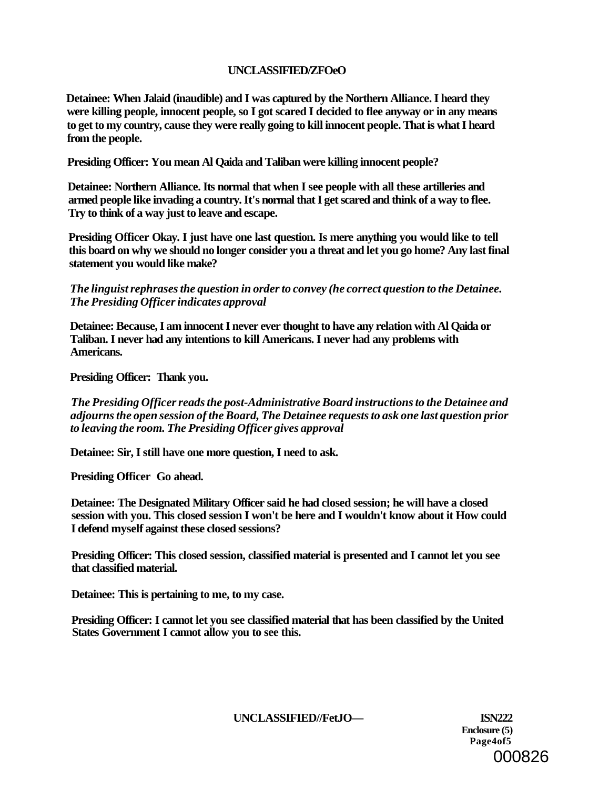# **UNCLASSIFIED/ZFOeO**

**Detainee: When Jalaid (inaudible) and I was captured by the Northern Alliance. I heard they were killing people, innocent people, so I got scared I decided to flee anyway or in any means to get to my country, cause they were really going to kill innocent people. That is what I heard from the people.** 

**Presiding Officer: You mean Al Qaida and Taliban were killing innocent people?** 

**Detainee: Northern Alliance. Its normal that when I see people with all these artilleries and armed people like invading a country. It's normal that I get scared and think of a way to flee. Try to think of a way just to leave and escape.** 

**Presiding Officer Okay. I just have one last question. Is mere anything you would like to tell this board on why we should no longer consider you a threat and let you go home? Any last final statement you would like make?** 

# *The linguist rephrases the question in order to convey (he correct question to the Detainee. The Presiding Officer indicates approval*

**Detainee: Because, I am innocent I never ever thought to have any relation with Al Qaida or Taliban. I never had any intentions to kill Americans. I never had any problems with Americans.** 

**Presiding Officer: Thank you.** 

*The Presiding Officer reads the post-Administrative Board instructions to the Detainee and adjourns the open session of the Board, The Detainee requests to ask one last question prior to leaving the room. The Presiding Officer gives approval* 

**Detainee: Sir, I still have one more question, I need to ask.** 

**Presiding Officer Go ahead.** 

**Detainee: The Designated Military Officer said he had closed session; he will have a closed session with you. This closed session I won't be here and I wouldn't know about it How could I defend myself against these closed sessions?** 

**Presiding Officer: This closed session, classified material is presented and I cannot let you see that classified material.** 

**Detainee: This is pertaining to me, to my case.** 

**Presiding Officer: I cannot let you see classified material that has been classified by the United States Government I cannot allow you to see this.** 

**UNCLASSIFIED//FetJO— ISN222** 

**Enclosure (5) Page4of5**  000826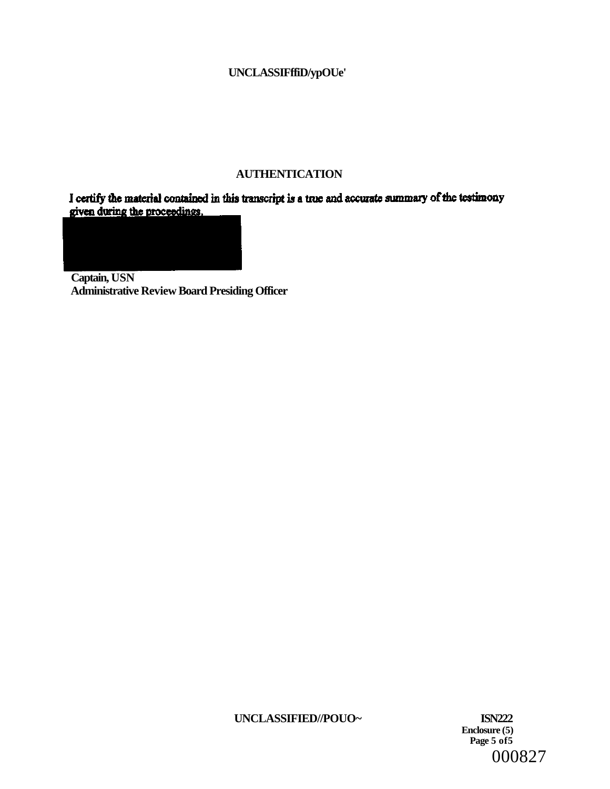# **UNCLASSIFffiD/ypOUe'**

# **AUTHENTICATION**

I certify the material contained in this transcript is a true and accurate summary of the testimony given during the proceedings.

**Captain, USN Administrative Review Board Presiding Officer** 

**UNCLASSIFIED//POUO~ ISN222** 

**Enclosure (5) Page 5 of5**  000827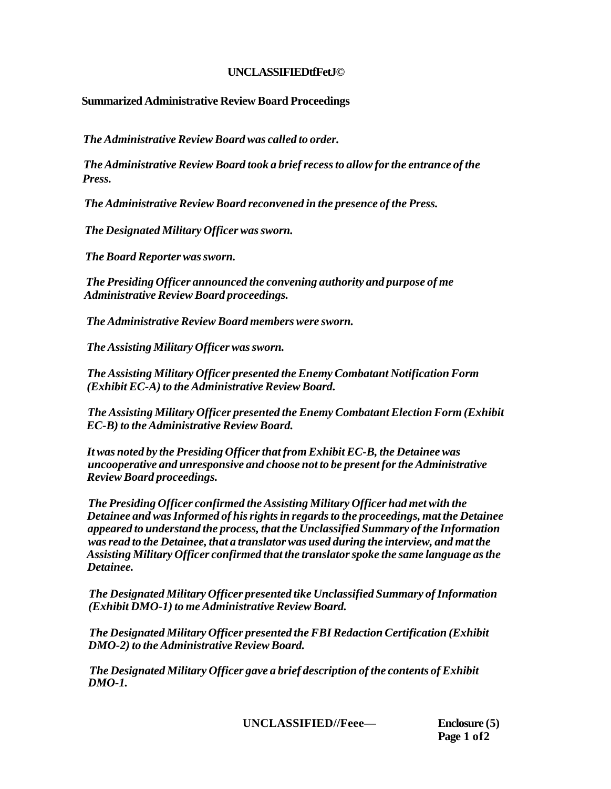# **UNCLASSIFIEDtfFetJ©**

# **Summarized Administrative Review Board Proceedings**

*The Administrative Review Board was called to order.* 

*The Administrative Review Board took a brief recess to allow for the entrance of the Press.* 

*The Administrative Review Board reconvened in the presence of the Press.* 

*The Designated Military Officer was sworn.* 

*The Board Reporter was sworn.* 

*The Presiding Officer announced the convening authority and purpose of me Administrative Review Board proceedings.* 

*The Administrative Review Board members were sworn.* 

*The Assisting Military Officer was sworn.* 

*The Assisting Military Officer presented the Enemy Combatant Notification Form (Exhibit EC-A) to the Administrative Review Board.* 

*The Assisting Military Officer presented the Enemy Combatant Election Form (Exhibit EC-B) to the Administrative Review Board.* 

*It was noted by the Presiding Officer that from Exhibit EC-B, the Detainee was uncooperative and unresponsive and choose not to be present for the Administrative Review Board proceedings.* 

*The Presiding Officer confirmed the Assisting Military Officer had met with the Detainee and was Informed of his rights in regards to the proceedings, mat the Detainee appeared to understand the process, that the Unclassified Summary of the Information was read to the Detainee, that a translator was used during the interview, and mat the Assisting Military Officer confirmed that the translator spoke the same language as the Detainee.* 

*The Designated Military Officer presented tike Unclassified Summary of Information (Exhibit DMO-1) to me Administrative Review Board.* 

*The Designated Military Officer presented the FBI Redaction Certification (Exhibit DMO-2) to the Administrative Review Board.* 

*The Designated Military Officer gave a brief description of the contents of Exhibit DMO-1.* 

**UNCLASSIFIED//Feee— Enclosure (5)** 

**Page 1 of2**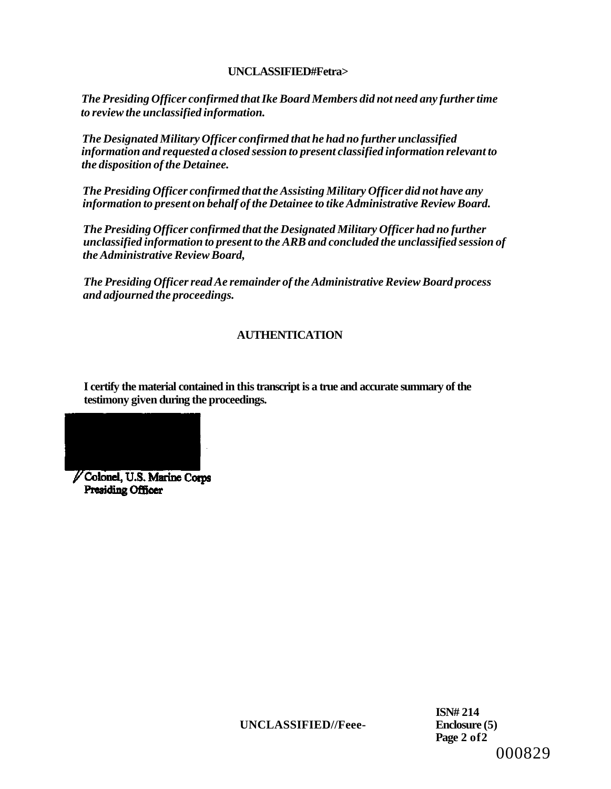# **UNCLASSIFIED#Fetra>**

*The Presiding Officer confirmed that Ike Board Members did not need any further time to review the unclassified information.* 

*The Designated Military Officer confirmed that he had no further unclassified information and requested a closed session to present classified information relevant to the disposition of the Detainee.* 

*The Presiding Officer confirmed that the Assisting Military Officer did not have any information to present on behalf of the Detainee to tike Administrative Review Board.* 

*The Presiding Officer confirmed that the Designated Military Officer had no further unclassified information to present to the ARB and concluded the unclassified session of the Administrative Review Board,* 

*The Presiding Officer read Ae remainder of the Administrative Review Board process and adjourned the proceedings.* 

# **AUTHENTICATION**

**I certify the material contained in this transcript is a true and accurate summary of the testimony given during the proceedings.** 



Colonel, U.S. Marine Corps Presiding Officer

**UNCLASSIFIED//Feee- Enclosure (5)** 

**ISN# 214 Page 2 of2**  000829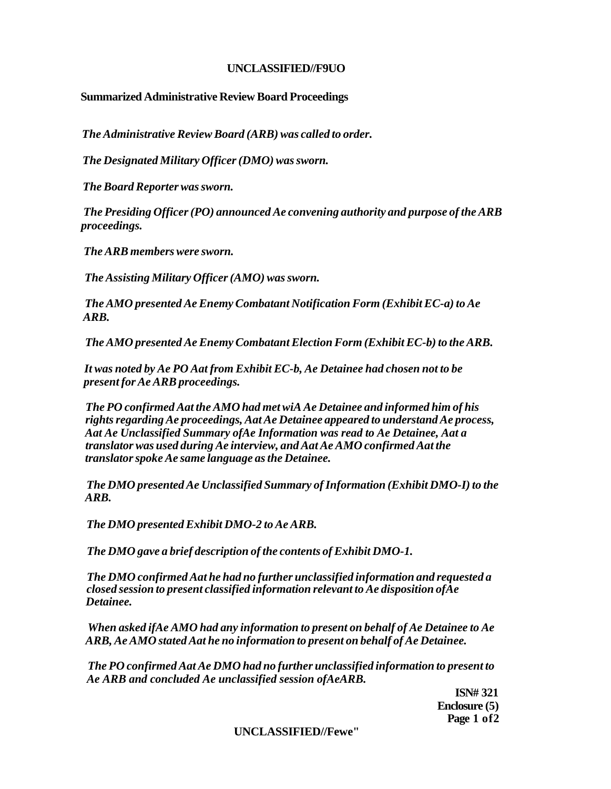# **UNCLASSIFIED//F9UO**

# **Summarized Administrative Review Board Proceedings**

*The Administrative Review Board (ARB) was called to order.* 

*The Designated Military Officer (DMO) was sworn.* 

*The Board Reporter was sworn.* 

*The Presiding Officer (PO) announced Ae convening authority and purpose of the ARB proceedings.* 

*The ARB members were sworn.* 

*The Assisting Military Officer (AMO) was sworn.* 

*The AMO presented Ae Enemy Combatant Notification Form (Exhibit EC-a) to Ae ARB.* 

*The AMO presented Ae Enemy Combatant Election Form (Exhibit EC-b) to the ARB.* 

*It was noted by Ae PO Aat from Exhibit EC-b, Ae Detainee had chosen not to be present for Ae ARB proceedings.* 

*The PO confirmed Aat the AMO had met wiA Ae Detainee and informed him of his rights regarding Ae proceedings, Aat Ae Detainee appeared to understand Ae process, Aat Ae Unclassified Summary ofAe Information was read to Ae Detainee, Aat a translator was used during Ae interview, and Aat Ae AMO confirmed Aat the translator spoke Ae same language as the Detainee.* 

*The DMO presented Ae Unclassified Summary of Information (Exhibit DMO-I) to the ARB.* 

*The DMO presented Exhibit DMO-2 to Ae ARB.* 

*The DMO gave a brief description of the contents of Exhibit DMO-1.* 

*The DMO confirmed Aat he had no further unclassified information and requested a closed session to present classified information relevant to Ae disposition ofAe Detainee.* 

*When asked ifAe AMO had any information to present on behalf of Ae Detainee to Ae ARB, Ae AMO stated Aat he no information to present on behalf of Ae Detainee.* 

*The PO confirmed Aat Ae DMO had no further unclassified information to present to Ae ARB and concluded Ae unclassified session ofAeARB.* 

**ISN# 321 Enclosure (5) Page 1 of2** 

**UNCLASSIFIED//Fewe"**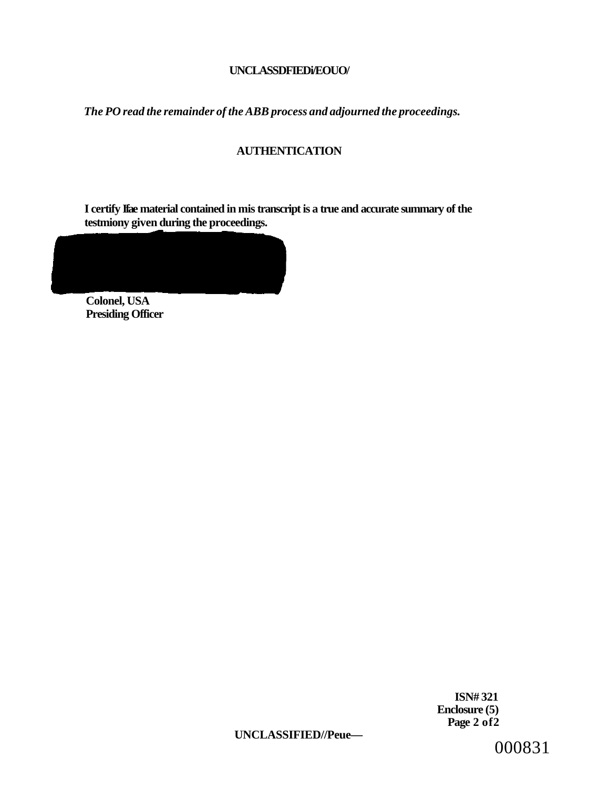# **UNCLASSDFIEDi/EOUO/**

*The PO read the remainder of the ABB process and adjourned the proceedings.* 

# **AUTHENTICATION**

**I certify Ifae material contained in mis transcript is a true and accurate summary of the testmiony given during the proceedings.** 

**Colonel, USA Presiding Officer** 

> **ISN# 321 Enclosure (5) Page 2 of2**

**UNCLASSIFIED//Peue—** 

000831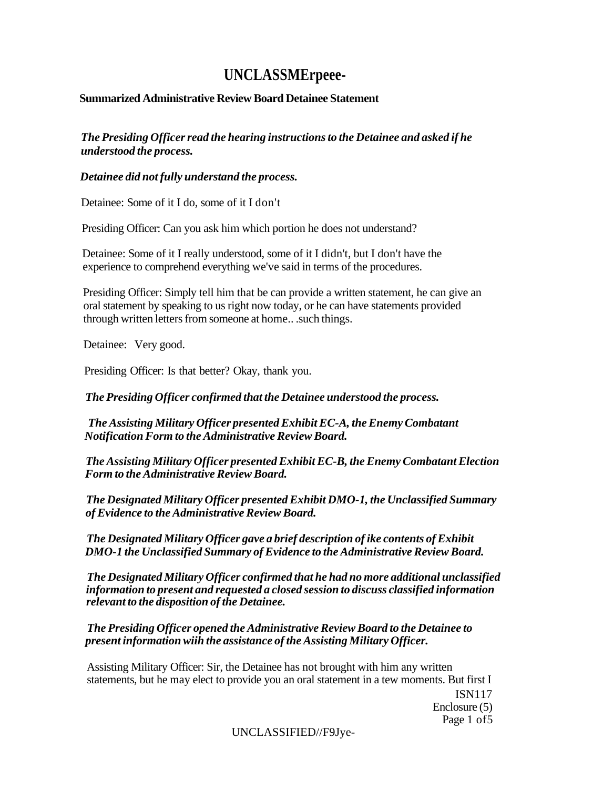# **UNCLASSMErpeee-**

# **Summarized Administrative Review Board Detainee Statement**

*The Presiding Officer read the hearing instructions to the Detainee and asked if he understood the process.* 

# *Detainee did not fully understand the process.*

Detainee: Some of it I do, some of it I don't

Presiding Officer: Can you ask him which portion he does not understand?

Detainee: Some of it I really understood, some of it I didn't, but I don't have the experience to comprehend everything we've said in terms of the procedures.

Presiding Officer: Simply tell him that be can provide a written statement, he can give an oral statement by speaking to us right now today, or he can have statements provided through written letters from someone at home.. .such things.

Detainee: Very good.

Presiding Officer: Is that better? Okay, thank you.

*The Presiding Officer confirmed that the Detainee understood the process.* 

*The Assisting Military Officer presented Exhibit EC-A, the Enemy Combatant Notification Form to the Administrative Review Board.* 

*The Assisting Military Officer presented Exhibit EC-B, the Enemy Combatant Election Form to the Administrative Review Board.* 

*The Designated Military Officer presented Exhibit DMO-1, the Unclassified Summary of Evidence to the Administrative Review Board.* 

*The Designated Military Officer gave a brief description of ike contents of Exhibit DMO-1 the Unclassified Summary of Evidence to the Administrative Review Board.* 

*The Designated Military Officer confirmed that he had no more additional unclassified information to present and requested a closed session to discuss classified information relevant to the disposition of the Detainee.* 

*The Presiding Officer opened the Administrative Review Board to the Detainee to present information wiih the assistance of the Assisting Military Officer.* 

Assisting Military Officer: Sir, the Detainee has not brought with him any written statements, but he may elect to provide you an oral statement in a tew moments. But first I ISN117 Enclosure (5) Page 1 of5

UNCLASSIFIED//F9Jye-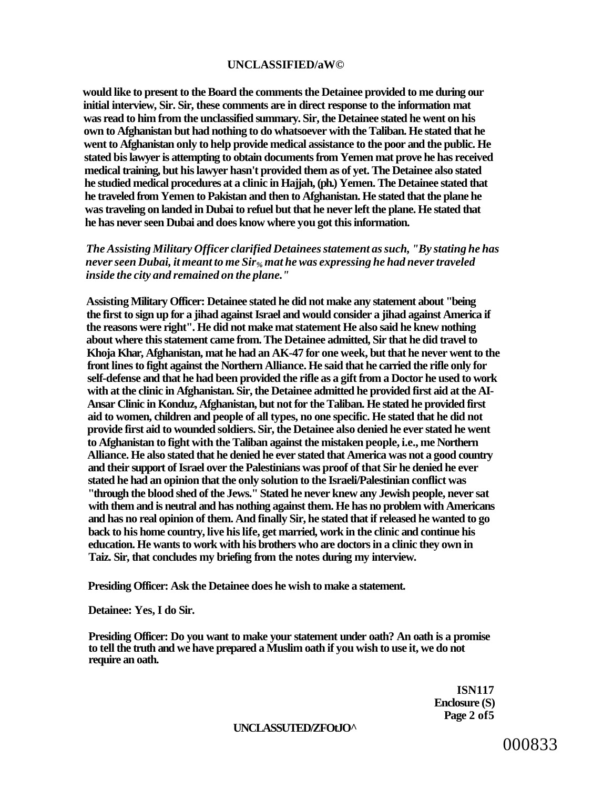#### **UNCLASSIFIED/aW©**

**would like to present to the Board the comments the Detainee provided to me during our initial interview, Sir. Sir, these comments are in direct response to the information mat was read to him from the unclassified summary. Sir, the Detainee stated he went on his own to Afghanistan but had nothing to do whatsoever with the Taliban. He stated that he went to Afghanistan only to help provide medical assistance to the poor and the public. He stated bis lawyer is attempting to obtain documents from Yemen mat prove he has received medical training, but his lawyer hasn't provided them as of yet. The Detainee also stated he studied medical procedures at a clinic in Hajjah, (ph.) Yemen. The Detainee stated that he traveled from Yemen to Pakistan and then to Afghanistan. He stated that the plane he was traveling on landed in Dubai to refuel but that he never left the plane. He stated that he has never seen Dubai and does know where you got this information.** 

*The Assisting Military Officer clarified Detainees statement as such, "By stating he has never seen Dubai, it meant to me Sir% mat he was expressing he had never traveled inside the city and remained on the plane."* 

**Assisting Military Officer: Detainee stated he did not make any statement about "being the first to sign up for a jihad against Israel and would consider a jihad against America if the reasons were right". He did not make mat statement He also said he knew nothing about where this statement came from. The Detainee admitted, Sir that he did travel to Khoja Khar, Afghanistan, mat he had an AK-47 for one week, but that he never went to the front lines to fight against the Northern Alliance. He said that he carried the rifle only for self-defense and that he had been provided the rifle as a gift from a Doctor he used to work with at the clinic in Afghanistan. Sir, the Detainee admitted he provided first aid at the AI-Ansar Clinic in Konduz, Afghanistan, but not for the Taliban. He stated he provided first aid to women, children and people of all types, no one specific. He stated that he did not provide first aid to wounded soldiers. Sir, the Detainee also denied he ever stated he went to Afghanistan to fight with the Taliban against the mistaken people, i.e., me Northern Alliance. He also stated that he denied he ever stated that America was not a good country and their support of Israel over the Palestinians was proof of that Sir he denied he ever stated he had an opinion that the only solution to the Israeli/Palestinian conflict was "through the blood shed of the Jews." Stated he never knew any Jewish people, never sat with them and is neutral and has nothing against them. He has no problem with Americans and has no real opinion of them. And finally Sir, he stated that if released he wanted to go back to his home country, live his life, get married, work in the clinic and continue his education. He wants to work with his brothers who are doctors in a clinic they own in Taiz. Sir, that concludes my briefing from the notes during my interview.** 

**Presiding Officer: Ask the Detainee does he wish to make a statement.** 

**Detainee: Yes, I do Sir.** 

**Presiding Officer: Do you want to make your statement under oath? An oath is a promise to tell the truth and we have prepared a Muslim oath if you wish to use it, we do not require an oath.** 

> **ISN117 Enclosure (S) Page 2 of5**

#### **UNCLASSUTED/ZFOtJO^**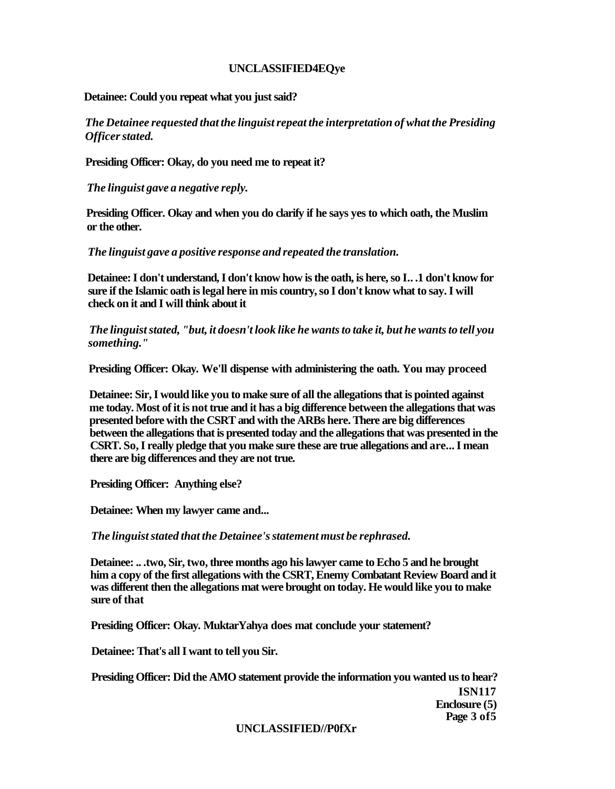#### **UNCLASSIFIED4EQye**

**Detainee: Could you repeat what you just said?** 

*The Detainee requested that the linguist repeat the interpretation of what the Presiding Officer stated.* 

**Presiding Officer: Okay, do you need me to repeat it?** 

*The linguist gave a negative reply.* 

**Presiding Officer. Okay and when you do clarify if he says yes to which oath, the Muslim or the other.** 

*The linguist gave a positive response and repeated the translation.* 

**Detainee: I don't understand, I don't know how is the oath, is here, so I.. .1 don't know for sure if the Islamic oath is legal here in mis country, so I don't know what to say. I will check on it and I will think about it** 

*The linguist stated, "but, it doesn't look like he wants to take it, but he wants to tell you something."* 

**Presiding Officer: Okay. We'll dispense with administering the oath. You may proceed** 

**Detainee: Sir, I would like you to make sure of all the allegations that is pointed against me today. Most of it is not true and it has a big difference between the allegations that was presented before with the CSRT and with the ARBs here. There are big differences between the allegations that is presented today and the allegations that was presented in the CSRT. So, I really pledge that you make sure these are true allegations and are... I mean there are big differences and they are not true.** 

**Presiding Officer: Anything else?** 

**Detainee: When my lawyer came and...** 

*The linguist stated that the Detainee's statement must be rephrased.* 

**Detainee: .. .two, Sir, two, three months ago his lawyer came to Echo 5 and he brought him a copy of the first allegations with the CSRT, Enemy Combatant Review Board and it was different then the allegations mat were brought on today. He would like you to make sure of that** 

**Presiding Officer: Okay. MuktarYahya does mat conclude your statement?** 

**Detainee: That's all I want to tell you Sir.** 

**Presiding Officer: Did the AMO statement provide the information you wanted us to hear? ISN117** 

**Enclosure (5) Page 3 of5** 

**UNCLASSIFIED//P0fXr**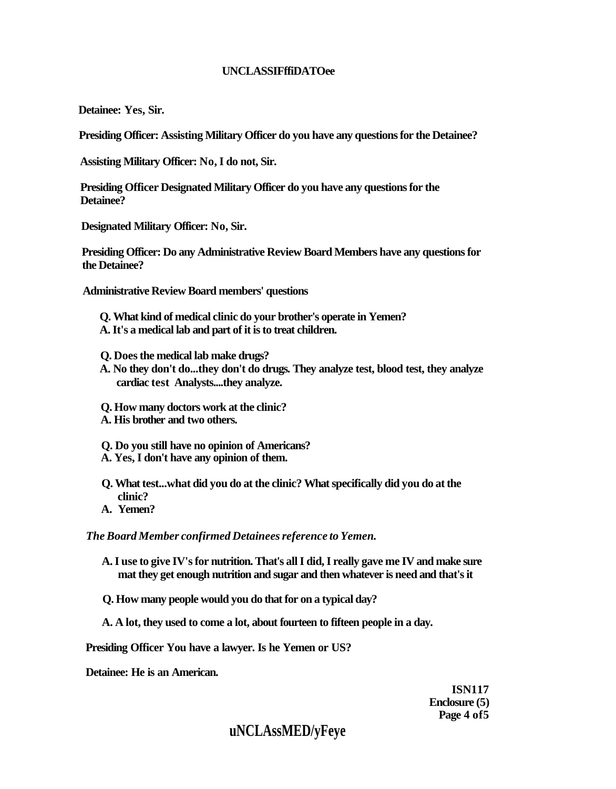## **UNCLASSIFffiDATOee**

**Detainee: Yes, Sir.** 

**Presiding Officer: Assisting Military Officer do you have any questions for the Detainee?** 

**Assisting Military Officer: No, I do not, Sir.** 

**Presiding Officer Designated Military Officer do you have any questions for the Detainee?** 

**Designated Military Officer: No, Sir.** 

**Presiding Officer: Do any Administrative Review Board Members have any questions for the Detainee?** 

**Administrative Review Board members' questions** 

- **Q. What kind of medical clinic do your brother's operate in Yemen? A. It's a medical lab and part of it is to treat children.**
- **Q. Does the medical lab make drugs?**
- **A. No they don't do...they don't do drugs. They analyze test, blood test, they analyze cardiac test Analysts....they analyze.**
- **Q. How many doctors work at the clinic?**
- **A. His brother and two others.**
- **Q. Do you still have no opinion of Americans?**
- **A. Yes, I don't have any opinion of them.**
- **Q. What test...what did you do at the clinic? What specifically did you do at the clinic?**
- **A. Yemen?**

*The Board Member confirmed Detainees reference to Yemen.* 

- **A. I use to give IV's for nutrition. That's all I did, I really gave me IV and make sure mat they get enough nutrition and sugar and then whatever is need and that's it**
- **Q. How many people would you do that for on a typical day?**
- **A. A lot, they used to come a lot, about fourteen to fifteen people in a day.**

**Presiding Officer You have a lawyer. Is he Yemen or US?** 

**Detainee: He is an American.** 

**ISN117 Enclosure (5) Page 4 of5** 

# **uNCLAssMED/yFeye**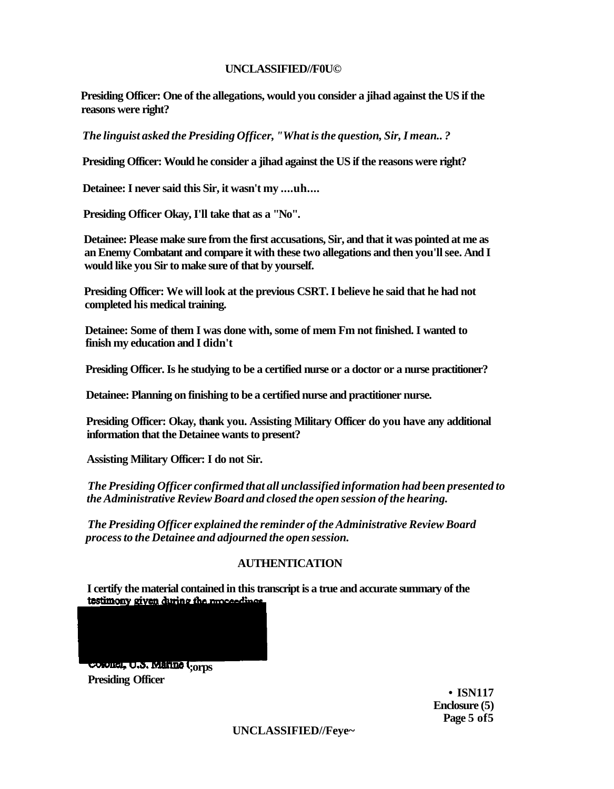#### **UNCLASSIFIED//F0U©**

**Presiding Officer: One of the allegations, would you consider a jihad against the US if the reasons were right?** 

*The linguist asked the Presiding Officer, "What is the question, Sir, I mean.. ?* 

**Presiding Officer: Would he consider a jihad against the US if the reasons were right?** 

**Detainee: I never said this Sir, it wasn't my ....uh....** 

**Presiding Officer Okay, I'll take that as a "No".** 

**Detainee: Please make sure from the first accusations, Sir, and that it was pointed at me as an Enemy Combatant and compare it with these two allegations and then you'll see. And I would like you Sir to make sure of that by yourself.** 

**Presiding Officer: We will look at the previous CSRT. I believe he said that he had not completed his medical training.** 

**Detainee: Some of them I was done with, some of mem Fm not finished. I wanted to finish my education and I didn't** 

**Presiding Officer. Is he studying to be a certified nurse or a doctor or a nurse practitioner?** 

**Detainee: Planning on finishing to be a certified nurse and practitioner nurse.** 

**Presiding Officer: Okay, thank you. Assisting Military Officer do you have any additional information that the Detainee wants to present?** 

**Assisting Military Officer: I do not Sir.** 

*The Presiding Officer confirmed that all unclassified information had been presented to the Administrative Review Board and closed the open session of the hearing.* 

*The Presiding Officer explained the reminder of the Administrative Review Board process to the Detainee and adjourned the open session.* 

# **AUTHENTICATION**

**I certify the material contained in this transcript is a true and accurate summary of the** 

coronel, **U.S. Marine Q**<sub>orps</sub> **Presiding Officer** 

> **• ISN117 Enclosure (5) Page 5 of5**

**UNCLASSIFIED//Feye~**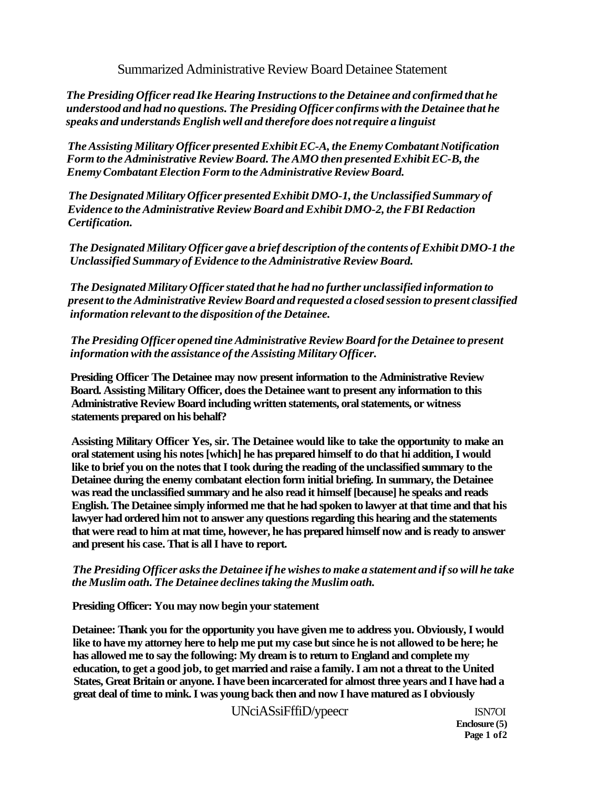Summarized Administrative Review Board Detainee Statement

*The Presiding Officer read Ike Hearing Instructions to the Detainee and confirmed that he understood and had no questions. The Presiding Officer confirms with the Detainee that he speaks and understands English well and therefore does not require a linguist* 

*The Assisting Military Officer presented Exhibit EC-A, the Enemy Combatant Notification Form to the Administrative Review Board. The AMO then presented Exhibit EC-B, the Enemy Combatant Election Form to the Administrative Review Board.* 

*The Designated Military Officer presented Exhibit DMO-1, the Unclassified Summary of Evidence to the Administrative Review Board and Exhibit DMO-2, the FBI Redaction Certification.* 

*The Designated Military Officer gave a brief description of the contents of Exhibit DMO-1 the Unclassified Summary of Evidence to the Administrative Review Board.* 

*The Designated Military Officer stated that he had no further unclassified information to present to the Administrative Review Board and requested a closed session to present classified information relevant to the disposition of the Detainee.* 

*The Presiding Officer opened tine Administrative Review Board for the Detainee to present information with the assistance of the Assisting Military Officer.* 

**Presiding Officer The Detainee may now present information to the Administrative Review Board. Assisting Military Officer, does the Detainee want to present any information to this Administrative Review Board including written statements, oral statements, or witness statements prepared on his behalf?** 

**Assisting Military Officer Yes, sir. The Detainee would like to take the opportunity to make an oral statement using his notes [which] he has prepared himself to do that hi addition, I would like to brief you on the notes that I took during the reading of the unclassified summary to the Detainee during the enemy combatant election form initial briefing. In summary, the Detainee was read the unclassified summary and he also read it himself [because] he speaks and reads English. The Detainee simply informed me that he had spoken to lawyer at that time and that his lawyer had ordered him not to answer any questions regarding this hearing and the statements that were read to him at mat time, however, he has prepared himself now and is ready to answer and present his case. That is all I have to report.** 

### *The Presiding Officer asks the Detainee if he wishes to make a statement and if so will he take the Muslim oath. The Detainee declines taking the Muslim oath.*

**Presiding Officer: You may now begin your statement** 

**Detainee: Thank you for the opportunity you have given me to address you. Obviously, I would like to have my attorney here to help me put my case but since he is not allowed to be here; he has allowed me to say the following: My dream is to return to England and complete my education, to get a good job, to get married and raise a family. I am not a threat to the United States, Great Britain or anyone. I have been incarcerated for almost three years and I have had a great deal of time to mink. I was young back then and now I have matured as I obviously** 

UNciASsiFffiD/ypeecr ISN7OI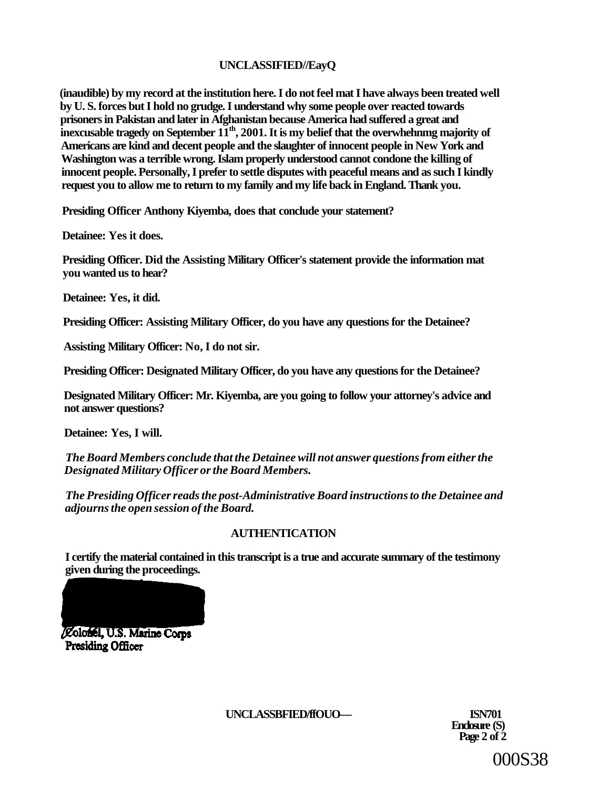# **UNCLASSIFIED//EayQ**

**(inaudible) by my record at the institution here. I do not feel mat I have always been treated well by U. S. forces but I hold no grudge. I understand why some people over reacted towards prisoners in Pakistan and later in Afghanistan because America had suffered a great and**   $\overline{\textbf{i}}$  inexcusable tragedy on September  $11^{\text{th}}$ , 2001. It is my belief that the overwhehnmg majority of **Americans are kind and decent people and the slaughter of innocent people in New York and Washington was a terrible wrong. Islam properly understood cannot condone the killing of innocent people. Personally, I prefer to settle disputes with peaceful means and as such I kindly request you to allow me to return to my family and my life back in England. Thank you.** 

**Presiding Officer Anthony Kiyemba, does that conclude your statement?** 

**Detainee: Yes it does.** 

**Presiding Officer. Did the Assisting Military Officer's statement provide the information mat you wanted us to hear?** 

**Detainee: Yes, it did.** 

**Presiding Officer: Assisting Military Officer, do you have any questions for the Detainee?** 

**Assisting Military Officer: No, I do not sir.** 

**Presiding Officer: Designated Military Officer, do you have any questions for the Detainee?** 

**Designated Military Officer: Mr. Kiyemba, are you going to follow your attorney's advice and not answer questions?** 

**Detainee: Yes, I will.** 

*The Board Members conclude that the Detainee will not answer questions from either the Designated Military Officer or the Board Members.* 

*The Presiding Officer reads the post-Administrative Board instructions to the Detainee and adjourns the open session of the Board.* 

# **AUTHENTICATION**

**I certify the material contained in this transcript is a true and accurate summary of the testimony given during the proceedings.** 



Colonel, U.S. Marine Corps **Presiding Officer** 

**UNCLASSBFIED/ffOUO— ISN701** 

**Enclosure (S) Page 2 of 2** 

000S38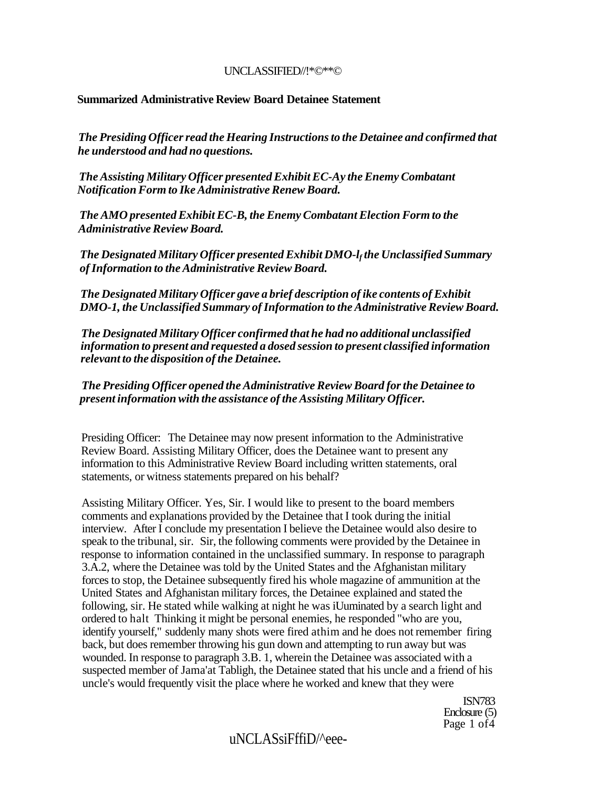#### UNCLASSIFIED//!\*©\*\*©

# **Summarized Administrative Review Board Detainee Statement**

*The Presiding Officer read the Hearing Instructions to the Detainee and confirmed that he understood and had no questions.* 

*The Assisting Military Officer presented Exhibit EC-Ay the Enemy Combatant Notification Form to Ike Administrative Renew Board.* 

*The AMO presented Exhibit EC-B, the Enemy Combatant Election Form to the Administrative Review Board.* 

*The Designated Military Officer presented Exhibit DMO-l<sup>f</sup> the Unclassified Summary of Information to the Administrative Review Board.* 

*The Designated Military Officer gave a brief description of ike contents of Exhibit DMO-1, the Unclassified Summary of Information to the Administrative Review Board.* 

*The Designated Military Officer confirmed that he had no additional unclassified information to present and requested a dosed session to present classified information relevant to the disposition of the Detainee.* 

*The Presiding Officer opened the Administrative Review Board for the Detainee to present information with the assistance of the Assisting Military Officer.* 

Presiding Officer: The Detainee may now present information to the Administrative Review Board. Assisting Military Officer, does the Detainee want to present any information to this Administrative Review Board including written statements, oral statements, or witness statements prepared on his behalf?

Assisting Military Officer. Yes, Sir. I would like to present to the board members comments and explanations provided by the Detainee that I took during the initial interview. After I conclude my presentation I believe the Detainee would also desire to speak to the tribunal, sir. Sir, the following comments were provided by the Detainee in response to information contained in the unclassified summary. In response to paragraph 3.A.2, where the Detainee was told by the United States and the Afghanistan military forces to stop, the Detainee subsequently fired his whole magazine of ammunition at the United States and Afghanistan military forces, the Detainee explained and stated the following, sir. He stated while walking at night he was iUuminated by a search light and ordered to halt Thinking it might be personal enemies, he responded "who are you, identify yourself," suddenly many shots were fired athim and he does not remember firing back, but does remember throwing his gun down and attempting to run away but was wounded. In response to paragraph 3.B. 1, wherein the Detainee was associated with a suspected member of Jama'at Tabligh, the Detainee stated that his uncle and a friend of his uncle's would frequently visit the place where he worked and knew that they were

> ISN783 Enclosure (5) Page 1 of 4

# uNCLASsiFffiD/^eee-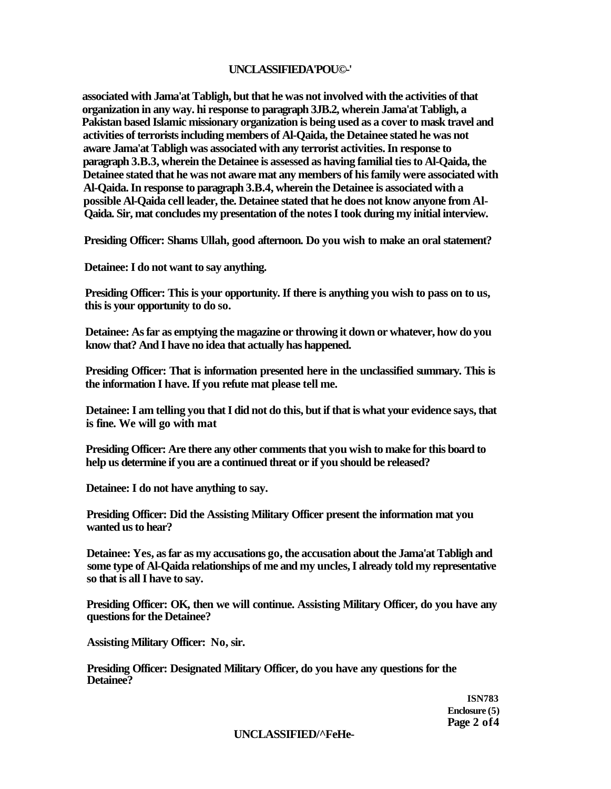# **UNCLASSIFIEDA'POU©-'**

**associated with Jama'at Tabligh, but that he was not involved with the activities of that organization in any way. hi response to paragraph 3JB.2, wherein Jama'at Tabligh, a Pakistan based Islamic missionary organization is being used as a cover to mask travel and activities of terrorists including members of Al-Qaida, the Detainee stated he was not aware Jama'at Tabligh was associated with any terrorist activities. In response to paragraph 3.B.3, wherein the Detainee is assessed as having familial ties to Al-Qaida, the Detainee stated that he was not aware mat any members of his family were associated with Al-Qaida. In response to paragraph 3.B.4, wherein the Detainee is associated with a possible Al-Qaida cell leader, the. Detainee stated that he does not know anyone from Al-Qaida. Sir, mat concludes my presentation of the notes I took during my initial interview.** 

**Presiding Officer: Shams Ullah, good afternoon. Do you wish to make an oral statement?** 

**Detainee: I do not want to say anything.** 

**Presiding Officer: This is your opportunity. If there is anything you wish to pass on to us, this is your opportunity to do so.** 

**Detainee: As far as emptying the magazine or throwing it down or whatever, how do you know that? And I have no idea that actually has happened.** 

**Presiding Officer: That is information presented here in the unclassified summary. This is the information I have. If you refute mat please tell me.** 

**Detainee: I am telling you that I did not do this, but if that is what your evidence says, that is fine. We will go with mat** 

**Presiding Officer: Are there any other comments that you wish to make for this board to help us determine if you are a continued threat or if you should be released?** 

**Detainee: I do not have anything to say.** 

**Presiding Officer: Did the Assisting Military Officer present the information mat you wanted us to hear?** 

**Detainee: Yes, as far as my accusations go, the accusation about the Jama'at Tabligh and some type of Al-Qaida relationships of me and my uncles, I already told my representative so that is all I have to say.** 

**Presiding Officer: OK, then we will continue. Assisting Military Officer, do you have any questions for the Detainee?** 

**Assisting Military Officer: No, sir.** 

**Presiding Officer: Designated Military Officer, do you have any questions for the Detainee?** 

> **ISN783 Enclosure (5) Page 2 of4**

**UNCLASSIFIED/^FeHe-**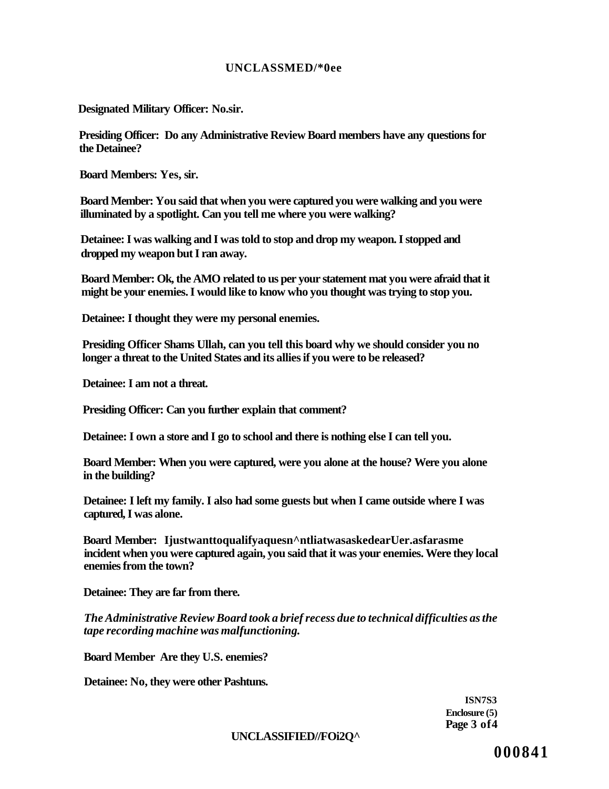#### **UNCLASSMED/\*0ee**

**Designated Military Officer: No.sir.** 

**Presiding Officer: Do any Administrative Review Board members have any questions for the Detainee?** 

**Board Members: Yes, sir.** 

**Board Member: You said that when you were captured you were walking and you were illuminated by a spotlight. Can you tell me where you were walking?** 

**Detainee: I was walking and I was told to stop and drop my weapon. I stopped and dropped my weapon but I ran away.** 

**Board Member: Ok, the AMO related to us per your statement mat you were afraid that it might be your enemies. I would like to know who you thought was trying to stop you.** 

**Detainee: I thought they were my personal enemies.** 

**Presiding Officer Shams Ullah, can you tell this board why we should consider you no longer a threat to the United States and its allies if you were to be released?** 

**Detainee: I am not a threat.** 

**Presiding Officer: Can you further explain that comment?** 

**Detainee: I own a store and I go to school and there is nothing else I can tell you.** 

**Board Member: When you were captured, were you alone at the house? Were you alone in the building?** 

**Detainee: I left my family. I also had some guests but when I came outside where I was captured, I was alone.** 

**Board Member: Ijustwanttoqualifyaquesn^ntliatwasaskedearUer.asfarasme incident when you were captured again, you said that it was your enemies. Were they local enemies from the town?** 

**Detainee: They are far from there.** 

*The Administrative Review Board took a brief recess due to technical difficulties as the tape recording machine was malfunctioning.* 

**Board Member Are they U.S. enemies?** 

**Detainee: No, they were other Pashtuns.** 

**ISN7S3 Enclosure (5) Page 3 of4** 

**UNCLASSIFIED//FOi2Q^**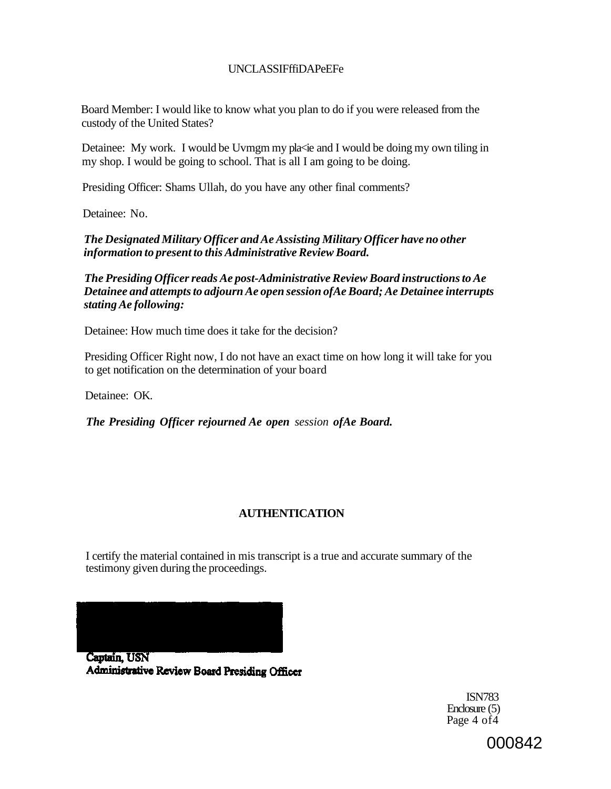## UNCLASSIFffiDAPeEFe

Board Member: I would like to know what you plan to do if you were released from the custody of the United States?

Detainee: My work. I would be Uvmgm my pla<ie and I would be doing my own tiling in my shop. I would be going to school. That is all I am going to be doing.

Presiding Officer: Shams Ullah, do you have any other final comments?

Detainee: No.

*The Designated Military Officer and Ae Assisting Military Officer have no other information to present to this Administrative Review Board.* 

*The Presiding Officer reads Ae post-Administrative Review Board instructions to Ae Detainee and attempts to adjourn Ae open session ofAe Board; Ae Detainee interrupts stating Ae following:* 

Detainee: How much time does it take for the decision?

Presiding Officer Right now, I do not have an exact time on how long it will take for you to get notification on the determination of your board

Detainee: OK.

*The Presiding Officer rejourned Ae open session ofAe Board.* 

# **AUTHENTICATION**

I certify the material contained in mis transcript is a true and accurate summary of the testimony given during the proceedings.



Captain, USN Administrative Review Board Presiding Officer

ISN783 Enclosure (5) Page  $4$  of  $4$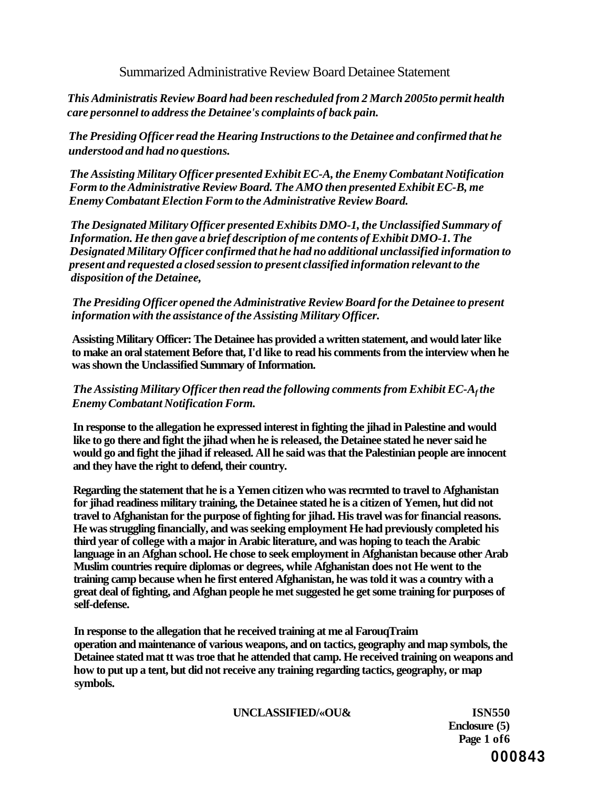Summarized Administrative Review Board Detainee Statement

*This Administratis Review Board had been rescheduled from 2 March 2005to permit health care personnel to address the Detainee's complaints of back pain.* 

*The Presiding Officer read the Hearing Instructions to the Detainee and confirmed that he understood and had no questions.* 

*The Assisting Military Officer presented Exhibit EC-A, the Enemy Combatant Notification Form to the Administrative Review Board. The AMO then presented Exhibit EC-B, me Enemy Combatant Election Form to the Administrative Review Board.* 

*The Designated Military Officer presented Exhibits DMO-1, the Unclassified Summary of Information. He then gave a brief description of me contents of Exhibit DMO-1. The Designated Military Officer confirmed that he had no additional unclassified information to present and requested a closed session to present classified information relevant to the disposition of the Detainee,* 

*The Presiding Officer opened the Administrative Review Board for the Detainee to present information with the assistance of the Assisting Military Officer.* 

**Assisting Military Officer: The Detainee has provided a written statement, and would later like to make an oral statement Before that, I'd like to read his comments from the interview when he was shown the Unclassified Summary of Information.** 

*The Assisting Military Officer then read the following comments from Exhibit EC-A<sup>f</sup> the Enemy Combatant Notification Form.* 

**In response to the allegation he expressed interest in fighting the jihad in Palestine and would like to go there and fight the jihad when he is released, the Detainee stated he never said he would go and fight the jihad if released. All he said was that the Palestinian people are innocent and they have the right to defend, their country.** 

**Regarding the statement that he is a Yemen citizen who was recrmted to travel to Afghanistan for jihad readiness military training, the Detainee stated he is a citizen of Yemen, hut did not travel to Afghanistan for the purpose of fighting for jihad. His travel was for financial reasons. He was struggling financially, and was seeking employment He had previously completed his third year of college with a major in Arabic literature, and was hoping to teach the Arabic language in an Afghan school. He chose to seek employment in Afghanistan because other Arab Muslim countries require diplomas or degrees, while Afghanistan does not He went to the training camp because when he first entered Afghanistan, he was told it was a country with a great deal of fighting, and Afghan people he met suggested he get some training for purposes of self-defense.** 

**In response to the allegation that he received training at me al FarouqTraim operation and maintenance of various weapons, and on tactics, geography and map symbols, the Detainee stated mat tt was troe that he attended that camp. He received training on weapons and how to put up a tent, but did not receive any training regarding tactics, geography, or map symbols.** 

**UNCLASSIFIED/«OU& ISN550** 

**Enclosure (5) Page 1 of6 000843**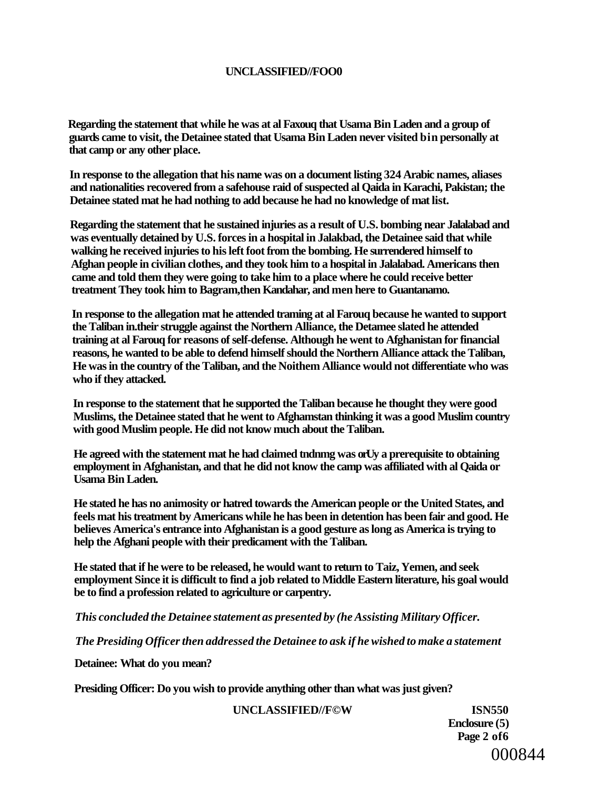### **UNCLASSIFIED//FOO0**

**Regarding the statement that while he was at al Faxouq that Usama Bin Laden and a group of guards came to visit, the Detainee stated that Usama Bin Laden never visited bin personally at that camp or any other place.** 

**In response to the allegation that his name was on a document listing 324 Arabic names, aliases and nationalities recovered from a safehouse raid of suspected al Qaida in Karachi, Pakistan; the Detainee stated mat he had nothing to add because he had no knowledge of mat list.** 

**Regarding the statement that he sustained injuries as a result of U.S. bombing near Jalalabad and was eventually detained by U.S. forces in a hospital in Jalakbad, the Detainee said that while walking he received injuries to his left foot from the bombing. He surrendered himself to Afghan people in civilian clothes, and they took him to a hospital in Jalalabad. Americans then came and told them they were going to take him to a place where he could receive better treatment They took him to Bagram,then Kandahar, and men here to Guantanamo.** 

**In response to the allegation mat he attended traming at al Farouq because he wanted to support the Taliban in.their struggle against the Northern Alliance, the Detamee slated he attended training at al Farouq for reasons of self-defense. Although he went to Afghanistan for financial reasons, he wanted to be able to defend himself should the Northern Alliance attack the Taliban, He was in the country of the Taliban, and the Noithem Alliance would not differentiate who was who if they attacked.** 

**In response to the statement that he supported the Taliban because he thought they were good Muslims, the Detainee stated that he went to Afghamstan thinking it was a good Muslim country with good Muslim people. He did not know much about the Taliban.** 

**He agreed with the statement mat he had claimed tndnmg was orUy a prerequisite to obtaining employment in Afghanistan, and that he did not know the camp was affiliated with al Qaida or Usama Bin Laden.** 

**He stated he has no animosity or hatred towards the American people or the United States, and feels mat his treatment by Americans while he has been in detention has been fair and good. He believes America's entrance into Afghanistan is a good gesture as long as America is trying to help the Afghani people with their predicament with the Taliban.** 

**He stated that if he were to be released, he would want to return to Taiz, Yemen, and seek employment Since it is difficult to find a job related to Middle Eastern literature, his goal would be to find a profession related to agriculture or carpentry.** 

*This concluded the Detainee statement as presented by (he Assisting Military Officer.* 

*The Presiding Officer then addressed the Detainee to ask if he wished to make a statement* 

**Detainee: What do you mean?** 

**Presiding Officer: Do you wish to provide anything other than what was just given?** 

#### **UNCLASSIFIED//F©W ISN550**

**Enclosure (5) Page 2 of6**  000844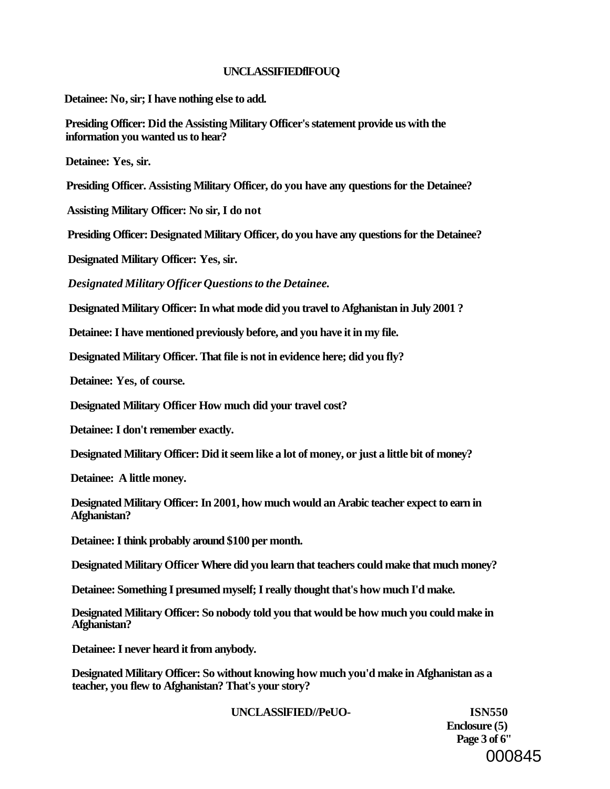#### **UNCLASSIFIEDflFOUQ**

**Detainee: No, sir; I have nothing else to add.** 

**Presiding Officer: Did the Assisting Military Officer's statement provide us with the information you wanted us to hear?** 

**Detainee: Yes, sir.** 

**Presiding Officer. Assisting Military Officer, do you have any questions for the Detainee?** 

**Assisting Military Officer: No sir, I do not** 

**Presiding Officer: Designated Military Officer, do you have any questions for the Detainee?** 

**Designated Military Officer: Yes, sir.** 

*Designated Military Officer Questions to the Detainee.* 

**Designated Military Officer: In what mode did you travel to Afghanistan in July 2001 ?** 

**Detainee: I have mentioned previously before, and you have it in my file.** 

**Designated Military Officer. That file is not in evidence here; did you fly?** 

**Detainee: Yes, of course.** 

**Designated Military Officer How much did your travel cost?** 

**Detainee: I don't remember exactly.** 

**Designated Military Officer: Did it seem like a lot of money, or just a little bit of money?** 

**Detainee: A little money.** 

**Designated Military Officer: In 2001, how much would an Arabic teacher expect to earn in Afghanistan?** 

**Detainee: I think probably around \$100 per month.** 

**Designated Military Officer Where did you learn that teachers could make that much money?** 

**Detainee: Something I presumed myself; I really thought that's how much I'd make.** 

**Designated Military Officer: So nobody told you that would be how much you could make in Afghanistan?** 

**Detainee: I never heard it from anybody.** 

**Designated Military Officer: So without knowing how much you'd make in Afghanistan as a teacher, you flew to Afghanistan? That's your story?** 

**UNCLASSlFIED//PeUO- ISN550** 

**Enclosure (5) Page 3 of 6"**  000845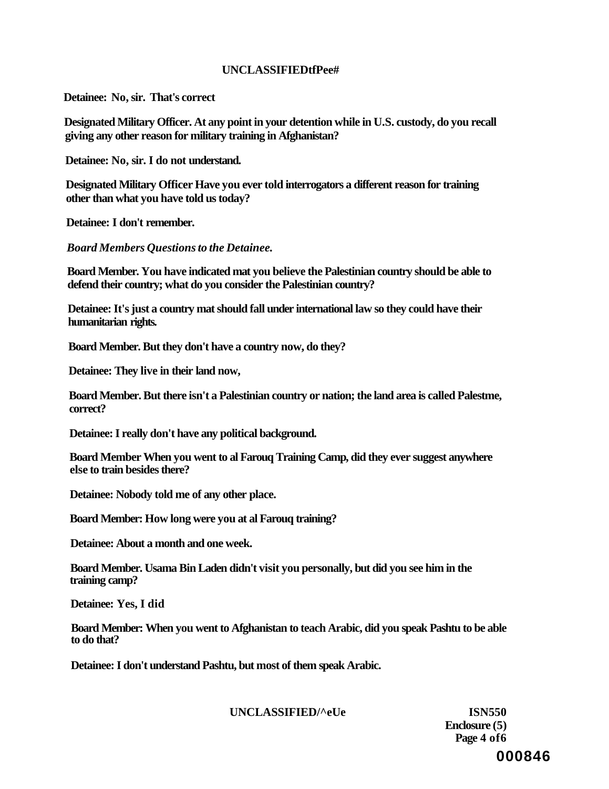### **UNCLASSIFIEDtfPee#**

**Detainee: No, sir. That's correct** 

**Designated Military Officer. At any point in your detention while in U.S. custody, do you recall giving any other reason for military training in Afghanistan?** 

**Detainee: No, sir. I do not understand.** 

**Designated Military Officer Have you ever told interrogators a different reason for training other than what you have told us today?** 

**Detainee: I don't remember.** 

*Board Members Questions to the Detainee.* 

**Board Member. You have indicated mat you believe the Palestinian country should be able to defend their country; what do you consider the Palestinian country?** 

**Detainee: It's just a country mat should fall under international law so they could have their humanitarian rights.** 

**Board Member. But they don't have a country now, do they?** 

**Detainee: They live in their land now,** 

**Board Member. But there isn't a Palestinian country or nation; the land area is called Palestme, correct?** 

**Detainee: I really don't have any political background.** 

**Board Member When you went to al Farouq Training Camp, did they ever suggest anywhere else to train besides there?** 

**Detainee: Nobody told me of any other place.** 

**Board Member: How long were you at al Farouq training?** 

**Detainee: About a month and one week.** 

**Board Member. Usama Bin Laden didn't visit you personally, but did you see him in the training camp?** 

**Detainee: Yes, I did** 

**Board Member: When you went to Afghanistan to teach Arabic, did you speak Pashtu to be able to do that?** 

**Detainee: I don't understand Pashtu, but most of them speak Arabic.** 

**UNCLASSIFIED/^eUe ISN550** 

**Enclosure (5) Page 4 of6 000846**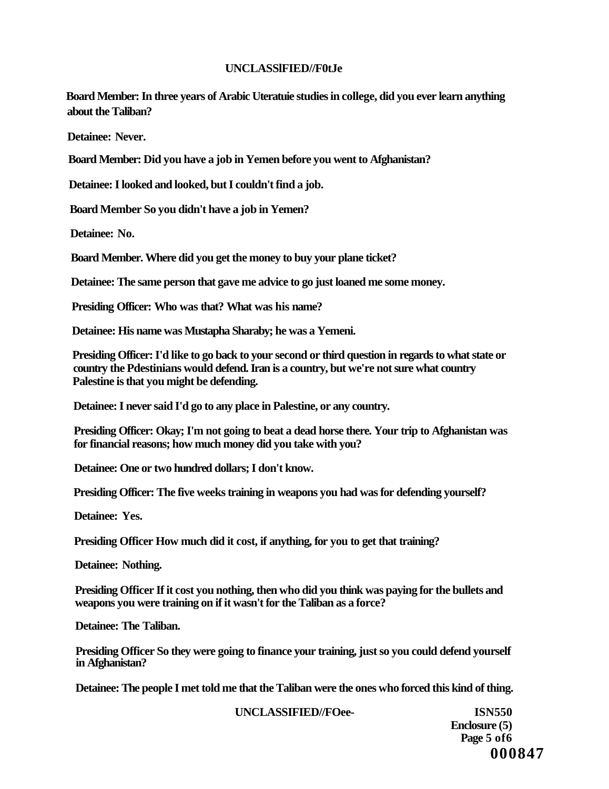### **UNCLASSlFIED//F0tJe**

**Board Member: In three years of Arabic Uteratuie studies in college, did you ever learn anything about the Taliban?** 

**Detainee: Never.** 

**Board Member: Did you have a job in Yemen before you went to Afghanistan?** 

**Detainee: I looked and looked, but I couldn't find a job.** 

**Board Member So you didn't have a job in Yemen?** 

**Detainee: No.** 

**Board Member. Where did you get the money to buy your plane ticket?** 

**Detainee: The same person that gave me advice to go just loaned me some money.** 

**Presiding Officer: Who was that? What was his name?** 

**Detainee: His name was Mustapha Sharaby; he was a Yemeni.** 

**Presiding Officer: I'd like to go back to your second or third question in regards to what state or country the Pdestinians would defend. Iran is a country, but we're not sure what country Palestine is that you might be defending.** 

**Detainee: I never said I'd go to any place in Palestine, or any country.** 

**Presiding Officer: Okay; I'm not going to beat a dead horse there. Your trip to Afghanistan was for financial reasons; how much money did you take with you?** 

**Detainee: One or two hundred dollars; I don't know.** 

**Presiding Officer: The five weeks training in weapons you had was for defending yourself?** 

**Detainee: Yes.** 

**Presiding Officer How much did it cost, if anything, for you to get that training?** 

**Detainee: Nothing.** 

**Presiding Officer If it cost you nothing, then who did you think was paying for the bullets and weapons you were training on if it wasn't for the Taliban as a force?** 

**Detainee: The Taliban.** 

**Presiding Officer So they were going to finance your training, just so you could defend yourself in Afghanistan?** 

**Detainee: The people I met told me that the Taliban were the ones who forced this kind of thing.** 

**UNCLASSIFIED//FOee- ISN550** 

**Enclosure (5) Page 5 of6 000847**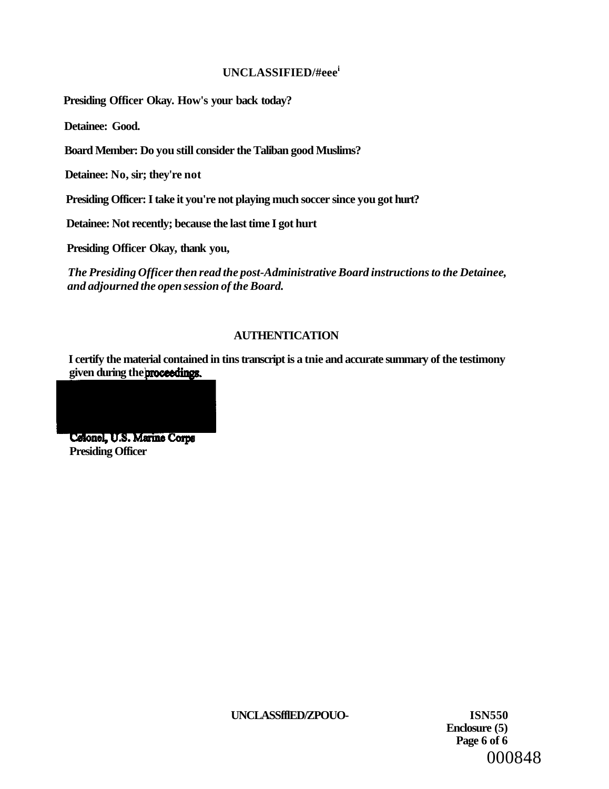### **UNCLASSIFIED/#eee<sup>i</sup>**

**Presiding Officer Okay. How's your back today?** 

**Detainee: Good.** 

**Board Member: Do you still consider the Taliban good Muslims?** 

**Detainee: No, sir; they're not** 

**Presiding Officer: I take it you're not playing much soccer since you got hurt?** 

**Detainee: Not recently; because the last time I got hurt** 

**Presiding Officer Okay, thank you,** 

*The Presiding Officer then read the post-Administrative Board instructions to the Detainee, and adjourned the open session of the Board.* 

# **AUTHENTICATION**

**I certify the material contained in tins transcript is a tnie and accurate summary of the testimony**  given during the **proceedings**.



**Presiding Officer** 

**UNCLASSfflED/ZPOUO- ISN550** 

**Enclosure (5) Page 6 of 6**  000848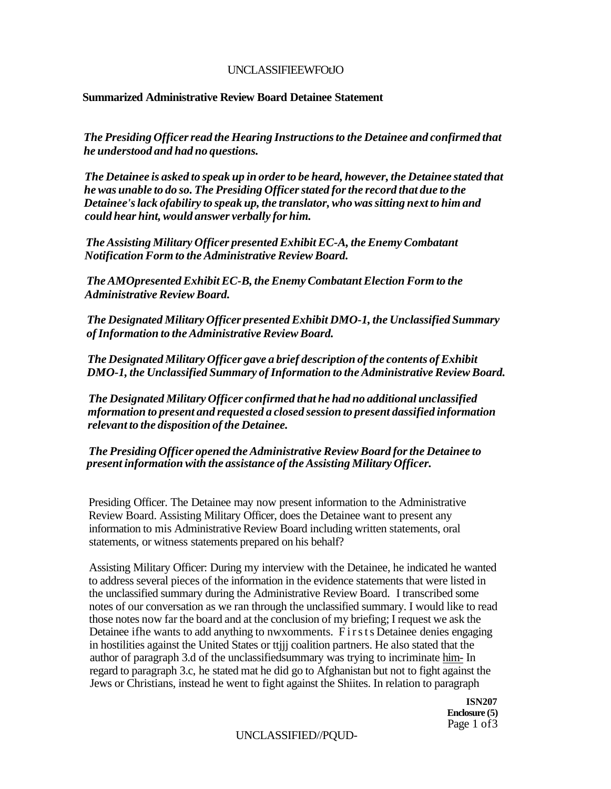### UNCLASSIFIEEWFOtJO

### **Summarized Administrative Review Board Detainee Statement**

*The Presiding Officer read the Hearing Instructions to the Detainee and confirmed that he understood and had no questions.* 

*The Detainee is asked to speak up in order to be heard, however, the Detainee stated that he was unable to do so. The Presiding Officer stated for the record that due to the Detainee's lack ofabiliry to speak up, the translator, who was sitting next to him and could hear hint, would answer verbally for him.* 

*The Assisting Military Officer presented Exhibit EC-A, the Enemy Combatant Notification Form to the Administrative Review Board.* 

*The AMOpresented Exhibit EC-B, the Enemy Combatant Election Form to the Administrative Review Board.* 

*The Designated Military Officer presented Exhibit DMO-1, the Unclassified Summary of Information to the Administrative Review Board.* 

*The Designated Military Officer gave a brief description of the contents of Exhibit DMO-1, the Unclassified Summary of Information to the Administrative Review Board.* 

*The Designated Military Officer confirmed that he had no additional unclassified mformation to present and requested a closed session to present dassified information relevant to the disposition of the Detainee.* 

*The Presiding Officer opened the Administrative Review Board for the Detainee to present information with the assistance of the Assisting Military Officer.* 

Presiding Officer. The Detainee may now present information to the Administrative Review Board. Assisting Military Officer, does the Detainee want to present any information to mis Administrative Review Board including written statements, oral statements, or witness statements prepared on his behalf?

Assisting Military Officer: During my interview with the Detainee, he indicated he wanted to address several pieces of the information in the evidence statements that were listed in the unclassified summary during the Administrative Review Board. I transcribed some notes of our conversation as we ran through the unclassified summary. I would like to read those notes now far the board and at the conclusion of my briefing; I request we ask the Detainee ifhe wants to add anything to nwxomments. Firsts Detainee denies engaging in hostilities against the United States or ttjjj coalition partners. He also stated that the author of paragraph 3.d of the unclassifiedsummary was trying to incriminate him- In regard to paragraph 3.c, he stated mat he did go to Afghanistan but not to fight against the Jews or Christians, instead he went to fight against the Shiites. In relation to paragraph

> **ISN207 Enclosure (5)**  Page 1 of 3

UNCLASSIFIED//PQUD-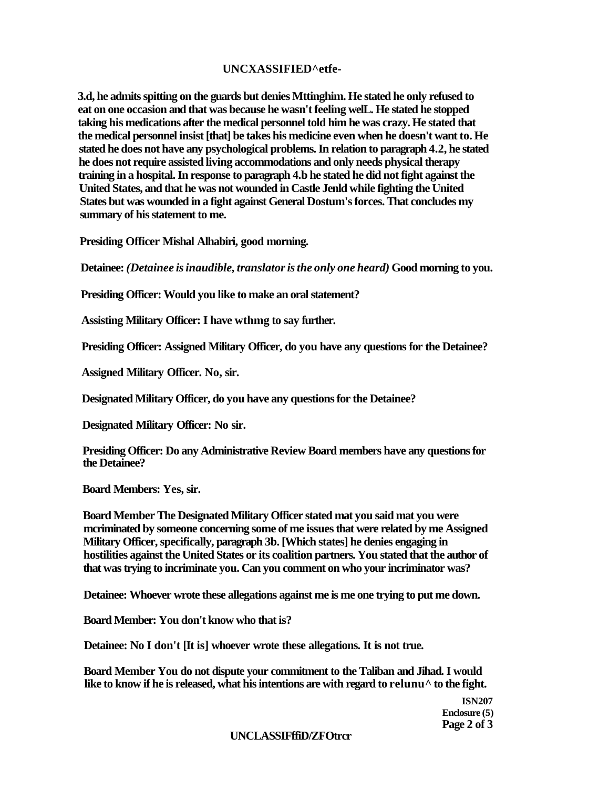### **UNCXASSIFIED^etfe-**

**3.d, he admits spitting on the guards but denies Mttinghim. He stated he only refused to eat on one occasion and that was because he wasn't feeling welL. He stated he stopped taking his medications after the medical personnel told him he was crazy. He stated that the medical personnel insist [that] be takes his medicine even when he doesn't want to. He stated he does not have any psychological problems. In relation to paragraph 4.2, he stated he does not require assisted living accommodations and only needs physical therapy training in a hospital. In response to paragraph 4.b he stated he did not fight against the United States, and that he was not wounded in Castle Jenld while fighting the United States but was wounded in a fight against General Dostum's forces. That concludes my summary of his statement to me.** 

**Presiding Officer Mishal Alhabiri, good morning.** 

**Detainee:** *(Detainee is inaudible, translator is the only one heard)* **Good morning to you.** 

**Presiding Officer: Would you like to make an oral statement?** 

**Assisting Military Officer: I have wthmg to say further.** 

**Presiding Officer: Assigned Military Officer, do you have any questions for the Detainee?** 

**Assigned Military Officer. No, sir.** 

**Designated Military Officer, do you have any questions for the Detainee?** 

**Designated Military Officer: No sir.** 

**Presiding Officer: Do any Administrative Review Board members have any questions for the Detainee?** 

**Board Members: Yes, sir.** 

**Board Member The Designated Military Officer stated mat you said mat you were mcriminated by someone concerning some of me issues that were related by me Assigned Military Officer, specifically, paragraph 3b. [Which states] he denies engaging in hostilities against the United States or its coalition partners. You stated that the author of that was trying to incriminate you. Can you comment on who your incriminator was?** 

**Detainee: Whoever wrote these allegations against me is me one trying to put me down.** 

**Board Member: You don't know who that is?** 

**Detainee: No I don't [It is] whoever wrote these allegations. It is not true.** 

**Board Member You do not dispute your commitment to the Taliban and Jihad. I would**  like to know if he is released, what his intentions are with regard to relunu<sup> $\wedge$ </sup> to the fight.

> **ISN207 Enclosure (5) Page 2 of 3**

### **UNCLASSIFffiD/ZFOtrcr**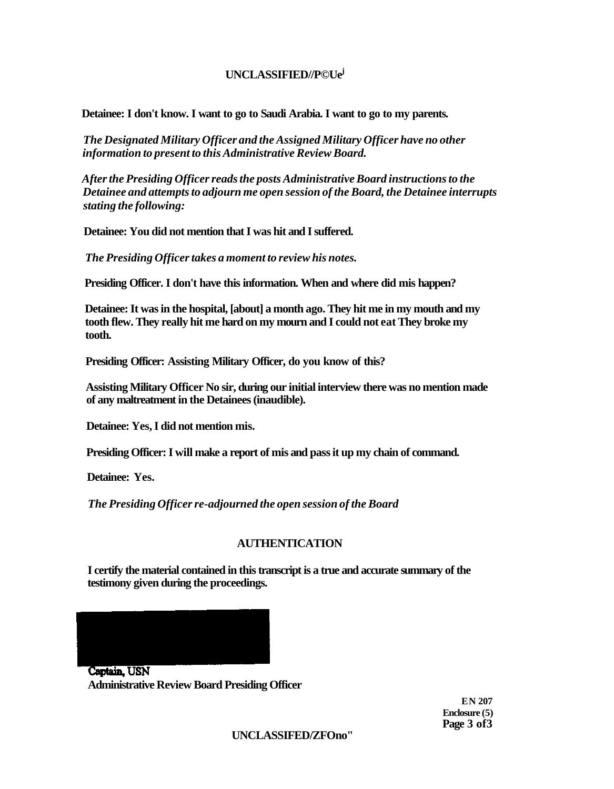### **UNCLASSIFIED//P©Ue<sup>j</sup>**

**Detainee: I don't know. I want to go to Saudi Arabia. I want to go to my parents.** 

*The Designated Military Officer and the Assigned Military Officer have no other information to present to this Administrative Review Board.* 

*After the Presiding Officer reads the posts Administrative Board instructions to the Detainee and attempts to adjourn me open session of the Board, the Detainee interrupts stating the following:* 

**Detainee: You did not mention that I was hit and I suffered.** 

*The Presiding Officer takes a moment to review his notes.* 

**Presiding Officer. I don't have this information. When and where did mis happen?** 

**Detainee: It was in the hospital, [about] a month ago. They hit me in my mouth and my tooth flew. They really hit me hard on my mourn and I could not eat They broke my tooth.** 

**Presiding Officer: Assisting Military Officer, do you know of this?** 

**Assisting Military Officer No sir, during our initial interview there was no mention made of any maltreatment in the Detainees (inaudible).** 

**Detainee: Yes, I did not mention mis.** 

**Presiding Officer: I will make a report of mis and pass it up my chain of command.** 

**Detainee: Yes.** 

*The Presiding Officer re-adjourned the open session of the Board* 

### **AUTHENTICATION**

**I certify the material contained in this transcript is a true and accurate summary of the testimony given during the proceedings.** 

Captain USN

**Administrative Review Board Presiding Officer** 

**EN 207 Enclosure (5) Page 3 of3** 

**UNCLASSIFED/ZFOno"**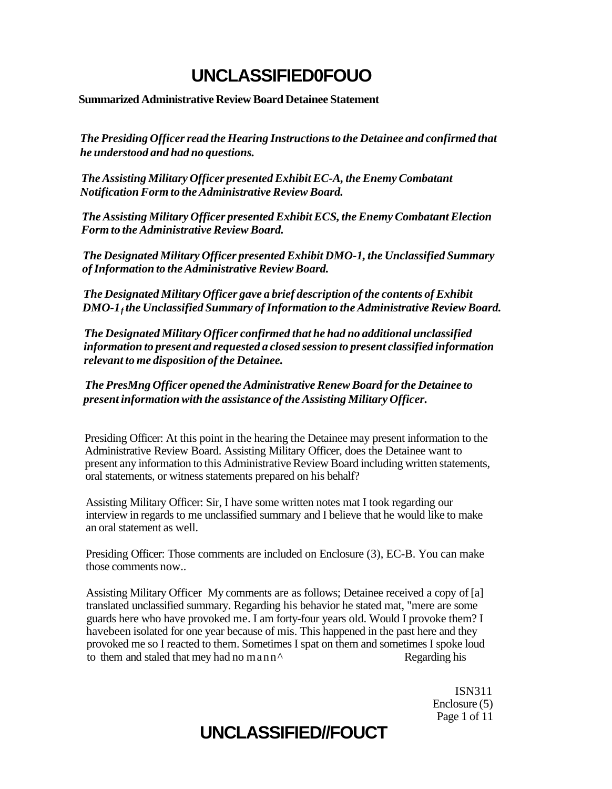# **UNCLASSIFIED0FOUO**

### **Summarized Administrative Review Board Detainee Statement**

*The Presiding Officer read the Hearing Instructions to the Detainee and confirmed that he understood and had no questions.* 

*The Assisting Military Officer presented Exhibit EC-A, the Enemy Combatant Notification Form to the Administrative Review Board.* 

*The Assisting Military Officer presented Exhibit ECS, the Enemy Combatant Election Form to the Administrative Review Board.* 

*The Designated Military Officer presented Exhibit DMO-1, the Unclassified Summary of Information to the Administrative Review Board.* 

*The Designated Military Officer gave a brief description of the contents of Exhibit DMO-1<sup>f</sup> the Unclassified Summary of Information to the Administrative Review Board.* 

*The Designated Military Officer confirmed that he had no additional unclassified information to present and requested a closed session to present classified information relevant to me disposition of the Detainee.* 

*The PresMng Officer opened the Administrative Renew Board for the Detainee to present information with the assistance of the Assisting Military Officer.* 

Presiding Officer: At this point in the hearing the Detainee may present information to the Administrative Review Board. Assisting Military Officer, does the Detainee want to present any information to this Administrative Review Board including written statements, oral statements, or witness statements prepared on his behalf?

Assisting Military Officer: Sir, I have some written notes mat I took regarding our interview in regards to me unclassified summary and I believe that he would like to make an oral statement as well.

Presiding Officer: Those comments are included on Enclosure (3), EC-B. You can make those comments now..

Assisting Military Officer My comments are as follows; Detainee received a copy of [a] translated unclassified summary. Regarding his behavior he stated mat, "mere are some guards here who have provoked me. I am forty-four years old. Would I provoke them? I havebeen isolated for one year because of mis. This happened in the past here and they provoked me so I reacted to them. Sometimes I spat on them and sometimes I spoke loud to them and staled that mey had no mann<sup> $\wedge$ </sup> Regarding his

> ISN311 Enclosure (5) Page 1 of 11

# **UNCLASSIFIED//FOUCT**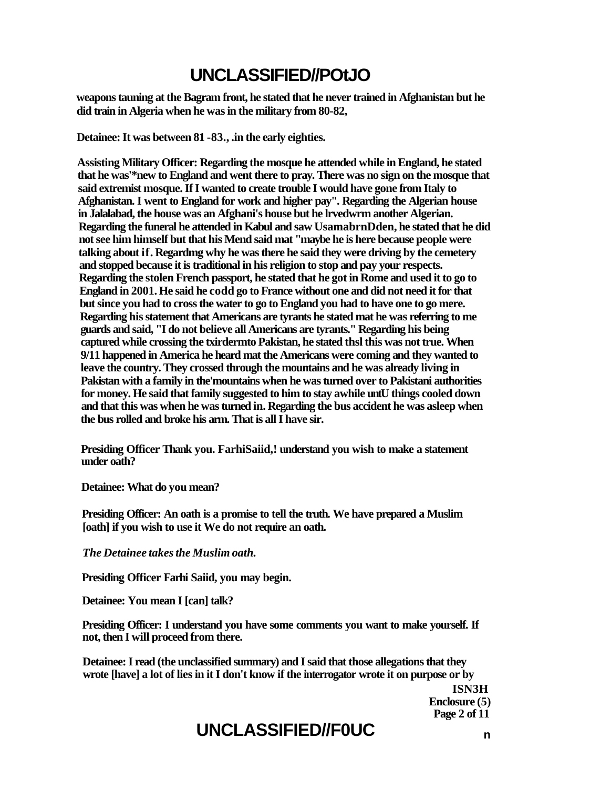# **UNCLASSIFIED//POtJO**

**weapons tauning at the Bagram front, he stated that he never trained in Afghanistan but he did train in Algeria when he was in the military from 80-82,** 

**Detainee: It was between 81 -83., .in the early eighties.** 

**Assisting Military Officer: Regarding the mosque he attended while in England, he stated that he was'\*new to England and went there to pray. There was no sign on the mosque that said extremist mosque. If I wanted to create trouble I would have gone from Italy to Afghanistan. I went to England for work and higher pay". Regarding the Algerian house in Jalalabad, the house was an Afghani's house but he lrvedwrm another Algerian. Regarding the funeral he attended in Kabul and saw UsamabrnDden, he stated that he did not see him himself but that his Mend said mat "maybe he is here because people were talking about if. Regardmg why he was there he said they were driving by the cemetery and stopped because it is traditional in his religion to stop and pay your respects. Regarding the stolen French passport, he stated that he got in Rome and used it to go to England in 2001. He said he codd go to France without one and did not need it for that but since you had to cross the water to go to England you had to have one to go mere. Regarding his statement that Americans are tyrants he stated mat he was referring to me guards and said, "I do not believe all Americans are tyrants." Regarding his being captured while crossing the txirdermto Pakistan, he stated thsl this was not true. When 9/11 happened in America he heard mat the Americans were coming and they wanted to leave the country. They crossed through the mountains and he was already living in Pakistan with a family in the'mountains when he was turned over to Pakistani authorities for money. He said that family suggested to him to stay awhile untU things cooled down and that this was when he was turned in. Regarding the bus accident he was asleep when the bus rolled and broke his arm. That is all I have sir.** 

**Presiding Officer Thank you. FarhiSaiid,! understand you wish to make a statement under oath?** 

**Detainee: What do you mean?** 

**Presiding Officer: An oath is a promise to tell the truth. We have prepared a Muslim [oath] if you wish to use it We do not require an oath.** 

*The Detainee takes the Muslim oath.* 

**Presiding Officer Farhi Saiid, you may begin.** 

**Detainee: You mean I [can] talk?** 

**Presiding Officer: I understand you have some comments you want to make yourself. If not, then I will proceed from there.** 

**Detainee: I read (the unclassified summary) and I said that those allegations that they wrote [have] a lot of lies in it I don't know if the interrogator wrote it on purpose or by** 

> **ISN3H Enclosure (5) Page 2 of 11**

# **UNCLASSIFIED//F0UC <sup>n</sup>**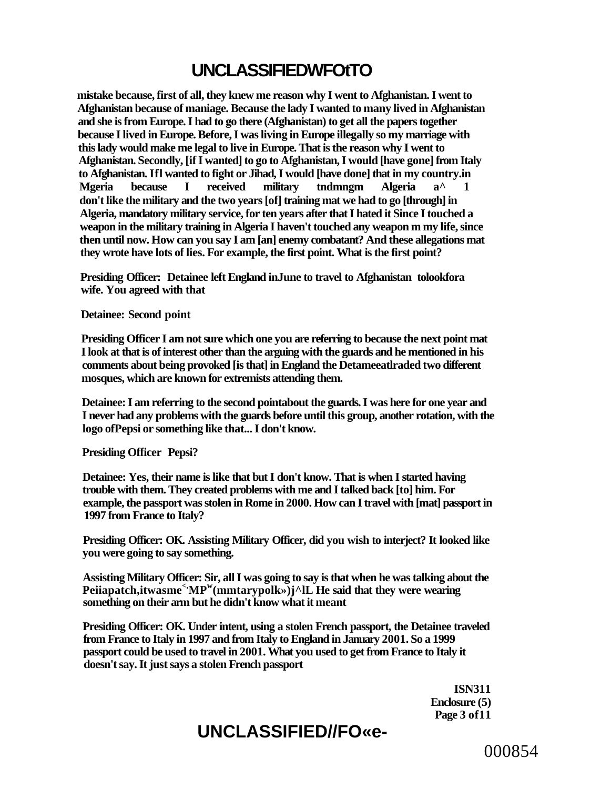# **UNCLASSIFIEDWFOtTO**

**mistake because, first of all, they knew me reason why I went to Afghanistan. I went to Afghanistan because of maniage. Because the lady I wanted to many lived in Afghanistan and she is from Europe. I had to go there (Afghanistan) to get all the papers together because I lived in Europe. Before, I was living in Europe illegally so my marriage with this lady would make me legal to live in Europe. That is the reason why I went to Afghanistan. Secondly, [if I wanted] to go to Afghanistan, I would [have gone] from Italy to Afghanistan. Ifl wanted to fight or Jihad, I would [have done] that in my country.in Mgeria because I received military tndmngm Algeria a^ 1 don't like the military and the two years [of] training mat we had to go [through] in Algeria, mandatory military service, for ten years after that I hated it Since I touched a weapon in the military training in Algeria I haven't touched any weapon m my life, since then until now. How can you say I am [an] enemy combatant? And these allegations mat they wrote have lots of lies. For example, the first point. What is the first point?** 

**Presiding Officer: Detainee left England inJune to travel to Afghanistan tolookfora wife. You agreed with that** 

**Detainee: Second point** 

**Presiding Officer I am not sure which one you are referring to because the next point mat I look at that is of interest other than the arguing with the guards and he mentioned in his comments about being provoked [is that] in England the Detameeatlraded two different mosques, which are known for extremists attending them.** 

**Detainee: I am referring to the second pointabout the guards. I was here for one year and I never had any problems with the guards before until this group, another rotation, with the logo ofPepsi or something like that... I don't know.** 

**Presiding Officer Pepsi?** 

**Detainee: Yes, their name is like that but I don't know. That is when I started having trouble with them. They created problems with me and I talked back [to] him. For example, the passport was stolen in Rome in 2000. How can I travel with [mat] passport in 1997 from France to Italy?** 

**Presiding Officer: OK. Assisting Military Officer, did you wish to interject? It looked like you were going to say something.** 

**Assisting Military Officer: Sir, all I was going to say is that when he was talking about the**  Peiiapatch,itwasme<sup><</sup>><sub>MP</sub><sup>w</sup>(mmtarypolk>>)j^lL He said that they were wearing **something on their arm but he didn't know what it meant** 

**Presiding Officer: OK. Under intent, using a stolen French passport, the Detainee traveled from France to Italy in 1997 and from Italy to England in January 2001. So a 1999 passport could be used to travel in 2001. What you used to get from France to Italy it doesn't say. It just says a stolen French passport** 

> **ISN311 Enclosure (5) Page 3 of11**

# **UNCLASSIFIED//FO«e-**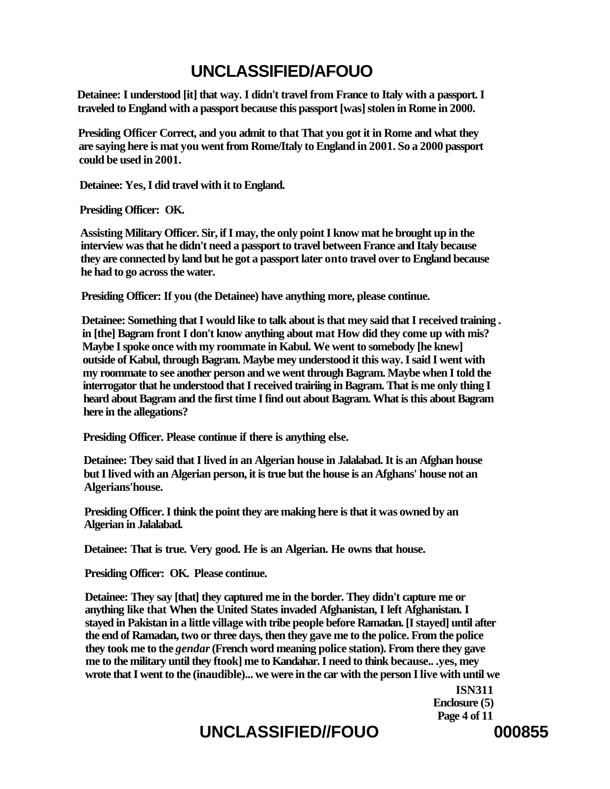# **UNCLASSIFIED/AFOUO**

**Detainee: I understood [it] that way. I didn't travel from France to Italy with a passport. I traveled to England with a passport because this passport [was] stolen in Rome in 2000.** 

**Presiding Officer Correct, and you admit to that That you got it in Rome and what they are saying here is mat you went from Rome/Italy to England in 2001. So a 2000 passport could be used in 2001.** 

**Detainee: Yes, I did travel with it to England.** 

**Presiding Officer: OK.** 

**Assisting Military Officer. Sir, if I may, the only point I know mat he brought up in the interview was that he didn't need a passport to travel between France and Italy because they are connected by land but he got a passport later onto travel over to England because he had to go across the water.** 

**Presiding Officer: If you (the Detainee) have anything more, please continue.** 

**Detainee: Something that I would like to talk about is that mey said that I received training . in [the] Bagram front I don't know anything about mat How did they come up with mis? Maybe I spoke once with my roommate in Kabul. We went to somebody [he knew] outside of Kabul, through Bagram. Maybe mey understood it this way. I said I went with my roommate to see another person and we went through Bagram. Maybe when I told the interrogator that he understood that I received trairiing in Bagram. That is me only thing I heard about Bagram and the first time I find out about Bagram. What is this about Bagram here in the allegations?** 

**Presiding Officer. Please continue if there is anything else.** 

**Detainee: Tbey said that I lived in an Algerian house in Jalalabad. It is an Afghan house but I lived with an Algerian person, it is true but the house is an Afghans' house not an Algerians'house.** 

**Presiding Officer. I think the point they are making here is that it was owned by an Algerian in Jalalabad.** 

**Detainee: That is true. Very good. He is an Algerian. He owns that house.** 

**Presiding Officer: OK. Please continue.** 

**Detainee: They say [that] they captured me in the border. They didn't capture me or anything like that When the United States invaded Afghanistan, I left Afghanistan. I stayed in Pakistan in a little village with tribe people before Ramadan. [I stayed] until after the end of Ramadan, two or three days, then they gave me to the police. From the police they took me to the** *gendar* **(French word meaning police station). From there they gave me to the military until they ftook] me to Kandahar. I need to think because.. .yes, mey wrote that I went to the (inaudible)... we were in the car with the person I live with until we** 

> **ISN311 Enclosure (5) Page 4 of 11**

# UNCLASSIFIED//FOUO 000855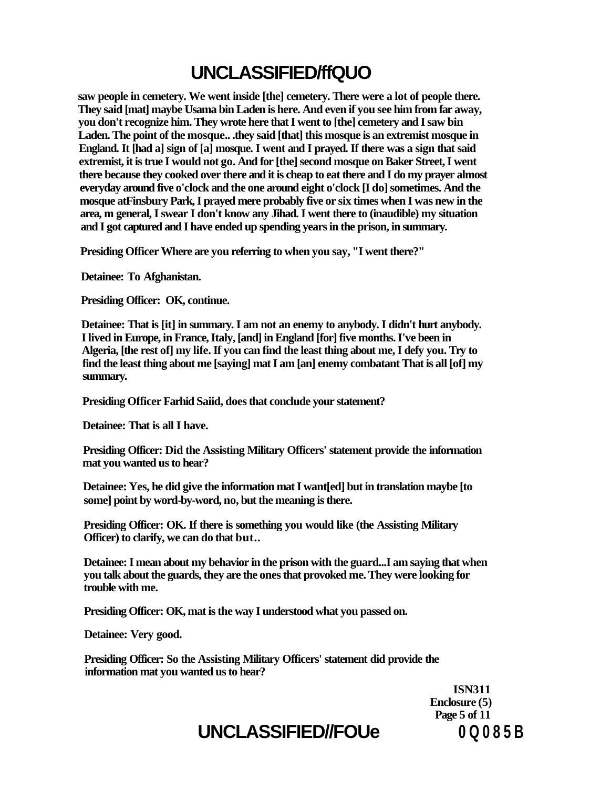# **UNCLASSIFIED/ffQUO**

**saw people in cemetery. We went inside [the] cemetery. There were a lot of people there. They said [mat] maybe Usama bin Laden is here. And even if you see him from far away, you don't recognize him. They wrote here that I went to [the] cemetery and I saw bin Laden. The point of the mosque.. .they said [that] this mosque is an extremist mosque in England. It [had a] sign of [a] mosque. I went and I prayed. If there was a sign that said extremist, it is true I would not go. And for [the] second mosque on Baker Street, I went there because they cooked over there and it is cheap to eat there and I do my prayer almost everyday around five o'clock and the one around eight o'clock [I do] sometimes. And the mosque atFinsbury Park, I prayed mere probably five or six times when I was new in the area, m general, I swear I don't know any Jihad. I went there to (inaudible) my situation and I got captured and I have ended up spending years in the prison, in summary.** 

**Presiding Officer Where are you referring to when you say, "I went there?"** 

**Detainee: To Afghanistan.** 

**Presiding Officer: OK, continue.** 

**Detainee: That is [it] in summary. I am not an enemy to anybody. I didn't hurt anybody. I lived in Europe, in France, Italy, [and] in England [for] five months. I've been in Algeria, [the rest of] my life. If you can find the least thing about me, I defy you. Try to find the least thing about me [saying] mat I am [an] enemy combatant That is all [of] my summary.** 

**Presiding Officer Farhid Saiid, does that conclude your statement?** 

**Detainee: That is all I have.** 

**Presiding Officer: Did the Assisting Military Officers' statement provide the information mat you wanted us to hear?** 

**Detainee: Yes, he did give the information mat I want[ed] but in translation maybe [to some] point by word-by-word, no, but the meaning is there.** 

**Presiding Officer: OK. If there is something you would like (the Assisting Military Officer) to clarify, we can do that but..** 

**Detainee: I mean about my behavior in the prison with the guard...I am saying that when you talk about the guards, they are the ones that provoked me. They were looking for trouble with me.** 

**Presiding Officer: OK, mat is the way I understood what you passed on.** 

**Detainee: Very good.** 

**Presiding Officer: So the Assisting Military Officers' statement did provide the information mat you wanted us to hear?** 

> **ISN311 Enclosure (5) Page 5 of 11**

# **UNCLASSIFIED//FOUe 0 Q 0 8 5 B**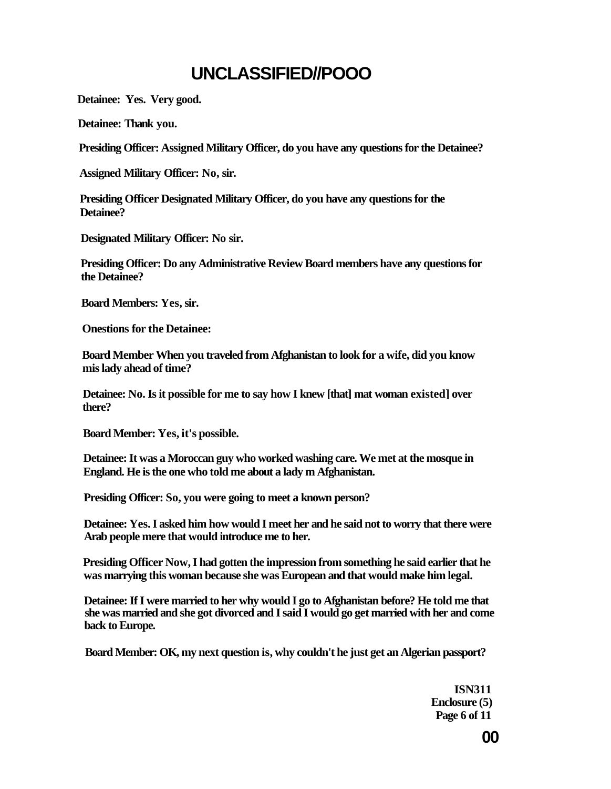# **UNCLASSIFIED//POOO**

**Detainee: Yes. Very good.** 

**Detainee: Thank you.** 

**Presiding Officer: Assigned Military Officer, do you have any questions for the Detainee?** 

**Assigned Military Officer: No, sir.** 

**Presiding Officer Designated Military Officer, do you have any questions for the Detainee?** 

**Designated Military Officer: No sir.** 

**Presiding Officer: Do any Administrative Review Board members have any questions for the Detainee?** 

**Board Members: Yes, sir.** 

**Onestions for the Detainee:** 

**Board Member When you traveled from Afghanistan to look for a wife, did you know mis lady ahead of time?** 

**Detainee: No. Is it possible for me to say how I knew [that] mat woman existed] over there?** 

**Board Member: Yes, it's possible.** 

**Detainee: It was a Moroccan guy who worked washing care. We met at the mosque in England. He is the one who told me about a lady m Afghanistan.** 

**Presiding Officer: So, you were going to meet a known person?** 

**Detainee: Yes. I asked him how would I meet her and he said not to worry that there were Arab people mere that would introduce me to her.** 

**Presiding Officer Now, I had gotten the impression from something he said earlier that he was marrying this woman because she was European and that would make him legal.** 

**Detainee: If I were married to her why would I go to Afghanistan before? He told me that she was married and she got divorced and I said I would go get married with her and come back to Europe.** 

**Board Member: OK, my next question is, why couldn't he just get an Algerian passport?** 

**ISN311 Enclosure (5) Page 6 of 11**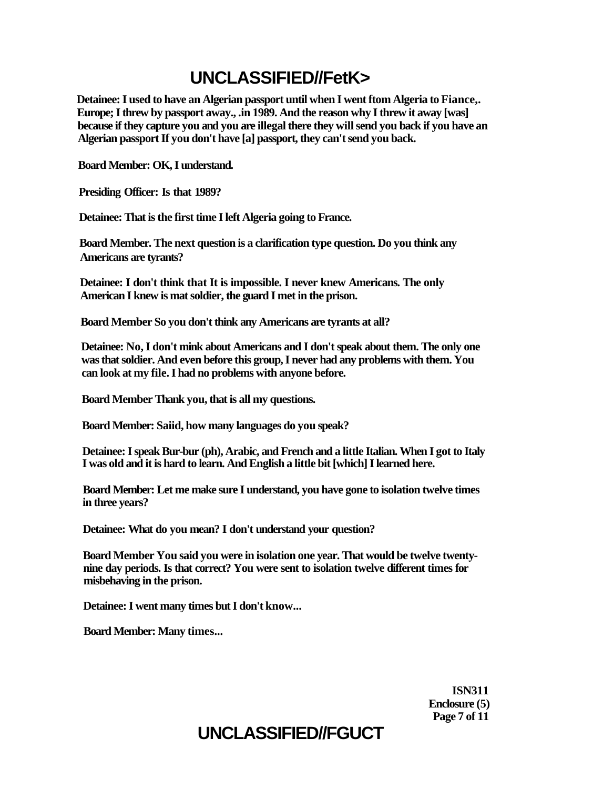# **UNCLASSIFIED//FetK>**

**Detainee: I used to have an Algerian passport until when I went ftom Algeria to Fiance,. Europe; I threw by passport away., .in 1989. And the reason why I threw it away [was] because if they capture you and you are illegal there they will send you back if you have an Algerian passport If you don't have [a] passport, they can't send you back.** 

**Board Member: OK, I understand.** 

**Presiding Officer: Is that 1989?** 

**Detainee: That is the first time I left Algeria going to France.** 

**Board Member. The next question is a clarification type question. Do you think any Americans are tyrants?** 

**Detainee: I don't think that It is impossible. I never knew Americans. The only American I knew is mat soldier, the guard I met in the prison.** 

**Board Member So you don't think any Americans are tyrants at all?** 

**Detainee: No, I don't mink about Americans and I don't speak about them. The only one was that soldier. And even before this group, I never had any problems with them. You can look at my file. I had no problems with anyone before.** 

**Board Member Thank you, that is all my questions.** 

**Board Member: Saiid, how many languages do you speak?** 

**Detainee: I speak Bur-bur (ph), Arabic, and French and a little Italian. When I got to Italy I was old and it is hard to learn. And English a little bit [which] I learned here.** 

**Board Member: Let me make sure I understand, you have gone to isolation twelve times in three years?** 

**Detainee: What do you mean? I don't understand your question?** 

**Board Member You said you were in isolation one year. That would be twelve twentynine day periods. Is that correct? You were sent to isolation twelve different times for misbehaving in the prison.** 

**Detainee: I went many times but I don't know...** 

**Board Member: Many times...** 

**ISN311 Enclosure (5) Page 7 of 11** 

# **UNCLASSIFIED//FGUCT**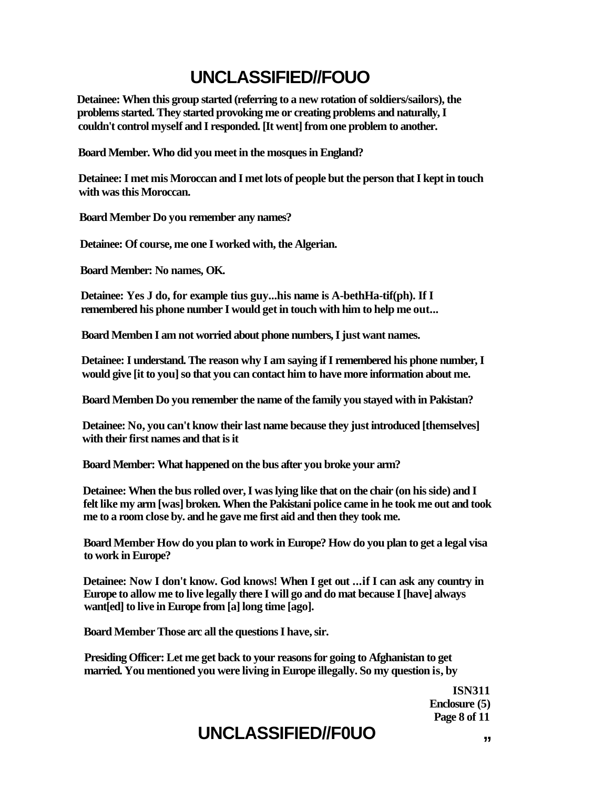# **UNCLASSIFIED//FOUO**

**Detainee: When this group started (referring to a new rotation of soldiers/sailors), the problems started. They started provoking me or creating problems and naturally, I couldn't control myself and I responded. [It went] from one problem to another.** 

**Board Member. Who did you meet in the mosques in England?** 

**Detainee: I met mis Moroccan and I met lots of people but the person that I kept in touch with was this Moroccan.** 

**Board Member Do you remember any names?** 

**Detainee: Of course, me one I worked with, the Algerian.** 

**Board Member: No names, OK.** 

**Detainee: Yes J do, for example tius guy...his name is A-bethHa-tif(ph). If I remembered his phone number I would get in touch with him to help me out...** 

**Board Memben I am not worried about phone numbers, I just want names.** 

**Detainee: I understand. The reason why I am saying if I remembered his phone number, I would give [it to you] so that you can contact him to have more information about me.** 

**Board Memben Do you remember the name of the family you stayed with in Pakistan?** 

**Detainee: No, you can't know their last name because they just introduced [themselves] with their first names and that is it** 

**Board Member: What happened on the bus after you broke your arm?** 

**Detainee: When the bus rolled over, I was lying like that on the chair (on his side) and I felt like my arm [was] broken. When the Pakistani police came in he took me out and took me to a room close by. and he gave me first aid and then they took me.** 

**Board Member How do you plan to work in Europe? How do you plan to get a legal visa to work in Europe?** 

**Detainee: Now I don't know. God knows! When I get out ...if I can ask any country in Europe to allow me to live legally there I will go and do mat because I [have] always want[ed] to live in Europe from [a] long time [ago].** 

**Board Member Those arc all the questions I have, sir.** 

**Presiding Officer: Let me get back to your reasons for going to Afghanistan to get married. You mentioned you were living in Europe illegally. So my question is, by** 

> **ISN311 Enclosure (5) Page 8 of 11**

# UNCLASSIFIED//F0UO **"** ,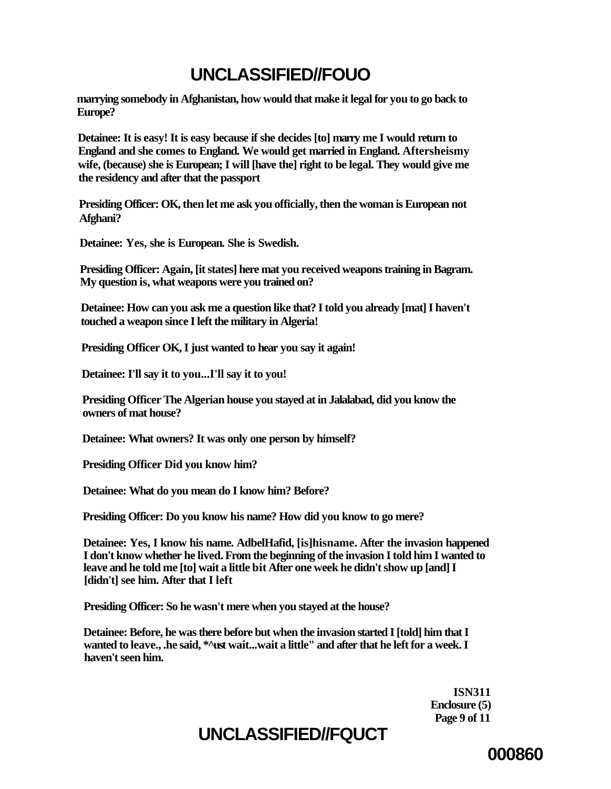# **UNCLASSIFIED//FOUO**

**marrying somebody in Afghanistan, how would that make it legal for you to go back to Europe?** 

**Detainee: It is easy! It is easy because if she decides [to] marry me I would return to England and she comes to England. We would get married in England. Aftersheismy wife, (because) she is European; I will [have the] right to be legal. They would give me the residency and after that the passport** 

**Presiding Officer: OK, then let me ask you officially, then the woman is European not Afghani?** 

**Detainee: Yes, she is European. She is Swedish.** 

**Presiding Officer: Again, [it states] here mat you received weapons training in Bagram. My question is, what weapons were you trained on?** 

**Detainee: How can you ask me a question like that? I told you already [mat] I haven't touched a weapon since I left the military in Algeria!** 

**Presiding Officer OK, I just wanted to hear you say it again!** 

**Detainee: I'll say it to you...I'll say it to you!** 

**Presiding Officer The Algerian house you stayed at in Jalalabad, did you know the owners of mat house?** 

**Detainee: What owners? It was only one person by himself?** 

**Presiding Officer Did you know him?** 

**Detainee: What do you mean do I know him? Before?** 

**Presiding Officer: Do you know his name? How did you know to go mere?** 

**Detainee: Yes, I know his name. AdbelHafid, [is]hisname. After the invasion happened I don't know whether he lived. From the beginning of the invasion I told him I wanted to leave and he told me [to] wait a little bit After one week he didn't show up [and] I [didn't] see him. After that I left** 

**Presiding Officer: So he wasn't mere when you stayed at the house?** 

**Detainee: Before, he was there before but when the invasion started I [told] him that I wanted to leave., .he said, \*^ust wait...wait a little" and after that he left for a week. I haven't seen him.** 

> **ISN311 Enclosure (5) Page 9 of 11**

# **UNCLASSIFIED//FQUCT**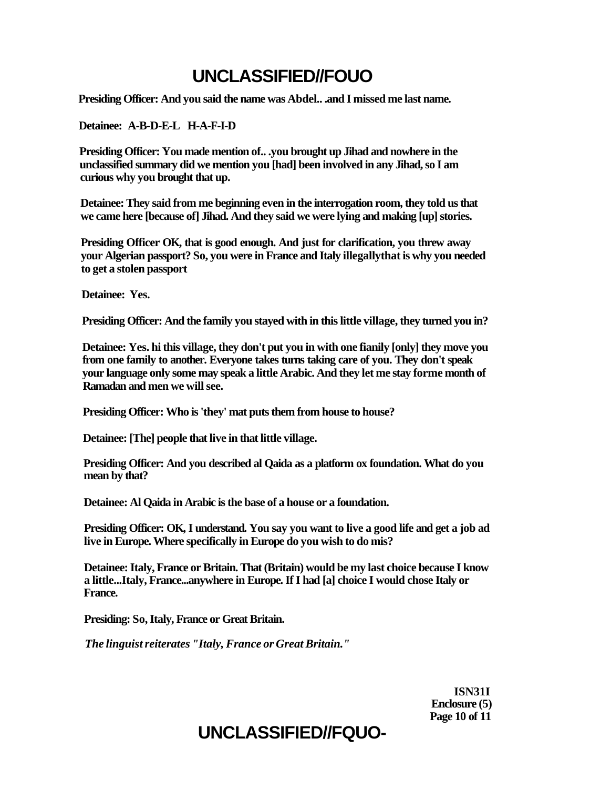# **UNCLASSIFIED//FOUO**

**Presiding Officer: And you said the name was Abdel.. .and I missed me last name.** 

**Detainee: A-B-D-E-L H-A-F-I-D** 

**Presiding Officer: You made mention of.. .you brought up Jihad and nowhere in the unclassified summary did we mention you [had] been involved in any Jihad, so I am curious why you brought that up.** 

**Detainee: They said from me beginning even in the interrogation room, they told us that we came here [because of] Jihad. And they said we were lying and making [up] stories.** 

**Presiding Officer OK, that is good enough. And just for clarification, you threw away your Algerian passport? So, you were in France and Italy illegallythat is why you needed to get a stolen passport** 

**Detainee: Yes.** 

**Presiding Officer: And the family you stayed with in this little village, they turned you in?** 

**Detainee: Yes. hi this village, they don't put you in with one fianily [only] they move you from one family to another. Everyone takes turns taking care of you. They don't speak your language only some may speak a little Arabic. And they let me stay forme month of Ramadan and men we will see.** 

**Presiding Officer: Who is 'they' mat puts them from house to house?** 

**Detainee: [The] people that live in that little village.** 

**Presiding Officer: And you described al Qaida as a platform ox foundation. What do you mean by that?** 

**Detainee: Al Qaida in Arabic is the base of a house or a foundation.** 

**Presiding Officer: OK, I understand. You say you want to live a good life and get a job ad live in Europe. Where specifically in Europe do you wish to do mis?** 

**Detainee: Italy, France or Britain. That (Britain) would be my last choice because I know a little...Italy, France...anywhere in Europe. If I had [a] choice I would chose Italy or France.** 

**Presiding: So, Italy, France or Great Britain.** 

*The linguist reiterates "Italy, France or Great Britain."* 

**ISN31I Enclosure (5) Page 10 of 11** 

# **UNCLASSIFIED//FQUO-**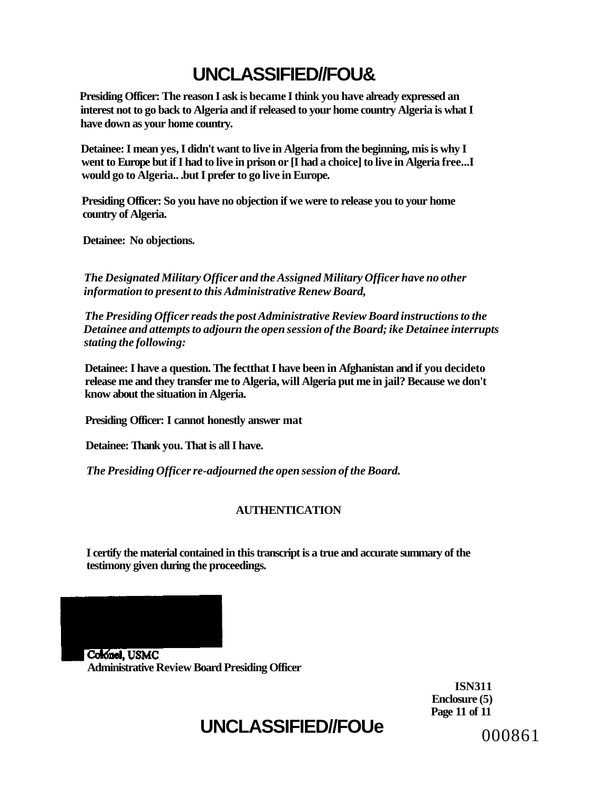# **UNCLASSIFIED//FOU&**

**Presiding Officer: The reason I ask is became I think you have already expressed an interest not to go back to Algeria and if released to your home country Algeria is what I have down as your home country.** 

**Detainee: I mean yes, I didn't want to live in Algeria from the beginning, mis is why I went to Europe but if I had to live in prison or [I had a choice] to live in Algeria free...I would go to Algeria.. .but I prefer to go live in Europe.** 

**Presiding Officer: So you have no objection if we were to release you to your home country of Algeria.** 

**Detainee: No objections.** 

*The Designated Military Officer and the Assigned Military Officer have no other information to present to this Administrative Renew Board,* 

*The Presiding Officer reads the post Administrative Review Board instructions to the Detainee and attempts to adjourn the open session of the Board; ike Detainee interrupts stating the following:* 

**Detainee: I have a question. The fectthat I have been in Afghanistan and if you decideto release me and they transfer me to Algeria, will Algeria put me in jail? Because we don't know about the situation in Algeria.** 

**Presiding Officer: I cannot honestly answer mat** 

**Detainee: Thank you. That is all I have.** 

*The Presiding Officer re-adjourned the open session of the Board.* 

# **AUTHENTICATION**

**I certify the material contained in this transcript is a true and accurate summary of the testimony given during the proceedings.** 

Colonel, USMC **Administrative Review Board Presiding Officer** 

> **ISN311 Enclosure (5) Page 11 of 11**

# **UNCLASSIFIED//FOUe**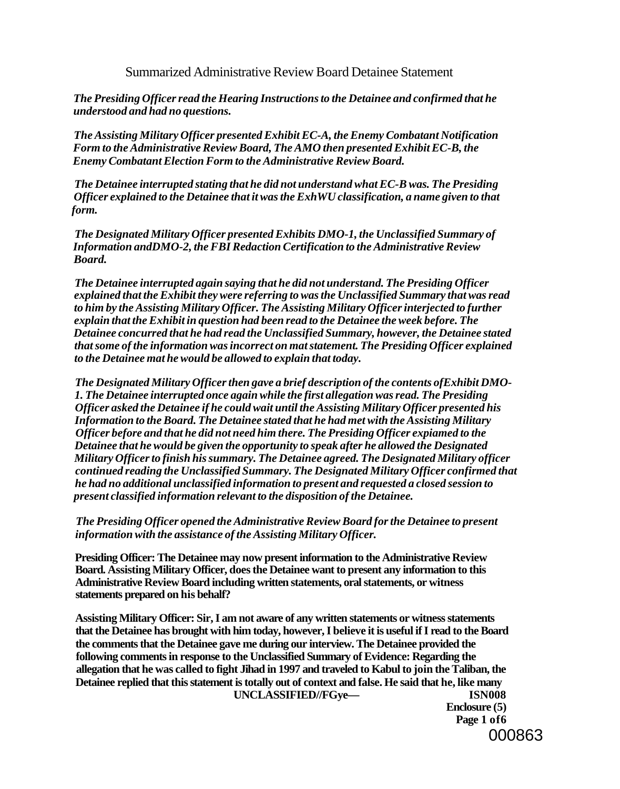Summarized Administrative Review Board Detainee Statement

*The Presiding Officer read the Hearing Instructions to the Detainee and confirmed that he understood and had no questions.* 

*The Assisting Military Officer presented Exhibit EC-A, the Enemy Combatant Notification Form to the Administrative Review Board, The AMO then presented Exhibit EC-B, the Enemy Combatant Election Form to the Administrative Review Board.* 

*The Detainee interrupted stating that he did not understand what EC-B was. The Presiding Officer explained to the Detainee that it was the ExhWU classification, a name given to that form.* 

*The Designated Military Officer presented Exhibits DMO-1, the Unclassified Summary of Information andDMO-2, the FBI Redaction Certification to the Administrative Review Board.* 

*The Detainee interrupted again saying that he did not understand. The Presiding Officer explained that the Exhibit they were referring to was the Unclassified Summary that was read to him by the Assisting Military Officer. The Assisting Military Officer interjected to further explain that the Exhibit in question had been read to the Detainee the week before. The Detainee concurred that he had read the Unclassified Summary, however, the Detainee stated that some of the information was incorrect on mat statement. The Presiding Officer explained to the Detainee mat he would be allowed to explain that today.* 

*The Designated Military Officer then gave a brief description of the contents ofExhibit DMO-1. The Detainee interrupted once again while the first allegation was read. The Presiding Officer asked the Detainee if he could wait until the Assisting Military Officer presented his Information to the Board. The Detainee stated that he had met with the Assisting Military Officer before and that he did not need him there. The Presiding Officer expiamed to the Detainee that he would be given the opportunity to speak after he allowed the Designated Military Officer to finish his summary. The Detainee agreed. The Designated Military officer continued reading the Unclassified Summary. The Designated Military Officer confirmed that he had no additional unclassified information to present and requested a closed session to present classified information relevant to the disposition of the Detainee.* 

*The Presiding Officer opened the Administrative Review Board for the Detainee to present information with the assistance of the Assisting Military Officer.* 

**Presiding Officer: The Detainee may now present information to the Administrative Review Board. Assisting Military Officer, does the Detainee want to present any information to this Administrative Review Board including written statements, oral statements, or witness statements prepared on his behalf?** 

**Assisting Military Officer: Sir, I am not aware of any written statements or witness statements that the Detainee has brought with him today, however, I believe it is useful if I read to the Board the comments that the Detainee gave me during our interview. The Detainee provided the following comments in response to the Unclassified Summary of Evidence: Regarding the allegation that he was called to fight Jihad in 1997 and traveled to Kabul to join the Taliban, the Detainee replied that this statement is totally out of context and false. He said that he, like many UNCLASSIFIED//FGye— ISN008** 

**Enclosure (5) Page 1 of6**  000863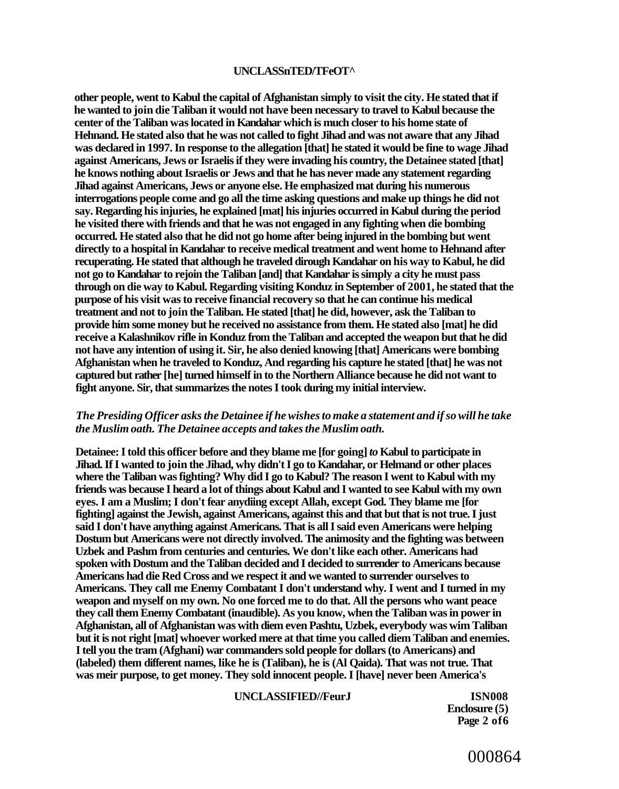#### **UNCLASSnTED/TFeOT^**

**other people, went to Kabul the capital of Afghanistan simply to visit the city. He stated that if he wanted to join die Taliban it would not have been necessary to travel to Kabul because the center of the Taliban was located in Kandahar which is much closer to his home state of Hehnand. He stated also that he was not called to fight Jihad and was not aware that any Jihad was declared in 1997. In response to the allegation [that] he stated it would be fine to wage Jihad against Americans, Jews or Israelis if they were invading his country, the Detainee stated [that] he knows nothing about Israelis or Jews and that he has never made any statement regarding Jihad against Americans, Jews or anyone else. He emphasized mat during his numerous interrogations people come and go all the time asking questions and make up things he did not say. Regarding his injuries, he explained [mat] his injuries occurred in Kabul during the period he visited there with friends and that he was not engaged in any fighting when die bombing occurred. He stated also that he did not go home after being injured in the bombing but went directly to a hospital in Kandahar to receive medical treatment and went home to Hehnand after recuperating. He stated that although he traveled dirough Kandahar on his way to Kabul, he did not go to Kandahar to rejoin the Taliban [and] that Kandahar is simply a city he must pass through on die way to Kabul. Regarding visiting Konduz in September of 2001, he stated that the purpose of his visit was to receive financial recovery so that he can continue his medical treatment and not to join the Taliban. He stated [that] he did, however, ask the Taliban to provide him some money but he received no assistance from them. He stated also [mat] he did receive a Kalashnikov rifle in Konduz from the Taliban and accepted the weapon but that he did not have any intention of using it. Sir, he also denied knowing [that] Americans were bombing Afghanistan when he traveled to Konduz, And regarding his capture he stated [that] he was not captured but rather [he] turned himself in to the Northern Alliance because he did not want to fight anyone. Sir, that summarizes the notes I took during my initial interview.** 

#### *The Presiding Officer asks the Detainee if he wishes to make a statement and if so will he take the Muslim oath. The Detainee accepts and takes the Muslim oath.*

**Detainee: I told this officer before and they blame me [for going]** *to* **Kabul to participate in Jihad. If I wanted to join the Jihad, why didn't I go to Kandahar, or Helmand or other places where the Taliban was fighting? Why did I go to Kabul? The reason I went to Kabul with my friends was because I heard a lot of things about Kabul and I wanted to see Kabul with my own eyes. I am a Muslim; I don't fear anydiing except Allah, except God. They blame me [for fighting] against the Jewish, against Americans, against this and that but that is not true. I just said I don't have anything against Americans. That is all I said even Americans were helping Dostum but Americans were not directly involved. The animosity and the fighting was between Uzbek and Pashm from centuries and centuries. We don't like each other. Americans had spoken with Dostum and the Taliban decided and I decided to surrender to Americans because Americans had die Red Cross and we respect it and we wanted to surrender ourselves to Americans. They call me Enemy Combatant I don't understand why. I went and I turned in my weapon and myself on my own. No one forced me to do that. All the persons who want peace they call them Enemy Combatant (inaudible). As you know, when the Taliban was in power in Afghanistan, all of Afghanistan was with diem even Pashtu, Uzbek, everybody was wim Taliban but it is not right [mat] whoever worked mere at that time you called diem Taliban and enemies. I tell you the tram (Afghani) war commanders sold people for dollars (to Americans) and (labeled) them different names, like he is (Taliban), he is (Al Qaida). That was not true. That was meir purpose, to get money. They sold innocent people. I [have] never been America's** 

#### **UNCLASSIFIED//FeurJ ISN008**

**Enclosure (5) Page 2 of6**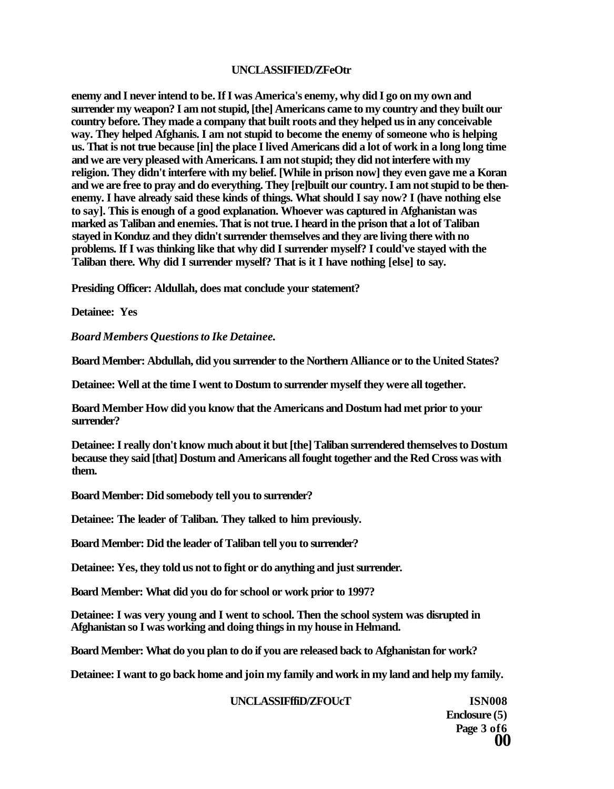#### **UNCLASSIFIED/ZFeOtr**

**enemy and I never intend to be. If I was America's enemy, why did I go on my own and surrender my weapon? I am not stupid, [the] Americans came to my country and they built our country before. They made a company that built roots and they helped us in any conceivable way. They helped Afghanis. I am not stupid to become the enemy of someone who is helping us. That is not true because [in] the place I lived Americans did a lot of work in a long long time and we are very pleased with Americans. I am not stupid; they did not interfere with my religion. They didn't interfere with my belief. [While in prison now] they even gave me a Koran and we are free to pray and do everything. They [re]built our country. I am not stupid to be thenenemy. I have already said these kinds of things. What should I say now? I (have nothing else to say]. This is enough of a good explanation. Whoever was captured in Afghanistan was marked as Taliban and enemies. That is not true. I heard in the prison that a lot of Taliban stayed in Konduz and they didn't surrender themselves and they are living there with no problems. If I was thinking like that why did I surrender myself? I could've stayed with the Taliban there. Why did I surrender myself? That is it I have nothing [else] to say.** 

**Presiding Officer: Aldullah, does mat conclude your statement?** 

**Detainee: Yes** 

*Board Members Questions to Ike Detainee.* 

**Board Member: Abdullah, did you surrender to the Northern Alliance or to the United States?** 

**Detainee: Well at the time I went to Dostum to surrender myself they were all together.** 

**Board Member How did you know that the Americans and Dostum had met prior to your surrender?** 

**Detainee: I really don't know much about it but [the] Taliban surrendered themselves to Dostum because they said [that] Dostum and Americans all fought together and the Red Cross was with them.** 

**Board Member: Did somebody tell you to surrender?** 

**Detainee: The leader of Taliban. They talked to him previously.** 

**Board Member: Did the leader of Taliban tell you to surrender?** 

**Detainee: Yes, they told us not to fight or do anything and just surrender.** 

**Board Member: What did you do for school or work prior to 1997?** 

**Detainee: I was very young and I went to school. Then the school system was disrupted in Afghanistan so I was working and doing things in my house in Helmand.** 

**Board Member: What do you plan to do if you are released back to Afghanistan for work?** 

**Detainee: I want to go back home and join my family and work in my land and help my family.** 

#### **UNCLASSIFffiD/ZFOUcT ISN008**

**Enclosure (5) Page 3 of6 00**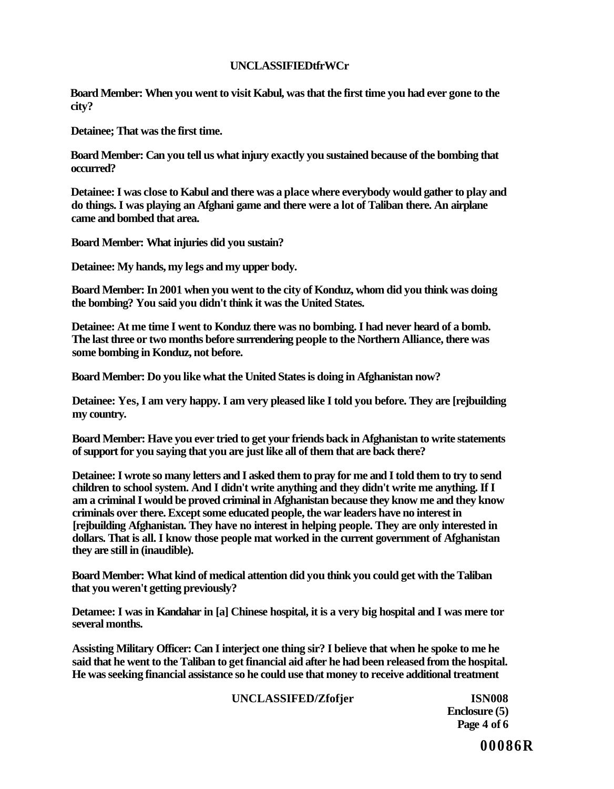### **UNCLASSIFIEDtfrWCr**

**Board Member: When you went to visit Kabul, was that the first time you had ever gone to the city?** 

**Detainee; That was the first time.** 

**Board Member: Can you tell us what injury exactly you sustained because of the bombing that occurred?** 

**Detainee: I was close to Kabul and there was a place where everybody would gather to play and do things. I was playing an Afghani game and there were a lot of Taliban there. An airplane came and bombed that area.** 

**Board Member: What injuries did you sustain?** 

**Detainee: My hands, my legs and my upper body.** 

**Board Member: In 2001 when you went to the city of Konduz, whom did you think was doing the bombing? You said you didn't think it was the United States.** 

**Detainee: At me time I went to Konduz there was no bombing. I had never heard of a bomb. The last three or two months before surrendering people to the Northern Alliance, there was some bombing in Konduz, not before.** 

**Board Member: Do you like what the United States is doing in Afghanistan now?** 

**Detainee: Yes, I am very happy. I am very pleased like I told you before. They are [rejbuilding my country.** 

**Board Member: Have you ever tried to get your friends back in Afghanistan to write statements of support for you saying that you are just like all of them that are back there?** 

**Detainee: I wrote so many letters and I asked them to pray for me and I told them to try to send children to school system. And I didn't write anything and they didn't write me anything. If I am a criminal I would be proved criminal in Afghanistan because they know me and they know criminals over there. Except some educated people, the war leaders have no interest in [rejbuilding Afghanistan. They have no interest in helping people. They are only interested in dollars. That is all. I know those people mat worked in the current government of Afghanistan they are still in (inaudible).** 

**Board Member: What kind of medical attention did you think you could get with the Taliban that you weren't getting previously?** 

**Detamee: I was in Kandahar in [a] Chinese hospital, it is a very big hospital and I was mere tor several months.** 

**Assisting Military Officer: Can I interject one thing sir? I believe that when he spoke to me he said that he went to the Taliban to get financial aid after he had been released from the hospital. He was seeking financial assistance so he could use that money to receive additional treatment** 

### **UNCLASSIFED/Zfofjer ISN008**

**Enclosure (5) Page 4 of 6**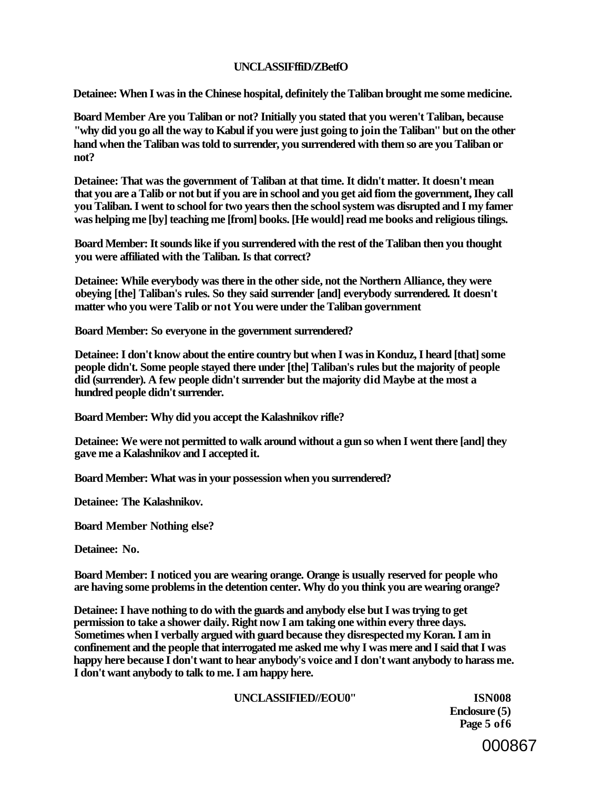### **UNCLASSIFffiD/ZBetfO**

**Detainee: When I was in the Chinese hospital, definitely the Taliban brought me some medicine.** 

**Board Member Are you Taliban or not? Initially you stated that you weren't Taliban, because "why did you go all the way to Kabul if you were just going to join the Taliban'' but on the other hand when the Taliban was told to surrender, you surrendered with them so are you Taliban or not?** 

**Detainee: That was the government of Taliban at that time. It didn't matter. It doesn't mean that you are a Talib or not but if you are in school and you get aid fiom the government, Ihey call you Taliban. I went to school for two years then the school system was disrupted and I my famer was helping me [by] teaching me [from] books. [He would] read me books and religious tilings.** 

**Board Member: It sounds like if you surrendered with the rest of the Taliban then you thought you were affiliated with the Taliban. Is that correct?** 

**Detainee: While everybody was there in the other side, not the Northern Alliance, they were obeying [the] Taliban's rules. So they said surrender [and] everybody surrendered. It doesn't matter who you were Talib or not You were under the Taliban government** 

**Board Member: So everyone in the government surrendered?** 

**Detainee: I don't know about the entire country but when I was in Konduz, I heard [that] some people didn't. Some people stayed there under [the] Taliban's rules but the majority of people did (surrender). A few people didn't surrender but the majority did Maybe at the most a hundred people didn't surrender.** 

**Board Member: Why did you accept the Kalashnikov rifle?** 

**Detainee: We were not permitted to walk around without a gun so when I went there [and] they gave me a Kalashnikov and I accepted it.** 

**Board Member: What was in your possession when you surrendered?** 

**Detainee: The Kalashnikov.** 

**Board Member Nothing else?** 

**Detainee: No.** 

**Board Member: I noticed you are wearing orange. Orange is usually reserved for people who are having some problems in the detention center. Why do you think you are wearing orange?** 

**Detainee: I have nothing to do with the guards and anybody else but I was trying to get permission to take a shower daily. Right now I am taking one within every three days. Sometimes when I verbally argued with guard because they disrespected my Koran. I am in confinement and the people that interrogated me asked me why I was mere and I said that I was**  happy here because  $\overline{I}$  don't want to hear anybody's voice and  $\overline{I}$  don't want anybody to harass me. **I don't want anybody to talk to me. I am happy here.** 

#### **UNCLASSIFIED//EOU0" ISN008**

**Enclosure (5) Page 5 of6**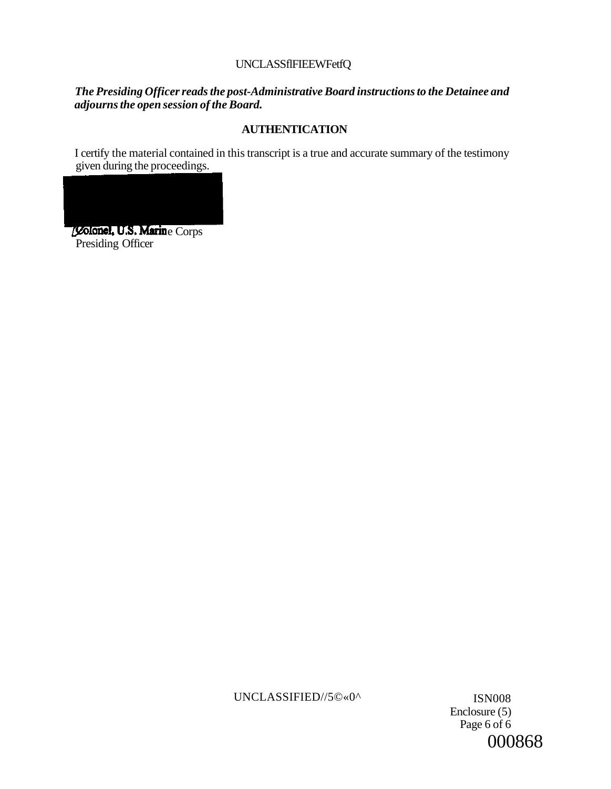## UNCLASSflFIEEWFetfQ

## *The Presiding Officer reads the post-Administrative Board instructions to the Detainee and adjourns the open session of the Board.*

# **AUTHENTICATION**

I certify the material contained in this transcript is a true and accurate summary of the testimony given during the proceedings.



UNCLASSIFIED//5©«0^ ISN008

Enclosure (5) Page 6 of 6 000868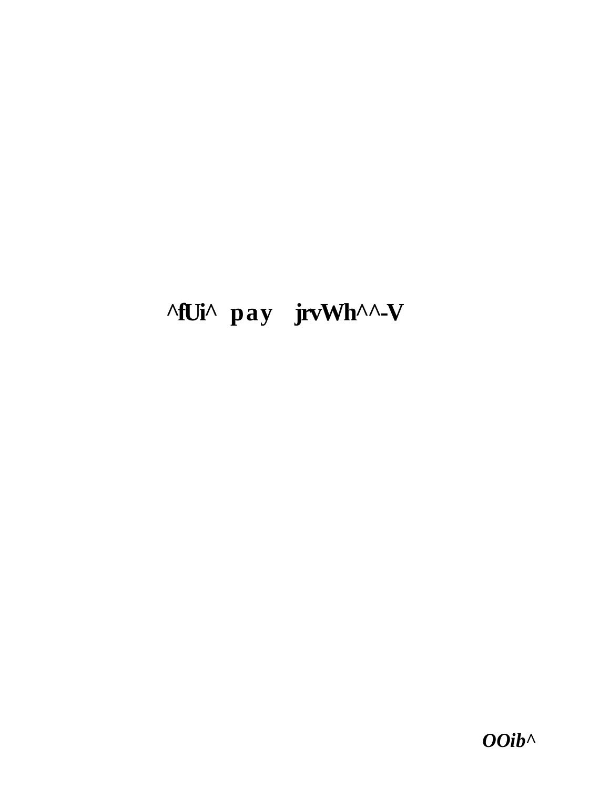# **^fUi^ pay jrvWh^^-V**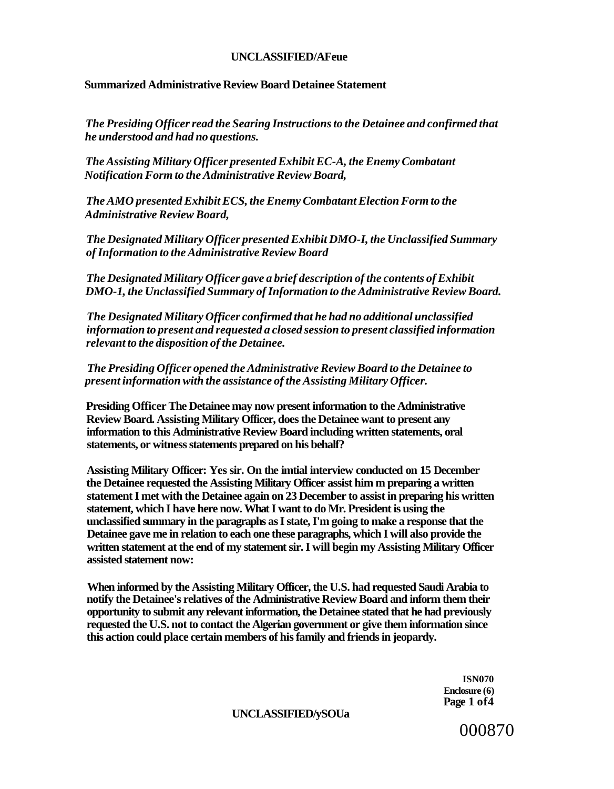#### **UNCLASSIFIED/AFeue**

#### **Summarized Administrative Review Board Detainee Statement**

*The Presiding Officer read the Searing Instructions to the Detainee and confirmed that he understood and had no questions.* 

*The Assisting Military Officer presented Exhibit EC-A, the Enemy Combatant Notification Form to the Administrative Review Board,* 

*The AMO presented Exhibit ECS, the Enemy Combatant Election Form to the Administrative Review Board,* 

*The Designated Military Officer presented Exhibit DMO-I, the Unclassified Summary of Information to the Administrative Review Board* 

*The Designated Military Officer gave a brief description of the contents of Exhibit DMO-1, the Unclassified Summary of Information to the Administrative Review Board.* 

*The Designated Military Officer confirmed that he had no additional unclassified information to present and requested a closed session to present classified information relevant to the disposition of the Detainee.* 

*The Presiding Officer opened the Administrative Review Board to the Detainee to present information with the assistance of the Assisting Military Officer.* 

**Presiding Officer The Detainee may now present information to the Administrative Review Board. Assisting Military Officer, does the Detainee want to present any information to this Administrative Review Board including written statements, oral statements, or witness statements prepared on his behalf?** 

**Assisting Military Officer: Yes sir. On the imtial interview conducted on 15 December the Detainee requested the Assisting Military Officer assist him m preparing a written statement I met with the Detainee again on 23 December to assist in preparing his written statement, which I have here now. What I want to do Mr. President is using the unclassified summary in the paragraphs as I state, I'm going to make a response that the Detainee gave me in relation to each one these paragraphs, which I will also provide the written statement at the end of my statement sir. I will begin my Assisting Military Officer assisted statement now:** 

**When informed by the Assisting Military Officer, the U.S. had requested Saudi Arabia to notify the Detainee's relatives of the Administrative Review Board and inform them their opportunity to submit any relevant information, the Detainee stated that he had previously requested the U.S. not to contact the Algerian government or give them information since this action could place certain members of his family and friends in jeopardy.** 

> **ISN070 Enclosure (6) Page 1 of4**

#### **UNCLASSIFIED/ySOUa**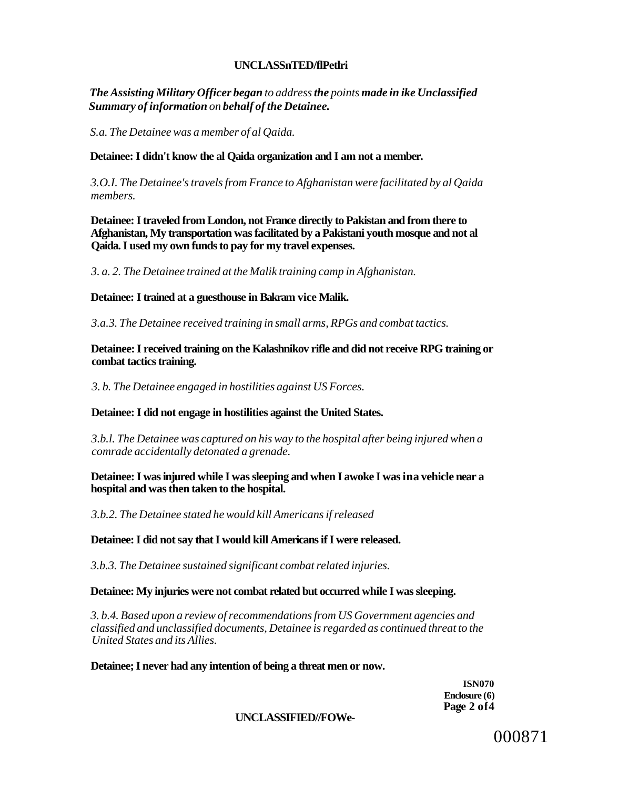### **UNCLASSnTED/flPetlri**

*The Assisting Military Officer began to address the points made in ike Unclassified Summary of information on behalf of the Detainee.* 

*S.a. The Detainee was a member of al Qaida.* 

#### **Detainee: I didn't know the al Qaida organization and I am not a member.**

*3.O.I. The Detainee's travels from France to Afghanistan were facilitated by al Qaida members.* 

**Detainee: I traveled from London, not France directly to Pakistan and from there to Afghanistan, My transportation was facilitated by a Pakistani youth mosque and not al Qaida. I used my own funds to pay for my travel expenses.** 

*3. a. 2. The Detainee trained at the Malik training camp in Afghanistan.* 

**Detainee: I trained at a guesthouse in Bakram vice Malik.** 

*3.a.3. The Detainee received training in small arms, RPGs and combat tactics.* 

**Detainee: I received training on the Kalashnikov rifle and did not receive RPG training or combat tactics training.** 

*3. b. The Detainee engaged in hostilities against US Forces.* 

#### **Detainee: I did not engage in hostilities against the United States.**

*3.b.l. The Detainee was captured on his way to the hospital after being injured when a comrade accidentally detonated a grenade.* 

**Detainee: I was injured while I was sleeping and when I awoke I was ina vehicle near a hospital and was then taken to the hospital.** 

*3.b.2. The Detainee stated he would kill Americans if released* 

#### **Detainee: I did not say that I would kill Americans if I were released.**

*3.b.3. The Detainee sustained significant combat related injuries.* 

#### **Detainee: My injuries were not combat related but occurred while I was sleeping.**

*3. b.4. Based upon a review of recommendations from US Government agencies and classified and unclassified documents, Detainee is regarded as continued threat to the United States and its Allies.* 

**Detainee; I never had any intention of being a threat men or now.** 

**ISN070 Enclosure (6) Page 2 of4** 

#### **UNCLASSIFIED//FOWe-**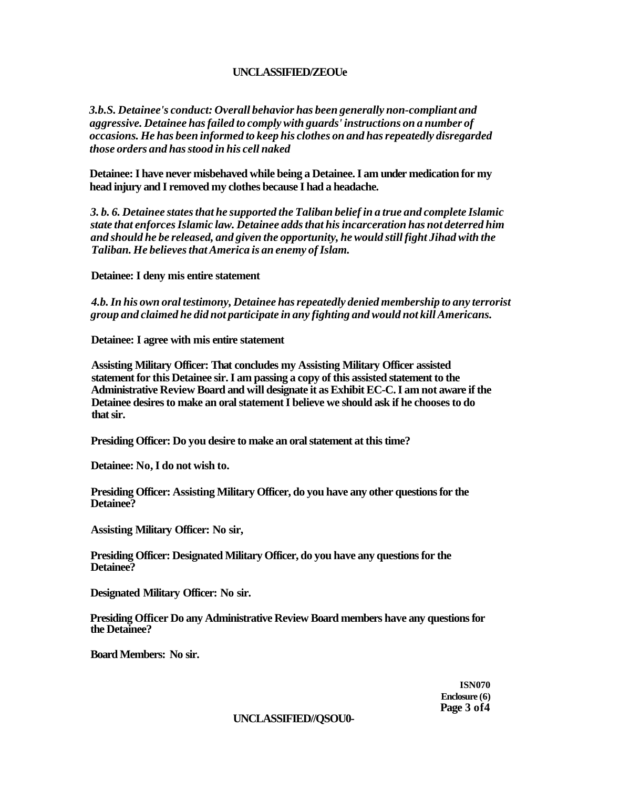### **UNCLASSIFIED/ZEOUE**

*3.b.S. Detainee's conduct: Overall behavior has been generally non-compliant and aggressive. Detainee has failed to comply with guards' instructions on a number of occasions. He has been informed to keep his clothes on and has repeatedly disregarded those orders and has stood in his cell naked* 

**Detainee: I have never misbehaved while being a Detainee. I am under medication for my head injury and I removed my clothes because I had a headache.** 

*3. b. 6. Detainee states that he supported the Taliban belief in a true and complete Islamic state that enforces Islamic law. Detainee adds that his incarceration has not deterred him and should he be released, and given the opportunity, he would still fight Jihad with the Taliban. He believes that America is an enemy of Islam.* 

**Detainee: I deny mis entire statement** 

*4.b. In his own oral testimony, Detainee has repeatedly denied membership to any terrorist group and claimed he did not participate in any fighting and would not kill Americans.* 

**Detainee: I agree with mis entire statement** 

**Assisting Military Officer: That concludes my Assisting Military Officer assisted statement for this Detainee sir. I am passing a copy of this assisted statement to the Administrative Review Board and will designate it as Exhibit EC-C. I am not aware if the Detainee desires to make an oral statement I believe we should ask if he chooses to do that sir.** 

**Presiding Officer: Do you desire to make an oral statement at this time?** 

**Detainee: No, I do not wish to.** 

**Presiding Officer: Assisting Military Officer, do you have any other questions for the Detainee?** 

**Assisting Military Officer: No sir,** 

**Presiding Officer: Designated Military Officer, do you have any questions for the Detainee?** 

**Designated Military Officer: No sir.** 

**Presiding Officer Do any Administrative Review Board members have any questions for the Detainee?** 

**Board Members: No sir.** 

**ISN070 Enclosure (6) Page 3 of4** 

#### **UNCLASSIFIED//QSOU0-**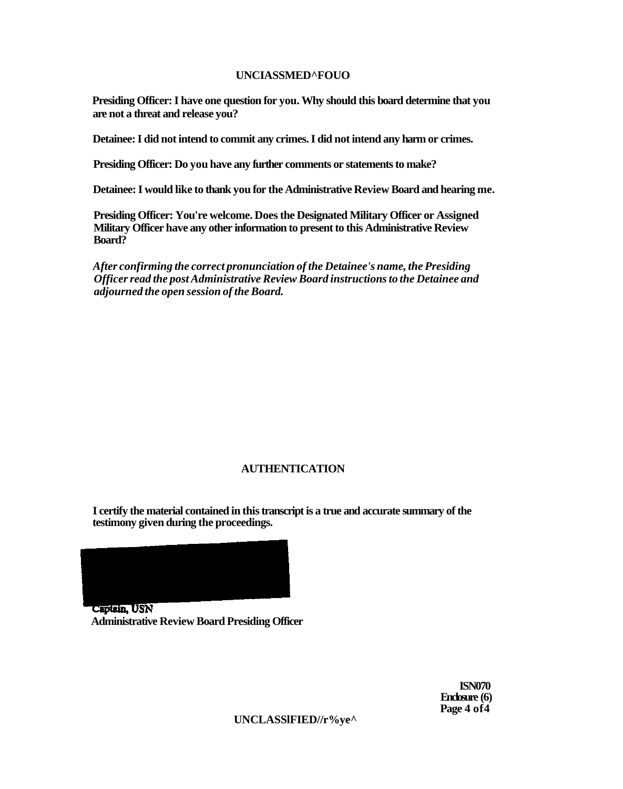### **UNCIASSMED^FOUO**

**Presiding Officer: I have one question for you. Why should this board determine that you are not a threat and release you?** 

**Detainee: I did not intend to commit any crimes. I did not intend any harm or crimes.** 

**Presiding Officer: Do you have any further comments or statements to make?** 

**Detainee: I would like to thank you for the Administrative Review Board and hearing me.** 

**Presiding Officer: You're welcome. Does the Designated Military Officer or Assigned Military Officer have any other information to present to this Administrative Review Board?** 

*After confirming the correct pronunciation of the Detainee's name, the Presiding Officer read the post Administrative Review Board instructions to the Detainee and adjourned the open session of the Board.* 

### **AUTHENTICATION**

**I certify the material contained in this transcript is a true and accurate summary of the testimony given during the proceedings.** 



Captain, USN **Administrative Review Board Presiding Officer** 

> **ISN070 Enclosure (6) Page 4 of4**

**UNCLASSlFIED//r%ye^**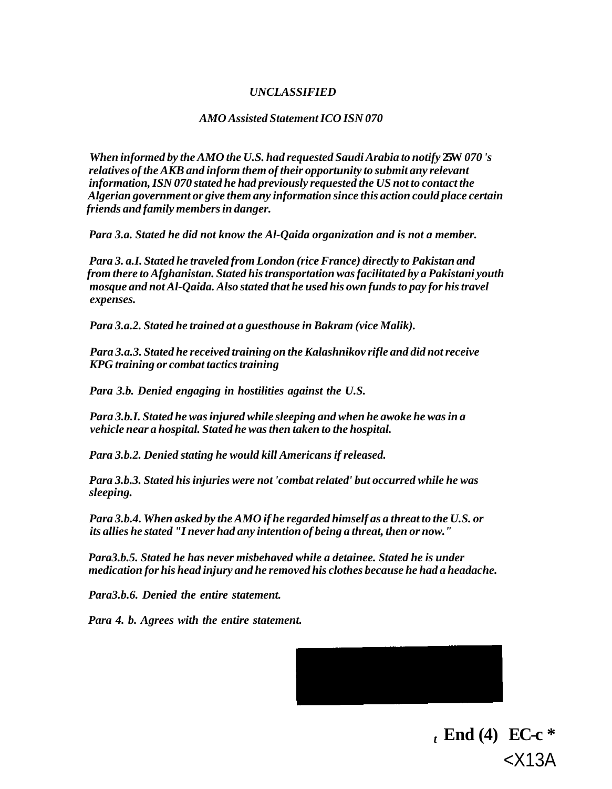### *UNCLASSIFIED*

#### *AMO Assisted Statement ICO ISN 070*

*When informed by the AMO the U.S. had requested Saudi Arabia to notify* **25W** *070 's relatives of the AKB and inform them of their opportunity to submit any relevant information, ISN 070 stated he had previously requested the US not to contact the Algerian government or give them any information since this action could place certain friends and family members in danger.* 

*Para 3.a. Stated he did not know the Al-Qaida organization and is not a member.* 

*Para 3. a.I. Stated he traveled from London (rice France) directly to Pakistan and from there to Afghanistan. Stated his transportation was facilitated by a Pakistani youth mosque and not Al-Qaida. Also stated that he used his own funds to pay for his travel expenses.* 

*Para 3.a.2. Stated he trained at a guesthouse in Bakram (vice Malik).* 

*Para 3.a.3. Stated he received training on the Kalashnikov rifle and did not receive KPG training or combat tactics training* 

*Para 3.b. Denied engaging in hostilities against the U.S.* 

*Para 3.b.I. Stated he was injured while sleeping and when he awoke he was in a vehicle near a hospital. Stated he was then taken to the hospital.* 

*Para 3.b.2. Denied stating he would kill Americans if released.* 

*Para 3.b.3. Stated his injuries were not 'combat related' but occurred while he was sleeping.* 

*Para 3.b.4. When asked by the AMO if he regarded himself as a threat to the U.S. or its allies he stated "I never had any intention of being a threat, then or now."* 

*Para3.b.5. Stated he has never misbehaved while a detainee. Stated he is under medication for his head injury and he removed his clothes because he had a headache.* 

*Para3.b.6. Denied the entire statement.* 

*Para 4. b. Agrees with the entire statement.* 



 $t \text{ End (4)} \text{ EC-c}$  \* <X13A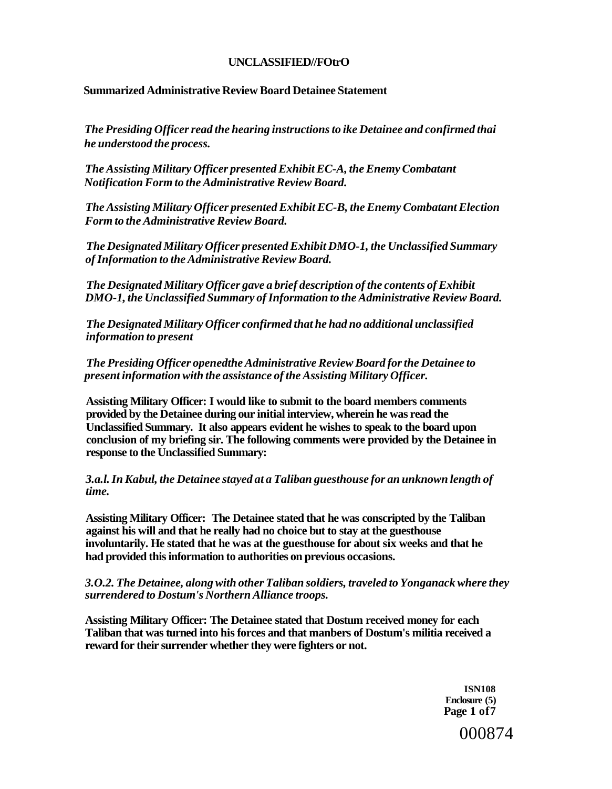### **UNCLASSIFIED//FOtrO**

#### **Summarized Administrative Review Board Detainee Statement**

*The Presiding Officer read the hearing instructions to ike Detainee and confirmed thai he understood the process.* 

*The Assisting Military Officer presented Exhibit EC-A, the Enemy Combatant Notification Form to the Administrative Review Board.* 

*The Assisting Military Officer presented Exhibit EC-B, the Enemy Combatant Election Form to the Administrative Review Board.* 

*The Designated Military Officer presented Exhibit DMO-1, the Unclassified Summary of Information to the Administrative Review Board.* 

*The Designated Military Officer gave a brief description of the contents of Exhibit DMO-1, the Unclassified Summary of Information to the Administrative Review Board.* 

*The Designated Military Officer confirmed that he had no additional unclassified information to present* 

*The Presiding Officer openedthe Administrative Review Board for the Detainee to present information with the assistance of the Assisting Military Officer.* 

**Assisting Military Officer: I would like to submit to the board members comments provided by the Detainee during our initial interview, wherein he was read the Unclassified Summary. It also appears evident he wishes to speak to the board upon conclusion of my briefing sir. The following comments were provided by the Detainee in response to the Unclassified Summary:** 

#### *3.a.l. In Kabul, the Detainee stayed at a Taliban guesthouse for an unknown length of time.*

**Assisting Military Officer: The Detainee stated that he was conscripted by the Taliban against his will and that he really had no choice but to stay at the guesthouse involuntarily. He stated that he was at the guesthouse for about six weeks and that he had provided this information to authorities on previous occasions.** 

#### *3.O.2. The Detainee, along with other Taliban soldiers, traveled to Yonganack where they surrendered to Dostum's Northern Alliance troops.*

**Assisting Military Officer: The Detainee stated that Dostum received money for each Taliban that was turned into his forces and that manbers of Dostum's militia received a reward for their surrender whether they were fighters or not.** 

> **ISN108 Enclosure (5) Page 1 of7**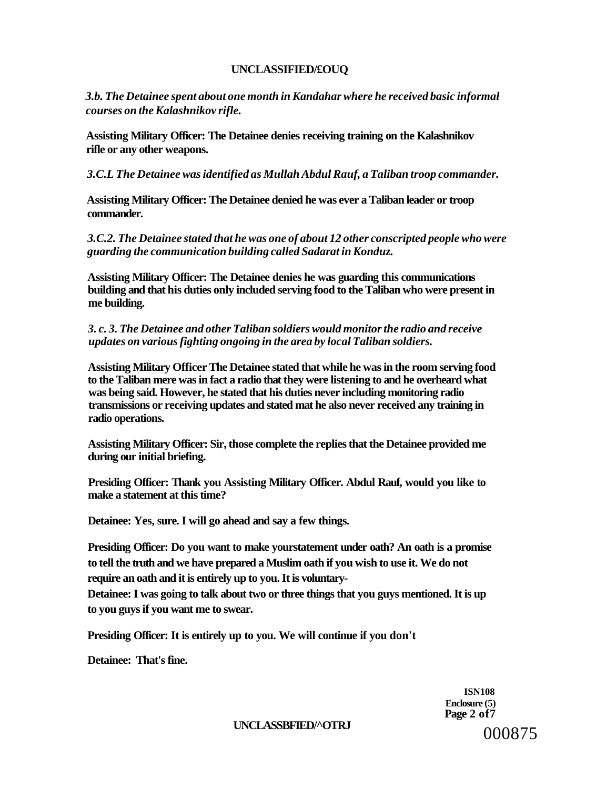#### **UNCLASSIFIED/£OUQ**

*3.b. The Detainee spent about one month in Kandahar where he received basic informal courses on the Kalashnikov rifle.* 

**Assisting Military Officer: The Detainee denies receiving training on the Kalashnikov rifle or any other weapons.** 

*3.C.L The Detainee was identified as Mullah Abdul Rauf, a Taliban troop commander.* 

**Assisting Military Officer: The Detainee denied he was ever a Taliban leader or troop commander.** 

*3.C.2. The Detainee stated that he was one of about 12 other conscripted people who were guarding the communication building called Sadarat in Konduz.* 

**Assisting Military Officer: The Detainee denies he was guarding this communications building and that his duties only included serving food to the Taliban who were present in me building.** 

### *3. c. 3. The Detainee and other Taliban soldiers would monitor the radio and receive updates on various fighting ongoing in the area by local Taliban soldiers.*

**Assisting Military Officer The Detainee stated that while he was in the room serving food to the Taliban mere was in fact a radio that they were listening to and he overheard what was being said. However, he stated that his duties never including monitoring radio transmissions or receiving updates and stated mat he also never received any training in radio operations.** 

**Assisting Military Officer: Sir, those complete the replies that the Detainee provided me during our initial briefing.** 

**Presiding Officer: Thank you Assisting Military Officer. Abdul Rauf, would you like to make a statement at this time?** 

**Detainee: Yes, sure. I will go ahead and say a few things.** 

**Presiding Officer: Do you want to make yourstatement under oath? An oath is a promise to tell the truth and we have prepared a Muslim oath if you wish to use it. We do not require an oath and it is entirely up to you. It is voluntary-**

**Detainee: I was going to talk about two or three things that you guys mentioned. It is up to you guys if you want me to swear.** 

**Presiding Officer: It is entirely up to you. We will continue if you don't** 

**Detainee: That's fine.** 

**ISN108 Enclosure (5) Page 2 of7** 

#### **UNCLASSBFIED/^OTRJ**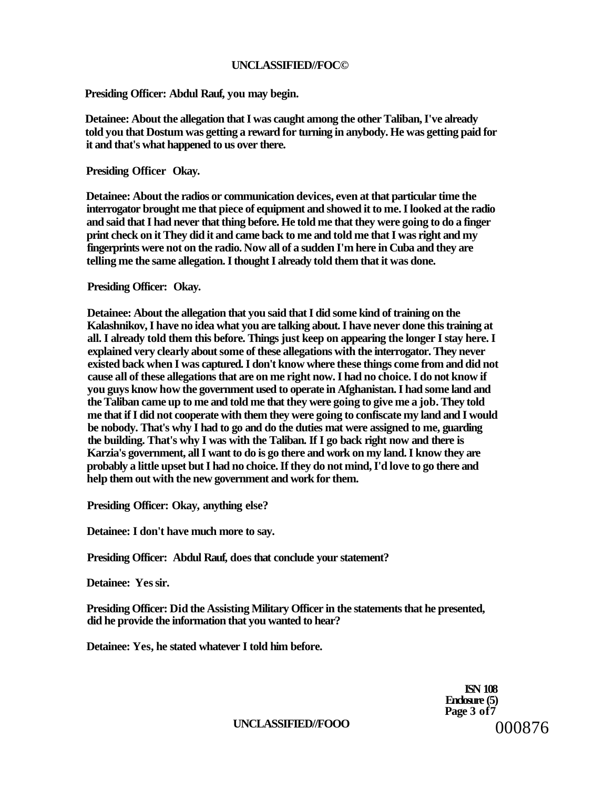### **UNCLASSIFIED//FOC©**

**Presiding Officer: Abdul Rauf, you may begin.** 

**Detainee: About the allegation that I was caught among the other Taliban, I've already told you that Dostum was getting a reward for turning in anybody. He was getting paid for it and that's what happened to us over there.** 

**Presiding Officer Okay.** 

**Detainee: About the radios or communication devices, even at that particular time the interrogator brought me that piece of equipment and showed it to me. I looked at the radio and said that I had never that thing before. He told me that they were going to do a finger print check on it They did it and came back to me and told me that I was right and my fingerprints were not on the radio. Now all of a sudden I'm here in Cuba and they are telling me the same allegation. I thought I already told them that it was done.** 

**Presiding Officer: Okay.** 

**Detainee: About the allegation that you said that I did some kind of training on the Kalashnikov, I have no idea what you are talking about. I have never done this training at all. I already told them this before. Things just keep on appearing the longer I stay here. I explained very clearly about some of these allegations with the interrogator. They never existed back when I was captured. I don't know where these things come from and did not cause all of these allegations that are on me right now. I had no choice. I do not know if you guys know how the government used to operate in Afghanistan. I had some land and the Taliban came up to me and told me that they were going to give me a job. They told me that if I did not cooperate with them they were going to confiscate my land and I would be nobody. That's why I had to go and do the duties mat were assigned to me, guarding the building. That's why I was with the Taliban. If I go back right now and there is Karzia's government, all I want to do is go there and work on my land. I know they are probably a little upset but I had no choice. If they do not mind, I'd love to go there and help them out with the new government and work for them.** 

**Presiding Officer: Okay, anything else?** 

**Detainee: I don't have much more to say.** 

**Presiding Officer: Abdul Rauf, does that conclude your statement?** 

**Detainee: Yes sir.** 

**Presiding Officer: Did the Assisting Military Officer in the statements that he presented, did he provide the information that you wanted to hear?** 

**Detainee: Yes, he stated whatever I told him before.** 

**ISN 108 Enclosure (5) Page 3 of7**  000876

**UNCLASSIFIED//FOOO**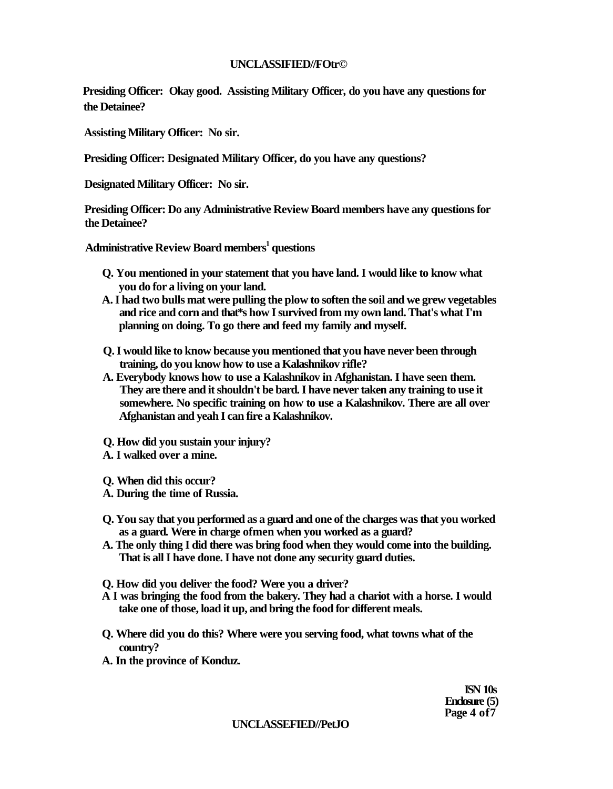### **UNCLASSIFIED//FOtr©**

**Presiding Officer: Okay good. Assisting Military Officer, do you have any questions for the Detainee?** 

**Assisting Military Officer: No sir.** 

**Presiding Officer: Designated Military Officer, do you have any questions?** 

**Designated Military Officer: No sir.** 

**Presiding Officer: Do any Administrative Review Board members have any questions for the Detainee?** 

**Administrative Review Board members<sup>1</sup> questions** 

- **Q. You mentioned in your statement that you have land. I would like to know what you do for a living on your land.**
- **A. I had two bulls mat were pulling the plow to soften the soil and we grew vegetables and rice and corn and that\*s how I survived from my own land. That's what I'm planning on doing. To go there and feed my family and myself.**
- **Q. I would like to know because you mentioned that you have never been through training, do you know how to use a Kalashnikov rifle?**
- **A. Everybody knows how to use a Kalashnikov in Afghanistan. I have seen them. They are there and it shouldn't be bard. I have never taken any training to use it somewhere. No specific training on how to use a Kalashnikov. There are all over Afghanistan and yeah I can fire a Kalashnikov.**
- **Q. How did you sustain your injury?**
- **A. I walked over a mine.**
- **Q. When did this occur?**
- **A. During the time of Russia.**
- **Q. You say that you performed as a guard and one of the charges was that you worked as a guard. Were in charge ofmen when you worked as a guard?**
- **A. The only thing I did there was bring food when they would come into the building. That is all I have done. I have not done any security guard duties.**
- **Q. How did you deliver the food? Were you a driver?**
- **A I was bringing the food from the bakery. They had a chariot with a horse. I would take one of those, load it up, and bring the food for different meals.**
- **Q. Where did you do this? Where were you serving food, what towns what of the country?**
- **A. In the province of Konduz.**

**ISN 10s Enclosure (5) Page 4 of7** 

#### **UNCLASSEFIED//PetJO**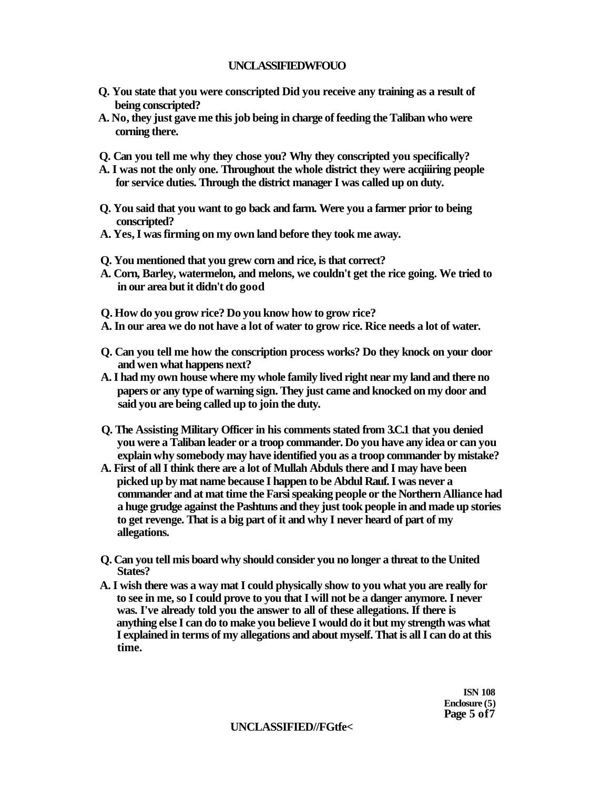# **UNCLASSIFIEDWFOUO**

- **Q. You state that you were conscripted Did you receive any training as a result of being conscripted?**
- **A. No, they just gave me this job being in charge of feeding the Taliban who were corning there.**
- **Q. Can you tell me why they chose you? Why they conscripted you specifically?**
- **A. I was not the only one. Throughout the whole district they were acqiiiring people for service duties. Through the district manager I was called up on duty.**
- **Q. You said that you want to go back and farm. Were you a farmer prior to being conscripted?**
- **A. Yes, I was firming on my own land before they took me away.**
- **Q. You mentioned that you grew corn and rice, is that correct?**
- **A. Corn, Barley, watermelon, and melons, we couldn't get the rice going. We tried to in our area but it didn't do good**
- **Q. How do you grow rice? Do you know how to grow rice?**
- **A. In our area we do not have a lot of water to grow rice. Rice needs a lot of water.**
- **Q. Can you tell me how the conscription process works? Do they knock on your door and wen what happens next?**
- **A. I had my own house where my whole family lived right near my land and there no papers or any type of warning sign. They just came and knocked on my door and said you are being called up to join the duty.**
- **Q. The Assisting Military Officer in his comments stated from 3.C.1 that you denied you were a Taliban leader or a troop commander. Do you have any idea or can you explain why somebody may have identified you as a troop commander by mistake?**
- **A. First of all I think there are a lot of Mullah Abduls there and I may have been picked up by mat name because I happen to be Abdul Rauf. I was never a commander and at mat time the Farsi speaking people or the Northern Alliance had a huge grudge against the Pashtuns and they just took people in and made up stories to get revenge. That is a big part of it and why I never heard of part of my allegations.**
- **Q. Can you tell mis board why should consider you no longer a threat to the United States?**
- **A. I wish there was a way mat I could physically show to you what you are really for to see in me, so I could prove to you that I will not be a danger anymore. I never was. I've already told you the answer to all of these allegations. If there is anything else I can do to make you believe I would do it but my strength was what I explained in terms of my allegations and about myself. That is all I can do at this time.**

**ISN 108 Enclosure (5) Page 5 of7** 

### **UNCLASSIFIED//FGtfe<**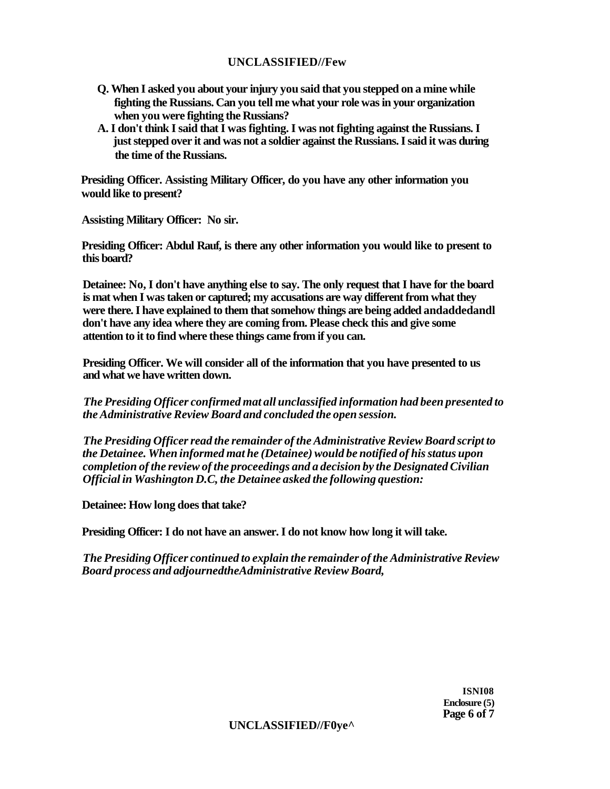# **UNCLASSIFIED//Few**

- **Q. When I asked you about your injury you said that you stepped on a mine while fighting the Russians. Can you tell me what your role was in your organization when you were fighting the Russians?**
- **A. I don't think I said that I was fighting. I was not fighting against the Russians. I just stepped over it and was not a soldier against the Russians. I said it was during the time of the Russians.**

**Presiding Officer. Assisting Military Officer, do you have any other information you would like to present?** 

**Assisting Military Officer: No sir.** 

**Presiding Officer: Abdul Rauf, is there any other information you would like to present to this board?** 

**Detainee: No, I don't have anything else to say. The only request that I have for the board is mat when I was taken or captured; my accusations are way different from what they were there. I have explained to them that somehow things are being added andaddedandl don't have any idea where they are coming from. Please check this and give some attention to it to find where these things came from if you can.** 

**Presiding Officer. We will consider all of the information that you have presented to us and what we have written down.** 

*The Presiding Officer confirmed mat all unclassified information had been presented to the Administrative Review Board and concluded the open session.* 

*The Presiding Officer read the remainder of the Administrative Review Board script to the Detainee. When informed mat he (Detainee) would be notified of his status upon completion of the review of the proceedings and a decision by the Designated Civilian Official in Washington D.C, the Detainee asked the following question:* 

**Detainee: How long does that take?** 

**Presiding Officer: I do not have an answer. I do not know how long it will take.** 

*The Presiding Officer continued to explain the remainder of the Administrative Review Board process and adjournedtheAdministrative Review Board,* 

> **ISNI08 Enclosure (5) Page 6 of 7**

**UNCLASSIFIED//F0ye^**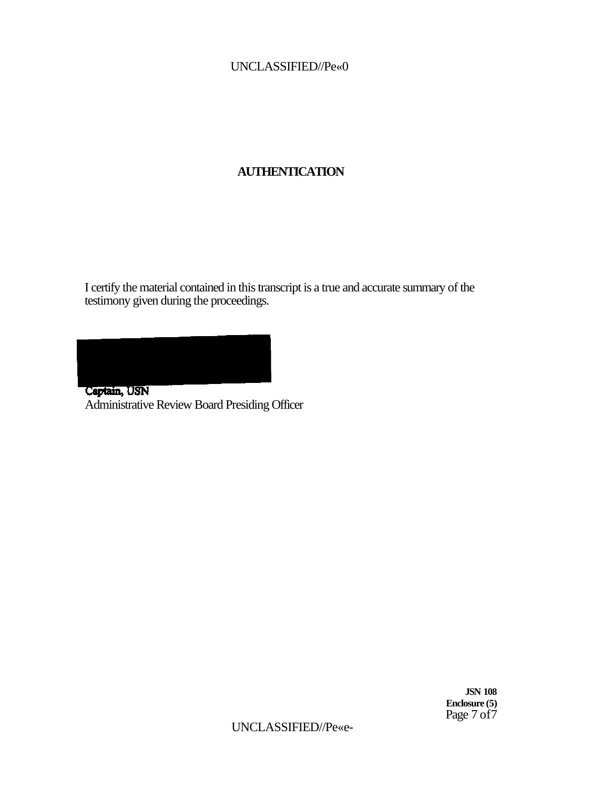# UNCLASSIFIED//Pe«0

# **AUTHENTICATION**

I certify the material contained in this transcript is a true and accurate summary of the testimony given during the proceedings.

Captain, USN Administrative Review Board Presiding Officer

> **JSN 108 Enclosure (5)**  Page 7 of7

UNCLASSIFIED//Pe«e-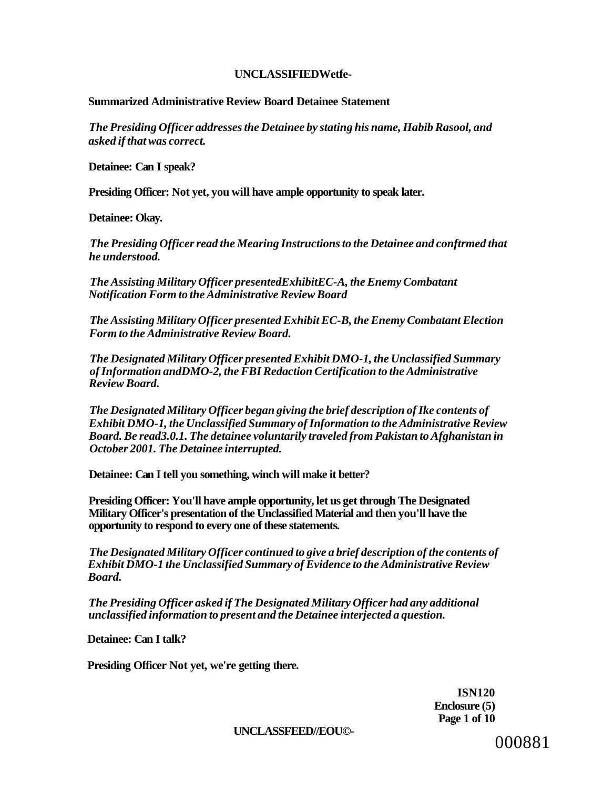# **UNCLASSIFIEDWetfe-**

# **Summarized Administrative Review Board Detainee Statement**

*The Presiding Officer addresses the Detainee by stating his name, Habib Rasool, and asked if that was correct.* 

**Detainee: Can I speak?** 

**Presiding Officer: Not yet, you will have ample opportunity to speak later.** 

**Detainee: Okay.** 

*The Presiding Officer read the Mearing Instructions to the Detainee and conftrmed that he understood.* 

*The Assisting Military Officer presentedExhibitEC-A, the Enemy Combatant Notification Form to the Administrative Review Board* 

*The Assisting Military Officer presented Exhibit EC-B, the Enemy Combatant Election Form to the Administrative Review Board.* 

*The Designated Military Officer presented Exhibit DMO-1, the Unclassified Summary of Information andDMO-2, the FBI Redaction Certification to the Administrative Review Board.* 

*The Designated Military Officer began giving the brief description of Ike contents of Exhibit DMO-1, the Unclassified Summary of Information to the Administrative Review Board. Be read3.0.1. The detainee voluntarily traveled from Pakistan to Afghanistan in October 2001. The Detainee interrupted.* 

**Detainee: Can I tell you something, winch will make it better?** 

**Presiding Officer: You'll have ample opportunity, let us get through The Designated Military Officer's presentation of the Unclassified Material and then you'll have the opportunity to respond to every one of these statements.** 

*The Designated Military Officer continued to give a brief description of the contents of Exhibit DMO-1 the Unclassified Summary of Evidence to the Administrative Review Board.* 

*The Presiding Officer asked if The Designated Military Officer had any additional unclassified information to present and the Detainee interjected a question.* 

**Detainee: Can I talk?** 

**Presiding Officer Not yet, we're getting there.** 

**ISN120 Enclosure (5) Page 1 of 10** 

**UNCLASSFEED//EOU©-**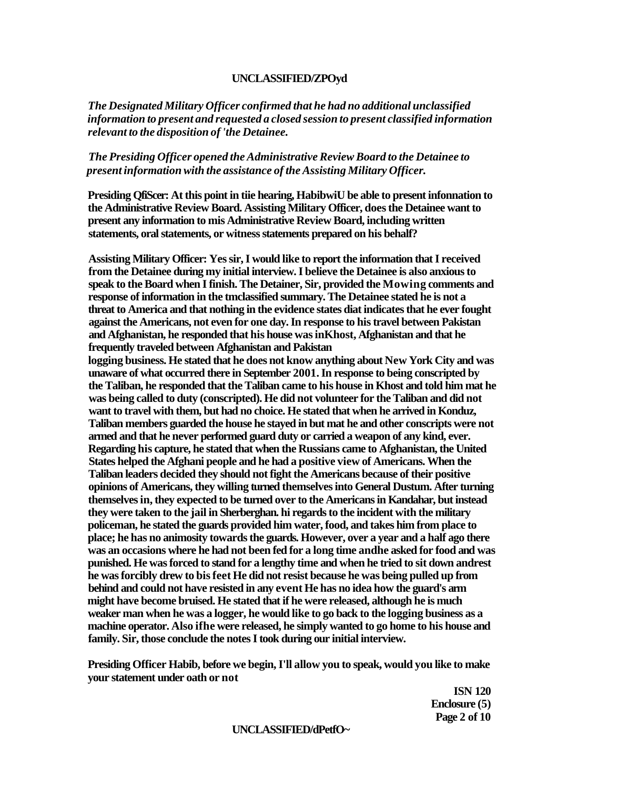#### **UNCLASSIFIED/ZPOyd**

*The Designated Military Officer confirmed that he had no additional unclassified information to present and requested a closed session to present classified information relevant to the disposition of 'the Detainee.* 

# *The Presiding Officer opened the Administrative Review Board to the Detainee to present information with the assistance of the Assisting Military Officer.*

**Presiding QfiScer: At this point in tiie hearing, HabibwiU be able to present infonnation to the Administrative Review Board. Assisting Military Officer, does the Detainee want to present any information to mis Administrative Review Board, including written statements, oral statements, or witness statements prepared on his behalf?** 

**Assisting Military Officer: Yes sir, I would like to report the information that I received from the Detainee during my initial interview. I believe the Detainee is also anxious to speak to the Board when I finish. The Detainer, Sir, provided the Mowing comments and response of information in the tmclassified summary. The Detainee stated he is not a threat to America and that nothing in the evidence states diat indicates that he ever fought against the Americans, not even for one day. In response to his travel between Pakistan and Afghanistan, he responded that his house was inKhost, Afghanistan and that he frequently traveled between Afghanistan and Pakistan logging business. He stated that he does not know anything about New York City and was unaware of what occurred there in September 2001. In response to being conscripted by the Taliban, he responded that the Taliban came to his house in Khost and told him mat he was being called to duty (conscripted). He did not volunteer for the Taliban and did not want to travel with them, but had no choice. He stated that when he arrived in Konduz, Taliban members guarded the house he stayed in but mat he and other conscripts were not armed and that he never performed guard duty or carried a weapon of any kind, ever. Regarding his capture, he stated that when the Russians came to Afghanistan, the United States helped the Afghani people and he had a positive view of Americans. When the Taliban leaders decided they should not fight the Americans because of their positive opinions of Americans, they willing turned themselves into General Dustum. After turning themselves in, they expected to be turned over to the Americans in Kandahar, but instead they were taken to the jail in Sherberghan. hi regards to the incident with the military policeman, he stated the guards provided him water, food, and takes him from place to place; he has no animosity towards the guards. However, over a year and a half ago there was an occasions where he had not been fed for a long time andhe asked for food and was punished. He was forced to stand for a lengthy time and when he tried to sit down andrest he was forcibly drew to bis feet He did not resist because he was being pulled up from behind and could not have resisted in any event He has no idea how the guard's arm might have become bruised. He stated that if he were released, although he is much weaker man when he was a logger, he would like to go back to the logging business as a machine operator. Also ifhe were released, he simply wanted to go home to his house and family. Sir, those conclude the notes I took during our initial interview.** 

**Presiding Officer Habib, before we begin, I'll allow you to speak, would you like to make your statement under oath or not** 

> **ISN 120 Enclosure (5) Page 2 of 10**

### **UNCLASSIFIED/dPetfO~**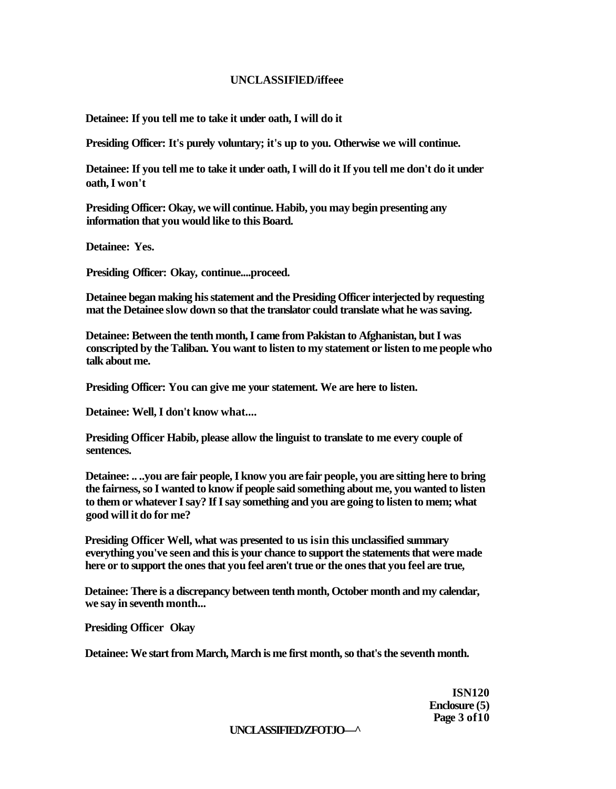### **UNCLASSIFlED/iffeee**

**Detainee: If you tell me to take it under oath, I will do it** 

**Presiding Officer: It's purely voluntary; it's up to you. Otherwise we will continue.** 

**Detainee: If you tell me to take it under oath, I will do it If you tell me don't do it under oath, I won't** 

**Presiding Officer: Okay, we will continue. Habib, you may begin presenting any information that you would like to this Board.** 

**Detainee: Yes.** 

**Presiding Officer: Okay, continue....proceed.** 

**Detainee began making his statement and the Presiding Officer interjected by requesting mat the Detainee slow down so that the translator could translate what he was saving.** 

**Detainee: Between the tenth month, I came from Pakistan to Afghanistan, but I was conscripted by the Taliban. You want to listen to my statement or listen to me people who talk about me.** 

**Presiding Officer: You can give me your statement. We are here to listen.** 

**Detainee: Well, I don't know what....** 

**Presiding Officer Habib, please allow the linguist to translate to me every couple of sentences.** 

**Detainee: .. ..you are fair people, I know you are fair people, you are sitting here to bring the fairness, so I wanted to know if people said something about me, you wanted to listen to them or whatever I say? If I say something and you are going to listen to mem; what good will it do for me?** 

**Presiding Officer Well, what was presented to us isin this unclassified summary everything you've seen and this is your chance to support the statements that were made here or to support the ones that you feel aren't true or the ones that you feel are true,** 

**Detainee: There is a discrepancy between tenth month, October month and my calendar, we say in seventh month...** 

**Presiding Officer Okay** 

**Detainee: We start from March, March is me first month, so that's the seventh month.** 

**ISN120 Enclosure (5) Page 3 of10** 

### **UNCLASSIFIED/ZFOTJO—^**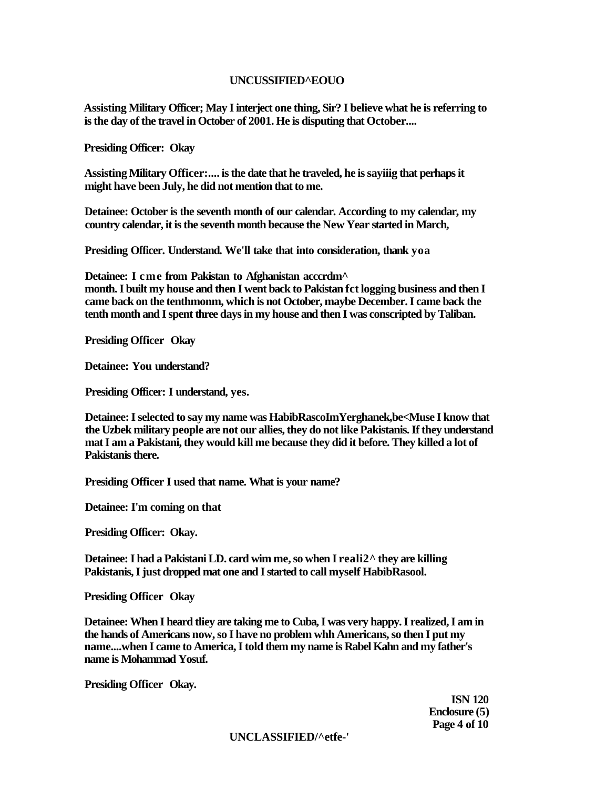# **UNCUSSIFIED^EOUO**

**Assisting Military Officer; May I interject one thing, Sir? I believe what he is referring to is the day of the travel in October of 2001. He is disputing that October....** 

**Presiding Officer: Okay** 

**Assisting Military Officer:.... is the date that he traveled, he is sayiiig that perhaps it might have been July, he did not mention that to me.** 

**Detainee: October is the seventh month of our calendar. According to my calendar, my country calendar, it is the seventh month because the New Year started in March,** 

**Presiding Officer. Understand. We'll take that into consideration, thank yoa** 

**Detainee: I cme from Pakistan to Afghanistan acccrdm^** 

**month. I built my house and then I went back to Pakistan fct logging business and then I came back on the tenthmonm, which is not October, maybe December. I came back the tenth month and I spent three days in my house and then I was conscripted by Taliban.** 

**Presiding Officer Okay** 

**Detainee: You understand?** 

**Presiding Officer: I understand, yes.** 

**Detainee: I selected to say my name was HabibRascoImYerghanek,be<Muse I know that the Uzbek military people are not our allies, they do not like Pakistanis. If they understand mat I am a Pakistani, they would kill me because they did it before. They killed a lot of Pakistanis there.** 

**Presiding Officer I used that name. What is your name?** 

**Detainee: I'm coming on that** 

**Presiding Officer: Okay.** 

**Detainee: I had a Pakistani LD. card wim me, so when I reali2^ they are killing Pakistanis, I just dropped mat one and I started to call myself HabibRasool.** 

**Presiding Officer Okay** 

**Detainee: When I heard tliey are taking me to Cuba, I was very happy. I realized, I am in the hands of Americans now, so I have no problem whh Americans, so then I put my name....when I came to America, I told them my name is Rabel Kahn and my father's name is Mohammad Yosuf.** 

**Presiding Officer Okay.** 

**ISN 120 Enclosure (5) Page 4 of 10** 

**UNCLASSIFIED/^etfe-'**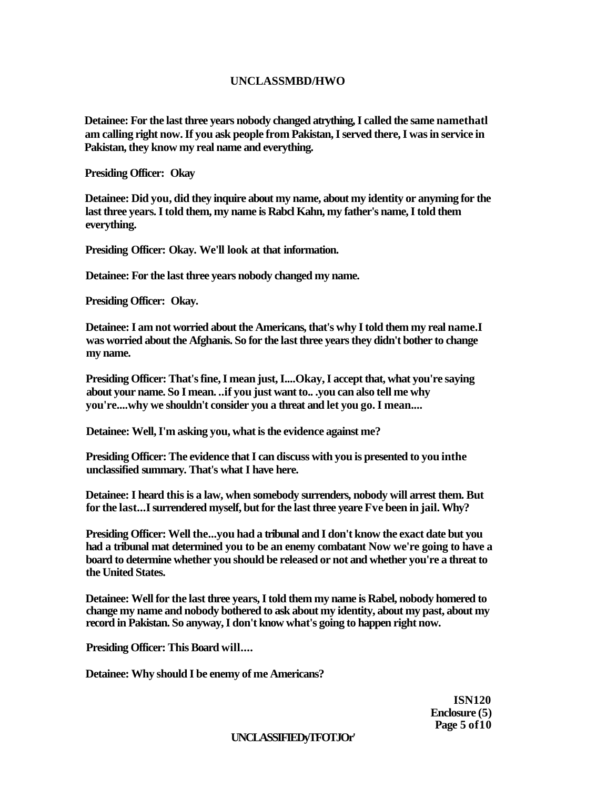# **UNCLASSMBD/HWO**

**Detainee: For the last three years nobody changed atrything, I called the same namethatl am calling right now. If you ask people from Pakistan, I served there, I was in service in Pakistan, they know my real name and everything.** 

**Presiding Officer: Okay** 

**Detainee: Did you, did they inquire about my name, about my identity or anyming for the last three years. I told them, my name is Rabcl Kahn, my father's name, I told them everything.** 

**Presiding Officer: Okay. We'll look at that information.** 

**Detainee: For the last three years nobody changed my name.** 

**Presiding Officer: Okay.** 

**Detainee: I am not worried about the Americans, that's why I told them my real name.I was worried about the Afghanis. So for the last three years they didn't bother to change my name.** 

**Presiding Officer: That's fine, I mean just, I....Okay, I accept that, what you're saying about your name. So I mean. ..if you just want to.. .you can also tell me why you're....why we shouldn't consider you a threat and let you go. I mean....** 

**Detainee: Well, I'm asking you, what is the evidence against me?** 

**Presiding Officer: The evidence that I can discuss with you is presented to you inthe unclassified summary. That's what I have here.** 

**Detainee: I heard this is a law, when somebody surrenders, nobody will arrest them. But for the last...I surrendered myself, but for the last three yeare Fve been in jail. Why?** 

**Presiding Officer: Well the...you had a tribunal and I don't know the exact date but you had a tribunal mat determined you to be an enemy combatant Now we're going to have a board to determine whether you should be released or not and whether you're a threat to the United States.** 

**Detainee: Well for the last three years, I told them my name is Rabel, nobody homered to change my name and nobody bothered to ask about my identity, about my past, about my record in Pakistan. So anyway, I don't know what's going to happen right now.** 

**Presiding Officer: This Board will....** 

**Detainee: Why should I be enemy of me Americans?** 

**ISN120 Enclosure (5) Page 5 of10** 

# **UNCLASSIFIEDyTFOTJOr'**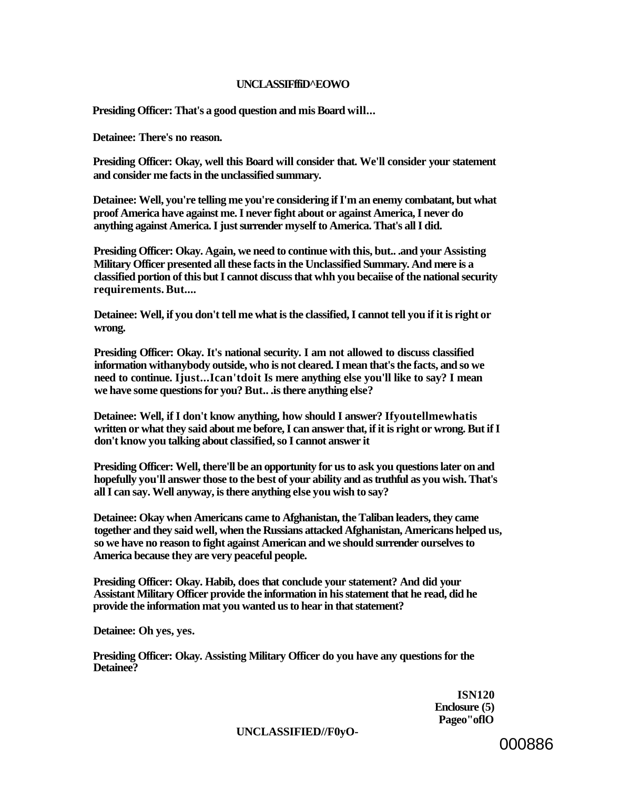### **UNCLASSIFffiD^EOWO**

**Presiding Officer: That's a good question and mis Board will...** 

**Detainee: There's no reason.** 

**Presiding Officer: Okay, well this Board will consider that. We'll consider your statement and consider me facts in the unclassified summary.** 

**Detainee: Well, you're telling me you're considering if I'm an enemy combatant, but what proof America have against me. I never fight about or against America, I never do anything against America. I just surrender myself to America. That's all I did.** 

**Presiding Officer: Okay. Again, we need to continue with this, but.. .and your Assisting Military Officer presented all these facts in the Unclassified Summary. And mere is a classified portion of this but I cannot discuss that whh you becaiise of the national security requirements. But....** 

**Detainee: Well, if you don't tell me what is the classified, I cannot tell you if it is right or wrong.** 

**Presiding Officer: Okay. It's national security. I am not allowed to discuss classified information withanybody outside, who is not cleared. I mean that's the facts, and so we need to continue. Ijust...Ican'tdoit Is mere anything else you'll like to say? I mean we have some questions for you? But.. .is there anything else?** 

**Detainee: Well, if I don't know anything, how should I answer? Ifyoutellmewhatis written or what they said about me before, I can answer that, if it is right or wrong. But if I don't know you talking about classified, so I cannot answer it** 

**Presiding Officer: Well, there'll be an opportunity for us to ask you questions later on and hopefully you'll answer those to the best of your ability and as truthful as you wish. That's all I can say. Well anyway, is there anything else you wish to say?** 

**Detainee: Okay when Americans came to Afghanistan, the Taliban leaders, they came together and they said well, when the Russians attacked Afghanistan, Americans helped us, so we have no reason to fight against American and we should surrender ourselves to America because they are very peaceful people.** 

**Presiding Officer: Okay. Habib, does that conclude your statement? And did your Assistant Military Officer provide the information in his statement that he read, did he provide the information mat you wanted us to hear in that statement?** 

**Detainee: Oh yes, yes.** 

**Presiding Officer: Okay. Assisting Military Officer do you have any questions for the Detainee?** 

> **ISN120 Enclosure (5) Pageo"oflO**

**UNCLASSIFIED//F0yO-**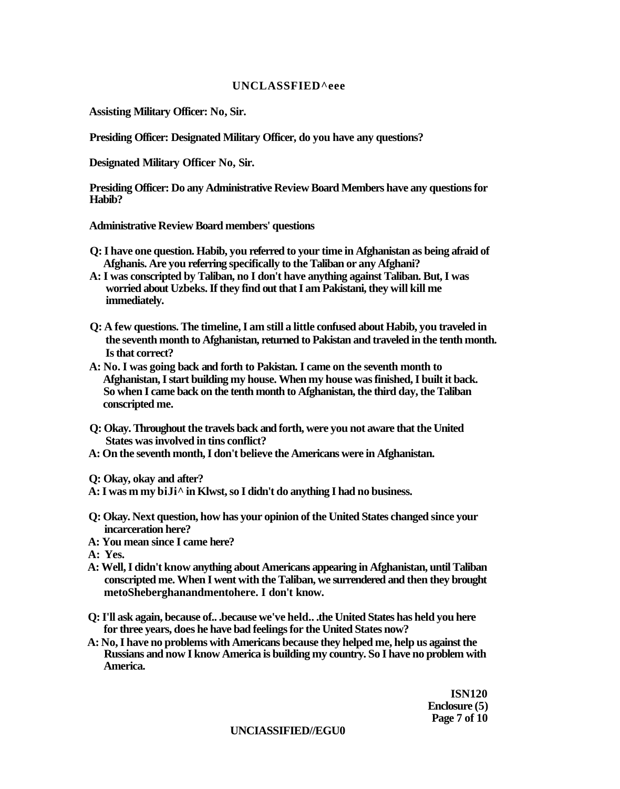### **UNCLASSFIED^eee**

**Assisting Military Officer: No, Sir.** 

**Presiding Officer: Designated Military Officer, do you have any questions?** 

**Designated Military Officer No, Sir.** 

**Presiding Officer: Do any Administrative Review Board Members have any questions for Habib?** 

**Administrative Review Board members' questions** 

- **Q: I have one question. Habib, you referred to your time in Afghanistan as being afraid of Afghanis. Are you referring specifically to the Taliban or any Afghani?**
- **A: I was conscripted by Taliban, no I don't have anything against Taliban. But, I was worried about Uzbeks. If they find out that I am Pakistani, they will kill me immediately.**
- **Q: A few questions. The timeline, I am still a little confused about Habib, you traveled in the seventh month to Afghanistan, returned to Pakistan and traveled in the tenth month. Is that correct?**
- **A: No. I was going back and forth to Pakistan. I came on the seventh month to Afghanistan, I start building my house. When my house was finished, I built it back. So when I came back on the tenth month to Afghanistan, the third day, the Taliban conscripted me.**
- **Q: Okay. Throughout the travels back and forth, were you not aware that the United States was involved in tins conflict?**
- **A: On the seventh month, I don't believe the Americans were in Afghanistan.**

**Q: Okay, okay and after?** 

- **A: I was m my biJi^ in Klwst, so I didn't do anything I had no business.**
- **Q: Okay. Next question, how has your opinion of the United States changed since your incarceration here?**
- **A: You mean since I came here?**

**A: Yes.** 

- **A: Well, I didn't know anything about Americans appearing in Afghanistan, until Taliban conscripted me. When I went with the Taliban, we surrendered and then they brought metoSheberghanandmentohere. I don't know.**
- **Q: I'll ask again, because of.. .because we've held.. .the United States has held you here for three years, does he have bad feelings for the United States now?**
- **A: No, I have no problems with Americans because they helped me, help us against the Russians and now I know America is building my country. So I have no problem with America.**

**ISN120 Enclosure (5) Page 7 of 10** 

### **UNCIASSIFIED//EGU0**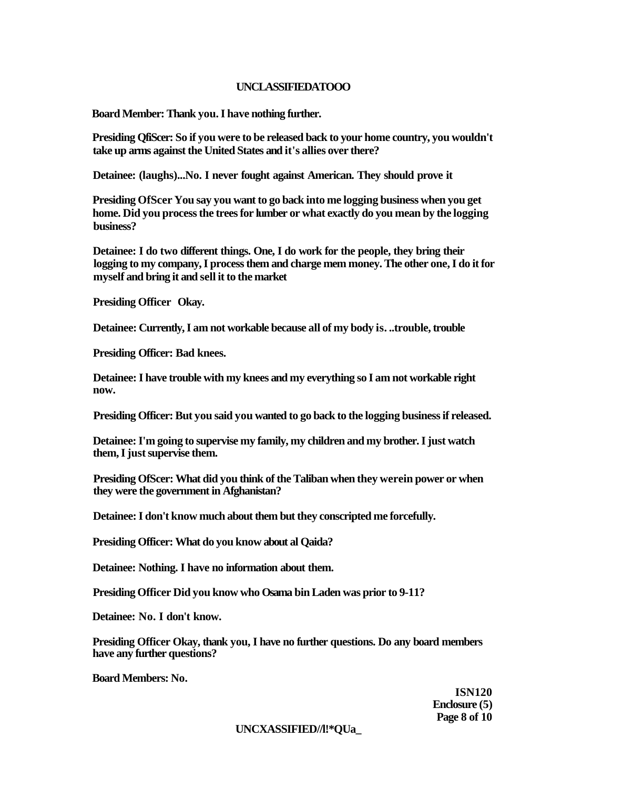### **UNCLASSIFIEDATOOO**

**Board Member: Thank you. I have nothing further.** 

**Presiding QfiScer: So if you were to be released back to your home country, you wouldn't take up arms against the United States and it's allies over there?** 

**Detainee: (laughs)...No. I never fought against American. They should prove it** 

**Presiding OfScer You say you want to go back into me logging business when you get home. Did you process the trees for lumber or what exactly do you mean by the logging business?** 

**Detainee: I do two different things. One, I do work for the people, they bring their logging to my company, I process them and charge mem money. The other one, I do it for myself and bring it and sell it to the market** 

**Presiding Officer Okay.** 

**Detainee: Currently, I am not workable because all of my body is. ..trouble, trouble** 

**Presiding Officer: Bad knees.** 

**Detainee: I have trouble with my knees and my everything so I am not workable right now.** 

**Presiding Officer: But you said you wanted to go back to the logging business if released.** 

**Detainee: I'm going to supervise my family, my children and my brother. I just watch them, I just supervise them.** 

**Presiding OfScer: What did you think of the Taliban when they werein power or when they were the government in Afghanistan?** 

**Detainee: I don't know much about them but they conscripted me forcefully.** 

**Presiding Officer: What do you know about al Qaida?** 

**Detainee: Nothing. I have no information about them.** 

**Presiding Officer Did you know who Osama bin Laden was prior to 9-11?** 

**Detainee: No. I don't know.** 

**Presiding Officer Okay, thank you, I have no further questions. Do any board members have any further questions?** 

**Board Members: No.** 

**ISN120 Enclosure (5) Page 8 of 10** 

# **UNCXASSIFIED//l!\*QUa\_**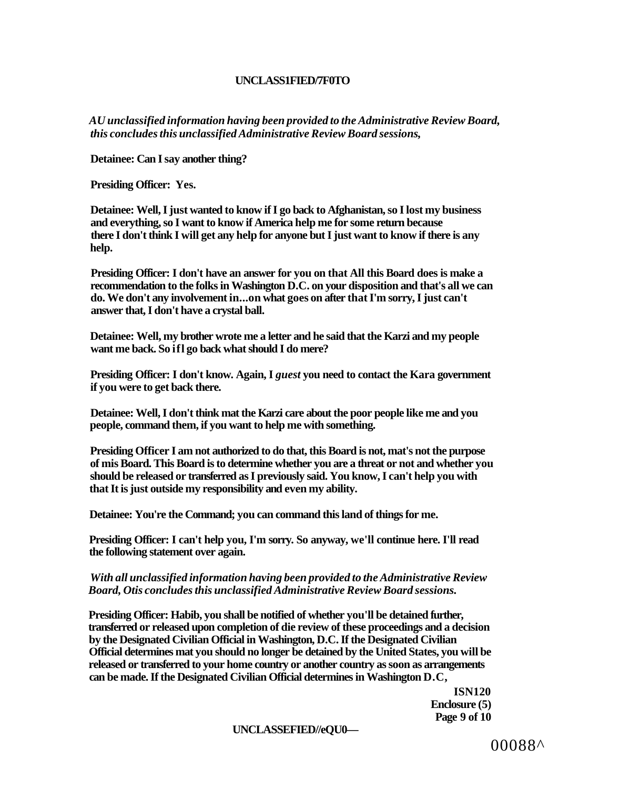### **UNCLASS1FIED/7F0TO**

*AU unclassified information having been provided to the Administrative Review Board, this concludes this unclassified Administrative Review Board sessions,* 

**Detainee: Can I say another thing?** 

**Presiding Officer: Yes.** 

**Detainee: Well, I just wanted to know if I go back to Afghanistan, so I lost my business and everything, so I want to know if America help me for some return because there I don't think I will get any help for anyone but I just want to know if there is any help.** 

**Presiding Officer: I don't have an answer for you on that All this Board does is make a recommendation to the folks in Washington D.C. on your disposition and that's all we can do. We don't any involvement in...on what goes on after that I'm sorry, I just can't answer that, I don't have a crystal ball.** 

**Detainee: Well, my brother wrote me a letter and he said that the Karzi and my people want me back. So ifl go back what should I do mere?** 

**Presiding Officer: I don't know. Again, I** *guest* **you need to contact the Kara government if you were to get back there.** 

**Detainee: Well, I don't think mat the Karzi care about the poor people like me and you people, command them, if you want to help me with something.** 

**Presiding Officer I am not authorized to do that, this Board is not, mat's not the purpose of mis Board. This Board is to determine whether you are a threat or not and whether you should be released or transferred as I previously said. You know, I can't help you with that It is just outside my responsibility and even my ability.** 

**Detainee: You're the Command; you can command this land of things for me.** 

**Presiding Officer: I can't help you, I'm sorry. So anyway, we'll continue here. I'll read the following statement over again.** 

### *With all unclassified information having been provided to the Administrative Review Board, Otis concludes this unclassified Administrative Review Board sessions.*

**Presiding Officer: Habib, you shall be notified of whether you'll be detained further, transferred or released upon completion of die review of these proceedings and a decision by the Designated Civilian Official in Washington, D.C. If the Designated Civilian Official determines mat you should no longer be detained by the United States, you will be released or transferred to your home country or another country as soon as arrangements can be made. If the Designated Civilian Official determines in Washington D.C,** 

> **ISN120 Enclosure (5) Page 9 of 10**

**UNCLASSEFIED//eQU0—**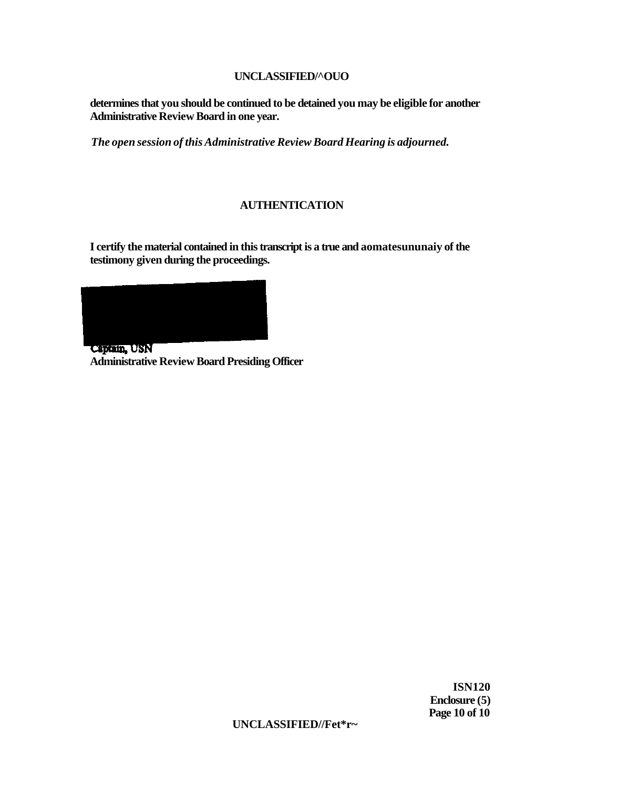# **UNCLASSIFIED/^OUO**

**determines that you should be continued to be detained you may be eligible for another Administrative Review Board in one year.** 

*The open session of this Administrative Review Board Hearing is adjourned.* 

# **AUTHENTICATION**

**I certify the material contained in this transcript is a true and aomatesununaiy of the testimony given during the proceedings.** 



Captain, USN **Administrative Review Board Presiding Officer** 

> **ISN120 Enclosure (5) Page 10 of 10**

**UNCLASSIFIED//Fet\*r~**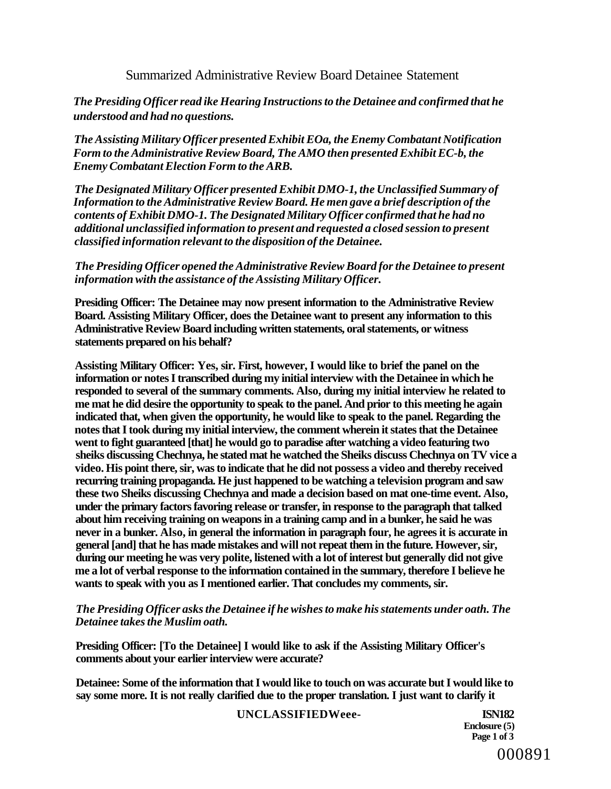# Summarized Administrative Review Board Detainee Statement

# *The Presiding Officer read ike Hearing Instructions to the Detainee and confirmed that he understood and had no questions.*

*The Assisting Military Officer presented Exhibit EOa, the Enemy Combatant Notification Form to the Administrative Review Board, The AMO then presented Exhibit EC-b, the Enemy Combatant Election Form to the ARB.* 

*The Designated Military Officer presented Exhibit DMO-1, the Unclassified Summary of Information to the Administrative Review Board. He men gave a brief description of the contents of Exhibit DMO-1. The Designated Military Officer confirmed that he had no additional unclassified information to present and requested a closed session to present classified information relevant to the disposition of the Detainee.* 

# *The Presiding Officer opened the Administrative Review Board for the Detainee to present information with the assistance of the Assisting Military Officer.*

**Presiding Officer: The Detainee may now present information to the Administrative Review Board. Assisting Military Officer, does the Detainee want to present any information to this Administrative Review Board including written statements, oral statements, or witness statements prepared on his behalf?** 

**Assisting Military Officer: Yes, sir. First, however, I would like to brief the panel on the information or notes I transcribed during my initial interview with the Detainee in which he responded to several of the summary comments. Also, during my initial interview he related to me mat he did desire the opportunity to speak to the panel. And prior to this meeting he again indicated that, when given the opportunity, he would like to speak to the panel. Regarding the notes that I took during my initial interview, the comment wherein it states that the Detainee went to fight guaranteed [that] he would go to paradise after watching a video featuring two sheiks discussing Chechnya, he stated mat he watched the Sheiks discuss Chechnya on TV vice a video. His point there, sir, was to indicate that he did not possess a video and thereby received recurring training propaganda. He just happened to be watching a television program and saw these two Sheiks discussing Chechnya and made a decision based on mat one-time event. Also, under the primary factors favoring release or transfer, in response to the paragraph that talked about him receiving training on weapons in a training camp and in a bunker, he said he was never in a bunker. Also, in general the information in paragraph four, he agrees it is accurate in general [and] that he has made mistakes and will not repeat them in the future. However, sir, during our meeting he was very polite, listened with a lot of interest but generally did not give me a lot of verbal response to the information contained in the summary, therefore I believe he wants to speak with you as I mentioned earlier. That concludes my comments, sir.** 

# *The Presiding Officer asks the Detainee if he wishes to make his statements under oath. The Detainee takes the Muslim oath.*

**Presiding Officer: [To the Detainee] I would like to ask if the Assisting Military Officer's comments about your earlier interview were accurate?** 

**Detainee: Some of the information that I would like to touch on was accurate but I would like to say some more. It is not really clarified due to the proper translation. I just want to clarify it** 

# **UNCLASSIFIEDWeee- ISN182**

**Enclosure (5) Page 1 of 3**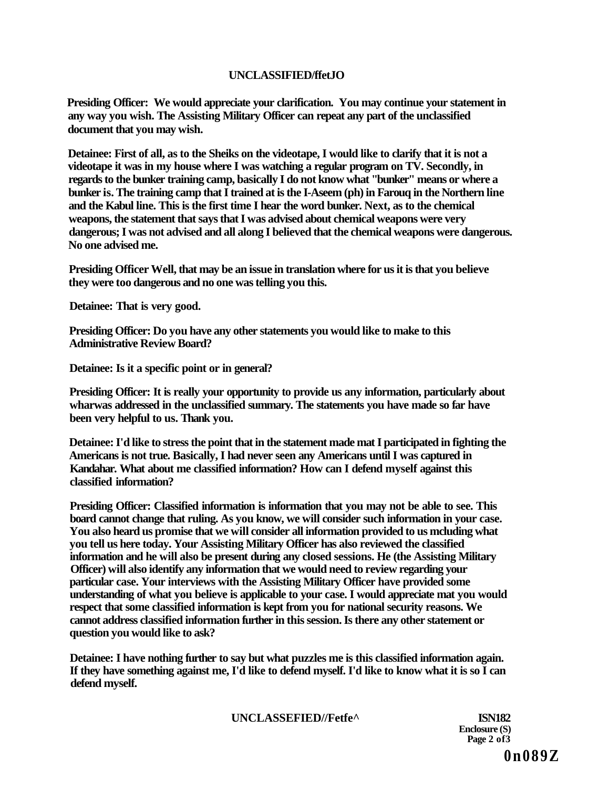# **UNCLASSIFIED/ffetJO**

**Presiding Officer: We would appreciate your clarification. You may continue your statement in any way you wish. The Assisting Military Officer can repeat any part of the unclassified document that you may wish.** 

**Detainee: First of all, as to the Sheiks on the videotape, I would like to clarify that it is not a videotape it was in my house where I was watching a regular program on TV. Secondly, in regards to the bunker training camp, basically I do not know what "bunker" means or where a bunker is. The training camp that I trained at is the I-Aseem (ph) in Farouq in the Northern line and the Kabul line. This is the first time I hear the word bunker. Next, as to the chemical weapons, the statement that says that I was advised about chemical weapons were very dangerous; I was not advised and all along I believed that the chemical weapons were dangerous. No one advised me.** 

**Presiding Officer Well, that may be an issue in translation where for us it is that you believe they were too dangerous and no one was telling you this.** 

**Detainee: That is very good.** 

**Presiding Officer: Do you have any other statements you would like to make to this Administrative Review Board?** 

**Detainee: Is it a specific point or in general?** 

**Presiding Officer: It is really your opportunity to provide us any information, particularly about wharwas addressed in the unclassified summary. The statements you have made so far have been very helpful to us. Thank you.** 

**Detainee: I'd like to stress the point that in the statement made mat I participated in fighting the Americans is not true. Basically, I had never seen any Americans until I was captured in Kandahar. What about me classified information? How can I defend myself against this classified information?** 

**Presiding Officer: Classified information is information that you may not be able to see. This board cannot change that ruling. As you know, we will consider such information in your case. You also heard us promise that we will consider all information provided to us mcluding what you tell us here today. Your Assisting Military Officer has also reviewed the classified information and he will also be present during any closed sessions. He (the Assisting Military Officer) will also identify any information that we would need to review regarding your particular case. Your interviews with the Assisting Military Officer have provided some understanding of what you believe is applicable to your case. I would appreciate mat you would respect that some classified information is kept from you for national security reasons. We cannot address classified information further in this session. Is there any other statement or question you would like to ask?** 

**Detainee: I have nothing further to say but what puzzles me is this classified information again. If they have something against me, I'd like to defend myself. I'd like to know what it is so I can defend myself.** 

**UNCLASSEFIED//Fetfe^ ISN182** 

**Enclosure (S) Page 2 of3** 

**0n089Z**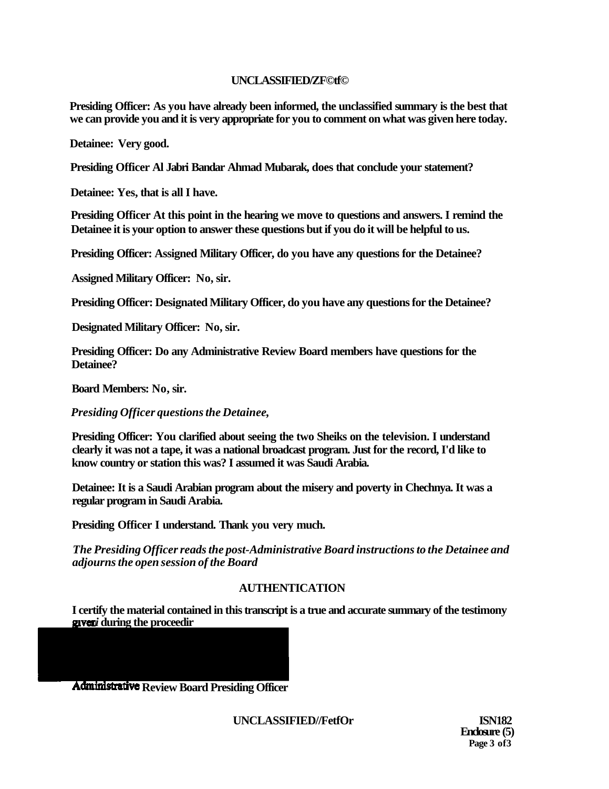# **UNCLASSIFIED/ZF©tf©**

**Presiding Officer: As you have already been informed, the unclassified summary is the best that we can provide you and it is very appropriate for you to comment on what was given here today.** 

**Detainee: Very good.** 

**Presiding Officer Al Jabri Bandar Ahmad Mubarak, does that conclude your statement?** 

**Detainee: Yes, that is all I have.** 

**Presiding Officer At this point in the hearing we move to questions and answers. I remind the Detainee it is your option to answer these questions but if you do it will be helpful to us.** 

**Presiding Officer: Assigned Military Officer, do you have any questions for the Detainee?** 

**Assigned Military Officer: No, sir.** 

**Presiding Officer: Designated Military Officer, do you have any questions for the Detainee?** 

**Designated Military Officer: No, sir.** 

**Presiding Officer: Do any Administrative Review Board members have questions for the Detainee?** 

**Board Members: No, sir.** 

*Presiding Officer questions the Detainee,* 

**Presiding Officer: You clarified about seeing the two Sheiks on the television. I understand clearly it was not a tape, it was a national broadcast program. Just for the record, I'd like to know country or station this was? I assumed it was Saudi Arabia.** 

**Detainee: It is a Saudi Arabian program about the misery and poverty in Chechnya. It was a regular program in Saudi Arabia.** 

**Presiding Officer I understand. Thank you very much.** 

*The Presiding Officer reads the post-Administrative Board instructions to the Detainee and adjourns the open session of the Board* 

# **AUTHENTICATION**

**I certify the material contained in this transcript is a true and accurate summary of the testimony**  *i* **during the proceedir** 

**Administrative Review Board Presiding Officer** 

**UNCLASSIFIED//FetfOr ISN182** 

**Enclosure (5) Page 3 of3**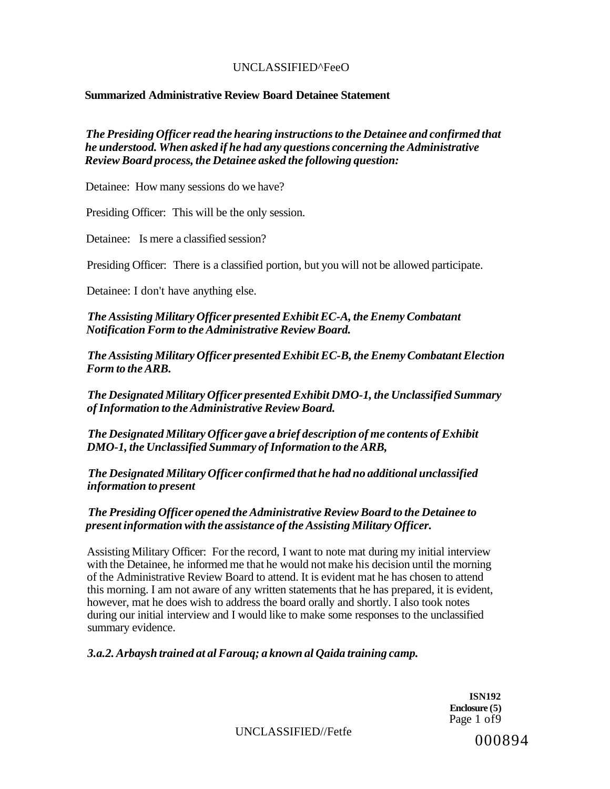# UNCLASSIFIED^FeeO

# **Summarized Administrative Review Board Detainee Statement**

*The Presiding Officer read the hearing instructions to the Detainee and confirmed that he understood. When asked if he had any questions concerning the Administrative Review Board process, the Detainee asked the following question:* 

Detainee: How many sessions do we have?

Presiding Officer: This will be the only session.

Detainee: Is mere a classified session?

Presiding Officer: There is a classified portion, but you will not be allowed participate.

Detainee: I don't have anything else.

*The Assisting Military Officer presented Exhibit EC-A, the Enemy Combatant Notification Form to the Administrative Review Board.* 

*The Assisting Military Officer presented Exhibit EC-B, the Enemy Combatant Election Form to the ARB.* 

*The Designated Military Officer presented Exhibit DMO-1, the Unclassified Summary of Information to the Administrative Review Board.* 

*The Designated Military Officer gave a brief description of me contents of Exhibit DMO-1, the Unclassified Summary of Information to the ARB,* 

*The Designated Military Officer confirmed that he had no additional unclassified information to present* 

# *The Presiding Officer opened the Administrative Review Board to the Detainee to present information with the assistance of the Assisting Military Officer.*

Assisting Military Officer: For the record, I want to note mat during my initial interview with the Detainee, he informed me that he would not make his decision until the morning of the Administrative Review Board to attend. It is evident mat he has chosen to attend this morning. I am not aware of any written statements that he has prepared, it is evident, however, mat he does wish to address the board orally and shortly. I also took notes during our initial interview and I would like to make some responses to the unclassified summary evidence.

*3.a.2. Arbaysh trained at al Farouq; a known al Qaida training camp.* 

**ISN192 Enclosure (5)**  Page 1 of9

 $UNCLASSIFIED/Fe$ fetfe  $000894$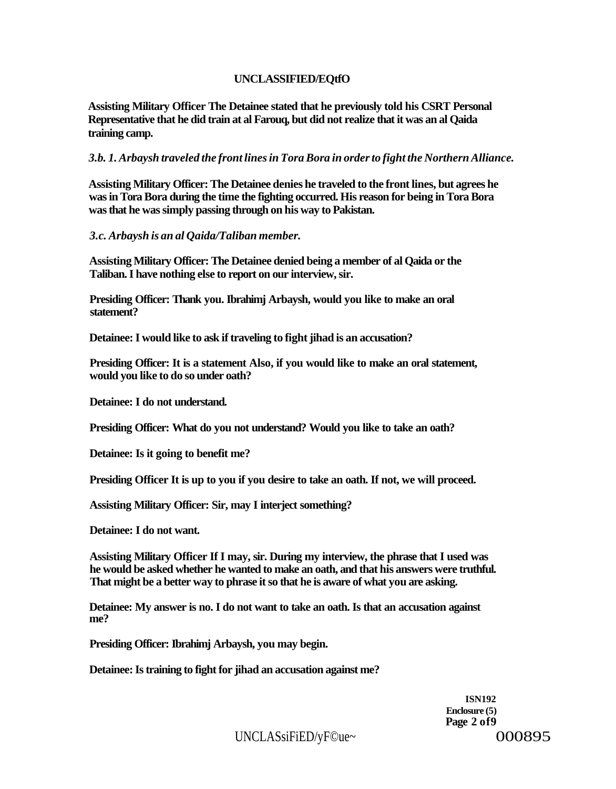# **UNCLASSIFIED/EQtfO**

**Assisting Military Officer The Detainee stated that he previously told his CSRT Personal Representative that he did train at al Farouq, but did not realize that it was an al Qaida training camp.** 

*3.b. 1. Arbaysh traveled the front lines in Tora Bora in order to fight the Northern Alliance.* 

**Assisting Military Officer: The Detainee denies he traveled to the front lines, but agrees he was in Tora Bora during the time the fighting occurred. His reason for being in Tora Bora was that he was simply passing through on his way to Pakistan.** 

*3.c. Arbaysh is an al Qaida/Taliban member.* 

**Assisting Military Officer: The Detainee denied being a member of al Qaida or the Taliban. I have nothing else to report on our interview, sir.** 

**Presiding Officer: Thank you. Ibrahimj Arbaysh, would you like to make an oral statement?** 

**Detainee: I would like to ask if traveling to fight jihad is an accusation?** 

**Presiding Officer: It is a statement Also, if you would like to make an oral statement, would you like to do so under oath?** 

**Detainee: I do not understand.** 

**Presiding Officer: What do you not understand? Would you like to take an oath?** 

**Detainee: Is it going to benefit me?** 

**Presiding Officer It is up to you if you desire to take an oath. If not, we will proceed.** 

**Assisting Military Officer: Sir, may I interject something?** 

**Detainee: I do not want.** 

**Assisting Military Officer If I may, sir. During my interview, the phrase that I used was he would be asked whether he wanted to make an oath, and that his answers were truthful. That might be a better way to phrase it so that he is aware of what you are asking.** 

**Detainee: My answer is no. I do not want to take an oath. Is that an accusation against me?** 

**Presiding Officer: Ibrahimj Arbaysh, you may begin.** 

**Detainee: Is training to fight for jihad an accusation against me?** 

**ISN192 Enclosure (5) Page 2 of9** 

UNCLASsiFiED/yF©ue~ 000895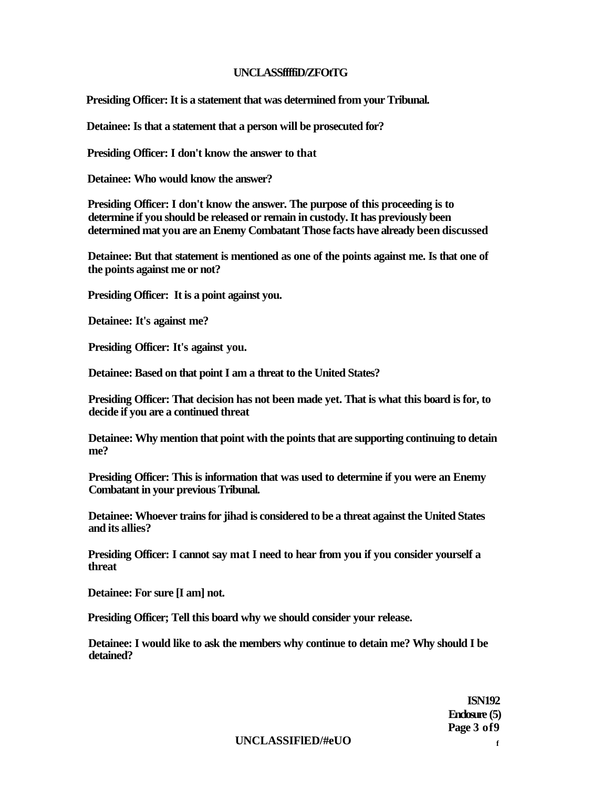### **UNCLASSffffiD/ZFOtTG**

**Presiding Officer: It is a statement that was determined from your Tribunal.** 

**Detainee: Is that a statement that a person will be prosecuted for?** 

**Presiding Officer: I don't know the answer to that** 

**Detainee: Who would know the answer?** 

**Presiding Officer: I don't know the answer. The purpose of this proceeding is to determine if you should be released or remain in custody. It has previously been determined mat you are an Enemy Combatant Those facts have already been discussed** 

**Detainee: But that statement is mentioned as one of the points against me. Is that one of the points against me or not?** 

**Presiding Officer: It is a point against you.** 

**Detainee: It's against me?** 

**Presiding Officer: It's against you.** 

**Detainee: Based on that point I am a threat to the United States?** 

**Presiding Officer: That decision has not been made yet. That is what this board is for, to decide if you are a continued threat** 

**Detainee: Why mention that point with the points that are supporting continuing to detain me?** 

**Presiding Officer: This is information that was used to determine if you were an Enemy Combatant in your previous Tribunal.** 

**Detainee: Whoever trains for jihad is considered to be a threat against the United States and its allies?** 

**Presiding Officer: I cannot say mat I need to hear from you if you consider yourself a threat** 

**Detainee: For sure [I am] not.** 

**Presiding Officer; Tell this board why we should consider your release.** 

**Detainee: I would like to ask the members why continue to detain me? Why should I be detained?** 

> **ISN192 Enclosure (5) Page 3 of9**

**UNCLASSIFlED/#eUO <sup>f</sup>**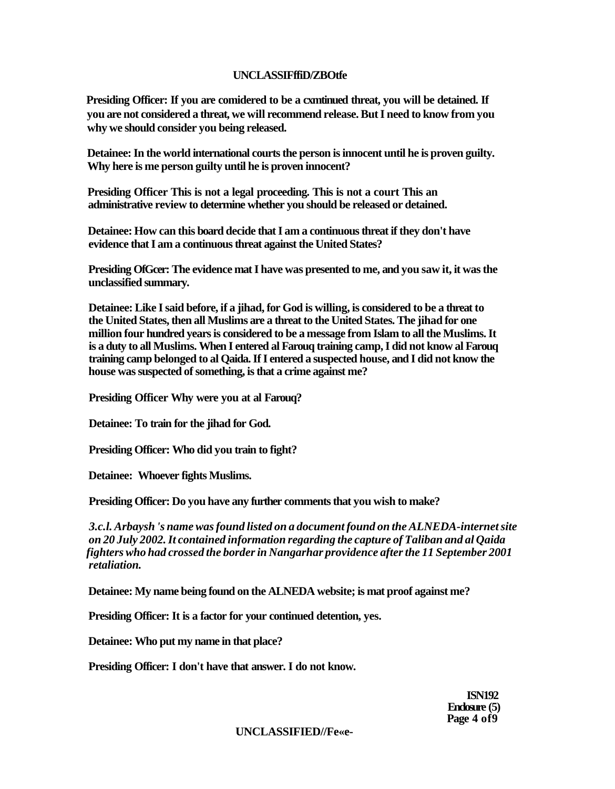# **UNCLASSIFffiD/ZBOtfe**

**Presiding Officer: If you are comidered to be a cxmtinued threat, you will be detained. If you are not considered a threat, we will recommend release. But I need to know from you why we should consider you being released.** 

**Detainee: In the world international courts the person is innocent until he is proven guilty. Why here is me person guilty until he is proven innocent?** 

**Presiding Officer This is not a legal proceeding. This is not a court This an administrative review to determine whether you should be released or detained.** 

**Detainee: How can this board decide that I am a continuous threat if they don't have evidence that I am a continuous threat against the United States?** 

**Presiding OfGcer: The evidence mat I have was presented to me, and you saw it, it was the unclassified summary.** 

**Detainee: Like I said before, if a jihad, for God is willing, is considered to be a threat to the United States, then all Muslims are a threat to the United States. The jihad for one million four hundred years is considered to be a message from Islam to all the Muslims. It is a duty to all Muslims. When I entered al Farouq training camp, I did not know al Farouq training camp belonged to al Qaida. If I entered a suspected house, and I did not know the house was suspected of something, is that a crime against me?** 

**Presiding Officer Why were you at al Farouq?** 

**Detainee: To train for the jihad for God.** 

**Presiding Officer: Who did you train to fight?** 

**Detainee: Whoever fights Muslims.** 

**Presiding Officer: Do you have any further comments that you wish to make?** 

*3.c.l. Arbaysh 's name was found listed on a document found on the ALNEDA-internet site on 20 July 2002. It contained information regarding the capture of Taliban and al Qaida fighters who had crossed the border in Nangarhar providence after the 11 September 2001 retaliation.* 

**Detainee: My name being found on the ALNEDA website; is mat proof against me?** 

**Presiding Officer: It is a factor for your continued detention, yes.** 

**Detainee: Who put my name in that place?** 

**Presiding Officer: I don't have that answer. I do not know.** 

**UNCLASSIFIED//Fe«e-**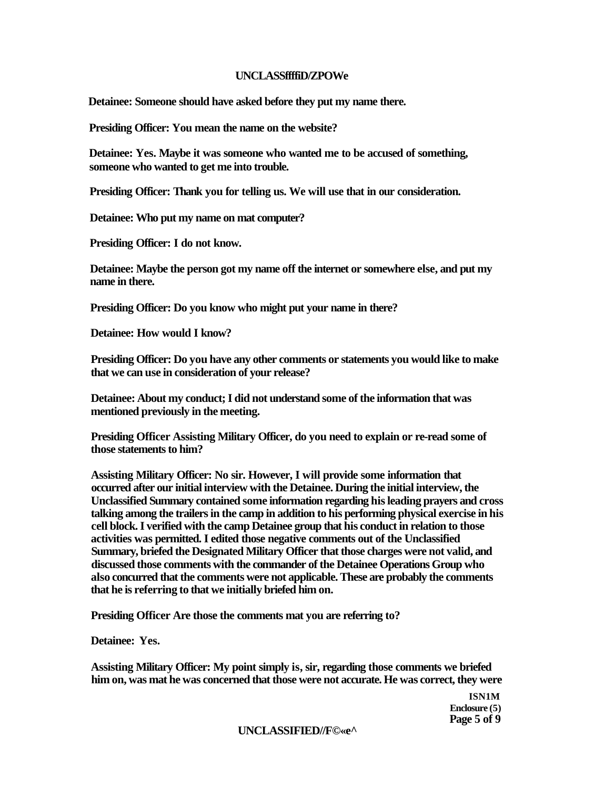### **UNCLASSffffiD/ZPOWe**

**Detainee: Someone should have asked before they put my name there.** 

**Presiding Officer: You mean the name on the website?** 

**Detainee: Yes. Maybe it was someone who wanted me to be accused of something, someone who wanted to get me into trouble.** 

**Presiding Officer: Thank you for telling us. We will use that in our consideration.** 

**Detainee: Who put my name on mat computer?** 

**Presiding Officer: I do not know.** 

**Detainee: Maybe the person got my name off the internet or somewhere else, and put my name in there.** 

**Presiding Officer: Do you know who might put your name in there?** 

**Detainee: How would I know?** 

**Presiding Officer: Do you have any other comments or statements you would like to make that we can use in consideration of your release?** 

**Detainee: About my conduct; I did not understand some of the information that was mentioned previously in the meeting.** 

**Presiding Officer Assisting Military Officer, do you need to explain or re-read some of those statements to him?** 

**Assisting Military Officer: No sir. However, I will provide some information that occurred after our initial interview with the Detainee. During the initial interview, the Unclassified Summary contained some information regarding his leading prayers and cross talking among the trailers in the camp in addition to his performing physical exercise in his cell block. I verified with the camp Detainee group that his conduct in relation to those activities was permitted. I edited those negative comments out of the Unclassified Summary, briefed the Designated Military Officer that those charges were not valid, and discussed those comments with the commander of the Detainee Operations Group who also concurred that the comments were not applicable. These are probably the comments that he is referring to that we initially briefed him on.** 

**Presiding Officer Are those the comments mat you are referring to?** 

**Detainee: Yes.** 

**Assisting Military Officer: My point simply is, sir, regarding those comments we briefed him on, was mat he was concerned that those were not accurate. He was correct, they were** 

> **ISN1M Enclosure (5) Page 5 of 9**

**UNCLASSIFIED//F©«e^**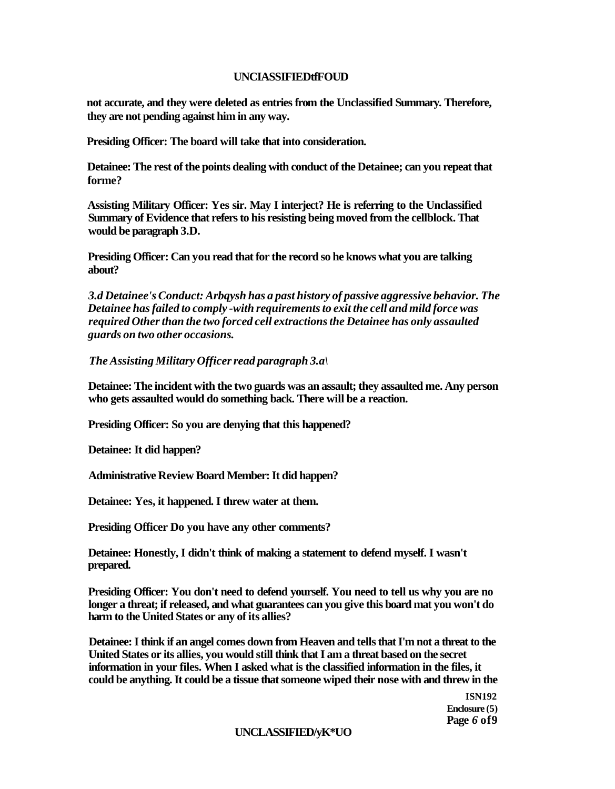### **UNCIASSIFIEDtfFOUD**

**not accurate, and they were deleted as entries from the Unclassified Summary. Therefore, they are not pending against him in any way.** 

**Presiding Officer: The board will take that into consideration.** 

**Detainee: The rest of the points dealing with conduct of the Detainee; can you repeat that forme?** 

**Assisting Military Officer: Yes sir. May I interject? He is referring to the Unclassified Summary of Evidence that refers to his resisting being moved from the cellblock. That would be paragraph 3.D.** 

**Presiding Officer: Can you read that for the record so he knows what you are talking about?** 

*3.d Detainee's Conduct: Arbqysh has a past history of passive aggressive behavior. The Detainee has failed to comply -with requirements to exit the cell and mild force was required Other than the two forced cell extractions the Detainee has only assaulted guards on two other occasions.* 

*The Assisting Military Officer read paragraph 3.a\* 

**Detainee: The incident with the two guards was an assault; they assaulted me. Any person who gets assaulted would do something back. There will be a reaction.** 

**Presiding Officer: So you are denying that this happened?** 

**Detainee: It did happen?** 

**Administrative Review Board Member: It did happen?** 

**Detainee: Yes, it happened. I threw water at them.** 

**Presiding Officer Do you have any other comments?** 

**Detainee: Honestly, I didn't think of making a statement to defend myself. I wasn't prepared.** 

**Presiding Officer: You don't need to defend yourself. You need to tell us why you are no longer a threat; if released, and what guarantees can you give this board mat you won't do harm to the United States or any of its allies?** 

**Detainee: I think if an angel comes down from Heaven and tells that I'm not a threat to the United States or its allies, you would still think that I am a threat based on the secret information in your files. When I asked what is the classified information in the files, it could be anything. It could be a tissue that someone wiped their nose with and threw in the** 

> **ISN192 Enclosure (5) Page** *6* **of9**

### **UNCLASSIFIED/yK\*UO**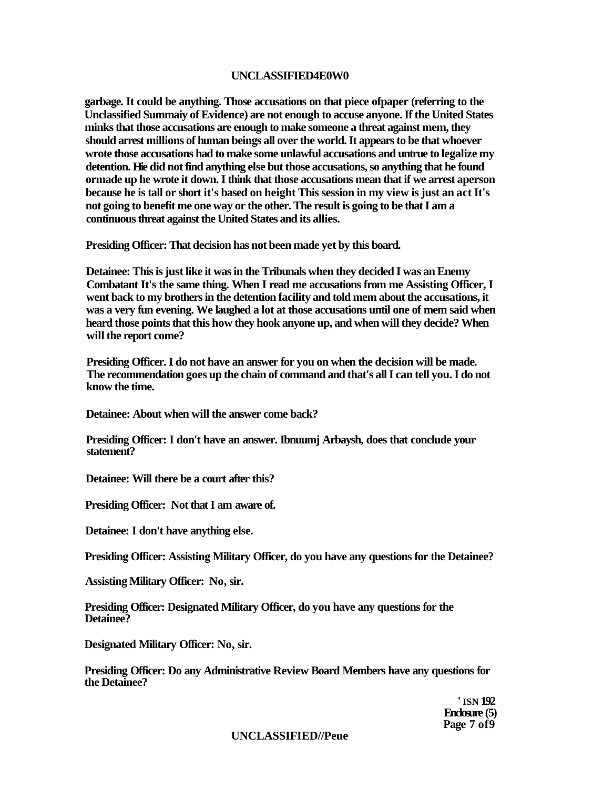### **UNCLASSIFIED4E0W0**

**garbage. It could be anything. Those accusations on that piece ofpaper (referring to the Unclassified Summaiy of Evidence) are not enough to accuse anyone. If the United States minks that those accusations are enough to make someone a threat against mem, they should arrest millions of human beings all over the world. It appears to be that whoever wrote those accusations had to make some unlawful accusations and untrue to legalize my detention. Hie did not find anything else but those accusations, so anything that he found ormade up he wrote it down. I think that those accusations mean that if we arrest aperson because he is tall or short it's based on height This session in my view is just an act It's not going to benefit me one way or the other. The result is going to be that I am a continuous threat against the United States and its allies.** 

**Presiding Officer: That decision has not been made yet by this board.** 

**Detainee: This is just like it was in the Tribunals when they decided I was an Enemy Combatant It's the same thing. When I read me accusations from me Assisting Officer, I went back to my brothers in the detention facility and told mem about the accusations, it was a very fun evening. We laughed a lot at those accusations until one of mem said when heard those points that this how they hook anyone up, and when will they decide? When will the report come?** 

**Presiding Officer. I do not have an answer for you on when the decision will be made. The recommendation goes up the chain of command and that's all I can tell you. I do not know the time.** 

**Detainee: About when will the answer come back?** 

**Presiding Officer: I don't have an answer. Ibnuumj Arbaysh, does that conclude your statement?** 

**Detainee: Will there be a court after this?** 

**Presiding Officer: Not that I am aware of.** 

**Detainee: I don't have anything else.** 

**Presiding Officer: Assisting Military Officer, do you have any questions for the Detainee?** 

**Assisting Military Officer: No, sir.** 

**Presiding Officer: Designated Military Officer, do you have any questions for the Detainee?** 

**Designated Military Officer: No, sir.** 

**Presiding Officer: Do any Administrative Review Board Members have any questions for the Detainee?** 

> **' ISN 192 Enclosure (5) Page 7 of9**

#### **UNCLASSIFIED//Peue**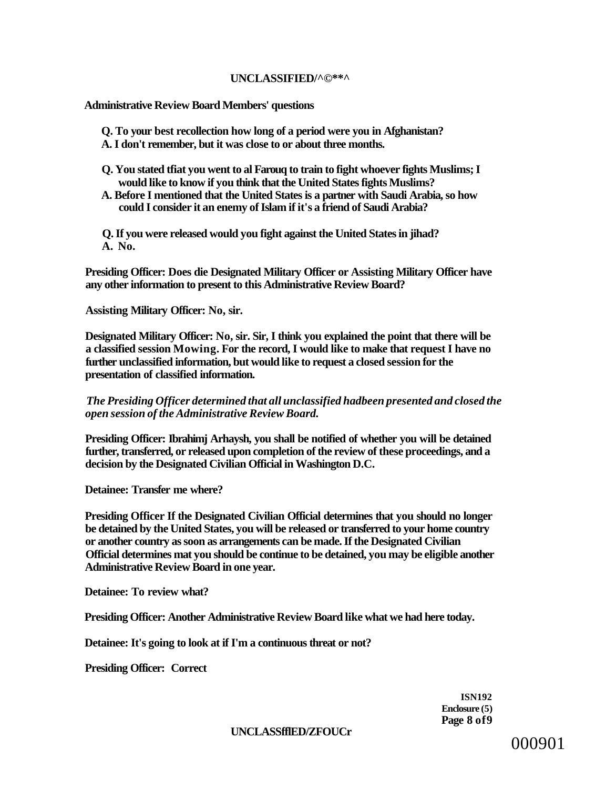### **UNCLASSIFIED/^©\*\*^**

**Administrative Review Board Members' questions** 

- **Q. To your best recollection how long of a period were you in Afghanistan?**
- **A. I don't remember, but it was close to or about three months.**
- **Q. You stated tfiat you went to al Farouq to train to fight whoever fights Muslims; I would like to know if you think that the United States fights Muslims?**
- **A. Before I mentioned that the United States is a partner with Saudi Arabia, so how could I consider it an enemy of Islam if it's a friend of Saudi Arabia?**

**Q. If you were released would you fight against the United States in jihad? A. No.** 

**Presiding Officer: Does die Designated Military Officer or Assisting Military Officer have any other information to present to this Administrative Review Board?** 

**Assisting Military Officer: No, sir.** 

**Designated Military Officer: No, sir. Sir, I think you explained the point that there will be a classified session Mowing. For the record, I would like to make that request I have no further unclassified information, but would like to request a closed session for the presentation of classified information.** 

# *The Presiding Officer determined that all unclassified hadbeen presented and closed the open session of the Administrative Review Board.*

**Presiding Officer: Ibrahimj Arhaysh, you shall be notified of whether you will be detained further, transferred, or released upon completion of the review of these proceedings, and a decision by the Designated Civilian Official in Washington D.C.** 

**Detainee: Transfer me where?** 

**Presiding Officer If the Designated Civilian Official determines that you should no longer be detained by the United States, you will be released or transferred to your home country or another country as soon as arrangements can be made. If the Designated Civilian Official determines mat you should be continue to be detained, you may be eligible another Administrative Review Board in one year.** 

**Detainee: To review what?** 

**Presiding Officer: Another Administrative Review Board like what we had here today.** 

**Detainee: It's going to look at if I'm a continuous threat or not?** 

**Presiding Officer: Correct** 

**ISN192 Enclosure (5) Page 8 of9** 

**UNCLASSfflED/ZFOUCr**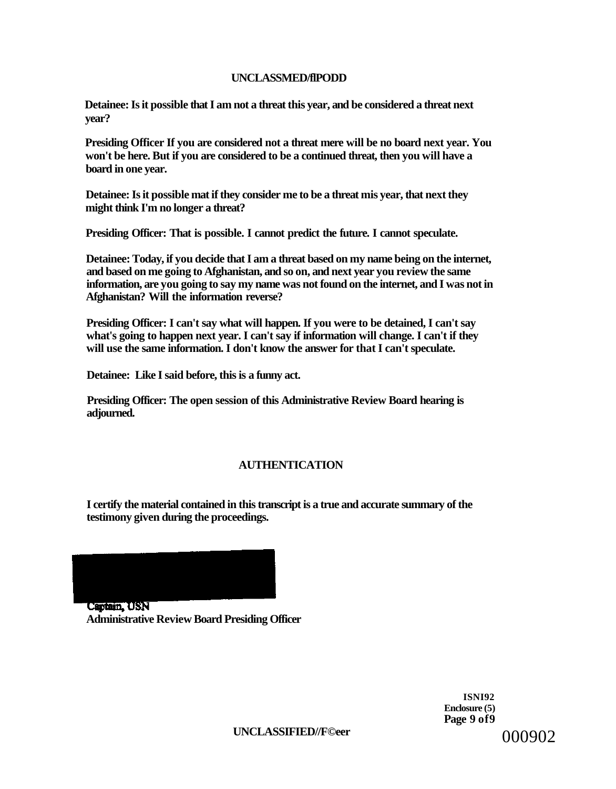# **UNCLASSMED/flPODD**

**Detainee: Is it possible that I am not a threat this year, and be considered a threat next year?** 

**Presiding Officer If you are considered not a threat mere will be no board next year. You won't be here. But if you are considered to be a continued threat, then you will have a board in one year.** 

**Detainee: Is it possible mat if they consider me to be a threat mis year, that next they might think I'm no longer a threat?** 

**Presiding Officer: That is possible. I cannot predict the future. I cannot speculate.** 

**Detainee: Today, if you decide that I am a threat based on my name being on the internet, and based on me going to Afghanistan, and so on, and next year you review the same information, are you going to say my name was not found on the internet, and I was not in Afghanistan? Will the information reverse?** 

**Presiding Officer: I can't say what will happen. If you were to be detained, I can't say what's going to happen next year. I can't say if information will change. I can't if they will use the same information. I don't know the answer for that I can't speculate.** 

**Detainee: Like I said before, this is a funny act.** 

**Presiding Officer: The open session of this Administrative Review Board hearing is adjourned.** 

# **AUTHENTICATION**

**I certify the material contained in this transcript is a true and accurate summary of the testimony given during the proceedings.** 



**ISNI92 Enclosure (5) Page 9 of9**  000902

**UNCLASSIFIED//F©eer**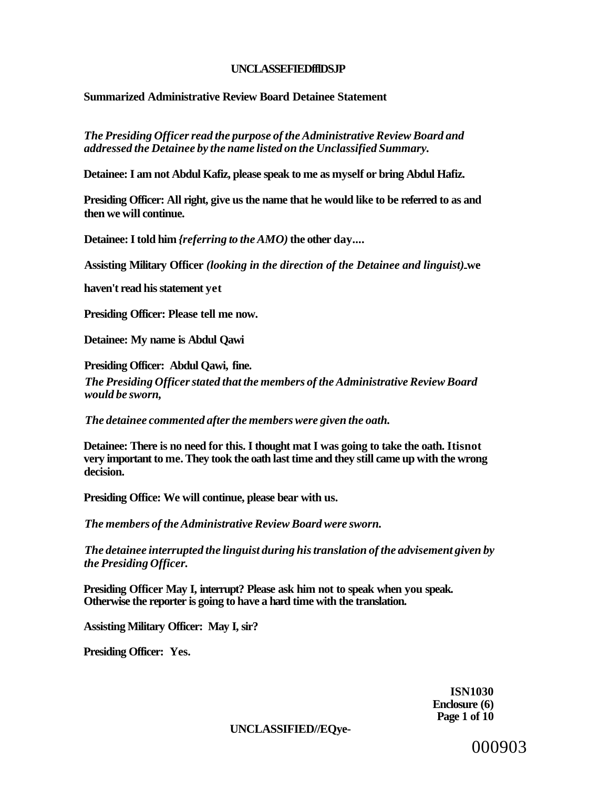### **UNCLASSEFIEDfflDSJP**

# **Summarized Administrative Review Board Detainee Statement**

*The Presiding Officer read the purpose of the Administrative Review Board and addressed the Detainee by the name listed on the Unclassified Summary.* 

**Detainee: I am not Abdul Kafiz, please speak to me as myself or bring Abdul Hafiz.** 

**Presiding Officer: All right, give us the name that he would like to be referred to as and then we will continue.** 

**Detainee: I told him** *{referring to the AMO)* **the other day....** 

**Assisting Military Officer** *(looking in the direction of the Detainee and linguist)* **we** 

**haven't read his statement yet** 

**Presiding Officer: Please tell me now.** 

**Detainee: My name is Abdul Qawi** 

**Presiding Officer: Abdul Qawi, fine.**  *The Presiding Officer stated that the members of the Administrative Review Board would be sworn,* 

*The detainee commented after the members were given the oath.* 

**Detainee: There is no need for this. I thought mat I was going to take the oath. Itisnot very important to me. They took the oath last time and they still came up with the wrong decision.** 

**Presiding Office: We will continue, please bear with us.** 

*The members of the Administrative Review Board were sworn.* 

*The detainee interrupted the linguist during his translation of the advisement given by the Presiding Officer.* 

**Presiding Officer May I, interrupt? Please ask him not to speak when you speak. Otherwise the reporter is going to have a hard time with the translation.** 

**Assisting Military Officer: May I, sir?** 

**Presiding Officer: Yes.** 

**ISN1030 Enclosure (6) Page 1 of 10** 

**UNCLASSIFIED//EQye-**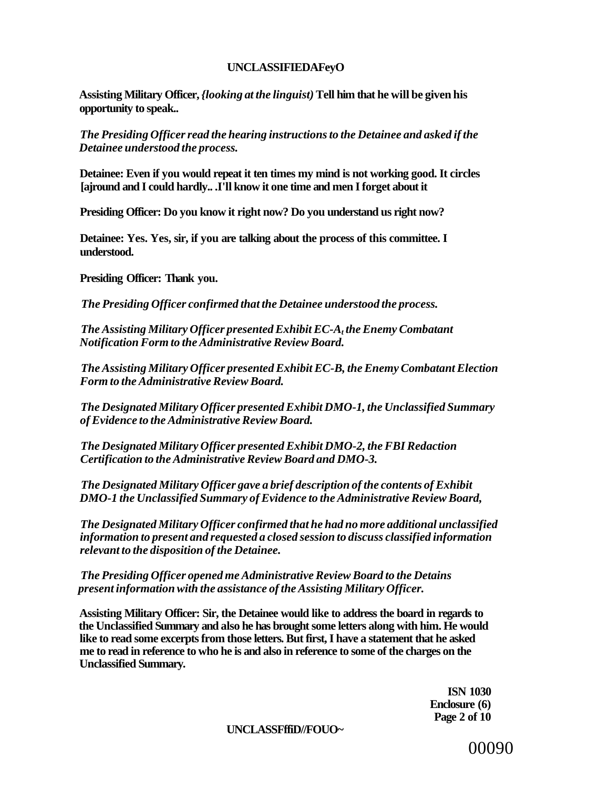# **UNCLASSIFIEDAFeyO**

**Assisting Military Officer,** *{looking at the linguist)* **Tell him that he will be given his opportunity to speak..** 

*The Presiding Officer read the hearing instructions to the Detainee and asked if the Detainee understood the process.* 

**Detainee: Even if you would repeat it ten times my mind is not working good. It circles [ajround and I could hardly.. .I'll know it one time and men I forget about it** 

**Presiding Officer: Do you know it right now? Do you understand us right now?** 

**Detainee: Yes. Yes, sir, if you are talking about the process of this committee. I understood.** 

**Presiding Officer: Thank you.** 

*The Presiding Officer confirmed that the Detainee understood the process.* 

*The Assisting Military Officer presented Exhibit EC-A<sup>t</sup> the Enemy Combatant Notification Form to the Administrative Review Board.* 

*The Assisting Military Officer presented Exhibit EC-B, the Enemy Combatant Election Form to the Administrative Review Board.* 

*The Designated Military Officer presented Exhibit DMO-1, the Unclassified Summary of Evidence to the Administrative Review Board.* 

*The Designated Military Officer presented Exhibit DMO-2, the FBI Redaction Certification to the Administrative Review Board and DMO-3.* 

*The Designated Military Officer gave a brief description of the contents of Exhibit DMO-1 the Unclassified Summary of Evidence to the Administrative Review Board,* 

*The Designated Military Officer confirmed that he had no more additional unclassified information to present and requested a closed session to discuss classified information relevant to the disposition of the Detainee.* 

*The Presiding Officer opened me Administrative Review Board to the Detains present information with the assistance of the Assisting Military Officer.* 

**Assisting Military Officer: Sir, the Detainee would like to address the board in regards to the Unclassified Summary and also he has brought some letters along with him. He would like to read some excerpts from those letters. But first, I have a statement that he asked me to read in reference to who he is and also in reference to some of the charges on the Unclassified Summary.** 

> **ISN 1030 Enclosure (6) Page 2 of 10**

**UNCLASSFffiD//FOUO~**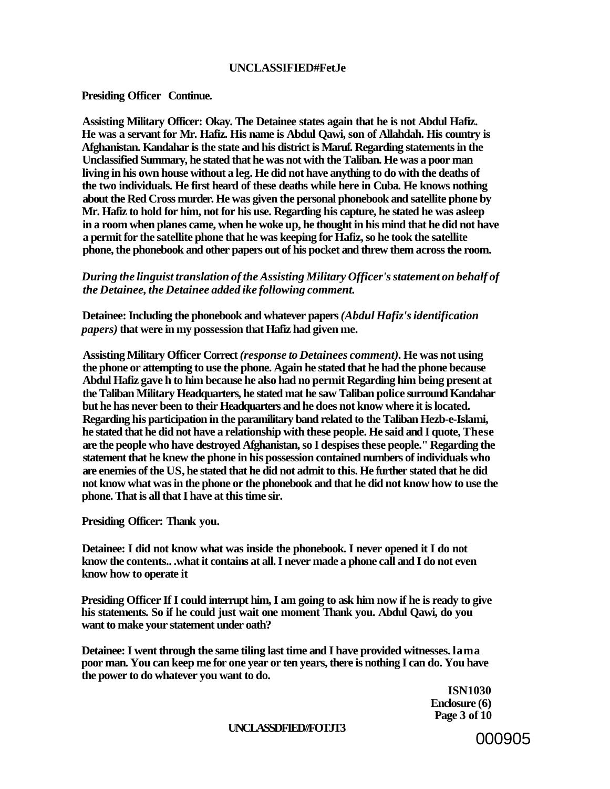### **UNCLASSIFIED#FetJe**

### **Presiding Officer Continue.**

**Assisting Military Officer: Okay. The Detainee states again that he is not Abdul Hafiz. He was a servant for Mr. Hafiz. His name is Abdul Qawi, son of Allahdah. His country is Afghanistan. Kandahar is the state and his district is Maruf. Regarding statements in the Unclassified Summary, he stated that he was not with the Taliban. He was a poor man living in his own house without a leg. He did not have anything to do with the deaths of the two individuals. He first heard of these deaths while here in Cuba. He knows nothing about the Red Cross murder. He was given the personal phonebook and satellite phone by Mr. Hafiz to hold for him, not for his use. Regarding his capture, he stated he was asleep in a room when planes came, when he woke up, he thought in his mind that he did not have a permit for the satellite phone that he was keeping for Hafiz, so he took the satellite phone, the phonebook and other papers out of his pocket and threw them across the room.** 

### *During the linguist translation of the Assisting Military Officer's statement on behalf of the Detainee, the Detainee added ike following comment.*

**Detainee: Including the phonebook and whatever papers** *(Abdul Hafiz's identification papers)* **that were in my possession that Hafiz had given me.** 

**Assisting Military Officer Correct** *(response to Detainees comment).* **He was not using the phone or attempting to use the phone. Again he stated that he had the phone because Abdul Hafiz gave h to him because he also had no permit Regarding him being present at the Taliban Military Headquarters, he stated mat he saw Taliban police surround Kandahar but he has never been to their Headquarters and he does not know where it is located. Regarding his participation in the paramilitary band related to the Taliban Hezb-e-Islami, he stated that he did not have a relationship with these people. He said and I quote, These are the people who have destroyed Afghanistan, so I despises these people." Regarding the statement that he knew the phone in his possession contained numbers of individuals who are enemies of the US, he stated that he did not admit to this. He further stated that he did not know what was in the phone or the phonebook and that he did not know how to use the phone. That is all that I have at this time sir.** 

**Presiding Officer: Thank you.** 

**Detainee: I did not know what was inside the phonebook. I never opened it I do not know the contents.. .what it contains at all. I never made a phone call and I do not even know how to operate it** 

**Presiding Officer If I could interrupt him, I am going to ask him now if he is ready to give his statements. So if he could just wait one moment Thank you. Abdul Qawi, do you want to make your statement under oath?** 

**Detainee: I went through the same tiling last time and I have provided witnesses. lama poor man. You can keep me for one year or ten years, there is nothing I can do. You have the power to do whatever you want to do.** 

> **ISN1030 Enclosure (6) Page 3 of 10**

#### **UNCLASSDFIED//FOTJT3**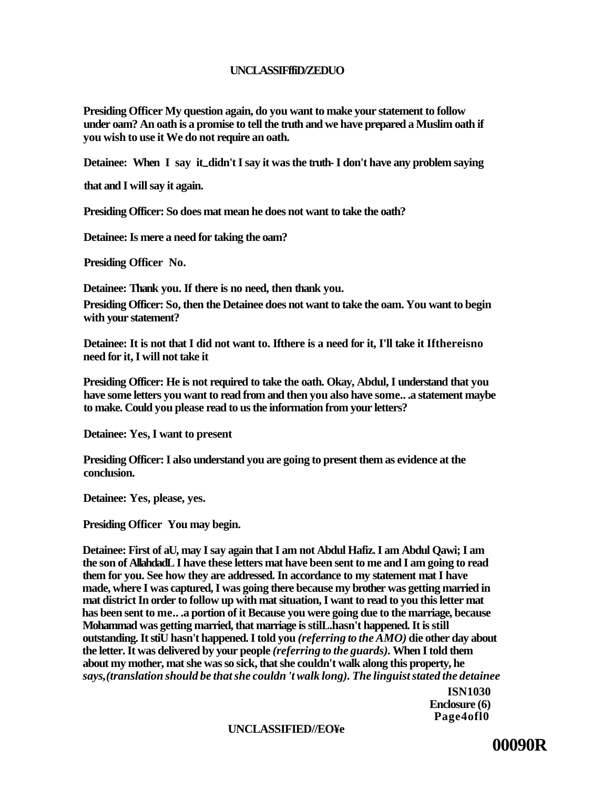# **UNCLASSIFffiD/ZEDUO**

**Presiding Officer My question again, do you want to make your statement to follow under oam? An oath is a promise to tell the truth and we have prepared a Muslim oath if you wish to use it We do not require an oath.** 

**Detainee: When I say it didn't I say it was the truth- I don't have any problem saying** 

**that and I will say it again.** 

**Presiding Officer: So does mat mean he does not want to take the oath?** 

**Detainee: Is mere a need for taking the oam?** 

**Presiding Officer No.** 

**Detainee: Thank you. If there is no need, then thank you.** 

**Presiding Officer: So, then the Detainee does not want to take the oam. You want to begin with your statement?** 

**Detainee: It is not that I did not want to. Ifthere is a need for it, I'll take it Ifthereisno need for it, I will not take it** 

**Presiding Officer: He is not required to take the oath. Okay, Abdul, I understand that you have some letters you want to read from and then you also have some.. .a statement maybe to make. Could you please read to us the information from your letters?** 

**Detainee: Yes, I want to present** 

**Presiding Officer: I also understand you are going to present them as evidence at the conclusion.** 

**Detainee: Yes, please, yes.** 

**Presiding Officer You may begin.** 

**Detainee: First of aU, may I say again that I am not Abdul Hafiz. I am Abdul Qawi; I am the son of AllahdadL I have these letters mat have been sent to me and I am going to read them for you. See how they are addressed. In accordance to my statement mat I have made, where I was captured, I was going there because my brother was getting married in mat district In order to follow up with mat situation, I want to read to you this letter mat has been sent to me.. .a portion of it Because you were going due to the marriage, because Mohammad was getting married, that marriage is stilL.hasn't happened. It is still outstanding. It stiU hasn't happened. I told you** *(referring to the AMO)* **die other day about the letter. It was delivered by your people** *(referring to the guards).* **When I told them about my mother, mat she was so sick, that she couldn't walk along this property, he**  *says,(translation should be that she couldn 't walk long). The linguist stated the detainee* 

> **ISN1030 Enclosure (6) Page4ofl0**

**UNCLASSIFIED//EO¥e** 

**00090R**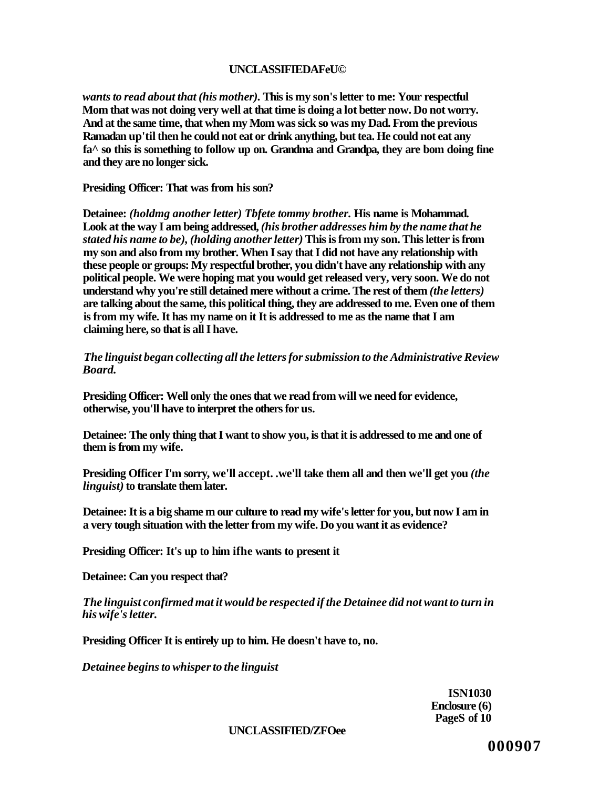# **UNCLASSIFIEDAFeU©**

*wants to read about that (his mother).* **This is my son's letter to me: Your respectful Mom that was not doing very well at that time is doing a lot better now. Do not worry. And at the same time, that when my Mom was sick so was my Dad. From the previous Ramadan up'til then he could not eat or drink anything, but tea. He could not eat any fa^ so this is something to follow up on. Grandma and Grandpa, they are bom doing fine and they are no longer sick.** 

**Presiding Officer: That was from his son?** 

**Detainee:** *(holdmg another letter) Tbfete tommy brother.* **His name is Mohammad. Look at the way I am being addressed,** *(his brother addresses him by the name that he stated his name to be), (holding another letter)* **This is from my son. This letter is from my son and also from my brother. When I say that I did not have any relationship with these people or groups: My respectful brother, you didn't have any relationship with any political people. We were hoping mat you would get released very, very soon. We do not understand why you're still detained mere without a crime. The rest of them** *(the letters)*  **are talking about the same, this political thing, they are addressed to me. Even one of them is from my wife. It has my name on it It is addressed to me as the name that I am claiming here, so that is all I have.** 

*The linguist began collecting all the letters for submission to the Administrative Review Board.* 

**Presiding Officer: Well only the ones that we read from will we need for evidence, otherwise, you'll have to interpret the others for us.** 

**Detainee: The only thing that I want to show you, is that it is addressed to me and one of them is from my wife.** 

**Presiding Officer I'm sorry, we'll accept. .we'll take them all and then we'll get you** *(the linguist)* **to translate them later.** 

**Detainee: It is a big shame m our culture to read my wife's letter for you, but now I am in a very tough situation with the letter from my wife. Do you want it as evidence?** 

**Presiding Officer: It's up to him ifhe wants to present it** 

**Detainee: Can you respect that?** 

*The linguist confirmed mat it would be respected if the Detainee did not want to turn in his wife's letter.* 

**Presiding Officer It is entirely up to him. He doesn't have to, no.** 

*Detainee begins to whisper to the linguist* 

**ISN1030 Enclosure (6) PageS of 10** 

**UNCLASSIFIED/ZFOee**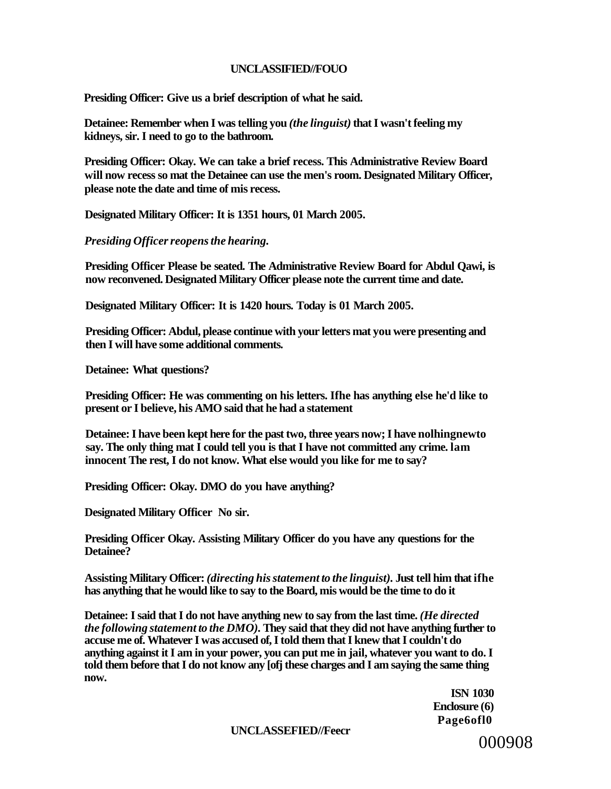### **UNCLASSIFIED//FOUO**

**Presiding Officer: Give us a brief description of what he said.** 

**Detainee: Remember when I was telling you** *(the linguist)* **that I wasn't feeling my kidneys, sir. I need to go to the bathroom.** 

**Presiding Officer: Okay. We can take a brief recess. This Administrative Review Board will now recess so mat the Detainee can use the men's room. Designated Military Officer, please note the date and time of mis recess.** 

**Designated Military Officer: It is 1351 hours, 01 March 2005.** 

*Presiding Officer reopens the hearing.* 

**Presiding Officer Please be seated. The Administrative Review Board for Abdul Qawi, is now reconvened. Designated Military Officer please note the current time and date.** 

**Designated Military Officer: It is 1420 hours. Today is 01 March 2005.** 

**Presiding Officer: Abdul, please continue with your letters mat you were presenting and then I will have some additional comments.** 

**Detainee: What questions?** 

**Presiding Officer: He was commenting on his letters. Ifhe has anything else he'd like to present or I believe, his AMO said that he had a statement** 

**Detainee: I have been kept here for the past two, three years now; I have nolhingnewto say. The only thing mat I could tell you is that I have not committed any crime. lam innocent The rest, I do not know. What else would you like for me to say?** 

**Presiding Officer: Okay. DMO do you have anything?** 

**Designated Military Officer No sir.** 

**Presiding Officer Okay. Assisting Military Officer do you have any questions for the Detainee?** 

**Assisting Military Officer:** *(directing his statement to the linguist).* **Just tell him that ifhe has anything that he would like to say to the Board, mis would be the time to do it** 

**Detainee: I said that I do not have anything new to say from the last time.** *(He directed the following statement to the DMO).* **They said that they did not have anything further to accuse me of. Whatever I was accused of, I told them that I knew that I couldn't do anything against it I am in your power, you can put me in jail, whatever you want to do. I told them before that I do not know any [ofj these charges and I am saying the same thing now.** 

> **ISN 1030 Enclosure (6) Page6ofl0**

**UNCLASSEFIED//Feecr**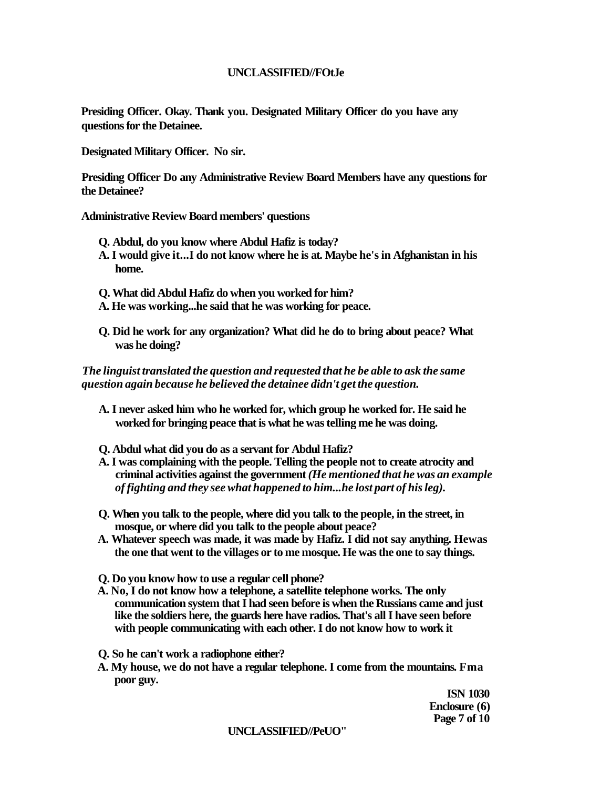# **UNCLASSIFIED//FOtJe**

**Presiding Officer. Okay. Thank you. Designated Military Officer do you have any questions for the Detainee.** 

**Designated Military Officer. No sir.** 

**Presiding Officer Do any Administrative Review Board Members have any questions for the Detainee?** 

**Administrative Review Board members' questions** 

- **Q. Abdul, do you know where Abdul Hafiz is today?**
- **A. I would give it...I do not know where he is at. Maybe he's in Afghanistan in his home.**
- **Q. What did Abdul Hafiz do when you worked for him?**
- **A. He was working...he said that he was working for peace.**
- **Q. Did he work for any organization? What did he do to bring about peace? What was he doing?**

*The linguist translated the question and requested that he be able to ask the same question again because he believed the detainee didn't get the question.* 

- **A. I never asked him who he worked for, which group he worked for. He said he worked for bringing peace that is what he was telling me he was doing.**
- **Q. Abdul what did you do as a servant for Abdul Hafiz?**
- **A. I was complaining with the people. Telling the people not to create atrocity and criminal activities against the government** *(He mentioned that he was an example of fighting and they see what happened to him...he lost part of his leg).*
- **Q. When you talk to the people, where did you talk to the people, in the street, in mosque, or where did you talk to the people about peace?**
- **A. Whatever speech was made, it was made by Hafiz. I did not say anything. Hewas the one that went to the villages or to me mosque. He was the one to say things.**
- **Q. Do you know how to use a regular cell phone?**
- **A. No, I do not know how a telephone, a satellite telephone works. The only communication system that I had seen before is when the Russians came and just like the soldiers here, the guards here have radios. That's all I have seen before with people communicating with each other. I do not know how to work it**
- **Q. So he can't work a radiophone either?**
- **A. My house, we do not have a regular telephone. I come from the mountains. Fma poor guy.**

**ISN 1030 Enclosure (6) Page 7 of 10** 

#### **UNCLASSIFIED//PeUO"**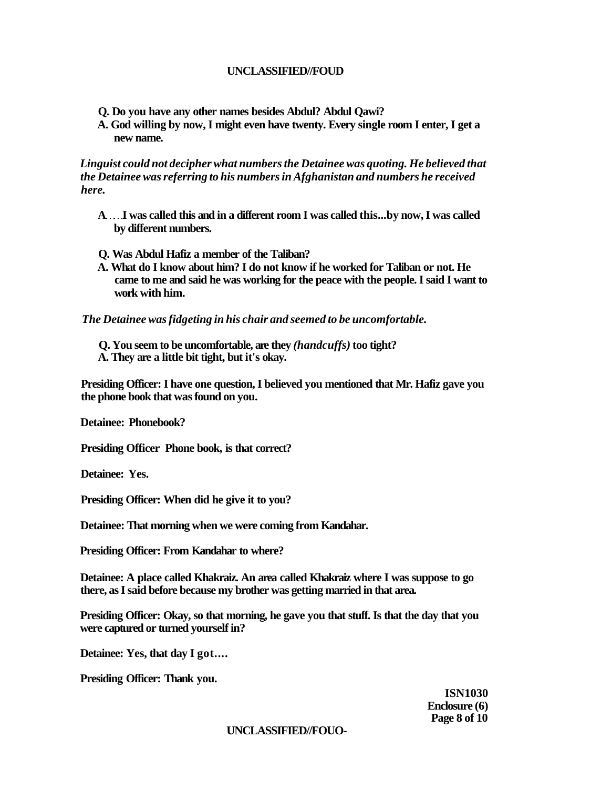# **UNCLASSIFIED//FOUD**

- **Q. Do you have any other names besides Abdul? Abdul Qawi?**
- **A. God willing by now, I might even have twenty. Every single room I enter, I get a new name.**

*Linguist could not decipher what numbers the Detainee was quoting. He believed that the Detainee was referring to his numbers in Afghanistan and numbers he received here.* 

- A.... I was called this and in a different room I was called this...by now, I was called **by different numbers.**
- **Q. Was Abdul Hafiz a member of the Taliban?**
- **A. What do I know about him? I do not know if he worked for Taliban or not. He came to me and said he was working for the peace with the people. I said I want to work with him.**

*The Detainee was fidgeting in his chair and seemed to be uncomfortable.* 

**Q. You seem to be uncomfortable, are they** *(handcuffs)* **too tight? A. They are a little bit tight, but it's okay.** 

**Presiding Officer: I have one question, I believed you mentioned that Mr. Hafiz gave you the phone book that was found on you.** 

**Detainee: Phonebook?** 

**Presiding Officer Phone book, is that correct?** 

**Detainee: Yes.** 

**Presiding Officer: When did he give it to you?** 

**Detainee: That morning when we were coming from Kandahar.** 

**Presiding Officer: From Kandahar to where?** 

**Detainee: A place called Khakraiz. An area called Khakraiz where I was suppose to go there, as I said before because my brother was getting married in that area.** 

**Presiding Officer: Okay, so that morning, he gave you that stuff. Is that the day that you were captured or turned yourself in?** 

**Detainee: Yes, that day I got....** 

**Presiding Officer: Thank you.** 

**ISN1030 Enclosure (6) Page 8 of 10** 

# **UNCLASSIFIED//FOUO-**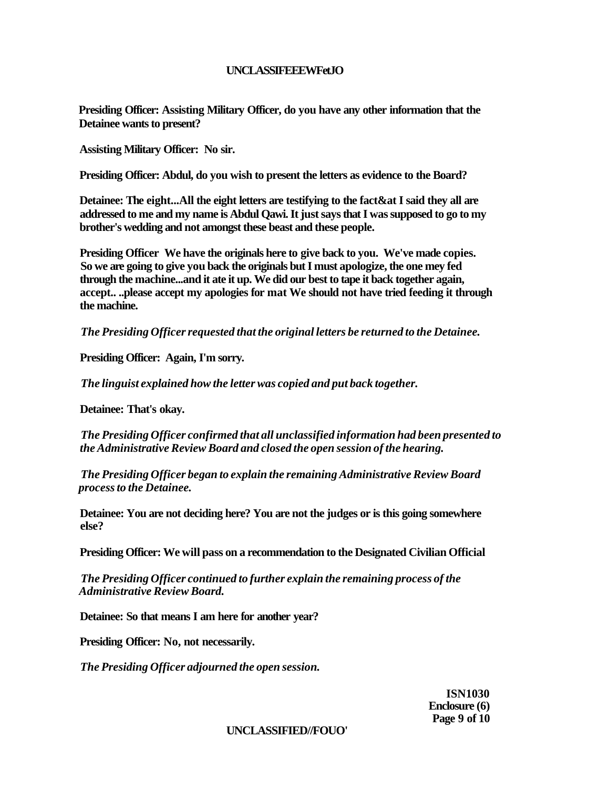# **UNCLASSIFEEEWFetJO**

**Presiding Officer: Assisting Military Officer, do you have any other information that the Detainee wants to present?** 

**Assisting Military Officer: No sir.** 

**Presiding Officer: Abdul, do you wish to present the letters as evidence to the Board?** 

**Detainee: The eight...All the eight letters are testifying to the fact&at I said they all are addressed to me and my name is Abdul Qawi. It just says that I was supposed to go to my brother's wedding and not amongst these beast and these people.** 

**Presiding Officer We have the originals here to give back to you. We've made copies. So we are going to give you back the originals but I must apologize, the one mey fed through the machine...and it ate it up. We did our best to tape it back together again, accept.. ..please accept my apologies for mat We should not have tried feeding it through the machine.** 

*The Presiding Officer requested that the original letters be returned to the Detainee.* 

**Presiding Officer: Again, I'm sorry.** 

*The linguist explained how the letter was copied and put back together.* 

**Detainee: That's okay.** 

*The Presiding Officer confirmed that all unclassified information had been presented to the Administrative Review Board and closed the open session of the hearing.* 

*The Presiding Officer began to explain the remaining Administrative Review Board process to the Detainee.* 

**Detainee: You are not deciding here? You are not the judges or is this going somewhere else?** 

**Presiding Officer: We will pass on a recommendation to the Designated Civilian Official** 

*The Presiding Officer continued to further explain the remaining process of the Administrative Review Board.* 

**Detainee: So that means I am here for another year?** 

**Presiding Officer: No, not necessarily.** 

*The Presiding Officer adjourned the open session.* 

**ISN1030 Enclosure (6) Page 9 of 10** 

### **UNCLASSIFIED//FOUO'**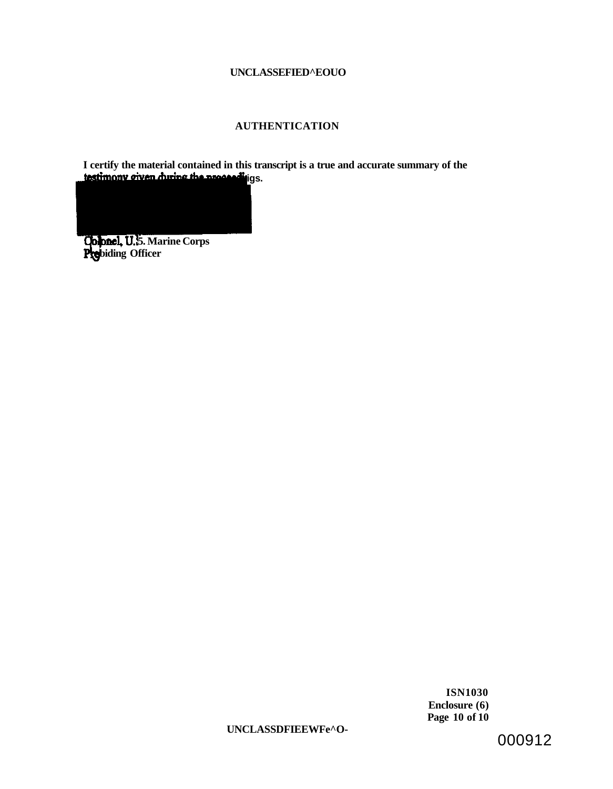### **UNCLASSEFIED^EOUO**

## **AUTHENTICATION**

**I certify the material contained in this transcript is a true and accurate summary of the**  testimony given *during the proceedings*.

**5. Marine Corps biding Officer** 

> **ISN1030 Enclosure (6) Page 10 of 10**

**UNCLASSDFIEEWFe^O-**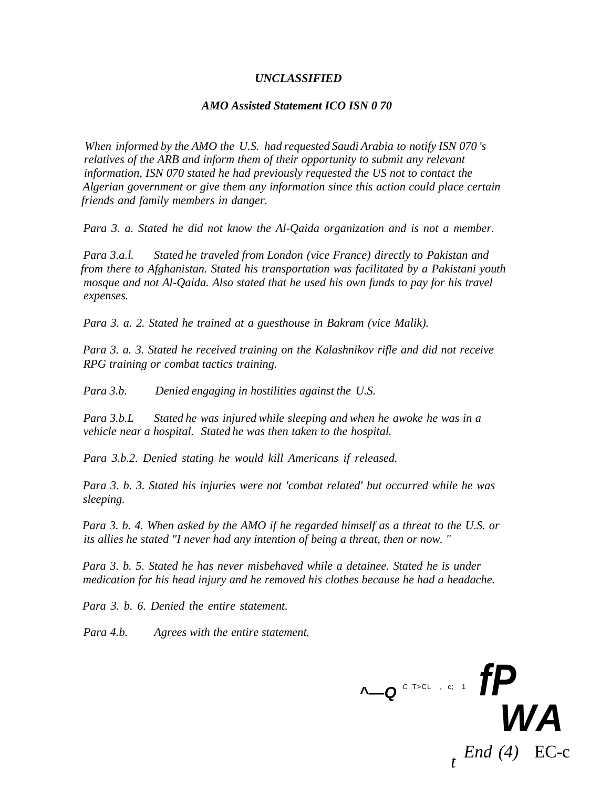#### *UNCLASSIFIED*

#### *AMO Assisted Statement ICO ISN 0 70*

*When informed by the AMO the U.S. had requested Saudi Arabia to notify ISN 070 's relatives of the ARB and inform them of their opportunity to submit any relevant information, ISN 070 stated he had previously requested the US not to contact the Algerian government or give them any information since this action could place certain friends and family members in danger.* 

*Para 3. a. Stated he did not know the Al-Qaida organization and is not a member.* 

*Para 3.a.l. Stated he traveled from London (vice France) directly to Pakistan and from there to Afghanistan. Stated his transportation was facilitated by a Pakistani youth mosque and not Al-Qaida. Also stated that he used his own funds to pay for his travel expenses.* 

*Para 3. a. 2. Stated he trained at a guesthouse in Bakram (vice Malik).* 

*Para 3. a. 3. Stated he received training on the Kalashnikov rifle and did not receive RPG training or combat tactics training.* 

*Para 3.b. Denied engaging in hostilities against the U.S.* 

*Para 3.b.L Stated he was injured while sleeping and when he awoke he was in a vehicle near a hospital. Stated he was then taken to the hospital.* 

*Para 3.b.2. Denied stating he would kill Americans if released.* 

*Para 3. b. 3. Stated his injuries were not 'combat related' but occurred while he was sleeping.* 

*Para 3. b. 4. When asked by the AMO if he regarded himself as a threat to the U.S. or its allies he stated "I never had any intention of being a threat, then or now. "* 

*Para 3. b. 5. Stated he has never misbehaved while a detainee. Stated he is under medication for his head injury and he removed his clothes because he had a headache.* 

*Para 3. b. 6. Denied the entire statement.* 

*Para 4.b. Agrees with the entire statement.* 

**^—Q** <sup>C</sup> T>CL , c; 1 **fP WA**  *t End (4)* EC-c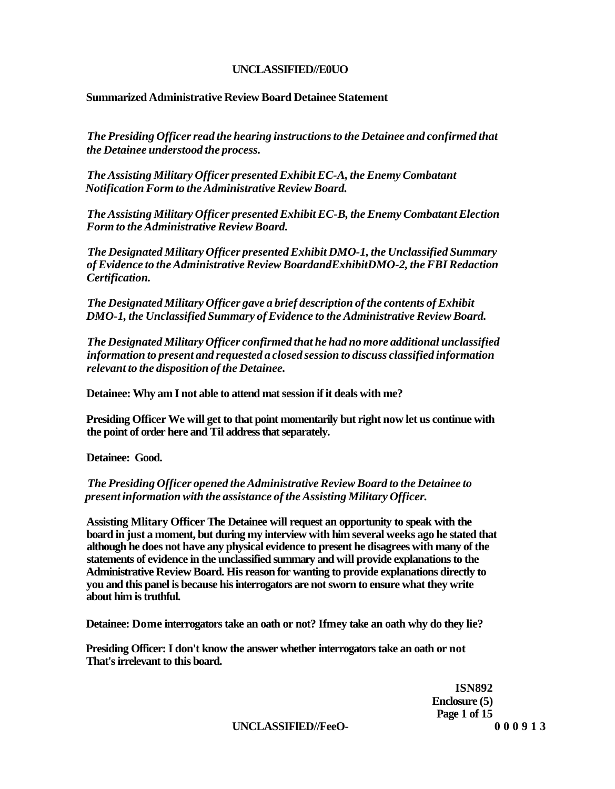## **UNCLASSIFIED//E0UO**

## **Summarized Administrative Review Board Detainee Statement**

*The Presiding Officer read the hearing instructions to the Detainee and confirmed that the Detainee understood the process.* 

*The Assisting Military Officer presented Exhibit EC-A, the Enemy Combatant Notification Form to the Administrative Review Board.* 

*The Assisting Military Officer presented Exhibit EC-B, the Enemy Combatant Election Form to the Administrative Review Board.* 

*The Designated Military Officer presented Exhibit DMO-1, the Unclassified Summary of Evidence to the Administrative Review BoardandExhibitDMO-2, the FBI Redaction Certification.* 

*The Designated Military Officer gave a brief description of the contents of Exhibit DMO-1, the Unclassified Summary of Evidence to the Administrative Review Board.* 

*The Designated Military Officer confirmed that he had no more additional unclassified information to present and requested a closed session to discuss classified information relevant to the disposition of the Detainee.* 

**Detainee: Why am I not able to attend mat session if it deals with me?** 

**Presiding Officer We will get to that point momentarily but right now let us continue with the point of order here and Til address that separately.** 

**Detainee: Good.** 

## *The Presiding Officer opened the Administrative Review Board to the Detainee to present information with the assistance of the Assisting Military Officer.*

**Assisting Mlitary Officer The Detainee will request an opportunity to speak with the board in just a moment, but during my interview with him several weeks ago he stated that although he does not have any physical evidence to present he disagrees with many of the statements of evidence in the unclassified summary and will provide explanations to the Administrative Review Board. His reason for wanting to provide explanations directly to you and this panel is because his interrogators are not sworn to ensure what they write about him is truthful.** 

**Detainee: Dome interrogators take an oath or not? Ifmey take an oath why do they lie?** 

**Presiding Officer: I don't know the answer whether interrogators take an oath or not That's irrelevant to this board.** 

> **ISN892 Enclosure (5) Page 1 of 15**

**UNCLASSIFlED//FeeO- 00091 3**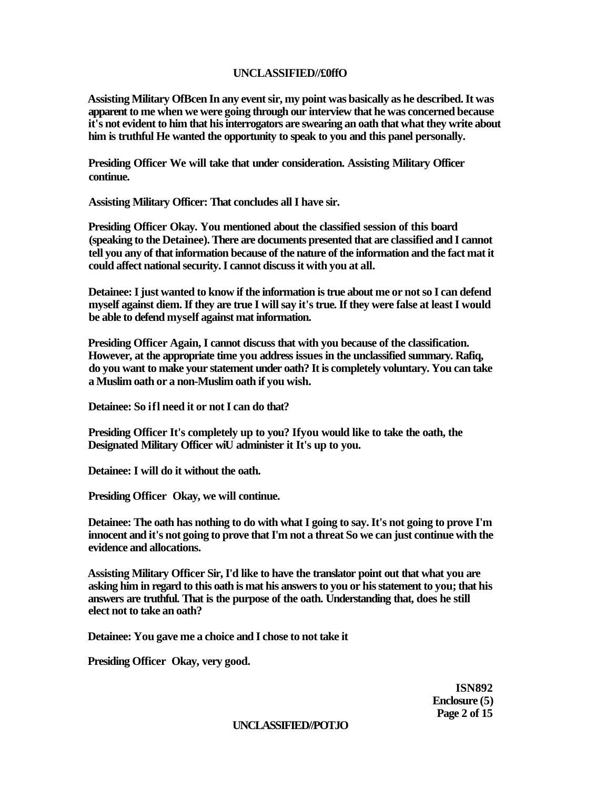#### **UNCLASSIFIED//£0ffO**

**Assisting Military OfBcen In any event sir, my point was basically as he described. It was apparent to me when we were going through our interview that he was concerned because it's not evident to him that his interrogators are swearing an oath that what they write about him is truthful He wanted the opportunity to speak to you and this panel personally.** 

**Presiding Officer We will take that under consideration. Assisting Military Officer continue.** 

**Assisting Military Officer: That concludes all I have sir.** 

**Presiding Officer Okay. You mentioned about the classified session of this board (speaking to the Detainee). There are documents presented that are classified and I cannot tell you any of that information because of the nature of the information and the fact mat it could affect national security. I cannot discuss it with you at all.** 

**Detainee: I just wanted to know if the information is true about me or not so I can defend myself against diem. If they are true I will say it's true. If they were false at least I would be able to defend myself against mat information.** 

**Presiding Officer Again, I cannot discuss that with you because of the classification. However, at the appropriate time you address issues in the unclassified summary. Rafiq, do you want to make your statement under oath? It is completely voluntary. You can take a Muslim oath or a non-Muslim oath if you wish.** 

**Detainee: So ifl need it or not I can do that?** 

**Presiding Officer It's completely up to you? Ifyou would like to take the oath, the Designated Military Officer wiU administer it It's up to you.** 

**Detainee: I will do it without the oath.** 

**Presiding Officer Okay, we will continue.** 

**Detainee: The oath has nothing to do with what I going to say. It's not going to prove I'm innocent and it's not going to prove that I'm not a threat So we can just continue with the evidence and allocations.** 

**Assisting Military Officer Sir, I'd like to have the translator point out that what you are asking him in regard to this oath is mat his answers to you or his statement to you; that his answers are truthful. That is the purpose of the oath. Understanding that, does he still elect not to take an oath?** 

**Detainee: You gave me a choice and I chose to not take it** 

**Presiding Officer Okay, very good.** 

**ISN892 Enclosure (5) Page 2 of 15** 

**UNCLASSIFIED//POTJO**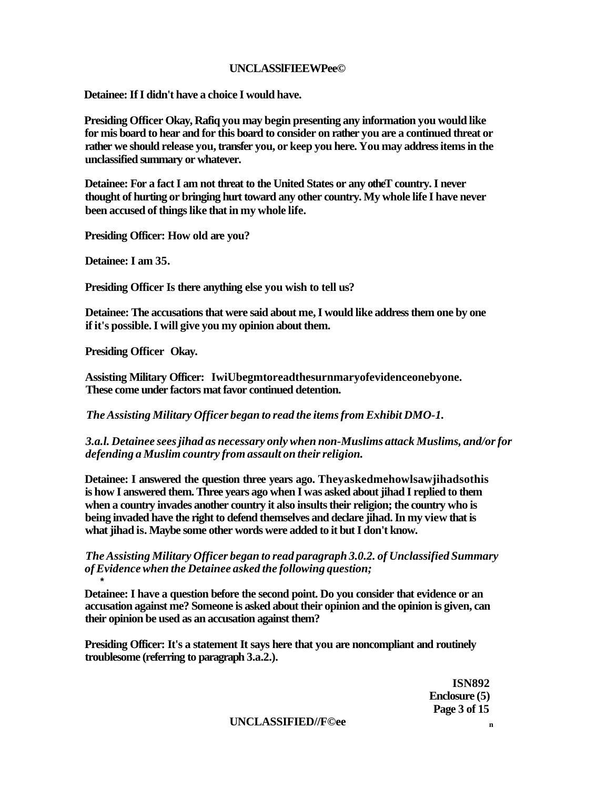## **UNCLASSlFIEEWPee©**

**Detainee: If I didn't have a choice I would have.** 

**Presiding Officer Okay, Rafiq you may begin presenting any information you would like for mis board to hear and for this board to consider on rather you are a continued threat or rather we should release you, transfer you, or keep you here. You may address items in the unclassified summary or whatever.** 

**Detainee: For a fact I am not threat to the United States or any otheT country. I never thought of hurting or bringing hurt toward any other country. My whole life I have never been accused of things like that in my whole life.** 

**Presiding Officer: How old are you?** 

**Detainee: I am 35.** 

**Presiding Officer Is there anything else you wish to tell us?** 

**Detainee: The accusations that were said about me, I would like address them one by one if it's possible. I will give you my opinion about them.** 

**Presiding Officer Okay.** 

**\*** 

**Assisting Military Officer: IwiUbegmtoreadthesurnmaryofevidenceonebyone. These come under factors mat favor continued detention.** 

*The Assisting Military Officer began to read the items from Exhibit DMO-1.* 

*3.a.l. Detainee sees jihad as necessary only when non-Muslims attack Muslims, and/or for defending a Muslim country from assault on their religion.* 

**Detainee: I answered the question three years ago. Theyaskedmehowlsawjihadsothis is how I answered them. Three years ago when I was asked about jihad I replied to them when a country invades another country it also insults their religion; the country who is being invaded have the right to defend themselves and declare jihad. In my view that is what jihad is. Maybe some other words were added to it but I don't know.** 

*The Assisting Military Officer began to read paragraph 3.0.2. of Unclassified Summary of Evidence when the Detainee asked the following question;* 

**Detainee: I have a question before the second point. Do you consider that evidence or an accusation against me? Someone is asked about their opinion and the opinion is given, can their opinion be used as an accusation against them?** 

**Presiding Officer: It's a statement It says here that you are noncompliant and routinely troublesome (referring to paragraph 3.a.2.).** 

> **ISN892 Enclosure (5) Page 3 of 15**

**UNCLASSIFIED//F©ee <sup>n</sup>**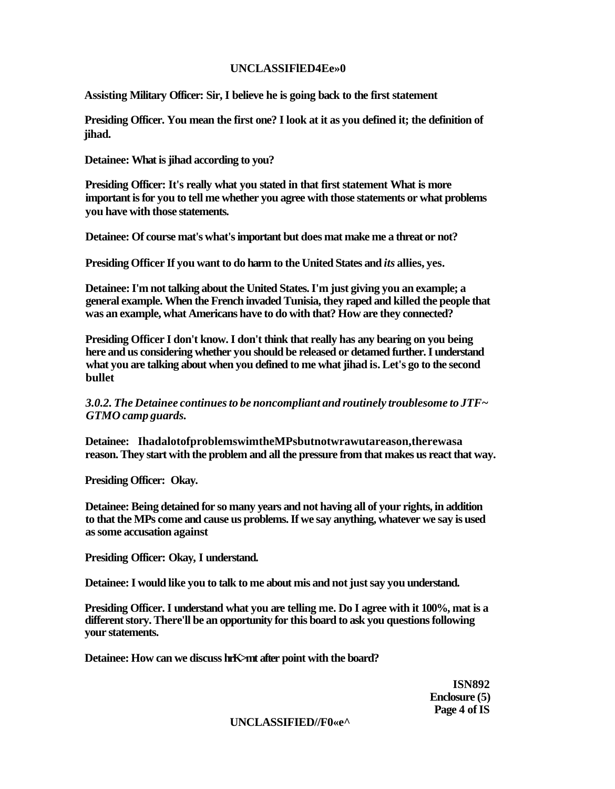# **UNCLASSIFlED4Ee»0**

**Assisting Military Officer: Sir, I believe he is going back to the first statement** 

**Presiding Officer. You mean the first one? I look at it as you defined it; the definition of jihad.** 

**Detainee: What is jihad according to you?** 

**Presiding Officer: It's really what you stated in that first statement What is more important is for you to tell me whether you agree with those statements or what problems you have with those statements.** 

**Detainee: Of course mat's what's important but does mat make me a threat or not?** 

**Presiding Officer If you want to do harm to the United States and** *its* **allies, yes.** 

**Detainee: I'm not talking about the United States. I'm just giving you an example; a general example. When the French invaded Tunisia, they raped and killed the people that was an example, what Americans have to do with that? How are they connected?** 

**Presiding Officer I don't know. I don't think that really has any bearing on you being here and us considering whether you should be released or detamed further. I understand what you are talking about when you defined to me what jihad is. Let's go to the second bullet** 

*3.0.2. The Detainee continues to be noncompliant and routinely troublesome to JTF~ GTMO camp guards.* 

**Detainee: IhadalotofproblemswimtheMPsbutnotwrawutareason,therewasa reason. They start with the problem and all the pressure from that makes us react that way.** 

**Presiding Officer: Okay.** 

**Detainee: Being detained for so many years and not having all of your rights, in addition to that the MPs come and cause us problems. If we say anything, whatever we say is used as some accusation against** 

**Presiding Officer: Okay, I understand.** 

**Detainee: I would like you to talk to me about mis and not just say you understand.** 

**Presiding Officer. I understand what you are telling me. Do I agree with it 100%, mat is a different story. There'll be an opportunity for this board to ask you questions following your statements.** 

**Detainee: How can we discuss hrK>mt after point with the board?** 

**ISN892 Enclosure (5) Page 4 of IS** 

#### **UNCLASSIFIED//F0«e^**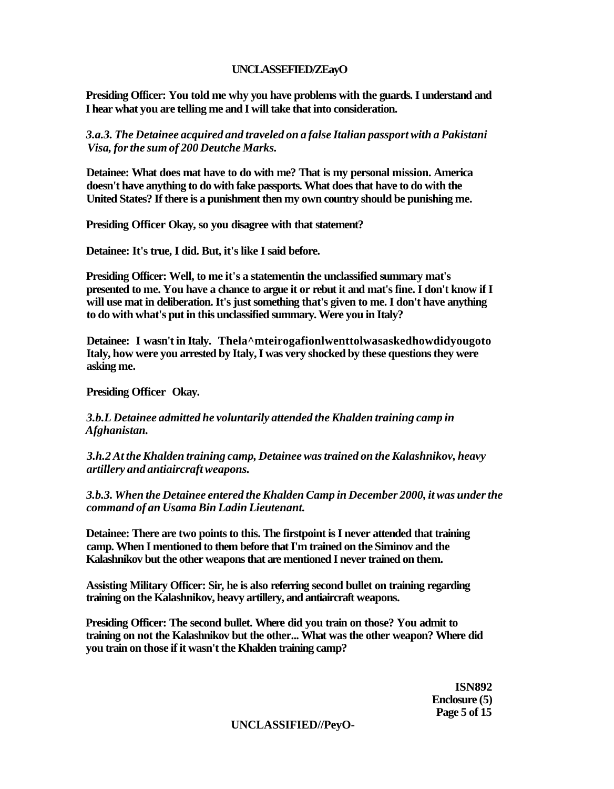## **UNCLASSEFIED/ZEayO**

**Presiding Officer: You told me why you have problems with the guards. I understand and I hear what you are telling me and I will take that into consideration.** 

*3.a.3. The Detainee acquired and traveled on a false Italian passport with a Pakistani Visa, for the sum of 200 Deutche Marks.* 

**Detainee: What does mat have to do with me? That is my personal mission. America doesn't have anything to do with fake passports. What does that have to do with the United States? If there is a punishment then my own country should be punishing me.** 

**Presiding Officer Okay, so you disagree with that statement?** 

**Detainee: It's true, I did. But, it's like I said before.** 

**Presiding Officer: Well, to me it's a statementin the unclassified summary mat's presented to me. You have a chance to argue it or rebut it and mat's fine. I don't know if I will use mat in deliberation. It's just something that's given to me. I don't have anything to do with what's put in this unclassified summary. Were you in Italy?** 

**Detainee: I wasn't in Italy. Thela^mteirogafionlwenttolwasaskedhowdidyougoto Italy, how were you arrested by Italy, I was very shocked by these questions they were asking me.** 

**Presiding Officer Okay.** 

*3.b.L Detainee admitted he voluntarily attended the Khalden training camp in Afghanistan.* 

*3.h.2 At the Khalden training camp, Detainee was trained on the Kalashnikov, heavy artillery and antiaircraft weapons.* 

*3.b.3. When the Detainee entered the Khalden Camp in December 2000, it was under the command of an Usama Bin Ladin Lieutenant.* 

**Detainee: There are two points to this. The firstpoint is I never attended that training camp. When I mentioned to them before that I'm trained on the Siminov and the Kalashnikov but the other weapons that are mentioned I never trained on them.** 

**Assisting Military Officer: Sir, he is also referring second bullet on training regarding training on the Kalashnikov, heavy artillery, and antiaircraft weapons.** 

**Presiding Officer: The second bullet. Where did you train on those? You admit to training on not the Kalashnikov but the other... What was the other weapon? Where did you train on those if it wasn't the Khalden training camp?** 

> **ISN892 Enclosure (5) Page 5 of 15**

**UNCLASSIFIED//PeyO-**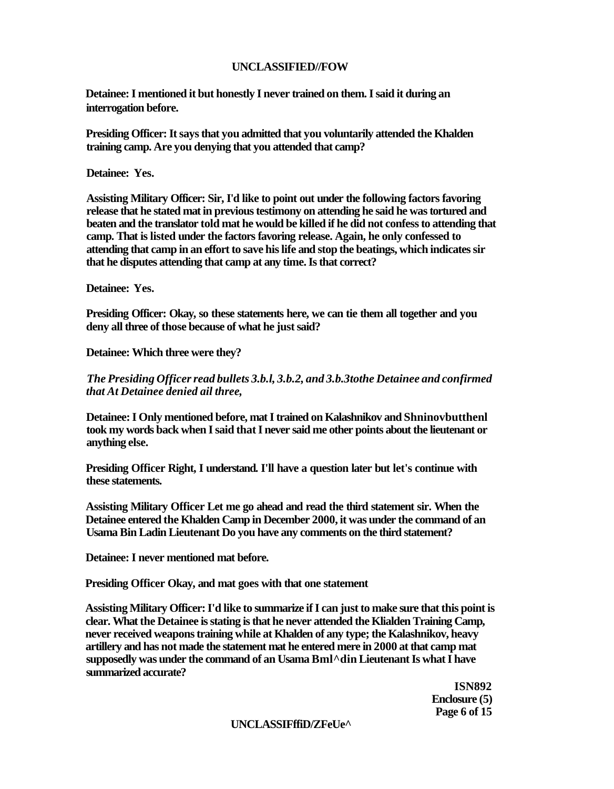#### **UNCLASSIFIED//FOW**

**Detainee: I mentioned it but honestly I never trained on them. I said it during an interrogation before.** 

**Presiding Officer: It says that you admitted that you voluntarily attended the Khalden training camp. Are you denying that you attended that camp?** 

**Detainee: Yes.** 

**Assisting Military Officer: Sir, I'd like to point out under the following factors favoring release that he stated mat in previous testimony on attending he said he was tortured and beaten and the translator told mat he would be killed if he did not confess to attending that camp. That is listed under the factors favoring release. Again, he only confessed to attending that camp in an effort to save his life and stop the beatings, which indicates sir that he disputes attending that camp at any time. Is that correct?** 

**Detainee: Yes.** 

**Presiding Officer: Okay, so these statements here, we can tie them all together and you deny all three of those because of what he just said?** 

**Detainee: Which three were they?** 

*The Presiding Officer read bullets 3.b.l, 3.b.2, and 3.b.3tothe Detainee and confirmed that At Detainee denied ail three,* 

**Detainee: I Only mentioned before, mat I trained on Kalashnikov and Shninovbutthenl took my words back when I said that I never said me other points about the lieutenant or anything else.** 

**Presiding Officer Right, I understand. I'll have a question later but let's continue with these statements.** 

**Assisting Military Officer Let me go ahead and read the third statement sir. When the Detainee entered the Khalden Camp in December 2000, it was under the command of an Usama Bin Ladin Lieutenant Do you have any comments on the third statement?** 

**Detainee: I never mentioned mat before.** 

**Presiding Officer Okay, and mat goes with that one statement** 

**Assisting Military Officer: I'd like to summarize if I can just to make sure that this point is clear. What the Detainee is stating is that he never attended the Klialden Training Camp, never received weapons training while at Khalden of any type; the Kalashnikov, heavy artillery and has not made the statement mat he entered mere in 2000 at that camp mat supposedly was under the command of an Usama Bml^din Lieutenant Is what I have summarized accurate?** 

> **ISN892 Enclosure (5) Page 6 of 15**

#### **UNCLASSIFffiD/ZFeUe^**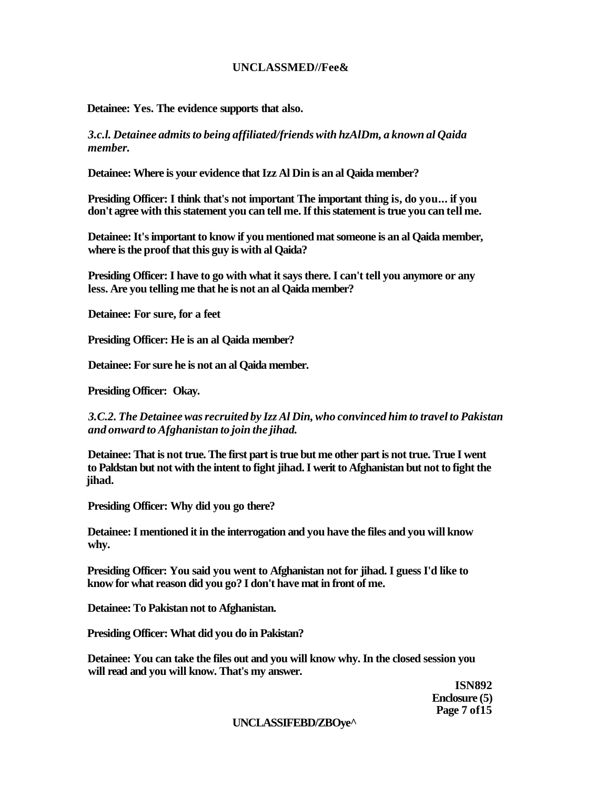## **UNCLASSMED//Fee&**

**Detainee: Yes. The evidence supports that also.** 

*3.c.l. Detainee admits to being affiliated/friends with hzAlDm, a known al Qaida member.* 

**Detainee: Where is your evidence that Izz Al Din is an al Qaida member?** 

**Presiding Officer: I think that's not important The important thing is, do you... if you don't agree with this statement you can tell me. If this statement is true you can tell me.** 

**Detainee: It's important to know if you mentioned mat someone is an al Qaida member, where is the proof that this guy is with al Qaida?** 

**Presiding Officer: I have to go with what it says there. I can't tell you anymore or any less. Are you telling me that he is not an al Qaida member?** 

**Detainee: For sure, for a feet** 

**Presiding Officer: He is an al Qaida member?** 

**Detainee: For sure he is not an al Qaida member.** 

**Presiding Officer: Okay.** 

*3.C.2. The Detainee was recruited by Izz Al Din, who convinced him to travel to Pakistan and onward to Afghanistan to join the jihad.* 

**Detainee: That is not true. The first part is true but me other part is not true. True I went to Paldstan but not with the intent to fight jihad. I werit to Afghanistan but not to fight the jihad.** 

**Presiding Officer: Why did you go there?** 

**Detainee: I mentioned it in the interrogation and you have the files and you will know why.** 

**Presiding Officer: You said you went to Afghanistan not for jihad. I guess I'd like to know for what reason did you go? I don't have mat in front of me.** 

**Detainee: To Pakistan not to Afghanistan.** 

**Presiding Officer: What did you do in Pakistan?** 

**Detainee: You can take the files out and you will know why. In the closed session you will read and you will know. That's my answer.** 

> **ISN892 Enclosure (5) Page 7 of15**

#### **UNCLASSIFEBD/ZBOye^**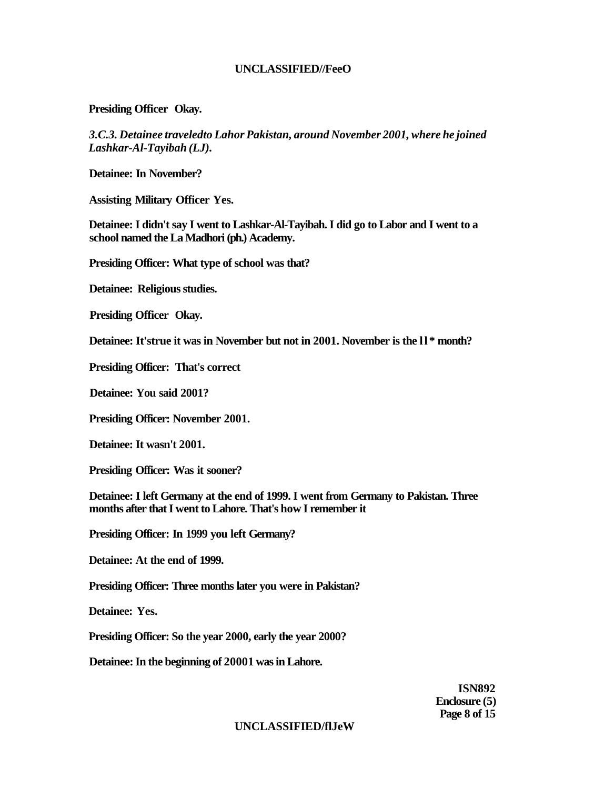## **UNCLASSIFIED//FeeO**

**Presiding Officer Okay.** 

*3.C.3. Detainee traveledto Lahor Pakistan, around November 2001, where he joined Lashkar-Al-Tayibah (LJ).* 

**Detainee: In November?** 

**Assisting Military Officer Yes.** 

**Detainee: I didn't say I went to Lashkar-Al-Tayibah. I did go to Labor and I went to a school named the La Madhori (ph.) Academy.** 

**Presiding Officer: What type of school was that?** 

**Detainee: Religious studies.** 

**Presiding Officer Okay.** 

**Detainee: It'strue it was in November but not in 2001. November is the ll \* month?** 

**Presiding Officer: That's correct** 

**Detainee: You said 2001?** 

**Presiding Officer: November 2001.** 

**Detainee: It wasn't 2001.** 

**Presiding Officer: Was it sooner?** 

**Detainee: I left Germany at the end of 1999. I went from Germany to Pakistan. Three months after that I went to Lahore. That's how I remember it** 

**Presiding Officer: In 1999 you left Germany?** 

**Detainee: At the end of 1999.** 

**Presiding Officer: Three months later you were in Pakistan?** 

**Detainee: Yes.** 

**Presiding Officer: So the year 2000, early the year 2000?** 

**Detainee: In the beginning of 20001 was in Lahore.** 

**ISN892 Enclosure (5) Page 8 of 15** 

#### **UNCLASSIFIED/flJeW**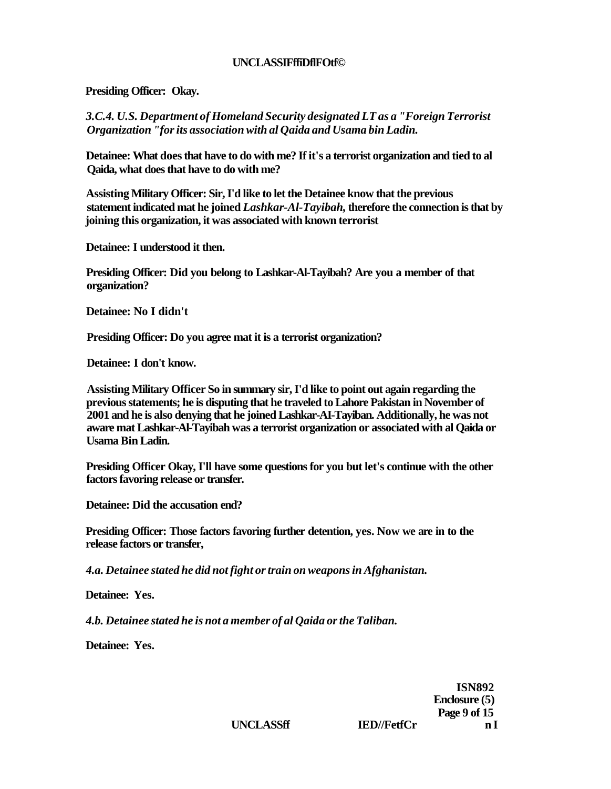## **UNCLASSIFffiDflFOtf©**

**Presiding Officer: Okay.** 

*3.C.4. U.S. Department of Homeland Security designated LT as a "Foreign Terrorist Organization "for its association with al Qaida and Usama bin Ladin.* 

**Detainee: What does that have to do with me? If it's a terrorist organization and tied to al Qaida, what does that have to do with me?** 

**Assisting Military Officer: Sir, I'd like to let the Detainee know that the previous statement indicated mat he joined** *Lashkar-Al-Tayibah,* **therefore the connection is that by joining this organization, it was associated with known terrorist** 

**Detainee: I understood it then.** 

**Presiding Officer: Did you belong to Lashkar-Al-Tayibah? Are you a member of that organization?** 

**Detainee: No I didn't** 

**Presiding Officer: Do you agree mat it is a terrorist organization?** 

**Detainee: I don't know.** 

**Assisting Military Officer So in summary sir, I'd like to point out again regarding the previous statements; he is disputing that he traveled to Lahore Pakistan in November of 2001 and he is also denying that he joined Lashkar-AI-Tayiban. Additionally, he was not aware mat Lashkar-Al-Tayibah was a terrorist organization or associated with al Qaida or Usama Bin Ladin.** 

**Presiding Officer Okay, I'll have some questions for you but let's continue with the other factors favoring release or transfer.** 

**Detainee: Did the accusation end?** 

**Presiding Officer: Those factors favoring further detention, yes. Now we are in to the release factors or transfer,** 

*4.a. Detainee stated he did not fight or train on weapons in Afghanistan.* 

**Detainee: Yes.** 

*4.b. Detainee stated he is not a member of al Qaida or the Taliban.* 

**Detainee: Yes.** 

**ISN892 Enclosure (5) Page 9 of 15**  UNCLASSff **IED//FetfCr n I**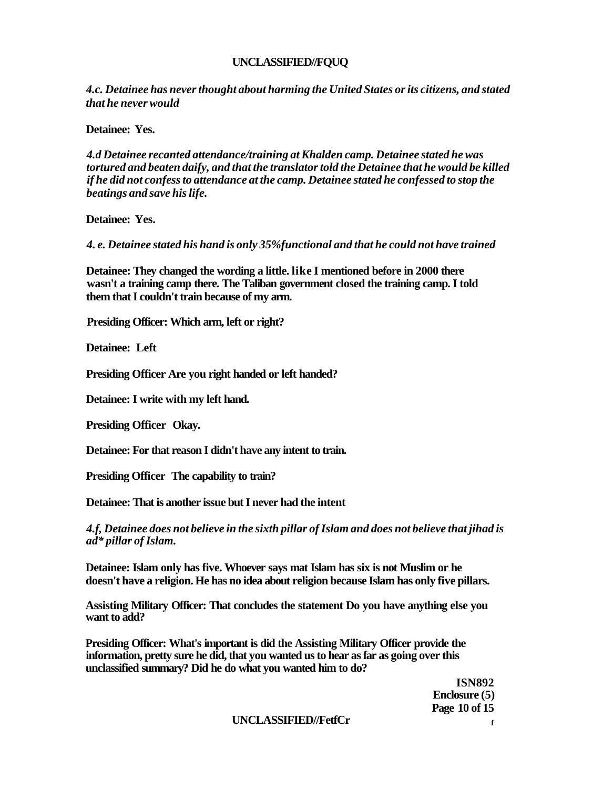## **UNCLASSIFIED//FQUQ**

*4.c. Detainee has never thought about harming the United States or its citizens, and stated that he never would* 

**Detainee: Yes.** 

*4.d Detainee recanted attendance/training at Khalden camp. Detainee stated he was tortured and beaten daify, and that the translator told the Detainee that he would be killed if he did not confess to attendance at the camp. Detainee stated he confessed to stop the beatings and save his life.* 

**Detainee: Yes.** 

*4. e. Detainee stated his hand is only 35%functional and that he could not have trained* 

**Detainee: They changed the wording a little. like I mentioned before in 2000 there wasn't a training camp there. The Taliban government closed the training camp. I told them that I couldn't train because of my arm.** 

**Presiding Officer: Which arm, left or right?** 

**Detainee: Left** 

**Presiding Officer Are you right handed or left handed?** 

**Detainee: I write with my left hand.** 

**Presiding Officer Okay.** 

**Detainee: For that reason I didn't have any intent to train.** 

**Presiding Officer The capability to train?** 

**Detainee: That is another issue but I never had the intent** 

*4.f, Detainee does not believe in the sixth pillar of Islam and does not believe that jihad is ad\* pillar of Islam.* 

**Detainee: Islam only has five. Whoever says mat Islam has six is not Muslim or he doesn't have a religion. He has no idea about religion because Islam has only five pillars.** 

**Assisting Military Officer: That concludes the statement Do you have anything else you want to add?** 

**Presiding Officer: What's important is did the Assisting Military Officer provide the information, pretty sure he did, that you wanted us to hear as far as going over this unclassified summary? Did he do what you wanted him to do?** 

> **ISN892 Enclosure (5) Page 10 of 15**

**UNCLASSIFIED//FetfCr <sup>f</sup>**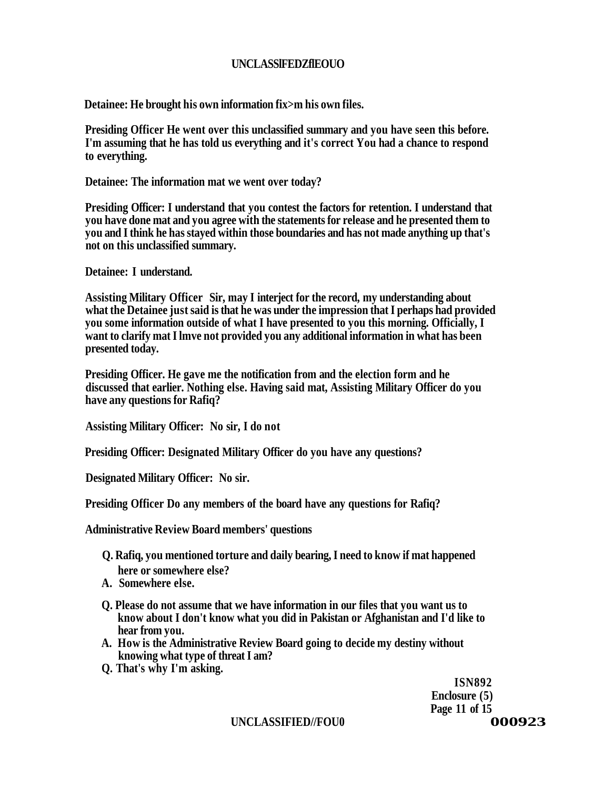# **UNCLASSlFEDZflEOUO**

**Detainee: He brought his own information fix>m his own files.** 

**Presiding Officer He went over this unclassified summary and you have seen this before. I'm assuming that he has told us everything and it's correct You had a chance to respond to everything.** 

**Detainee: The information mat we went over today?** 

**Presiding Officer: I understand that you contest the factors for retention. I understand that you have done mat and you agree with the statements for release and he presented them to you and I think he has stayed within those boundaries and has not made anything up that's not on this unclassified summary.** 

**Detainee: I understand.** 

**Assisting Military Officer Sir, may I interject for the record, my understanding about what the Detainee just said is that he was under the impression that I perhaps had provided you some information outside of what I have presented to you this morning. Officially, I want to clarify mat I lmve not provided you any additional information in what has been presented today.** 

**Presiding Officer. He gave me the notification from and the election form and he discussed that earlier. Nothing else. Having said mat, Assisting Military Officer do you have any questions for Rafiq?** 

**Assisting Military Officer: No sir, I do not** 

**Presiding Officer: Designated Military Officer do you have any questions?** 

**Designated Military Officer: No sir.** 

**Presiding Officer Do any members of the board have any questions for Rafiq?** 

**Administrative Review Board members' questions** 

- **Q. Rafiq, you mentioned torture and daily bearing, I need to know if mat happened here or somewhere else?**
- **A. Somewhere else.**
- **Q. Please do not assume that we have information in our files that you want us to know about I don't know what you did in Pakistan or Afghanistan and I'd like to hear from you.**
- **A. How is the Administrative Review Board going to decide my destiny without knowing what type of threat I am?**
- **Q. That's why I'm asking.**

**ISN892 Enclosure (5) Page 11 of 15** 

**UNCLASSIFIED//FOU0 000923**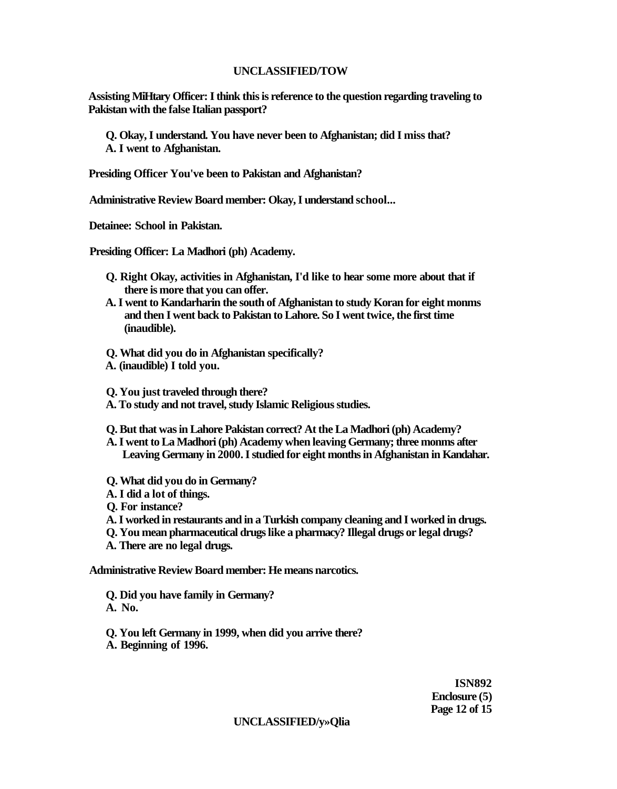#### **UNCLASSIFIED/TOW**

**Assisting MiHtary Officer: I think this is reference to the question regarding traveling to Pakistan with the false Italian passport?** 

**Q. Okay, I understand. You have never been to Afghanistan; did I miss that? A. I went to Afghanistan.** 

**Presiding Officer You've been to Pakistan and Afghanistan?** 

**Administrative Review Board member: Okay, I understand school...** 

**Detainee: School in Pakistan.** 

**Presiding Officer: La Madhori (ph) Academy.** 

- **Q. Right Okay, activities in Afghanistan, I'd like to hear some more about that if there is more that you can offer.**
- **A. I went to Kandarharin the south of Afghanistan to study Koran for eight monms and then I went back to Pakistan to Lahore. So I went twice, the first time (inaudible).**
- **Q. What did you do in Afghanistan specifically?**
- **A. (inaudible) I told you.**

**Q. You just traveled through there?** 

- **A. To study and not travel, study Islamic Religious studies.**
- **Q. But that was in Lahore Pakistan correct? At the La Madhori (ph) Academy?**
- **A. I went to La Madhori (ph) Academy when leaving Germany; three monms after Leaving Germany in 2000. I studied for eight months in Afghanistan in Kandahar.**
- **Q. What did you do in Germany?**
- **A. I did a lot of things.**

**Q. For instance?** 

- **A. I worked in restaurants and in a Turkish company cleaning and I worked in drugs.**
- **Q. You mean pharmaceutical drugs like a pharmacy? Illegal drugs or legal drugs?**
- **A. There are no legal drugs.**

**Administrative Review Board member: He means narcotics.** 

- **Q. Did you have family in Germany? A. No.**
- **Q. You left Germany in 1999, when did you arrive there? A. Beginning of 1996.**

**ISN892 Enclosure (5) Page 12 of 15** 

**UNCLASSIFIED/y»Qlia**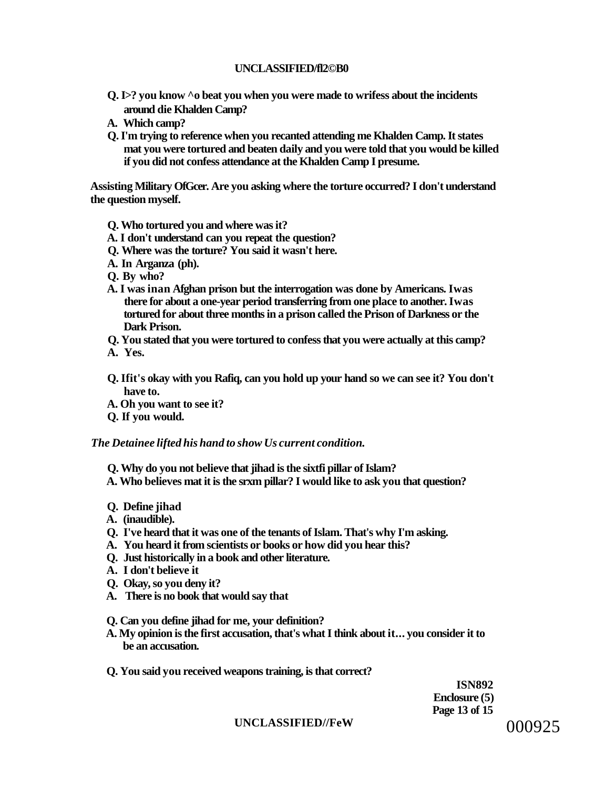#### **UNCLASSIFIED/fl2©B0**

- **Q. I>? you know ^o beat you when you were made to wrifess about the incidents around die Khalden Camp?**
- **A. Which camp?**
- **Q. I'm trying to reference when you recanted attending me Khalden Camp. It states mat you were tortured and beaten daily and you were told that you would be killed if you did not confess attendance at the Khalden Camp I presume.**

**Assisting Military OfGcer. Are you asking where the torture occurred? I don't understand the question myself.** 

- **Q. Who tortured you and where was it?**
- **A. I don't understand can you repeat the question?**
- **Q. Where was the torture? You said it wasn't here.**
- **A. In Arganza (ph).**
- **Q. By who?**
- **A. I was inan Afghan prison but the interrogation was done by Americans. Iwas there for about a one-year period transferring from one place to another. Iwas tortured for about three months in a prison called the Prison of Darkness or the Dark Prison.**
- **Q. You stated that you were tortured to confess that you were actually at this camp?**
- **A. Yes.**
- **Q. Ifit's okay with you Rafiq, can you hold up your hand so we can see it? You don't have to.**
- **A. Oh you want to see it?**
- **Q. If you would.**

#### *The Detainee lifted his hand to show Us current condition.*

- **Q. Why do you not believe that jihad is the sixtfi pillar of Islam?**
- **A. Who believes mat it is the srxm pillar? I would like to ask you that question?**
- **Q. Define jihad**
- **A. (inaudible).**
- **Q. I've heard that it was one of the tenants of Islam. That's why I'm asking.**
- **A. You heard it from scientists or books or how did you hear this?**
- **Q. Just historically in a book and other literature.**
- **A. I don't believe it**
- **Q. Okay, so you deny it?**
- **A. There is no book that would say that**
- **Q. Can you define jihad for me, your definition?**
- **A. My opinion is the first accusation, that's what I think about it... you consider it to be an accusation.**
- **Q. You said you received weapons training, is that correct?**

**ISN892 Enclosure (5) Page 13 of 15** 

#### **UNCLASSIFIED//FeW**

000925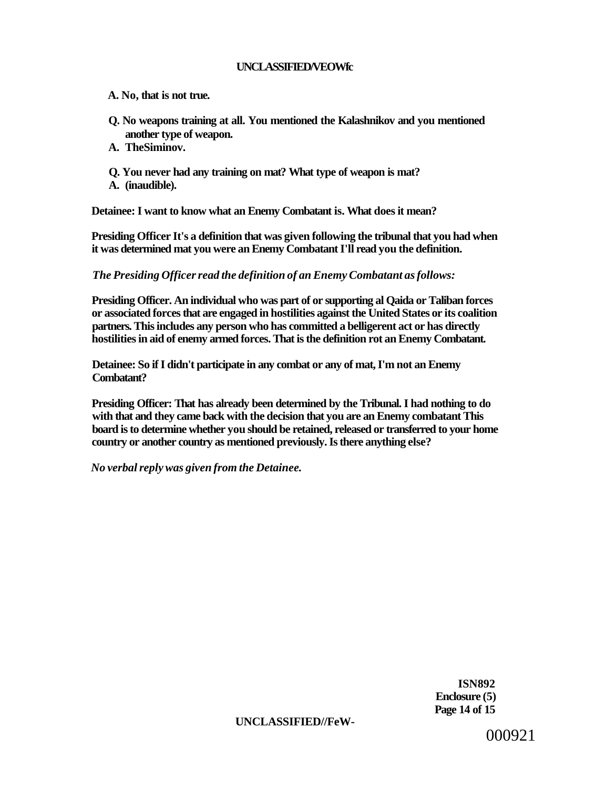## **UNCLASSIFIED/VEOWfc**

- **A. No, that is not true.**
- **Q. No weapons training at all. You mentioned the Kalashnikov and you mentioned another type of weapon.**
- **A. TheSiminov.**
- **Q. You never had any training on mat? What type of weapon is mat?**
- **A. (inaudible).**

**Detainee: I want to know what an Enemy Combatant is. What does it mean?** 

**Presiding Officer It's a definition that was given following the tribunal that you had when it was determined mat you were an Enemy Combatant I'll read you the definition.** 

*The Presiding Officer read the definition of an Enemy Combatant as follows:* 

**Presiding Officer. An individual who was part of or supporting al Qaida or Taliban forces or associated forces that are engaged in hostilities against the United States or its coalition partners. This includes any person who has committed a belligerent act or has directly hostilities in aid of enemy armed forces. That is the definition rot an Enemy Combatant.** 

**Detainee: So if I didn't participate in any combat or any of mat, I'm not an Enemy Combatant?** 

**Presiding Officer: That has already been determined by the Tribunal. I had nothing to do with that and they came back with the decision that you are an Enemy combatant This board is to determine whether you should be retained, released or transferred to your home country or another country as mentioned previously. Is there anything else?** 

*No verbal reply was given from the Detainee.* 

**ISN892 Enclosure (5) Page 14 of 15** 

#### **UNCLASSIFIED//FeW-**

000921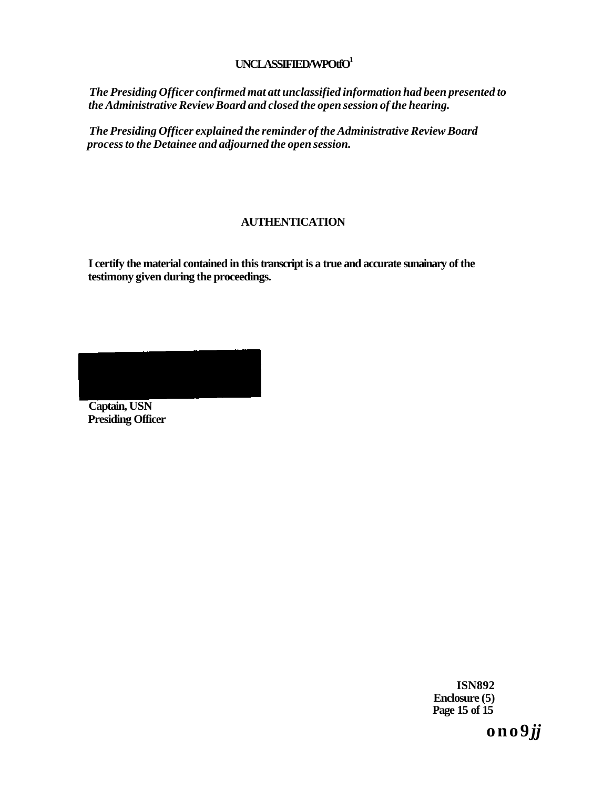## **UNCLASSIFIED/WPOtfO<sup>1</sup>**

*The Presiding Officer confirmed mat att unclassified information had been presented to the Administrative Review Board and closed the open session of the hearing.* 

*The Presiding Officer explained the reminder of the Administrative Review Board process to the Detainee and adjourned the open session.* 

# **AUTHENTICATION**

**I certify the material contained in this transcript is a true and accurate sunainary of the testimony given during the proceedings.** 

**Captain, USN Presiding Officer** 

> **ISN892 Enclosure (5) Page 15 of 15**

> > **o n o 9** *jj*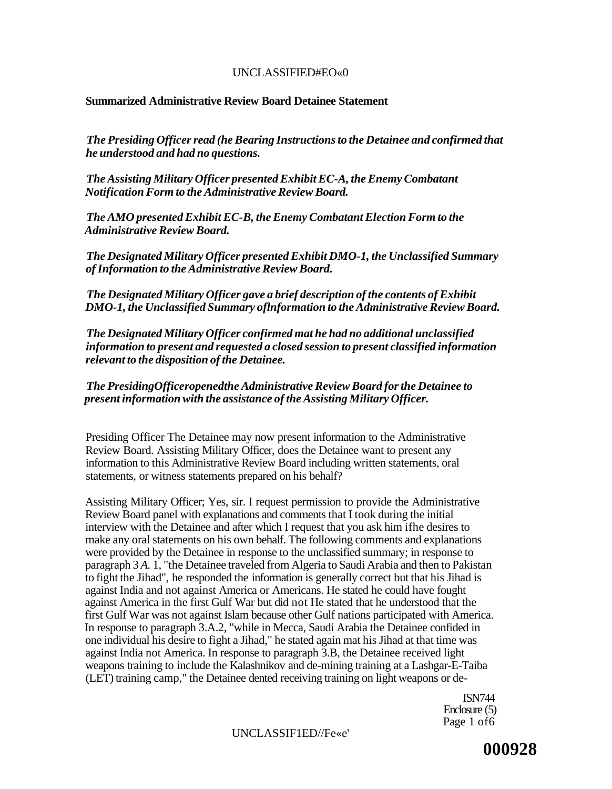## UNCLASSIFIED#EO«0

### **Summarized Administrative Review Board Detainee Statement**

*The Presiding Officer read (he Bearing Instructions to the Detainee and confirmed that he understood and had no questions.* 

*The Assisting Military Officer presented Exhibit EC-A, the Enemy Combatant Notification Form to the Administrative Review Board.* 

*The AMO presented Exhibit EC-B, the Enemy Combatant Election Form to the Administrative Review Board.* 

*The Designated Military Officer presented Exhibit DMO-1, the Unclassified Summary of Information to the Administrative Review Board.* 

*The Designated Military Officer gave a brief description of the contents of Exhibit DMO-1, the Unclassified Summary oflnformation to the Administrative Review Board.* 

*The Designated Military Officer confirmed mat he had no additional unclassified information to present and requested a closed session to present classified information relevant to the disposition of the Detainee.* 

## *The PresidingOfficeropenedthe Administrative Review Board for the Detainee to present information with the assistance of the Assisting Military Officer.*

Presiding Officer The Detainee may now present information to the Administrative Review Board. Assisting Military Officer, does the Detainee want to present any information to this Administrative Review Board including written statements, oral statements, or witness statements prepared on his behalf?

Assisting Military Officer; Yes, sir. I request permission to provide the Administrative Review Board panel with explanations and comments that I took during the initial interview with the Detainee and after which I request that you ask him ifhe desires to make any oral statements on his own behalf. The following comments and explanations were provided by the Detainee in response to the unclassified summary; in response to paragraph 3 *A.* 1, "the Detainee traveled from Algeria to Saudi Arabia and then to Pakistan to fight the Jihad", he responded the information is generally correct but that his Jihad is against India and not against America or Americans. He stated he could have fought against America in the first Gulf War but did not He stated that he understood that the first Gulf War was not against Islam because other Gulf nations participated with America. In response to paragraph 3.A.2, "while in Mecca, Saudi Arabia the Detainee confided in one individual his desire to fight a Jihad," he stated again mat his Jihad at that time was against India not America. In response to paragraph 3.B, the Detainee received light weapons training to include the Kalashnikov and de-mining training at a Lashgar-E-Taiba (LET) training camp," the Detainee dented receiving training on light weapons or de-

> ISN744 Enclosure (5) Page 1 of 6

UNCLASSIF1ED//Fe«e'

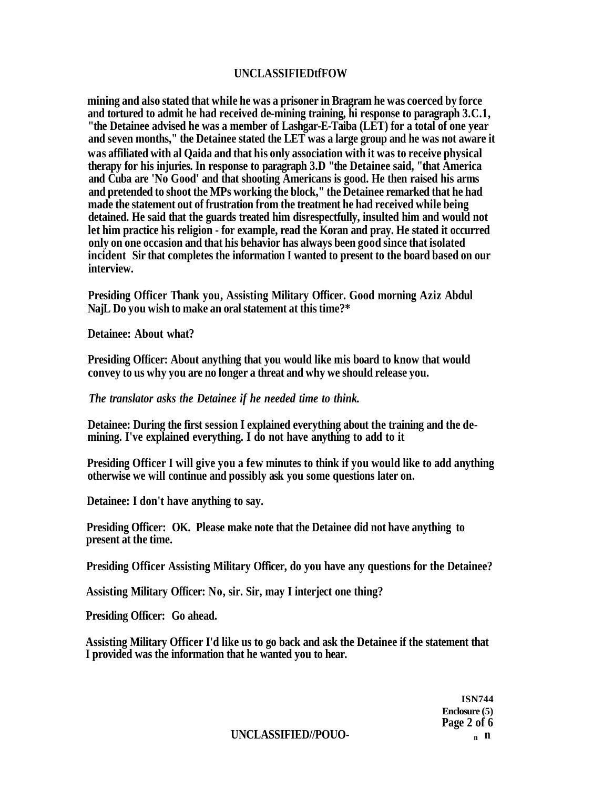## **UNCLASSIFIEDtfFOW**

**mining and also stated that while he was a prisoner in Bragram he was coerced by force and tortured to admit he had received de-mining training, hi response to paragraph 3.C.1, "the Detainee advised he was a member of Lashgar-E-Taiba (LET) for a total of one year and seven months," the Detainee stated the LET was a large group and he was not aware it was affiliated with al Qaida and that his only association with it was to receive physical therapy for his injuries. In response to paragraph 3.D "the Detainee said, "that America and Cuba are 'No Good' and that shooting Americans is good. He then raised his arms and pretended to shoot the MPs working the block," the Detainee remarked that he had made the statement out of frustration from the treatment he had received while being detained. He said that the guards treated him disrespectfully, insulted him and would not let him practice his religion - for example, read the Koran and pray. He stated it occurred only on one occasion and that his behavior has always been good since that isolated incident Sir that completes the information I wanted to present to the board based on our interview.** 

**Presiding Officer Thank you, Assisting Military Officer. Good morning Aziz Abdul NajL Do you wish to make an oral statement at this time?\*** 

**Detainee: About what?** 

**Presiding Officer: About anything that you would like mis board to know that would convey to us why you are no longer a threat and why we should release you.** 

## *The translator asks the Detainee if he needed time to think.*

**Detainee: During the first session I explained everything about the training and the demining. I've explained everything. I do not have anything to add to it** 

**Presiding Officer I will give you a few minutes to think if you would like to add anything otherwise we will continue and possibly ask you some questions later on.** 

**Detainee: I don't have anything to say.** 

**Presiding Officer: OK. Please make note that the Detainee did not have anything to present at the time.** 

**Presiding Officer Assisting Military Officer, do you have any questions for the Detainee?** 

**Assisting Military Officer: No, sir. Sir, may I interject one thing?** 

**Presiding Officer: Go ahead.** 

**Assisting Military Officer I'd like us to go back and ask the Detainee if the statement that I provided was the information that he wanted you to hear.** 

> **ISN744 Enclosure (5) Page 2 of 6**

**UNCLASSIFIED//POUO- <sup>n</sup> n**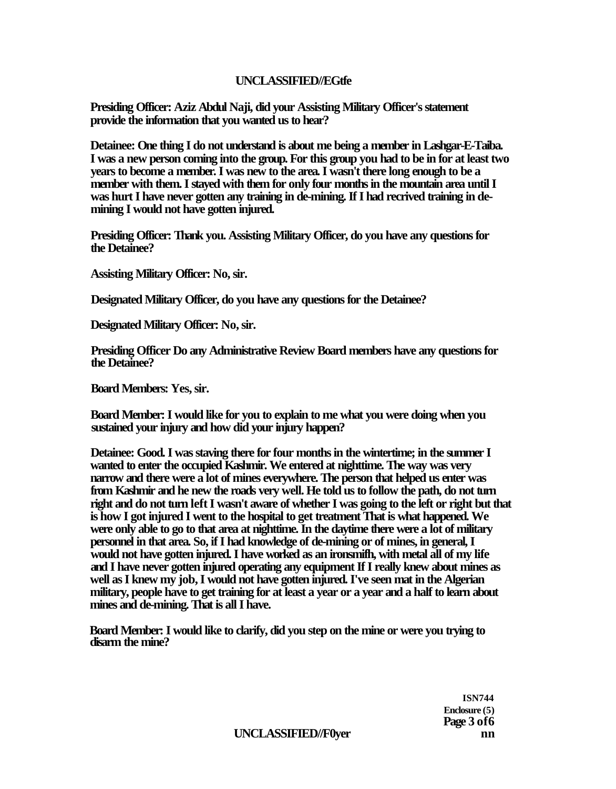# **UNCLASSIFIED//EGtfe**

**Presiding Officer: Aziz Abdul Naji, did your Assisting Military Officer's statement provide the information that you wanted us to hear?** 

**Detainee: One thing I do not understand is about me being a member in Lashgar-E-Taiba. I was a new person coming into the group. For this group you had to be in for at least two years to become a member. I was new to the area. I wasn't there long enough to be a member with them. I stayed with them for only four months in the mountain area until I was hurt I have never gotten any training in de-mining. If I had recrived training in demining I would not have gotten injured.** 

**Presiding Officer: Thank you. Assisting Military Officer, do you have any questions for the Detainee?** 

**Assisting Military Officer: No, sir.** 

**Designated Military Officer, do you have any questions for the Detainee?** 

**Designated Military Officer: No, sir.** 

**Presiding Officer Do any Administrative Review Board members have any questions for the Detainee?** 

**Board Members: Yes, sir.** 

**Board Member: I would like for you to explain to me what you were doing when you sustained your injury and how did your injury happen?** 

**Detainee: Good. I was staving there for four months in the wintertime; in the summer I wanted to enter the occupied Kashmir. We entered at nighttime. The way was very narrow and there were a lot of mines everywhere. The person that helped us enter was from Kashmir and he new the roads very well. He told us to follow the path, do not turn right and do not turn left I wasn't aware of whether I was going to the left or right but that is how I got injured I went to the hospital to get treatment That is what happened. We were only able to go to that area at nighttime. In the daytime there were a lot of military personnel in that area. So, if I had knowledge of de-mining or of mines, in general, I would not have gotten injured. I have worked as an ironsmifh, with metal all of my life and I have never gotten injured operating any equipment If I really knew about mines as well as I knew my job, I would not have gotten injured. I've seen mat in the Algerian military, people have to get training for at least a year or a year and a half to learn about mines and de-mining. That is all I have.** 

**Board Member: I would like to clarify, did you step on the mine or were you trying to disarm the mine?** 

> **ISN744 Enclosure (5) Page 3 of6**

UNCLASSIFIED//F0yer nn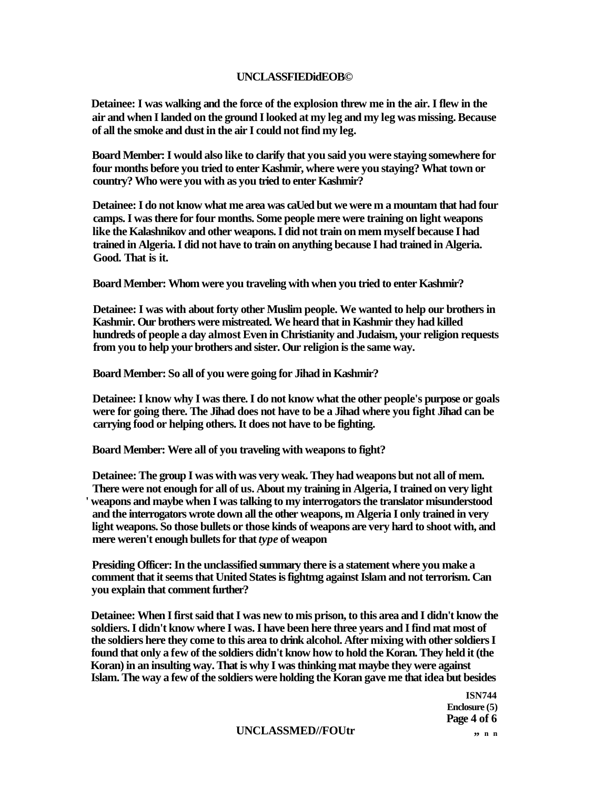#### **UNCLASSFIEDidEOB©**

**Detainee: I was walking and the force of the explosion threw me in the air. I flew in the air and when I landed on the ground I looked at my leg and my leg was missing. Because of all the smoke and dust in the air I could not find my leg.** 

**Board Member: I would also like to clarify that you said you were staying somewhere for four months before you tried to enter Kashmir, where were you staying? What town or country? Who were you with as you tried to enter Kashmir?** 

**Detainee: I do not know what me area was caUed but we were m a mountam that had four camps. I was there for four months. Some people mere were training on light weapons like the Kalashnikov and other weapons. I did not train on mem myself because I had trained in Algeria. I did not have to train on anything because I had trained in Algeria. Good. That is it.** 

**Board Member: Whom were you traveling with when you tried to enter Kashmir?** 

**Detainee: I was with about forty other Muslim people. We wanted to help our brothers in Kashmir. Our brothers were mistreated. We heard that in Kashmir they had killed hundreds of people a day almost Even in Christianity and Judaism, your religion requests from you to help your brothers and sister. Our religion is the same way.** 

**Board Member: So all of you were going for Jihad in Kashmir?** 

**Detainee: I know why I was there. I do not know what the other people's purpose or goals were for going there. The Jihad does not have to be a Jihad where you fight Jihad can be carrying food or helping others. It does not have to be fighting.** 

**Board Member: Were all of you traveling with weapons to fight?** 

**Detainee: The group I was with was very weak. They had weapons but not all of mem. There were not enough for all of us. About my training in Algeria, I trained on very light ' weapons and maybe when I was talking to my interrogators the translator misunderstood and the interrogators wrote down all the other weapons, m Algeria I only trained in very light weapons. So those bullets or those kinds of weapons are very hard to shoot with, and mere weren't enough bullets for that** *type* **of weapon** 

**Presiding Officer: In the unclassified summary there is a statement where you make a comment that it seems that United States is fightmg against Islam and not terrorism. Can you explain that comment further?** 

**Detainee: When I first said that I was new to mis prison, to this area and I didn't know the soldiers. I didn't know where I was. I have been here three years and I find mat most of the soldiers here they come to this area to drink alcohol. After mixing with other soldiers I found that only a few of the soldiers didn't know how to hold the Koran. They held it (the Koran) in an insulting way. That is why I was thinking mat maybe they were against Islam. The way a few of the soldiers were holding the Koran gave me that idea but besides** 

> **ISN744 Enclosure (5) Page 4 of 6**

#### UNCLASSMED//FOUtr  $\qquad \qquad$ , n n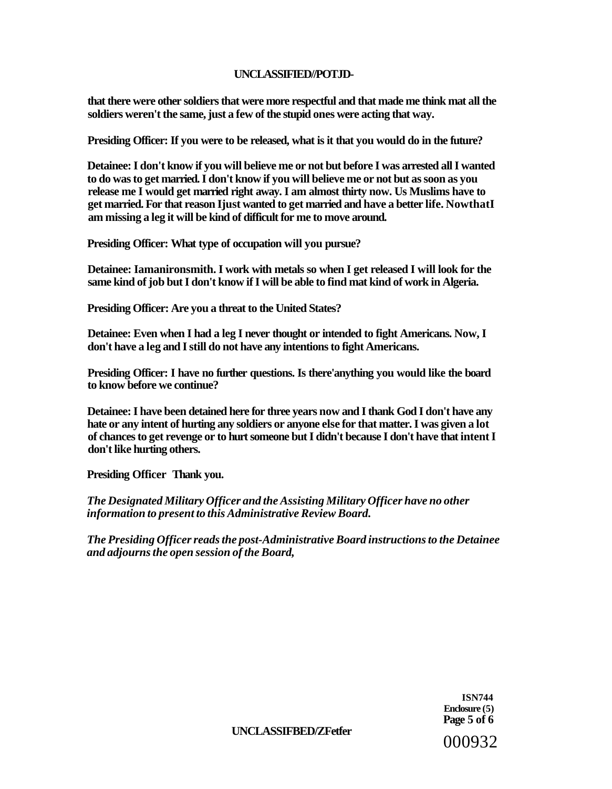## **UNCLASSIFIED//POTJD-**

**that there were other soldiers that were more respectful and that made me think mat all the soldiers weren't the same, just a few of the stupid ones were acting that way.** 

**Presiding Officer: If you were to be released, what is it that you would do in the future?** 

**Detainee: I don't know if you will believe me or not but before I was arrested all I wanted to do was to get married. I don't know if you will believe me or not but as soon as you release me I would get married right away. I am almost thirty now. Us Muslims have to get married. For that reason Ijust wanted to get married and have a better life. NowthatI am missing a leg it will be kind of difficult for me to move around.** 

**Presiding Officer: What type of occupation will you pursue?** 

**Detainee: Iamanironsmith. I work with metals so when I get released I will look for the same kind of job but I don't know if I will be able to find mat kind of work in Algeria.** 

**Presiding Officer: Are you a threat to the United States?** 

**Detainee: Even when I had a leg I never thought or intended to fight Americans. Now, I don't have a leg and I still do not have any intentions to fight Americans.** 

**Presiding Officer: I have no further questions. Is there'anything you would like the board to know before we continue?** 

**Detainee: I have been detained here for three years now and I thank God I don't have any hate or any intent of hurting any soldiers or anyone else for that matter. I was given a lot of chances to get revenge or to hurt someone but I didn't because I don't have that intent I don't like hurting others.** 

**Presiding Officer Thank you.** 

*The Designated Military Officer and the Assisting Military Officer have no other information to present to this Administrative Review Board.* 

*The Presiding Officer reads the post-Administrative Board instructions to the Detainee and adjourns the open session of the Board,* 

> **ISN744 Enclosure (5) Page 5 of 6**  000932

**UNCLASSIFBED/ZFetfer**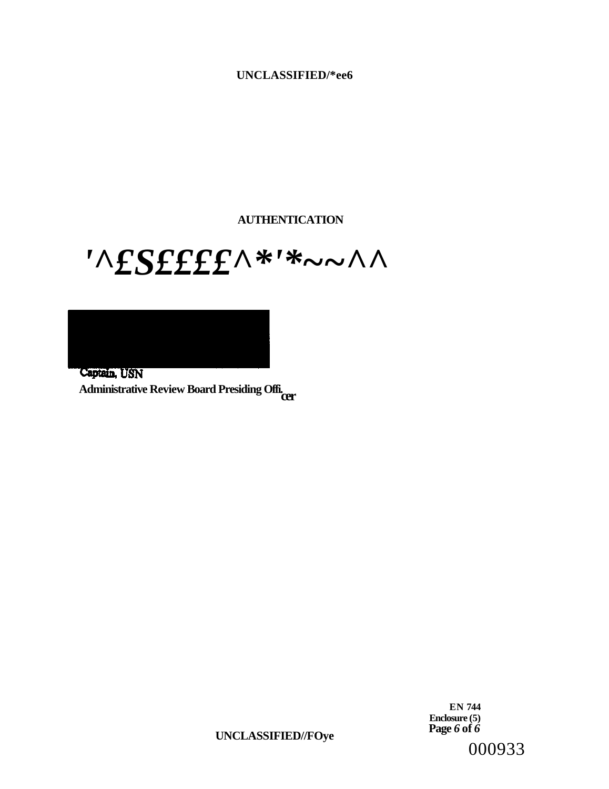# **UNCLASSIFIED/\*ee6**

**AUTHENTICATION** 

# *'^£S££££^\*'\*~~^^*

Captain, USN **Administrative Review Board Presiding Offi. cer** 

> **EN 744 Enclosure (5) Page** *6* **of** *6*

**UNCLASSIFIED//FOye** 

000933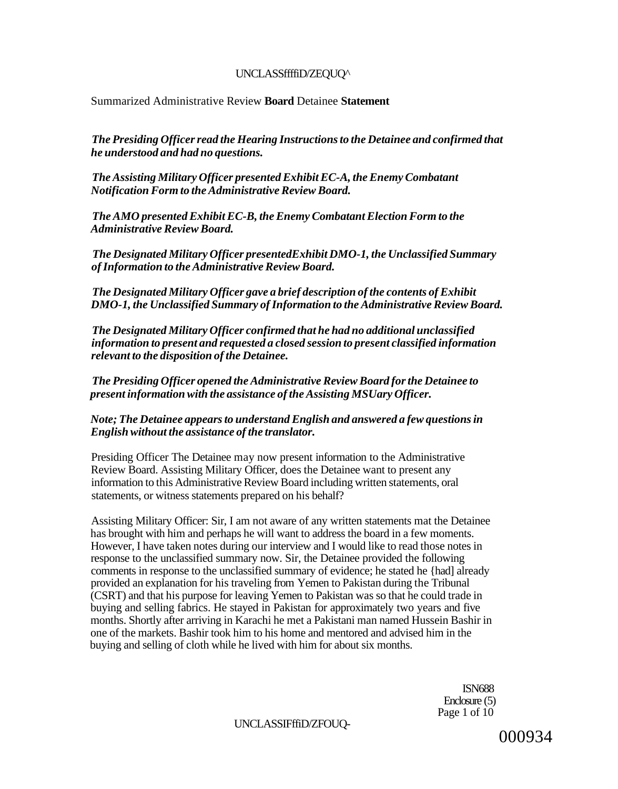## UNCLASSffffiD/ZEQUQ^

Summarized Administrative Review **Board** Detainee **Statement** 

*The Presiding Officer read the Hearing Instructions to the Detainee and confirmed that he understood and had no questions.* 

*The Assisting Military Officer presented Exhibit EC-A, the Enemy Combatant Notification Form to the Administrative Review Board.* 

*The AMO presented Exhibit EC-B, the Enemy Combatant Election Form to the Administrative Review Board.* 

*The Designated Military Officer presentedExhibit DMO-1, the Unclassified Summary of Information to the Administrative Review Board.* 

*The Designated Military Officer gave a brief description of the contents of Exhibit DMO-1, the Unclassified Summary of Information to the Administrative Review Board.* 

*The Designated Military Officer confirmed that he had no additional unclassified information to present and requested a closed session to present classified information relevant to the disposition of the Detainee.* 

*The Presiding Officer opened the Administrative Review Board for the Detainee to present information with the assistance of the Assisting MSUary Officer.* 

## *Note; The Detainee appears to understand English and answered a few questions in English without the assistance of the translator.*

Presiding Officer The Detainee may now present information to the Administrative Review Board. Assisting Military Officer, does the Detainee want to present any information to this Administrative Review Board including written statements, oral statements, or witness statements prepared on his behalf?

Assisting Military Officer: Sir, I am not aware of any written statements mat the Detainee has brought with him and perhaps he will want to address the board in a few moments. However, I have taken notes during our interview and I would like to read those notes in response to the unclassified summary now. Sir, the Detainee provided the following comments in response to the unclassified summary of evidence; he stated he {had] already provided an explanation for his traveling from Yemen to Pakistan during the Tribunal (CSRT) and that his purpose for leaving Yemen to Pakistan was so that he could trade in buying and selling fabrics. He stayed in Pakistan for approximately two years and five months. Shortly after arriving in Karachi he met a Pakistani man named Hussein Bashir in one of the markets. Bashir took him to his home and mentored and advised him in the buying and selling of cloth while he lived with him for about six months.

> ISN688 Enclosure (5) Page 1 of 10

UNCLASSIFffiD/ZFOUQ-

000934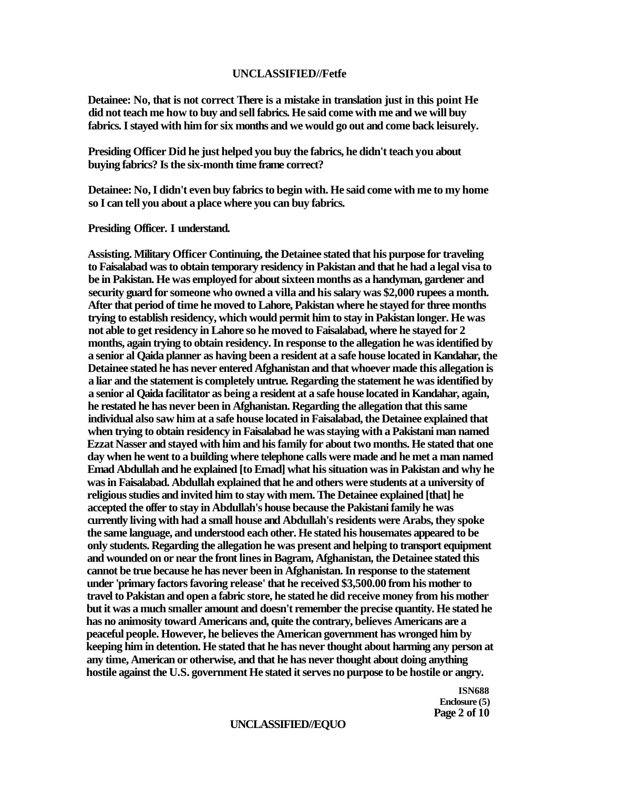#### **UNCLASSIFIED//Fetfe**

**Detainee: No, that is not correct There is a mistake in translation just in this point He did not teach me how to buy and sell fabrics. He said come with me and we will buy fabrics. I stayed with him for six months and we would go out and come back leisurely.** 

**Presiding Officer Did he just helped you buy the fabrics, he didn't teach you about buying fabrics? Is the six-month time frame correct?** 

**Detainee: No, I didn't even buy fabrics to begin with. He said come with me to my home so I can tell you about a place where you can buy fabrics.** 

**Presiding Officer. I understand.** 

**Assisting. Military Officer Continuing, the Detainee stated that his purpose for traveling to Faisalabad was to obtain temporary residency in Pakistan and that he had a legal visa to be in Pakistan. He was employed for about sixteen months as a handyman, gardener and security guard for someone who owned a villa and his salary was \$2,000 rupees a month. After that period of time he moved to Lahore, Pakistan where he stayed for three months trying to establish residency, which would permit him to stay in Pakistan longer. He was not able to get residency in Lahore so he moved to Faisalabad, where he stayed for 2 months, again trying to obtain residency. In response to the allegation he was identified by a senior al Qaida planner as having been a resident at a safe house located in Kandahar, the Detainee stated he has never entered Afghanistan and that whoever made this allegation is a liar and the statement is completely untrue. Regarding the statement he was identified by a senior al Qaida facilitator as being a resident at a safe house located in Kandahar, again, he restated he has never been in Afghanistan. Regarding the allegation that this same individual also saw him at a safe house located in Faisalabad, the Detainee explained that when trying to obtain residency in Faisalabad he was staying with a Pakistani man named Ezzat Nasser and stayed with him and his family for about two months. He stated that one day when he went to a building where telephone calls were made and he met a man named Emad Abdullah and he explained [to Emad] what his situation was in Pakistan and why he was in Faisalabad. Abdullah explained that he and others were students at a university of religious studies and invited him to stay with mem. The Detainee explained [that] he accepted the offer to stay in Abdullah's house because the Pakistani family he was currently living with had a small house and Abdullah's residents were Arabs, they spoke the same language, and understood each other. He stated his housemates appeared to be only students. Regarding the allegation he was present and helping to transport equipment and wounded on or near the front lines in Bagram, Afghanistan, the Detainee stated this cannot be true because he has never been in Afghanistan. In response to the statement under 'primary factors favoring release' that he received \$3,500.00 from his mother to travel to Pakistan and open a fabric store, he stated he did receive money from his mother but it was a much smaller amount and doesn't remember the precise quantity. He stated he has no animosity toward Americans and, quite the contrary, believes Americans are a peaceful people. However, he believes the American government has wronged him by keeping him in detention. He stated that he has never thought about harming any person at any time, American or otherwise, and that he has never thought about doing anything hostile against the U.S. government He stated it serves no purpose to be hostile or angry.** 

> **ISN688 Enclosure (5) Page 2 of 10**

#### **UNCLASSIFIED//EQUO**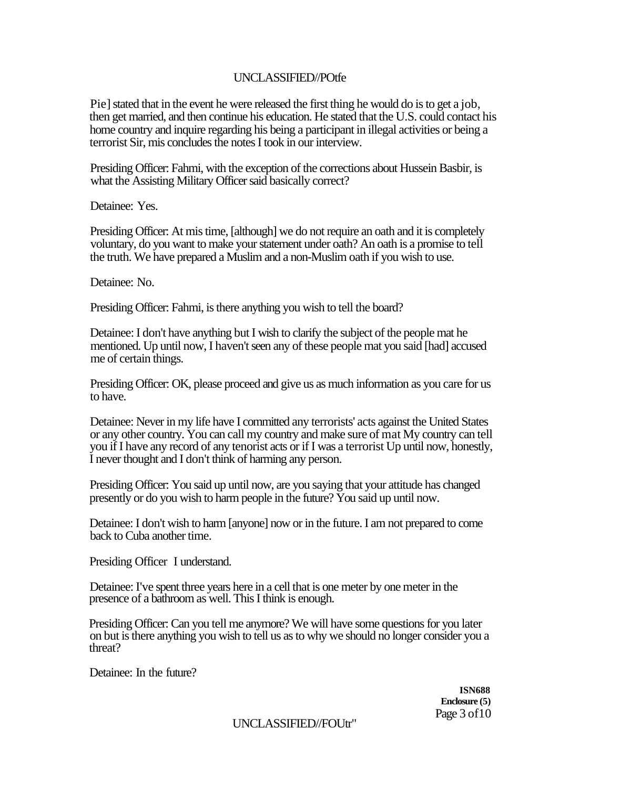# UNCLASSIFIED//POtfe

Pie] stated that in the event he were released the first thing he would do is to get a job, then get married, and then continue his education. He stated that the U.S. could contact his home country and inquire regarding his being a participant in illegal activities or being a terrorist Sir, mis concludes the notes I took in our interview.

Presiding Officer: Fahmi, with the exception of the corrections about Hussein Basbir, is what the Assisting Military Officer said basically correct?

Detainee: Yes.

Presiding Officer: At mis time, [although] we do not require an oath and it is completely voluntary, do you want to make your statement under oath? An oath is a promise to tell the truth. We have prepared a Muslim and a non-Muslim oath if you wish to use.

Detainee: No.

Presiding Officer: Fahmi, is there anything you wish to tell the board?

Detainee: I don't have anything but I wish to clarify the subject of the people mat he mentioned. Up until now, I haven't seen any of these people mat you said [had] accused me of certain things.

Presiding Officer: OK, please proceed and give us as much information as you care for us to have.

Detainee: Never in my life have I committed any terrorists' acts against the United States or any other country. You can call my country and make sure of mat My country can tell you if I have any record of any tenorist acts or if I was a terrorist Up until now, honestly, I never thought and I don't think of harming any person.

Presiding Officer: You said up until now, are you saying that your attitude has changed presently or do you wish to harm people in the future? You said up until now.

Detainee: I don't wish to harm [anyone] now or in the future. I am not prepared to come back to Cuba another time.

Presiding Officer I understand.

Detainee: I've spent three years here in a cell that is one meter by one meter in the presence of a bathroom as well. This I think is enough.

Presiding Officer: Can you tell me anymore? We will have some questions for you later on but is there anything you wish to tell us as to why we should no longer consider you a threat?

Detainee: In the future?

**ISN688 Enclosure (5)**  Page 3 of 10

UNCLASSIFIED//FOUtr"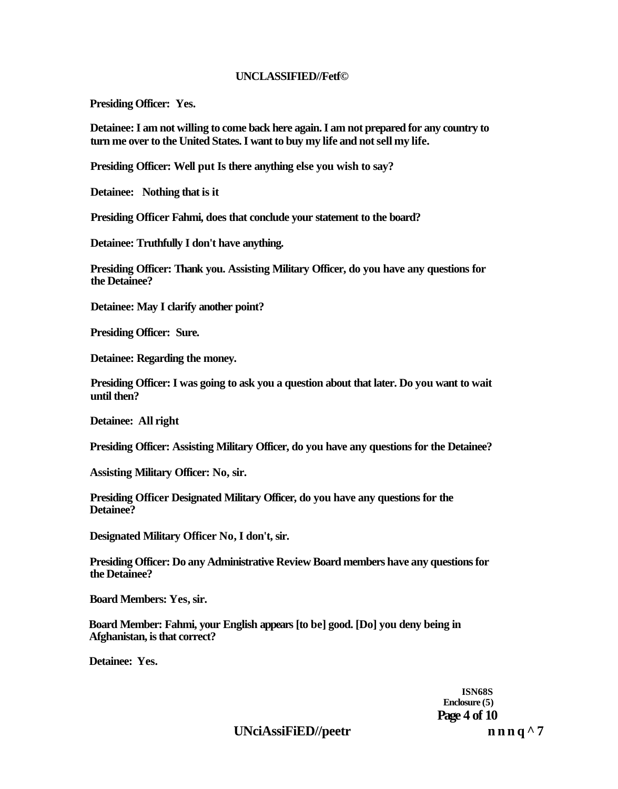#### **UNCLASSIFIED//Fetf©**

**Presiding Officer: Yes.** 

**Detainee: I am not willing to come back here again. I am not prepared for any country to turn me over to the United States. I want to buy my life and not sell my life.** 

**Presiding Officer: Well put Is there anything else you wish to say?** 

**Detainee: Nothing that is it** 

**Presiding Officer Fahmi, does that conclude your statement to the board?** 

**Detainee: Truthfully I don't have anything.** 

**Presiding Officer: Thank you. Assisting Military Officer, do you have any questions for the Detainee?** 

**Detainee: May I clarify another point?** 

**Presiding Officer: Sure.** 

**Detainee: Regarding the money.** 

**Presiding Officer: I was going to ask you a question about that later. Do you want to wait until then?** 

**Detainee: All right** 

**Presiding Officer: Assisting Military Officer, do you have any questions for the Detainee?** 

**Assisting Military Officer: No, sir.** 

**Presiding Officer Designated Military Officer, do you have any questions for the Detainee?** 

**Designated Military Officer No, I don't, sir.** 

**Presiding Officer: Do any Administrative Review Board members have any questions for the Detainee?** 

**Board Members: Yes, sir.** 

**Board Member: Fahmi, your English appears [to be] good. [Do] you deny being in Afghanistan, is that correct?** 

**Detainee: Yes.** 

**ISN68S Enclosure (5) Page 4 of 10** 

UNciAssiFiED//peetr n n n q ^ 7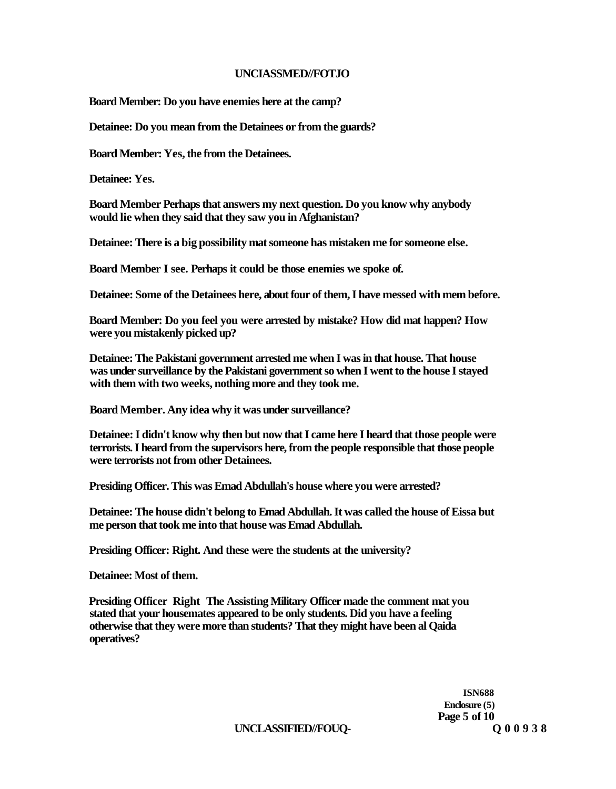#### **UNCIASSMED//FOTJO**

**Board Member: Do you have enemies here at the camp?** 

**Detainee: Do you mean from the Detainees or from the guards?** 

**Board Member: Yes, the from the Detainees.** 

**Detainee: Yes.** 

**Board Member Perhaps that answers my next question. Do you know why anybody would lie when they said that they saw you in Afghanistan?** 

**Detainee: There is a big possibility mat someone has mistaken me for someone else.** 

**Board Member I see. Perhaps it could be those enemies we spoke of.** 

**Detainee: Some of the Detainees here, about four of them, I have messed with mem before.** 

**Board Member: Do you feel you were arrested by mistake? How did mat happen? How were you mistakenly picked up?** 

**Detainee: The Pakistani government arrested me when I was in that house. That house was under surveillance by the Pakistani government so when I went to the house I stayed with them with two weeks, nothing more and they took me.** 

**Board Member. Any idea why it was under surveillance?** 

**Detainee: I didn't know why then but now that I came here I heard that those people were terrorists. I heard from the supervisors here, from the people responsible that those people were terrorists not from other Detainees.** 

**Presiding Officer. This was Emad Abdullah's house where you were arrested?** 

**Detainee: The house didn't belong to Emad Abdullah. It was called the house of Eissa but me person that took me into that house was Emad Abdullah.** 

**Presiding Officer: Right. And these were the students at the university?** 

**Detainee: Most of them.** 

**Presiding Officer Right The Assisting Military Officer made the comment mat you stated that your housemates appeared to be only students. Did you have a feeling otherwise that they were more than students? That they might have been al Qaida operatives?** 

> **ISN688 Enclosure (5) Page 5 of 10**

**UNCLASSIFIED//FOUQ-**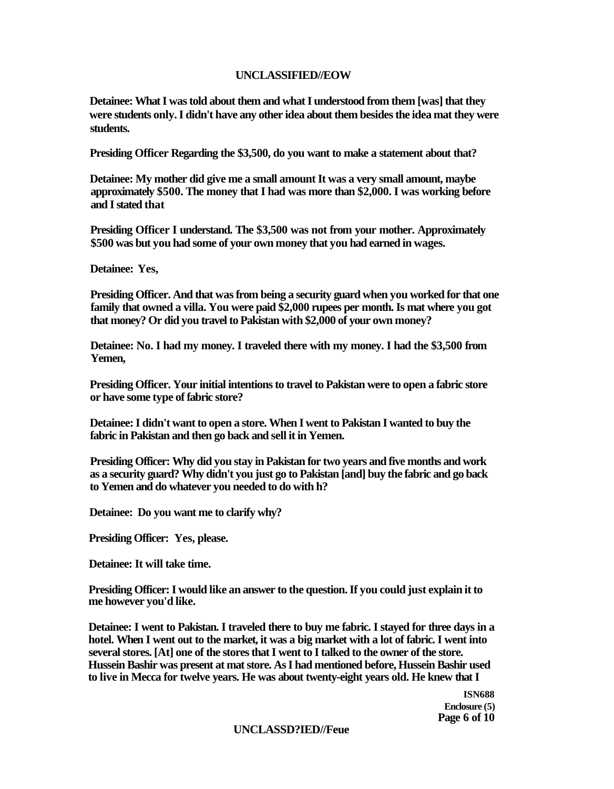## **UNCLASSIFIED//EOW**

**Detainee: What I was told about them and what I understood from them [was] that they were students only. I didn't have any other idea about them besides the idea mat they were students.** 

**Presiding Officer Regarding the \$3,500, do you want to make a statement about that?** 

**Detainee: My mother did give me a small amount It was a very small amount, maybe approximately \$500. The money that I had was more than \$2,000. I was working before and I stated that** 

**Presiding Officer I understand. The \$3,500 was not from your mother. Approximately \$500 was but you had some of your own money that you had earned in wages.** 

**Detainee: Yes,** 

**Presiding Officer. And that was from being a security guard when you worked for that one family that owned a villa. You were paid \$2,000 rupees per month. Is mat where you got that money? Or did you travel to Pakistan with \$2,000 of your own money?** 

**Detainee: No. I had my money. I traveled there with my money. I had the \$3,500 from Yemen,** 

**Presiding Officer. Your initial intentions to travel to Pakistan were to open a fabric store or have some type of fabric store?** 

**Detainee: I didn't want to open a store. When I went to Pakistan I wanted to buy the fabric in Pakistan and then go back and sell it in Yemen.** 

**Presiding Officer: Why did you stay in Pakistan for two years and five months and work as a security guard? Why didn't you just go to Pakistan [and] buy the fabric and go back to Yemen and do whatever you needed to do with h?** 

**Detainee: Do you want me to clarify why?** 

**Presiding Officer: Yes, please.** 

**Detainee: It will take time.** 

**Presiding Officer: I would like an answer to the question. If you could just explain it to me however you'd like.** 

**Detainee: I went to Pakistan. I traveled there to buy me fabric. I stayed for three days in a hotel. When I went out to the market, it was a big market with a lot of fabric. I went into several stores. [At] one of the stores that I went to I talked to the owner of the store. Hussein Bashir was present at mat store. As I had mentioned before, Hussein Bashir used to live in Mecca for twelve years. He was about twenty-eight years old. He knew that I** 

> **ISN688 Enclosure (5) Page 6 of 10**

#### **UNCLASSD?IED//Feue**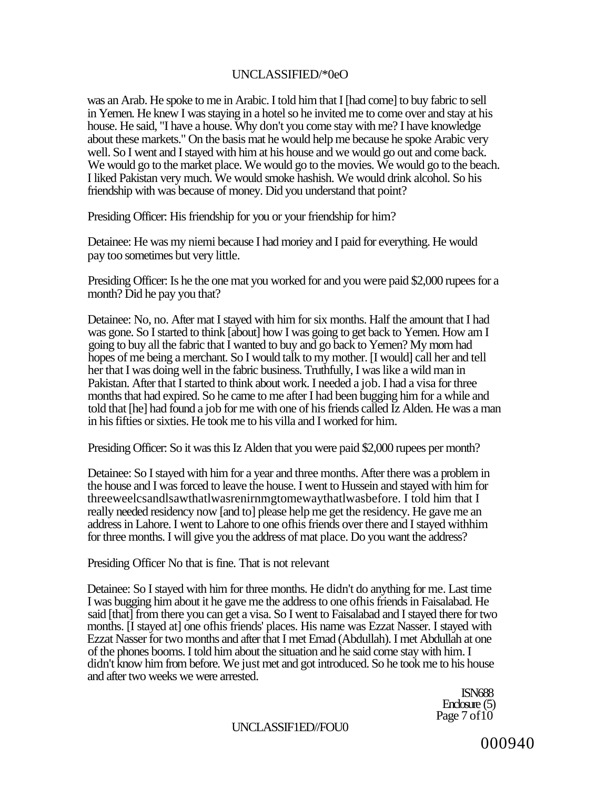# UNCLASSIFIED/\*0eO

was an Arab. He spoke to me in Arabic. I told him that I [had come] to buy fabric to sell in Yemen. He knew I was staying in a hotel so he invited me to come over and stay at his house. He said, "I have a house. Why don't you come stay with me? I have knowledge about these markets." On the basis mat he would help me because he spoke Arabic very well. So I went and I stayed with him at his house and we would go out and come back. We would go to the market place. We would go to the movies. We would go to the beach. I liked Pakistan very much. We would smoke hashish. We would drink alcohol. So his friendship with was because of money. Did you understand that point?

Presiding Officer: His friendship for you or your friendship for him?

Detainee: He was my niemi because I had moriey and I paid for everything. He would pay too sometimes but very little.

Presiding Officer: Is he the one mat you worked for and you were paid \$2,000 rupees for a month? Did he pay you that?

Detainee: No, no. After mat I stayed with him for six months. Half the amount that I had was gone. So I started to think [about] how I was going to get back to Yemen. How am I going to buy all the fabric that I wanted to buy and go back to Yemen? My mom had hopes of me being a merchant. So I would talk to my mother. [I would] call her and tell her that I was doing well in the fabric business. Truthfully, I was like a wild man in Pakistan. After that I started to think about work. I needed a job. I had a visa for three months that had expired. So he came to me after I had been bugging him for a while and told that [he] had found a job for me with one of his friends called Iz Alden. He was a man in his fifties or sixties. He took me to his villa and I worked for him.

Presiding Officer: So it was this Iz Alden that you were paid \$2,000 rupees per month?

Detainee: So I stayed with him for a year and three months. After there was a problem in the house and I was forced to leave the house. I went to Hussein and stayed with him for threeweelcsandlsawthatlwasrenirnmgtomewaythatlwasbefore. I told him that I really needed residency now [and to] please help me get the residency. He gave me an address in Lahore. I went to Lahore to one ofhis friends over there and I stayed withhim for three months. I will give you the address of mat place. Do you want the address?

Presiding Officer No that is fine. That is not relevant

Detainee: So I stayed with him for three months. He didn't do anything for me. Last time I was bugging him about it he gave me the address to one ofhis friends in Faisalabad. He said [that] from there you can get a visa. So I went to Faisalabad and I stayed there for two months. [I stayed at] one ofhis friends' places. His name was Ezzat Nasser. I stayed with Ezzat Nasser for two months and after that I met Emad (Abdullah). I met Abdullah at one of the phones booms. I told him about the situation and he said come stay with him. I didn't know him from before. We just met and got introduced. So he took me to his house and after two weeks we were arrested.

> ISN688 Enclosure (5) Page 7 of 10

#### UNCLASSIF1ED//FOU0

000940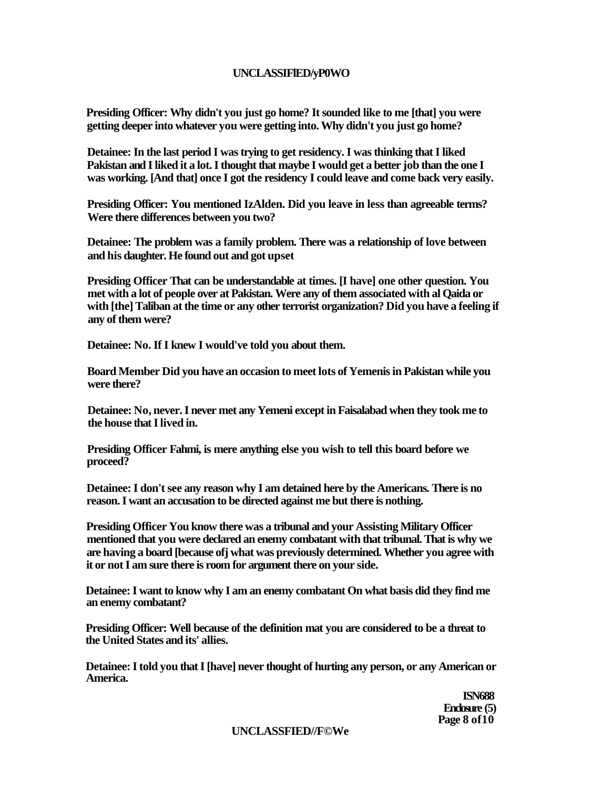## **UNCLASSIFlED/yP0WO**

**Presiding Officer: Why didn't you just go home? It sounded like to me [that] you were getting deeper into whatever you were getting into. Why didn't you just go home?** 

**Detainee: In the last period I was trying to get residency. I was thinking that I liked Pakistan and I liked it a lot. I thought that maybe I would get a better job than the one I was working. [And that] once I got the residency I could leave and come back very easily.** 

**Presiding Officer: You mentioned IzAlden. Did you leave in less than agreeable terms? Were there differences between you two?** 

**Detainee: The problem was a family problem. There was a relationship of love between and his daughter. He found out and got upset** 

**Presiding Officer That can be understandable at times. [I have] one other question. You met with a lot of people over at Pakistan. Were any of them associated with al Qaida or with [the] Taliban at the time or any other terrorist organization? Did you have a feeling if any of them were?** 

**Detainee: No. If I knew I would've told you about them.** 

**Board Member Did you have an occasion to meet lots of Yemenis in Pakistan while you were there?** 

**Detainee: No, never. I never met any Yemeni except in Faisalabad when they took me to the house that I lived in.** 

**Presiding Officer Fahmi, is mere anything else you wish to tell this board before we proceed?** 

**Detainee: I don't see any reason why I am detained here by the Americans. There is no reason. I want an accusation to be directed against me but there is nothing.** 

**Presiding Officer You know there was a tribunal and your Assisting Military Officer mentioned that you were declared an enemy combatant with that tribunal. That is why we are having a board [because ofj what was previously determined. Whether you agree with it or not I am sure there is room for argument there on your side.** 

**Detainee: I want to know why I am an enemy combatant On what basis did they find me an enemy combatant?** 

**Presiding Officer: Well because of the definition mat you are considered to be a threat to the United States and its' allies.** 

**Detainee: I told you that I [have] never thought of hurting any person, or any American or America.** 

> **ISN688 Enclosure (5) Page 8 of10**

**UNCLASSFIED//F©We**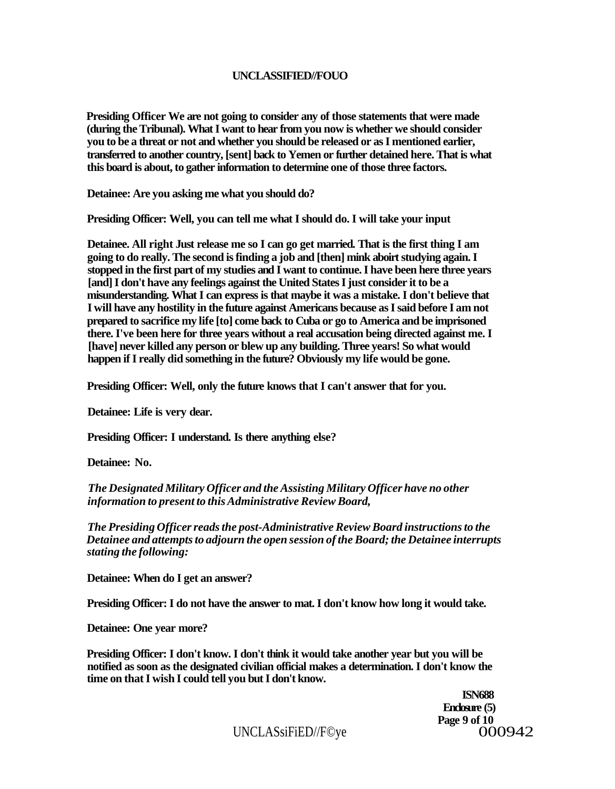## **UNCLASSIFIED//FOUO**

**Presiding Officer We are not going to consider any of those statements that were made (during the Tribunal). What I want to hear from you now is whether we should consider you to be a threat or not and whether you should be released or as I mentioned earlier, transferred to another country, [sent] back to Yemen or further detained here. That is what this board is about, to gather information to determine one of those three factors.** 

**Detainee: Are you asking me what you should do?** 

**Presiding Officer: Well, you can tell me what I should do. I will take your input** 

**Detainee. All right Just release me so I can go get married. That is the first thing I am going to do really. The second is finding a job and [then] mink aboirt studying again. I stopped in the first part of my studies and I want to continue. I have been here three years [and] I don't have any feelings against the United States I just consider it to be a misunderstanding. What I can express is that maybe it was a mistake. I don't believe that I will have any hostility in the future against Americans because as I said before I am not prepared to sacrifice my life [to] come back to Cuba or go to America and be imprisoned there. I've been here for three years without a real accusation being directed against me. I [have] never killed any person or blew up any building. Three years! So what would happen if I really did something in the future? Obviously my life would be gone.** 

**Presiding Officer: Well, only the future knows that I can't answer that for you.** 

**Detainee: Life is very dear.** 

**Presiding Officer: I understand. Is there anything else?** 

**Detainee: No.** 

*The Designated Military Officer and the Assisting Military Officer have no other information to present to this Administrative Review Board,* 

*The Presiding Officer reads the post-Administrative Review Board instructions to the Detainee and attempts to adjourn the open session of the Board; the Detainee interrupts stating the following:* 

**Detainee: When do I get an answer?** 

**Presiding Officer: I do not have the answer to mat. I don't know how long it would take.** 

**Detainee: One year more?** 

**Presiding Officer: I don't know. I don't think it would take another year but you will be notified as soon as the designated civilian official makes a determination. I don't know the time on that I wish I could tell you but I don't know.** 

> **ISN688 Enclosure (5) Page 9 of 10**

 $UNCLASSiFiED/F@ye$